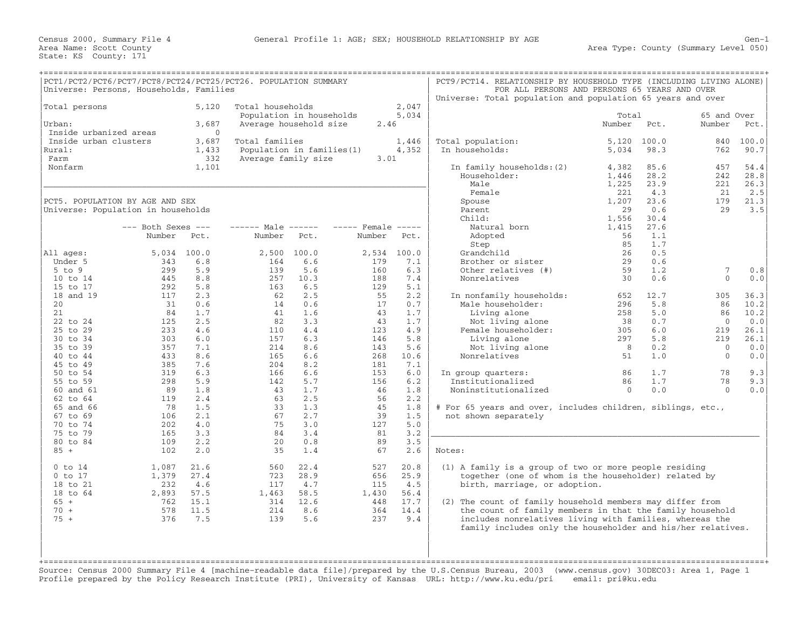| PCT1/PCT2/PCT6/PCT7/PCT8/PCT24/PCT25/PCT26. POPULATION SUMMARY<br>Universe: Persons, Households, Families                                                                                                                                      |                                                                                                                                      |                                                                                                                                          |                                                                                                                              |                                                                                                                                          |                                                                                                                               |                                                                                                                                           | PCT9/PCT14. RELATIONSHIP BY HOUSEHOLD TYPE (INCLUDING LIVING ALONE)<br>Universe: Total population and population 65 years and over                                                                                                                                                                                                                                                                 | FOR ALL PERSONS AND PERSONS 65 YEARS AND OVER                            |                                                                            |                                                                                                       |                                                                                |
|------------------------------------------------------------------------------------------------------------------------------------------------------------------------------------------------------------------------------------------------|--------------------------------------------------------------------------------------------------------------------------------------|------------------------------------------------------------------------------------------------------------------------------------------|------------------------------------------------------------------------------------------------------------------------------|------------------------------------------------------------------------------------------------------------------------------------------|-------------------------------------------------------------------------------------------------------------------------------|-------------------------------------------------------------------------------------------------------------------------------------------|----------------------------------------------------------------------------------------------------------------------------------------------------------------------------------------------------------------------------------------------------------------------------------------------------------------------------------------------------------------------------------------------------|--------------------------------------------------------------------------|----------------------------------------------------------------------------|-------------------------------------------------------------------------------------------------------|--------------------------------------------------------------------------------|
| Total persons<br>Urban:                                                                                                                                                                                                                        |                                                                                                                                      | 5,120<br>3,687                                                                                                                           | Total households                                                                                                             | Population in households<br>Average household size                                                                                       | 2.46                                                                                                                          | 2,047<br>5,034                                                                                                                            |                                                                                                                                                                                                                                                                                                                                                                                                    | Total<br>Number                                                          | Pct.                                                                       | 65 and Over<br>Number                                                                                 | Pct.                                                                           |
| Inside urbanized areas<br>Inside urban clusters<br>Rural:<br>Farm<br>Nonfarm                                                                                                                                                                   |                                                                                                                                      | $\Omega$<br>3,687<br>1,433<br>332<br>1,101                                                                                               | Total families<br>Average family size                                                                                        | Population in families (1)                                                                                                               | 3.01                                                                                                                          | 1,446<br>4,352                                                                                                                            | Total population:<br>In households:<br>In family households: (2)<br>Householder:<br>Male                                                                                                                                                                                                                                                                                                           | 5,120<br>5,034<br>4,382<br>1,446<br>1,225                                | 100.0<br>98.3<br>85.6<br>28.2<br>23.9                                      | 840<br>762<br>457<br>242<br>221                                                                       | 100.0<br>90.7<br>54.4<br>28.8<br>26.3                                          |
| PCT5. POPULATION BY AGE AND SEX<br>Universe: Population in households                                                                                                                                                                          | $---$ Both Sexes $---$<br>Number                                                                                                     | Pct.                                                                                                                                     | $--- - -$ Male $--- -$<br>Number                                                                                             | Pct.                                                                                                                                     | $---$ Female $---$<br>Number                                                                                                  | Pct.                                                                                                                                      | Female<br>Spouse<br>Parent<br>Child:<br>Natural born<br>Adopted<br>Step                                                                                                                                                                                                                                                                                                                            | 221<br>1,207<br>29<br>1,556<br>1,415<br>56<br>85                         | 4.3<br>23.6<br>0.6<br>30.4<br>27.6<br>1.1<br>1.7                           | 21<br>179<br>29                                                                                       | 2.5<br>21.3<br>3.5                                                             |
| All ages:<br>Under 5<br>$5$ to $9$<br>10 to 14                                                                                                                                                                                                 | 5,034<br>343<br>299<br>445                                                                                                           | 100.0<br>6.8<br>5.9<br>8.8                                                                                                               | 2,500<br>164<br>139<br>257                                                                                                   | 100.0<br>6.6<br>5.6<br>10.3                                                                                                              | 2,534<br>179<br>160<br>188                                                                                                    | 100.0<br>7.1<br>6.3<br>7.4                                                                                                                | Grandchild<br>Brother or sister<br>Other relatives (#)<br>Nonrelatives                                                                                                                                                                                                                                                                                                                             | 26<br>29<br>59<br>30                                                     | 0.5<br>0.6<br>1.2<br>0.6                                                   | 7<br>$\Omega$                                                                                         | 0.8<br>0.0                                                                     |
| 15 to 17<br>18 and 19<br>20 <sub>o</sub><br>21<br>22 to 24<br>25 to 29<br>30 to 34<br>35 to 39<br>40 to 44<br>45 to 49<br>50 to 54<br>55 to 59<br>60 and 61<br>62 to 64<br>65 and 66<br>67 to 69<br>70 to 74<br>75 to 79<br>80 to 84<br>$85 +$ | 292<br>117<br>31<br>84<br>125<br>233<br>303<br>357<br>433<br>385<br>319<br>298<br>89<br>119<br>78<br>106<br>202<br>165<br>109<br>102 | 5.8<br>2.3<br>0.6<br>1.7<br>2.5<br>4.6<br>6.0<br>7.1<br>8.6<br>7.6<br>6.3<br>5.9<br>1.8<br>2.4<br>1.5<br>2.1<br>4.0<br>3.3<br>2.2<br>2.0 | 163<br>62<br>14<br>41<br>82<br>110<br>157<br>214<br>165<br>204<br>166<br>142<br>43<br>63<br>33<br>67<br>75<br>84<br>20<br>35 | 6.5<br>2.5<br>0.6<br>1.6<br>3.3<br>4.4<br>6.3<br>8.6<br>6.6<br>8.2<br>6.6<br>5.7<br>1.7<br>2.5<br>1.3<br>2.7<br>3.0<br>3.4<br>0.8<br>1.4 | 129<br>55<br>17<br>43<br>43<br>123<br>146<br>143<br>268<br>181<br>153<br>156<br>46<br>56<br>45<br>39<br>127<br>81<br>89<br>67 | 5.1<br>2.2<br>0.7<br>1.7<br>1.7<br>4.9<br>5.8<br>5.6<br>10.6<br>7.1<br>6.0<br>6.2<br>1.8<br>2.2<br>1.8<br>1.5<br>5.0<br>3.2<br>3.5<br>2.6 | In nonfamily households:<br>Male householder:<br>Living alone<br>Not living alone<br>Female householder:<br>Living alone<br>Not living alone<br>Nonrelatives<br>In group quarters:<br>Institutionalized<br>Noninstitutionalized<br># For 65 years and over, includes children, siblings, etc.,<br>not shown separately<br>Notes:                                                                   | 652<br>296<br>258<br>38<br>305<br>297<br>8<br>51<br>86<br>86<br>$\Omega$ | 12.7<br>5.8<br>5.0<br>0.7<br>6.0<br>5.8<br>0.2<br>1.0<br>1.7<br>1.7<br>0.0 | 305<br>86<br>86<br>$\overline{0}$<br>219<br>219<br>$\Omega$<br>$\overline{0}$<br>78<br>78<br>$\Omega$ | 36.3<br>10.2<br>10.2<br>0.0<br>26.1<br>26.1<br>0.0<br>0.0<br>9.3<br>9.3<br>0.0 |
| $0$ to $14$<br>$0$ to $17$<br>18 to 21<br>18 to 64<br>$65 +$<br>$70 +$<br>$75 +$                                                                                                                                                               | 1,087<br>1,379<br>232<br>2,893<br>762<br>578<br>376                                                                                  | 21.6<br>27.4<br>4.6<br>57.5<br>15.1<br>11.5<br>7.5                                                                                       | 560<br>723<br>117<br>1,463<br>314<br>214<br>139                                                                              | 22.4<br>28.9<br>4.7<br>58.5<br>12.6<br>8.6<br>5.6                                                                                        | 527<br>656<br>115<br>1,430<br>448<br>364<br>237                                                                               | 20.8<br>25.9<br>4.5<br>56.4<br>17.7<br>14.4<br>9.4                                                                                        | (1) A family is a group of two or more people residing<br>together (one of whom is the householder) related by<br>birth, marriage, or adoption.<br>(2) The count of family household members may differ from<br>the count of family members in that the family household<br>includes nonrelatives living with families, whereas the<br>family includes only the householder and his/her relatives. |                                                                          |                                                                            |                                                                                                       |                                                                                |

Source: Census 2000 Summary File 4 [machine−readable data file]/prepared by the U.S.Census Bureau, 2003 (www.census.gov) 30DEC03: Area 1, Page 1 Profile prepared by the Policy Research Institute (PRI), University of Kansas URL: http://www.ku.edu/pri email: pri@ku.edu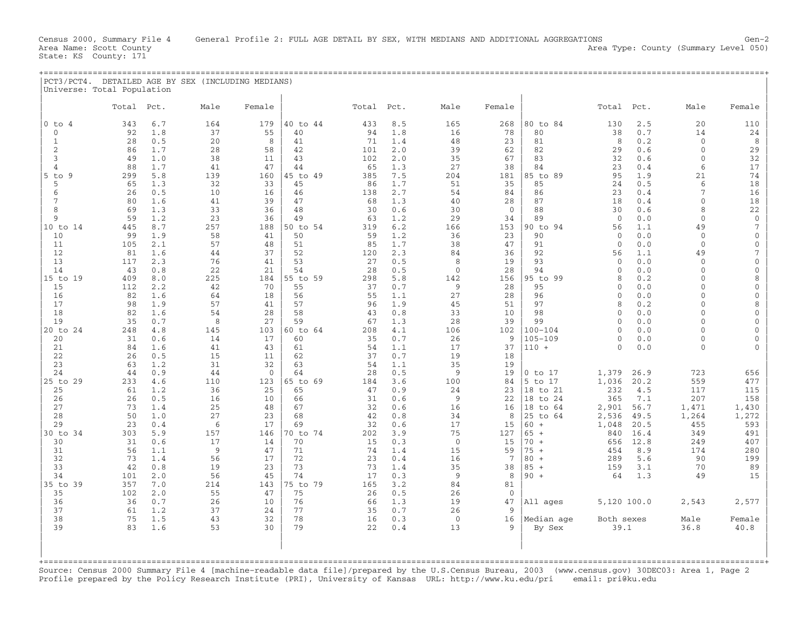| $ PCT3/PCT4$ . | . DETAILED AGE BY SEX (INCLUDING MEDIANS) |  |  |  |
|----------------|-------------------------------------------|--|--|--|
|                |                                           |  |  |  |
|                | Universe: Total Population                |  |  |  |

|                        | Total      | Pct.       | Male      | Female       |                | Total     | Pct.       | Male           | Female            |                         | Total                | Pct.                  | Male                 | Female                        |
|------------------------|------------|------------|-----------|--------------|----------------|-----------|------------|----------------|-------------------|-------------------------|----------------------|-----------------------|----------------------|-------------------------------|
| 0 to<br>$\overline{4}$ | 343        | 6.7        | 164       | 179          | 40 to 44       | 433       | 8.5        | 165            | 268               | 80 to 84                | 130                  | 2.5                   | 20                   | 110                           |
| $\mathbf{0}$           | 92         | 1.8        | 37        | 55           | 40             | 94        | 1.8        | 16             | 78                | 80                      | 38                   | 0.7                   | 14                   | 24                            |
| $\mathbf{1}$           | 28         | 0.5        | 20        | 8            | 41             | 71        | 1.4        | 48             | 23                | 81                      | 8                    | 0.2                   | $\Omega$             | 8                             |
| 2                      | 86         | 1.7        | 28        | 58           | 42             | 101       | 2.0        | 39             | 62                | 82                      | 29                   | 0.6                   | $\mathbf{0}$         | 29                            |
| 3                      | 49         | 1.0        | 38        | 11           | 43             | 102       | 2.0        | 35             | 67                | 83                      | 32                   | 0.6                   | $\Omega$             | 32                            |
| 4<br>$5$ to<br>9       | 88<br>299  | 1.7<br>5.8 | 41<br>139 | 47<br>160    | 44<br>45 to 49 | 65<br>385 | 1.3<br>7.5 | 27<br>204      | 38<br>181         | 84<br>85 to 89          | 23<br>95             | 0.4<br>1.9            | 6<br>21              | $17$<br>74                    |
| 5                      | 65         | 1.3        | 32        | 33           | 45             | 86        | 1.7        | 51             | 35                | 85                      | 24                   | 0.5                   | 6                    | 18                            |
| 6                      | 26         | 0.5        | 10        | 16           | 46             | 138       | 2.7        | 54             | 84                | 86                      | 23                   | 0.4                   | 7                    | 16                            |
| 7                      | 80         | 1.6        | 41        | 39           | 47             | 68        | 1.3        | 40             | 28                | 87                      | 18                   | 0.4                   | $\Omega$             | 18                            |
| 8                      | 69         | 1.3        | 33        | 36           | 48             | 30        | 0.6        | 30             | $\mathbf{0}$      | 88                      | 30                   | 0.6                   | 8                    | 22                            |
| 9                      | 59         | 1.2        | 23        | 36           | 49             | 63        | 1.2        | 29             | 34                | 89                      | $\mathbf{0}$         | 0.0                   | $\mathbf{0}$         | $\mathbf 0$                   |
| 10 to 14               | 445        | 8.7        | 257       | 188          | 50 to 54       | 319       | 6.2        | 166            | 153               | 90 to 94                | 56                   | 1.1                   | 49                   | $\overline{7}$                |
| 10                     | 99         | 1.9        | 58        | 41           | 50             | 59        | 1.2        | 36             | 23                | 90                      | $\Omega$             | 0.0                   | $\Omega$<br>$\Omega$ | $\mathbf 0$                   |
| 11<br>12               | 105<br>81  | 2.1<br>1.6 | 57<br>44  | 48<br>37     | 51<br>52       | 85<br>120 | 1.7<br>2.3 | 38<br>84       | 47<br>36          | 91<br>92                | $\overline{0}$<br>56 | 0.0<br>1.1            | 49                   | $\mathbf 0$<br>$\overline{7}$ |
| 13                     | 117        | 2.3        | 76        | 41           | 53             | 27        | 0.5        | 8              | 19                | 93                      | $\Omega$             | 0.0                   | $\Omega$             | $\mathbf 0$                   |
| 14                     | 43         | 0.8        | 22        | 21           | 54             | 28        | 0.5        | $\mathbf 0$    | 28                | 94                      | $\mathbf{0}$         | 0.0                   | $\Omega$             | $\mathbf 0$                   |
| 15 to 19               | 409        | 8.0        | 225       | 184          | 55 to 59       | 298       | 5.8        | 142            | 156               | 95 to 99                | 8                    | 0.2                   | $\Omega$             | 8                             |
| 15                     | 112        | 2.2        | 42        | 70           | 55             | 37        | 0.7        | 9              | 28                | 95                      | $\Omega$             | 0.0                   | $\Omega$             | $\overline{0}$                |
| 16                     | 82         | 1.6        | 64        | 18           | 56             | 55        | 1.1        | 27             | 28                | 96                      | $\mathbf{0}$         | 0.0                   | $\Omega$             | $\mathbf 0$                   |
| 17                     | 98         | 1.9        | 57        | 41           | 57             | 96        | 1.9        | 45             | 51                | 97                      | 8                    | 0.2                   | $\Omega$             | 8                             |
| 18                     | 82         | 1.6        | 54        | 28           | 58             | 43        | 0.8        | 33             | 10                | 98                      | $\mathbf{0}$         | 0.0                   | $\Omega$             | $\mathbf{0}$                  |
| 19<br>20 to 24         | 35<br>248  | 0.7<br>4.8 | 8<br>145  | 27<br>103    | 59<br>60 to 64 | 67<br>208 | 1.3<br>4.1 | 28<br>106      | 39<br>102         | 99<br>$100 - 104$       | $\Omega$<br>$\Omega$ | 0.0<br>0.0            | $\Omega$<br>$\Omega$ | $\mathbf{0}$<br>$\mathbf{0}$  |
| 20                     | 31         | 0.6        | 14        | 17           | 60             | 35        | 0.7        | 26             | 9                 | $105 - 109$             | $\Omega$             | ${\bf 0}$ . ${\bf 0}$ | $\Omega$             | $\mathbf 0$                   |
| 21                     | 84         | 1.6        | 41        | 43           | 61             | 54        | 1.1        | 17             | 37                | $110 +$                 | $\Omega$             | 0.0                   | $\Omega$             | $\Omega$                      |
| 22                     | 26         | 0.5        | 15        | 11           | 62             | 37        | 0.7        | 19             | 18                |                         |                      |                       |                      |                               |
| 23                     | 63         | 1.2        | 31        | 32           | 63             | 54        | 1.1        | 35             | 19                |                         |                      |                       |                      |                               |
| 24                     | 44         | 0.9        | 44        | $\mathbf{0}$ | 64             | 28        | 0.5        | 9              | 19                | $0$ to $17$             | 1,379                | 26.9                  | 723                  | 656                           |
| 25 to 29               | 233        | 4.6        | 110       | 123          | 65 to 69       | 184       | 3.6        | 100            | 84                | 5 to 17                 | 1,036                | 20.2                  | 559                  | 477                           |
| 25                     | 61         | 1.2        | 36        | 25           | 65             | 47        | 0.9        | 24             | 23                | 18 to 21                | 232                  | 4.5                   | 117                  | 115                           |
| 26<br>27               | 26<br>73   | 0.5<br>1.4 | 16<br>25  | 10<br>48     | 66<br>67       | 31<br>32  | 0.6<br>0.6 | 9<br>16        | 22<br>16          | 18 to 24<br>18<br>to 64 | 365<br>2,901         | 7.1<br>56.7           | 207<br>1,471         | 158<br>1,430                  |
| 28                     | 50         | 1.0        | 27        | 23           | 68             | 42        | 0.8        | 34             | 8                 | 25 to 64                | 2,536                | 49.5                  | 1,264                | 1,272                         |
| 29                     | 23         | 0.4        | 6         | 17           | 69             | 32        | 0.6        | 17             | 15                | $60 +$                  | 1,048                | 20.5                  | 455                  | 593                           |
| 30 to 34               | 303        | 5.9        | 157       | 146          | 70 to 74       | 202       | 3.9        | 75             | 127               | $65 +$                  | 840                  | 16.4                  | 349                  | 491                           |
| 30                     | 31         | 0.6        | 17        | 14           | 70             | 15        | 0.3        | $\mathbf{0}$   | 15                | $70 +$                  | 656                  | 12.8                  | 249                  | 407                           |
| 31                     | 56         | 1.1        | 9         | 47           | 71             | 74        | 1.4        | 15             | 59                | $75 +$                  | 454                  | 8.9                   | 174                  | 280                           |
| 32                     | 73         | 1.4        | 56        | 17           | 72             | 23        | 0.4        | 16             | $7\phantom{.0}$   | $80 +$                  | 289                  | 5.6                   | 90                   | 199                           |
| 33                     | 42         | 0.8        | 19        | 23           | 73             | 73        | 1.4        | 35             | 38                | $85 +$                  | 159                  | 3.1                   | 70                   | 89                            |
| 34                     | 101        | 2.0        | 56        | 45           | 74             | 17        | 0.3        | 9              | 8                 | $90 +$                  | 64                   | 1.3                   | 49                   | 15                            |
| 35 to 39<br>35         | 357<br>102 | 7.0<br>2.0 | 214<br>55 | 143<br>47    | 75 to 79<br>75 | 165<br>26 | 3.2<br>0.5 | 84<br>26       | 81<br>$\mathbf 0$ |                         |                      |                       |                      |                               |
| 36                     | 36         | 0.7        | 26        | 10           | 76             | 66        | 1.3        | 19             | 47                | All ages                | 5,120 100.0          |                       | 2,543                | 2,577                         |
| 37                     | 61         | 1.2        | 37        | 24           | 77             | 35        | 0.7        | 26             | 9                 |                         |                      |                       |                      |                               |
| 38                     | 75         | 1.5        | 43        | 32           | 78             | 16        | 0.3        | $\overline{0}$ | 16                | Median age              | Both sexes           |                       | Male                 | Female                        |
| 39                     | 83         | 1.6        | 53        | 30           | 79             | 22        | 0.4        | 13             | 9                 | By Sex                  | 39.1                 |                       | 36.8                 | 40.8                          |
|                        |            |            |           |              |                |           |            |                |                   |                         |                      |                       |                      |                               |
|                        |            |            |           |              |                |           |            |                |                   |                         |                      |                       |                      |                               |
|                        |            |            |           |              |                |           |            |                |                   |                         |                      |                       |                      |                               |

Source: Census 2000 Summary File 4 [machine−readable data file]/prepared by the U.S.Census Bureau, 2003 (www.census.gov) 30DEC03: Area 1, Page 2 Profile prepared by the Policy Research Institute (PRI), University of Kansas URL: http://www.ku.edu/pri email: pri@ku.edu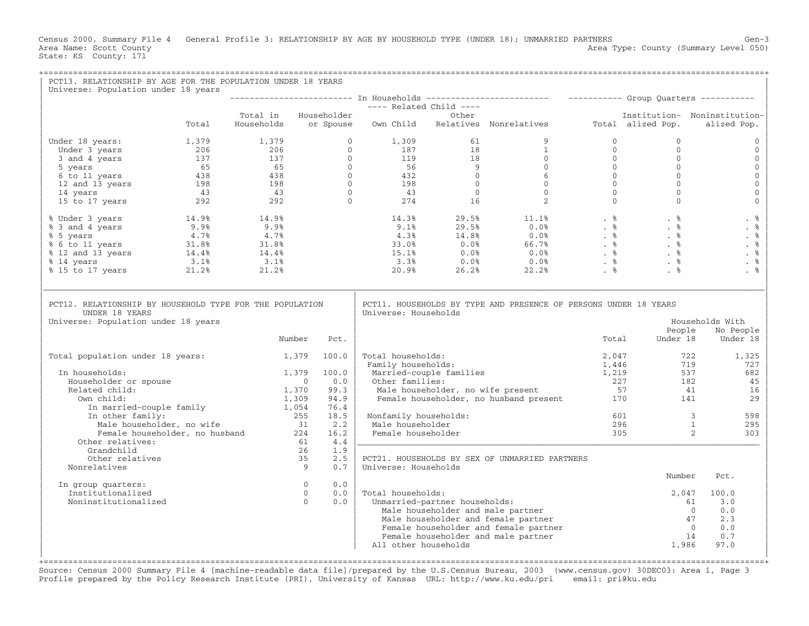Census 2000, Summary File 4 General Profile 3: RELATIONSHIP BY AGE BY HOUSEHOLD TYPE (UNDER 18); UNMARRIED PARTNERS Gen-3<br>Area Name: Scott County Level 050) Area Type: County (Summary Level 050) State: KS County: 171

| PCT13. RELATIONSHIP BY AGE FOR THE POPULATION UNDER 18 YEARS<br>Universe: Population under 18 years                                                                                                                                                                |       |               |                        |      |                                         |                               |                                                                                                                                                                                                                                                                                                                                                         |                |                                                                             |                                              |
|--------------------------------------------------------------------------------------------------------------------------------------------------------------------------------------------------------------------------------------------------------------------|-------|---------------|------------------------|------|-----------------------------------------|-------------------------------|---------------------------------------------------------------------------------------------------------------------------------------------------------------------------------------------------------------------------------------------------------------------------------------------------------------------------------------------------------|----------------|-----------------------------------------------------------------------------|----------------------------------------------|
|                                                                                                                                                                                                                                                                    |       |               |                        |      |                                         |                               |                                                                                                                                                                                                                                                                                                                                                         |                |                                                                             |                                              |
|                                                                                                                                                                                                                                                                    |       |               |                        |      |                                         |                               |                                                                                                                                                                                                                                                                                                                                                         |                |                                                                             |                                              |
|                                                                                                                                                                                                                                                                    | Total |               |                        |      |                                         |                               |                                                                                                                                                                                                                                                                                                                                                         |                |                                                                             | - Institution- Noninstitution<br>alized Pop. |
| Under 18 years:                                                                                                                                                                                                                                                    |       |               |                        |      |                                         |                               |                                                                                                                                                                                                                                                                                                                                                         | $\circ$        | $\Omega$                                                                    | $\Omega$                                     |
|                                                                                                                                                                                                                                                                    |       |               |                        |      |                                         |                               |                                                                                                                                                                                                                                                                                                                                                         | $\overline{0}$ | $\mathbf{0}$                                                                | $\mathbf 0$                                  |
|                                                                                                                                                                                                                                                                    |       |               |                        |      |                                         |                               |                                                                                                                                                                                                                                                                                                                                                         |                | $\Omega$<br>$\Omega$                                                        | $\mathbf{0}$                                 |
|                                                                                                                                                                                                                                                                    |       |               |                        |      |                                         |                               |                                                                                                                                                                                                                                                                                                                                                         |                | $\Omega$                                                                    | $\mathbf 0$<br>$\mathbf 0$                   |
|                                                                                                                                                                                                                                                                    |       |               |                        |      |                                         |                               |                                                                                                                                                                                                                                                                                                                                                         |                | $\Omega$                                                                    | $\mathbb O$                                  |
|                                                                                                                                                                                                                                                                    |       |               |                        |      |                                         |                               |                                                                                                                                                                                                                                                                                                                                                         |                | $\mathbf{0}$                                                                | $\mathsf{O}\xspace$                          |
|                                                                                                                                                                                                                                                                    |       |               |                        |      |                                         |                               |                                                                                                                                                                                                                                                                                                                                                         |                | $\begin{bmatrix} 0 \\ 0 \\ 0 \\ 0 \\ 0 \\ 0 \\ 0 \end{bmatrix}$<br>$\Omega$ | $\mathbf{O}$                                 |
| % Under 3 years<br>% 3 and 4 years<br>% 5 years<br>% 5 years<br>% 6 to 11 years<br>% 12 and 13 years<br>% 12 and 13 years<br>% 14.4%<br>% 14.4%<br>% 14.4%<br>% 14.4%<br>% 14.4%<br>% 14.4%<br>% 14.4%<br>% 14.4%<br>% 14.4%<br>% 15 to 17 years<br>% 21.2%<br>21. |       |               |                        |      |                                         |                               | $\begin{array}{cccccccc} 14.3\frac{8}{8} & 29.5\frac{8}{8} & 11.1\frac{8}{8} & .& \frac{8}{8} & .& \frac{8}{8} \\ 9.1\frac{8}{8} & 29.5\frac{8}{8} & 0.0\frac{8}{8} & .& \frac{8}{8} & .& \frac{8}{8} \\ 4.3\frac{8}{8} & 14.8\frac{8}{8} & 0.0\frac{8}{8} & .& \frac{8}{8} & .& \frac{8}{8} \\ 33.0\frac{8}{8} & 0.0\frac{8}{8} & 0.0\frac{8}{8} & .&$ |                |                                                                             | . %                                          |
|                                                                                                                                                                                                                                                                    |       |               |                        |      |                                         |                               |                                                                                                                                                                                                                                                                                                                                                         |                |                                                                             | . $%$                                        |
|                                                                                                                                                                                                                                                                    |       |               |                        |      |                                         |                               |                                                                                                                                                                                                                                                                                                                                                         |                |                                                                             | . $%$                                        |
|                                                                                                                                                                                                                                                                    |       |               |                        |      |                                         |                               |                                                                                                                                                                                                                                                                                                                                                         |                |                                                                             | . $\frac{6}{6}$                              |
|                                                                                                                                                                                                                                                                    |       |               |                        |      |                                         |                               |                                                                                                                                                                                                                                                                                                                                                         |                |                                                                             | . $%$                                        |
|                                                                                                                                                                                                                                                                    |       |               |                        |      |                                         |                               |                                                                                                                                                                                                                                                                                                                                                         |                |                                                                             | . $%$                                        |
|                                                                                                                                                                                                                                                                    |       |               |                        |      |                                         |                               |                                                                                                                                                                                                                                                                                                                                                         |                |                                                                             | . %                                          |
| PCT12. RELATIONSHIP BY HOUSEHOLD TYPE FOR THE POPULATION<br>UNDER 18 YEARS<br>Universe: Population under 18 years                                                                                                                                                  |       |               |                        |      | Universe: Households                    |                               | PCT11. HOUSEHOLDS BY TYPE AND PRESENCE OF PERSONS UNDER 18 YEARS                                                                                                                                                                                                                                                                                        |                | People                                                                      | Households With<br>No People                 |
|                                                                                                                                                                                                                                                                    |       | Number        |                        | Pct. |                                         |                               |                                                                                                                                                                                                                                                                                                                                                         | Total          | Under 18                                                                    | Under 18                                     |
| Total population under 18 years:                                                                                                                                                                                                                                   |       | $1,379$ 100.0 |                        |      | Total households:<br>Family households: |                               |                                                                                                                                                                                                                                                                                                                                                         | 2,047<br>1,446 | 722<br>719                                                                  | 1,325<br>727                                 |
| In households:                                                                                                                                                                                                                                                     |       |               | 1,379 100.0            |      |                                         |                               | Married-couple families                                                                                                                                                                                                                                                                                                                                 | 1,219          | 537                                                                         | 682                                          |
| Householder or spouse                                                                                                                                                                                                                                              |       |               | $\overline{0}$         | 0.0  |                                         |                               |                                                                                                                                                                                                                                                                                                                                                         |                | 182                                                                         | 45                                           |
| Related child:                                                                                                                                                                                                                                                     |       | 1,370         |                        | 99.3 |                                         |                               | Married-couple families 1,219<br>Other families: 227<br>Male householder, no wife present 57<br>Female householder, no husband present 170                                                                                                                                                                                                              |                | 41                                                                          | 16                                           |
| Own child:                                                                                                                                                                                                                                                         |       | 1,309         |                        | 94.9 |                                         |                               |                                                                                                                                                                                                                                                                                                                                                         |                | 141                                                                         | 29                                           |
| In married-couple family 1,054<br>In other family: 255                                                                                                                                                                                                             |       |               |                        | 76.4 |                                         |                               |                                                                                                                                                                                                                                                                                                                                                         |                |                                                                             |                                              |
| In other family:<br>n other family:<br>Male householder, no wife                                                                                                                                                                                                   |       |               | $255$ $18.5$<br>31 2.2 |      | Nonfamily households:                   |                               |                                                                                                                                                                                                                                                                                                                                                         |                | $\overline{\mathbf{3}}$<br>601<br>296                                       | 598                                          |
| Female householder, no husband 224                                                                                                                                                                                                                                 |       |               |                        | 16.2 | Male householder<br>Female householder  |                               |                                                                                                                                                                                                                                                                                                                                                         | 305            | $\overline{1}$<br>$\overline{2}$                                            | 295<br>303                                   |
| Other relatives:                                                                                                                                                                                                                                                   |       |               | 61                     | 4.4  |                                         |                               |                                                                                                                                                                                                                                                                                                                                                         |                |                                                                             |                                              |
| Grandchild                                                                                                                                                                                                                                                         |       |               | 26                     | 1.9  |                                         |                               |                                                                                                                                                                                                                                                                                                                                                         |                |                                                                             |                                              |
| Other relatives                                                                                                                                                                                                                                                    |       |               | 35                     | 2.5  |                                         |                               | PCT21. HOUSEHOLDS BY SEX OF UNMARRIED PARTNERS                                                                                                                                                                                                                                                                                                          |                |                                                                             |                                              |
| Nonrelatives                                                                                                                                                                                                                                                       |       |               | 9                      | 0.7  | Universe: Households                    |                               |                                                                                                                                                                                                                                                                                                                                                         |                |                                                                             |                                              |
| In group quarters:                                                                                                                                                                                                                                                 |       |               | $\overline{0}$         | 0.0  |                                         |                               |                                                                                                                                                                                                                                                                                                                                                         |                | Number                                                                      | Pct.                                         |
| Institutionalized                                                                                                                                                                                                                                                  |       |               | $\overline{0}$         | 0.0  | Total households:                       |                               |                                                                                                                                                                                                                                                                                                                                                         |                | 2,047                                                                       | 100.0                                        |
| Noninstitutionalized                                                                                                                                                                                                                                               |       |               | $\Omega$               | 0.0  |                                         | Unmarried-partner households: |                                                                                                                                                                                                                                                                                                                                                         |                | 61                                                                          | 3.0                                          |
|                                                                                                                                                                                                                                                                    |       |               |                        |      |                                         |                               | Male householder and male partner                                                                                                                                                                                                                                                                                                                       |                |                                                                             | 0.0<br>$\bigcirc$                            |
|                                                                                                                                                                                                                                                                    |       |               |                        |      |                                         |                               | Male householder and female partner                                                                                                                                                                                                                                                                                                                     |                | 47                                                                          | 2.3                                          |
|                                                                                                                                                                                                                                                                    |       |               |                        |      |                                         |                               | Female householder and female partner                                                                                                                                                                                                                                                                                                                   |                |                                                                             | $\overline{0}$<br>0.0                        |
|                                                                                                                                                                                                                                                                    |       |               |                        |      |                                         |                               | Female householder and male partner                                                                                                                                                                                                                                                                                                                     |                | 14                                                                          | 0.7                                          |
|                                                                                                                                                                                                                                                                    |       |               |                        |      | All other households                    |                               |                                                                                                                                                                                                                                                                                                                                                         |                | 1,986                                                                       | 97.0                                         |
|                                                                                                                                                                                                                                                                    |       |               |                        |      |                                         |                               |                                                                                                                                                                                                                                                                                                                                                         |                |                                                                             |                                              |

Source: Census 2000 Summary File 4 [machine−readable data file]/prepared by the U.S.Census Bureau, 2003 (www.census.gov) 30DEC03: Area 1, Page 3 Profile prepared by the Policy Research Institute (PRI), University of Kansas URL: http://www.ku.edu/pri email: pri@ku.edu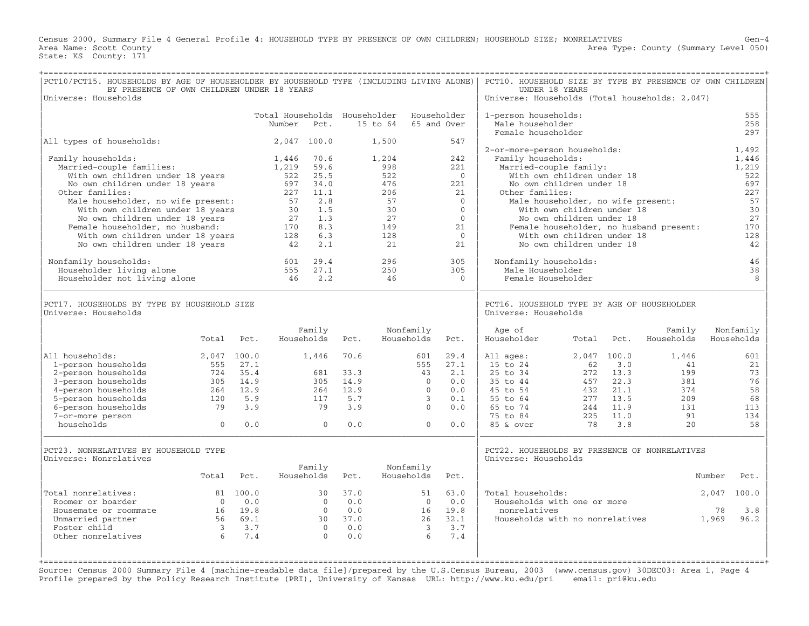Census 2000, Summary File 4 General Profile 4: HOUSEHOLD TYPE BY PRESENCE OF OWN CHILDREN; HOUSEHOLD SIZE; NONRELATIVES Gen−4 Area Name: Scott County Level 050) Area Type: County (Summary Level 050) State: KS County: 171

| PCT10/PCT15. HOUSEHOLDS BY AGE OF HOUSEHOLDER BY HOUSEHOLD TYPE (INCLUDING LIVING ALONE)<br>BY PRESENCE OF OWN CHILDREN UNDER 18 YEARS<br>Universe: Households                                                                                                                                                                                                                                                    |                                                                      |                                                                  |                                                                                         |                                                                                                |                                                   |                                                                                       |                                                                                      |                                                                                                                           | PCT10. HOUSEHOLD SIZE BY TYPE BY PRESENCE OF OWN CHILDREN<br>UNDER 18 YEARS<br>Universe: Households (Total households: 2,047)                                                      |                                                                                                                                                                            |                                                            |                                                            |                                                                                                |
|-------------------------------------------------------------------------------------------------------------------------------------------------------------------------------------------------------------------------------------------------------------------------------------------------------------------------------------------------------------------------------------------------------------------|----------------------------------------------------------------------|------------------------------------------------------------------|-----------------------------------------------------------------------------------------|------------------------------------------------------------------------------------------------|---------------------------------------------------|---------------------------------------------------------------------------------------|--------------------------------------------------------------------------------------|---------------------------------------------------------------------------------------------------------------------------|------------------------------------------------------------------------------------------------------------------------------------------------------------------------------------|----------------------------------------------------------------------------------------------------------------------------------------------------------------------------|------------------------------------------------------------|------------------------------------------------------------|------------------------------------------------------------------------------------------------|
|                                                                                                                                                                                                                                                                                                                                                                                                                   |                                                                      |                                                                  | Total Households Householder<br>Number                                                  | Pct.                                                                                           |                                                   | 15 to 64                                                                              |                                                                                      | Householder<br>65 and Over                                                                                                | 1-person households:<br>Male householder                                                                                                                                           |                                                                                                                                                                            |                                                            |                                                            | 555<br>258                                                                                     |
| All types of households:                                                                                                                                                                                                                                                                                                                                                                                          |                                                                      |                                                                  |                                                                                         | 2,047 100.0                                                                                    |                                                   | 1,500                                                                                 |                                                                                      | 547                                                                                                                       | Female householder                                                                                                                                                                 |                                                                                                                                                                            |                                                            |                                                            | 297                                                                                            |
| Family households:<br>Married-couple families:<br>With own children under 18 years<br>No own children under 18 years<br>Other families:<br>Male householder, no wife present:<br>With own children under 18 years<br>No own children under 18 years<br>Female householder, no husband:<br>With own children under 18 years<br>No own children under 18 years<br>Nonfamily households:<br>Householder living alone |                                                                      |                                                                  | 1,446<br>1,219<br>522<br>697<br>227<br>57<br>30<br>27<br>170<br>128<br>42<br>601<br>555 | 70.6<br>59.6<br>25.5<br>34.0<br>11.1<br>2.8<br>1.5<br>1.3<br>8.3<br>6.3<br>2.1<br>29.4<br>27.1 |                                                   | 1,204<br>998<br>522<br>476<br>206<br>57<br>30<br>27<br>149<br>128<br>21<br>296<br>250 |                                                                                      | 242<br>221<br>$\mathbf{0}$<br>221<br>21<br>$\mathbf{0}$<br>$\Omega$<br>$\mathbf{0}$<br>21<br>$\circ$<br>2.1<br>305<br>305 | 2-or-more-person households:<br>Family households:<br>Married-couple family:<br>Other families:<br>Male householder, no wife present:<br>Nonfamily households:<br>Male Householder | With own children under 18<br>No own children under 18<br>With own children under 18<br>No own children under 18<br>With own children under 18<br>No own children under 18 |                                                            | Female householder, no husband present:                    | 1,492<br>1,446<br>1,219<br>522<br>697<br>227<br>57<br>30<br>27<br>170<br>128<br>42<br>46<br>38 |
| Householder not living alone                                                                                                                                                                                                                                                                                                                                                                                      |                                                                      |                                                                  | 46                                                                                      | 2.2                                                                                            |                                                   | 46                                                                                    |                                                                                      | $\Omega$                                                                                                                  | Female Householder                                                                                                                                                                 |                                                                                                                                                                            |                                                            |                                                            | 8                                                                                              |
| PCT17. HOUSEHOLDS BY TYPE BY HOUSEHOLD SIZE<br>Universe: Households                                                                                                                                                                                                                                                                                                                                               |                                                                      |                                                                  |                                                                                         |                                                                                                |                                                   |                                                                                       |                                                                                      |                                                                                                                           | PCT16. HOUSEHOLD TYPE BY AGE OF HOUSEHOLDER<br>Universe: Households                                                                                                                |                                                                                                                                                                            |                                                            |                                                            |                                                                                                |
|                                                                                                                                                                                                                                                                                                                                                                                                                   | Total                                                                | Pct.                                                             |                                                                                         | Family<br>Households                                                                           | Pct.                                              |                                                                                       | Nonfamily<br>Households                                                              | Pct.                                                                                                                      | Age of<br>Householder                                                                                                                                                              | Total                                                                                                                                                                      | Pct.                                                       | Family<br>Households                                       | Nonfamily<br>Households                                                                        |
| All households:<br>1-person households<br>2-person households<br>3-person households<br>4-person households<br>5-person households<br>6-person households<br>7-or-more person<br>households                                                                                                                                                                                                                       | 555<br>724<br>305<br>264<br>120<br>79<br>$\mathbf{0}$                | 2,047 100.0<br>27.1<br>35.4<br>14.9<br>12.9<br>5.9<br>3.9<br>0.0 |                                                                                         | 1,446<br>681<br>305<br>264<br>117<br>79<br>$\mathbf{0}$                                        | 70.6<br>33.3<br>14.9<br>12.9<br>5.7<br>3.9<br>0.0 |                                                                                       | 601<br>555<br>43<br>$\Omega$<br>$\Omega$<br>$\mathbf{3}$<br>$\Omega$<br>$\mathbf{0}$ | 29.4<br>27.1<br>2.1<br>0.0<br>0.0<br>0.1<br>0.0<br>0.0                                                                    | All ages:<br>15 to 24<br>25 to 34<br>35 to 44<br>45 to 54<br>55 to 64<br>65 to 74<br>75 to 84<br>85 & over                                                                         | 2,047 100.0<br>62<br>272<br>457<br>432<br>277<br>244<br>225<br>78                                                                                                          | 3.0<br>13.3<br>22.3<br>21.1<br>13.5<br>11.9<br>11.0<br>3.8 | 1,446<br>41<br>199<br>381<br>374<br>209<br>131<br>91<br>20 | 601<br>21<br>73<br>76<br>58<br>68<br>113<br>134<br>58                                          |
| PCT23. NONRELATIVES BY HOUSEHOLD TYPE<br>Universe: Nonrelatives                                                                                                                                                                                                                                                                                                                                                   | Total                                                                | Pct.                                                             |                                                                                         | Family<br>Households                                                                           | Pct.                                              |                                                                                       | Nonfamily<br>Households                                                              | Pct.                                                                                                                      | PCT22. HOUSEHOLDS BY PRESENCE OF NONRELATIVES<br>Universe: Households                                                                                                              |                                                                                                                                                                            |                                                            |                                                            | Number<br>Pct.                                                                                 |
| Total nonrelatives:<br>Roomer or boarder<br>Housemate or roommate<br>Unmarried partner<br>Foster child<br>Other nonrelatives                                                                                                                                                                                                                                                                                      | $\bigcirc$<br>16<br>56<br>$\overline{\mathbf{3}}$<br>$6\overline{6}$ | 81 100.0<br>0.0<br>19.8<br>69.1<br>3.7<br>7.4                    |                                                                                         | 30<br>$\Omega$<br>$\overline{0}$<br>30<br>$\overline{0}$<br>$\Omega$                           | 37.0<br>0.0<br>0.0<br>37.0<br>0.0<br>0.0          |                                                                                       | 51<br>$\overline{0}$<br>16<br>26<br>$\overline{3}$<br>6                              | 63.0<br>0.0<br>19.8<br>32.1<br>3.7<br>7.4                                                                                 | Total households:<br>Households with one or more<br>nonrelatives<br>Households with no nonrelatives                                                                                |                                                                                                                                                                            |                                                            |                                                            | 100.0<br>2,047<br>78<br>3.8<br>1,969<br>96.2                                                   |

Source: Census 2000 Summary File 4 [machine−readable data file]/prepared by the U.S.Census Bureau, 2003 (www.census.gov) 30DEC03: Area 1, Page 4 Profile prepared by the Policy Research Institute (PRI), University of Kansas URL: http://www.ku.edu/pri email: pri@ku.edu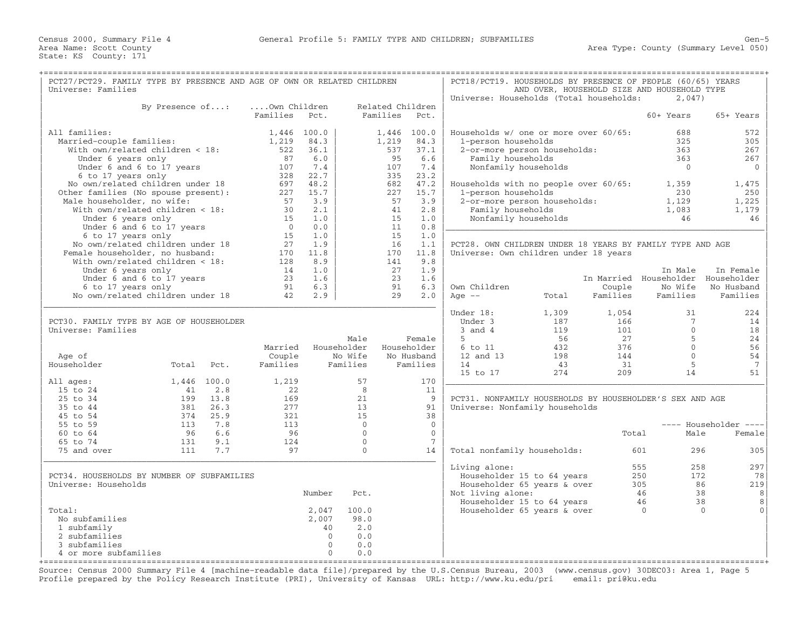| PCT27/PCT29. FAMILY TYPE BY PRESENCE AND AGE OF OWN OR RELATED CHILDREN |                 |             |                |          |              |                  |                 | PCT18/PCT19. HOUSEHOLDS BY PRESENCE OF PEOPLE (60/65) YEARS |       |          |                                             |                                             |
|-------------------------------------------------------------------------|-----------------|-------------|----------------|----------|--------------|------------------|-----------------|-------------------------------------------------------------|-------|----------|---------------------------------------------|---------------------------------------------|
| Universe: Families                                                      |                 |             |                |          |              |                  |                 |                                                             |       |          | AND OVER, HOUSEHOLD SIZE AND HOUSEHOLD TYPE |                                             |
|                                                                         |                 |             |                |          |              |                  |                 | Universe: Households (Total households:                     |       |          | 2,047)                                      |                                             |
|                                                                         | By Presence of: |             | Own Children   |          |              | Related Children |                 |                                                             |       |          |                                             |                                             |
|                                                                         |                 |             | Families       | Pct.     |              | Families         | Pct.            |                                                             |       |          | 60+ Years                                   | 65+ Years                                   |
|                                                                         |                 |             |                |          |              |                  |                 |                                                             |       |          |                                             |                                             |
| All families:                                                           |                 |             | 1,446 100.0    |          |              | 1,446 100.0      |                 | Households w/ one or more over 60/65:                       |       |          | 688                                         | 572                                         |
| Married-couple families:                                                |                 |             | 1,219          | 84.3     |              | 1,219            | 84.3            | 1-person households                                         |       |          | 325                                         | 305                                         |
| With own/related children < 18:                                         |                 |             | 522            | 36.1     |              | 537              | 37.1            | 2-or-more person households:                                |       |          | 363                                         | 267                                         |
|                                                                         |                 |             | 87             | 6.0      |              | 95               | 6.6             |                                                             |       |          | 363                                         | 267                                         |
| Under 6 years only                                                      |                 |             |                | 7.4      |              |                  |                 | Family households                                           |       |          |                                             | $\Omega$                                    |
| Under 6 and 6 to 17 years                                               |                 |             | 107            |          |              | 107              | 7.4             | Nonfamily households                                        |       |          | $\overline{0}$                              |                                             |
| 6 to 17 years only                                                      |                 |             | 328            | 22.7     |              | 335              | 23.2            |                                                             |       |          |                                             |                                             |
| No own/related children under 18                                        |                 |             | 697            | 48.2     |              | 682              | 47.2            | Households with no people over 60/65:                       |       |          | 1,359                                       | 1,475                                       |
| Other families (No spouse present):                                     |                 |             | 227            | 15.7     |              | 227              | 15.7            | 1-person households                                         |       |          | 230                                         | 250                                         |
| Male householder, no wife:                                              |                 |             | 57             | 3.9      |              | 57               | 3.9             | 2-or-more person households:                                |       |          | 1,129                                       | 1,225                                       |
| With own/related children < 18:                                         |                 |             | 30             | 2.1      |              | 41               | 2.8             | Family households                                           |       |          | 1,083                                       | 1,179                                       |
| Under 6 years only                                                      |                 |             | 1.5            | 1.0      |              | 15               | 1.0             | Nonfamily households                                        |       |          | 46                                          | 46                                          |
| Under 6 and 6 to 17 years                                               |                 |             | $\overline{0}$ | 0.0      |              | 11               | 0.8             |                                                             |       |          |                                             |                                             |
| 6 to 17 years only                                                      |                 |             | 15             | 1.0      |              | 15               | 1.0             |                                                             |       |          |                                             |                                             |
| No own/related children under 18                                        |                 |             | 27             | 1.9      |              | 16               | 1.1             | PCT28. OWN CHILDREN UNDER 18 YEARS BY FAMILY TYPE AND AGE   |       |          |                                             |                                             |
| Female householder, no husband:                                         |                 |             | 170            | 11.8     |              | 170              | 11.8            | Universe: Own children under 18 years                       |       |          |                                             |                                             |
| With own/related children < 18:                                         |                 |             | 128            | 8.9      |              | 141              | 9.8             |                                                             |       |          |                                             |                                             |
| Under 6 years only                                                      |                 |             | 14             | 1.0      |              | 27               | 1.9             |                                                             |       |          | In Male                                     | In Female                                   |
| Under 6 and 6 to 17 years                                               |                 |             | 23             | 1.6      |              | 23               | 1.6             |                                                             |       |          | In Married Householder Householder          |                                             |
| 6 to 17 years only                                                      |                 |             | 91             | 6.3      |              | 91               | 6.3             | Own Children                                                |       | Couple   | No Wife                                     | No Husband                                  |
| No own/related children under 18                                        |                 |             | 42             | 2.9      |              | 29               | 2.0             | Age $--$                                                    | Total | Families | Families                                    | Families                                    |
|                                                                         |                 |             |                |          |              |                  |                 |                                                             |       |          |                                             |                                             |
|                                                                         |                 |             |                |          |              |                  |                 | Under 18:                                                   | 1,309 | 1,054    | 31                                          | 224                                         |
|                                                                         |                 |             |                |          |              |                  |                 | Under 3                                                     |       |          | $\overline{7}$                              |                                             |
| PCT30. FAMILY TYPE BY AGE OF HOUSEHOLDER                                |                 |             |                |          |              |                  |                 |                                                             | 187   | 166      | $\Omega$                                    | 14                                          |
| Universe: Families                                                      |                 |             |                |          |              |                  |                 | $3$ and $4$                                                 | 119   | 101      |                                             | 18                                          |
|                                                                         |                 |             |                |          | Male         |                  | Female          | 5                                                           | 56    | 27       | 5                                           | 24                                          |
|                                                                         |                 |             | Married        |          | Householder  | Householder      |                 | 6 to 11                                                     | 432   | 376      | $\mathbf 0$                                 | 56                                          |
| Age of                                                                  |                 |             | Couple         |          | No Wife      |                  | No Husband      | 12 and 13                                                   | 198   | 144      | $\Omega$                                    | 54                                          |
| Householder                                                             | Total           | Pct.        | Families       |          | Families     |                  | Families        | 14                                                          | 43    | 31       | 5                                           | $7\phantom{.0}$                             |
|                                                                         |                 |             |                |          |              |                  |                 | 15 to 17                                                    | 274   | 209      | 14                                          | 51                                          |
| All ages:                                                               |                 | 1,446 100.0 | 1,219          |          | 57           |                  | 170             |                                                             |       |          |                                             |                                             |
| 15 to 24                                                                | 41              | 2.8         | 22             |          | 8            |                  | 11              |                                                             |       |          |                                             |                                             |
| 25 to 34                                                                |                 | 199 13.8    | 169            |          | 21           |                  | 9               | PCT31. NONFAMILY HOUSEHOLDS BY HOUSEHOLDER'S SEX AND AGE    |       |          |                                             |                                             |
| 35 to 44                                                                | 381             | 26.3        | 277            |          | 13           |                  | 91              | Universe: Nonfamily households                              |       |          |                                             |                                             |
| 45 to 54                                                                | 374             | 25.9        | 321            |          | 15           |                  | 38              |                                                             |       |          |                                             |                                             |
| 55 to 59                                                                | 113             | 7.8         | 113            |          | $\Omega$     |                  | $\Omega$        |                                                             |       |          |                                             | ---- Householder<br>$\qquad \qquad - - - -$ |
| 60 to 64                                                                | 96              | 6.6         | 96             |          | $\mathbf{0}$ |                  | $\overline{0}$  |                                                             |       | Total    | Male                                        | Female                                      |
| 65 to 74                                                                | 131             | 9.1         | 124            |          | $\mathbf{0}$ |                  | $7\phantom{.0}$ |                                                             |       |          |                                             |                                             |
| 75 and over                                                             | 111             | 7.7         | 97             |          | $\mathbf{0}$ |                  | 14              | Total nonfamily households:                                 |       |          | 601<br>296                                  | 305                                         |
|                                                                         |                 |             |                |          |              |                  |                 |                                                             |       |          |                                             |                                             |
|                                                                         |                 |             |                |          |              |                  |                 | Living alone:                                               |       |          | 258<br>555                                  | 297                                         |
| PCT34. HOUSEHOLDS BY NUMBER OF SUBFAMILIES                              |                 |             |                |          |              |                  |                 | Householder 15 to 64 years                                  |       |          | 250<br>172                                  | 78                                          |
| Universe: Households                                                    |                 |             |                |          |              |                  |                 |                                                             |       |          | 305                                         | 219<br>86                                   |
|                                                                         |                 |             |                | Number   |              |                  |                 | Householder 65 years & over                                 |       |          | 46                                          | 38<br>8                                     |
|                                                                         |                 |             |                |          | Pct.         |                  |                 | Not living alone:                                           |       |          |                                             |                                             |
|                                                                         |                 |             |                |          |              |                  |                 | Householder 15 to 64 years                                  |       |          | 46                                          | 38<br>8                                     |
| Total:                                                                  |                 |             |                | 2,047    | 100.0        |                  |                 | Householder 65 years & over                                 |       |          | $\Omega$                                    | $\Omega$<br>$\Omega$                        |
| No subfamilies                                                          |                 |             |                | 2,007    | 98.0         |                  |                 |                                                             |       |          |                                             |                                             |
| 1 subfamily                                                             |                 |             |                | 40       | 2.0          |                  |                 |                                                             |       |          |                                             |                                             |
| 2 subfamilies                                                           |                 |             |                | $\Omega$ | 0.0          |                  |                 |                                                             |       |          |                                             |                                             |
| 3 subfamilies                                                           |                 |             |                | $\Omega$ | 0.0          |                  |                 |                                                             |       |          |                                             |                                             |
| 4 or more subfamilies                                                   |                 |             |                | $\Omega$ | 0.0          |                  |                 |                                                             |       |          |                                             |                                             |

+===================================================================================================================================================+Source: Census 2000 Summary File 4 [machine−readable data file]/prepared by the U.S.Census Bureau, 2003 (www.census.gov) 30DEC03: Area 1, Page 5 Profile prepared by the Policy Research Institute (PRI), University of Kansas URL: http://www.ku.edu/pri email: pri@ku.edu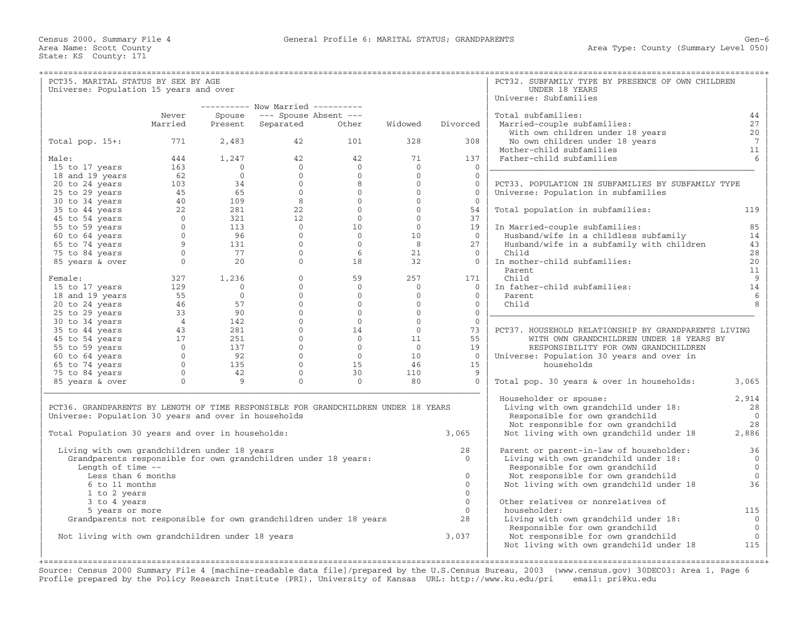State: KS County: 171

+===================================================================================================================================================+| PCT35. MARITAL STATUS BY SEX BY AGE | PCT32. SUBFAMILY TYPE BY PRESENCE OF OWN CHILDREN | Universe: Population 15 years and over Universe: Subfamilies | −−−−−−−−−− Now Married −−−−−−−−−− | | | Never Spouse −−− Spouse Absent −−− | Total subfamilies: 44 | | Married Present Separated Other Widowed Divorced | Married−couple subfamilies: 27 | | | With own children under 18 years 20 | | Total pop. 15+: 771 2,483 42 101 328 308 | No own children under 18 years 7 | | | Mother−child subfamilies 11 | | Male: 444 1,247 42 42 71 137 | Father−child subfamilies 6 | | 15 to 17 years 163 0 0 0 0 0 |\_\_\_\_\_\_\_\_\_\_\_\_\_\_\_\_\_\_\_\_\_\_\_\_\_\_\_\_\_\_\_\_\_\_\_\_\_\_\_\_\_\_\_\_\_\_\_\_\_\_\_\_\_\_ | | 18 and 19 years 62 0 0 0 0 0 | | | 20 to 24 years 103 34 0 8 0 0 | PCT33. POPULATION IN SUBFAMILIES BY SUBFAMILY TYPE | 25 to 29 years 45 65 0 0 0 0 | Universe: Population in subfamilies | | 30 to 34 years 40 109 8 0 0 0 | | | 35 to 44 years 22 281 22 0 0 54 | Total population in subfamilies: 119 | | 45 to 54 years 0 321 12 0 0 37 | | | 55 to 59 years 0 113 0 10 0 19 | In Married−couple subfamilies: 85 | | 60 to 64 years 0 96 0 0 10 0 | Husband/wife in a childless subfamily 14 | | 65 to 74 years 9 131 0 0 8 27 | Husband/wife in a subfamily with children 43 | | 75 to 84 years 0 77 0 6 21 0 | Child 28 | | 85 years & over 0 20 0 18 32 0 | In mother−child subfamilies: 20 |  $\blacksquare$  Parent 11  $\blacksquare$ | Female: 327 1,236 0 59 257 171 | Child 9 | | 15 to 17 years 129 0 0 0 0 0 | In father−child subfamilies: 14 | | 18 and 19 years 55 0 0 0 0 | Parent 6 | | 20 to 24 years 46 57 0 0 0 0 | Child 8 | | 25 to 29 years 33 90 0 0 0 0 |\_\_\_\_\_\_\_\_\_\_\_\_\_\_\_\_\_\_\_\_\_\_\_\_\_\_\_\_\_\_\_\_\_\_\_\_\_\_\_\_\_\_\_\_\_\_\_\_\_\_\_\_\_\_ | | 30 to 34 years 4 142 0 0 0 0 | | | 35 to 44 years 43 281 0 14 0 73 | PCT37. HOUSEHOLD RELATIONSHIP BY GRANDPARENTS LIVING | 45 to 54 years 17 251 0 11 55 | WITH OWN GRANDCHILDREN UNDER 18 YEARS BY | | 55 to 59 years 0 137 0 0 19 | RESPONSIBILITY FOR OWN GRANDCHILDREN | | 60 to 64 years 0 92 0 0 10 0 | Universe: Population 30 years and over in | | 65 to 74 years 0 135 0 15 46 15 | households | | 75 to 84 years 0 42 0 30 110 9 | | | 85 years & over 0 9 0 0 80 0 | Total pop. 30 years & over in households: 3,065 | |\_\_\_\_\_\_\_\_\_\_\_\_\_\_\_\_\_\_\_\_\_\_\_\_\_\_\_\_\_\_\_\_\_\_\_\_\_\_\_\_\_\_\_\_\_\_\_\_\_\_\_\_\_\_\_\_\_\_\_\_\_\_\_\_\_\_\_\_\_\_\_\_\_\_\_\_\_\_\_\_\_\_\_\_\_\_\_\_\_ | | Householder or spouse: 2,914<br>Living with own grandchild under 18: 28 PCT36. GRANDPARENTS BY LENGTH OF TIME RESPONSIBLE FOR GRANDCHILDREN UNDER 18 YEARS | Living with own grandchild under 18: 28<br>Iniverse: Population 30 years and over in bousebolds Universe: Population 30 years and over in households and the second of the second of the second of the second o<br>
Not responsible for own grandchild 28 Universe: Population 30 years and over in households<br>
Total Population 30 years and over in households:<br>
Total Population 30 years and over in households:<br>
2,065 | Not living with own grandchild under 18 Not living with own grandchild under 18 2,886 | | | | Living with own grandchildren under 18 years 28 | Parent or parent−in−law of householder: 36 | | Grandparents responsible for own grandchildren under 18 years: 0 | Living with own grandchild under 18: 0 | | Length of time −− | Responsible for own grandchild 0 | | Less than 6 months 0 | Not responsible for own grandchild 0 | | 6 to 11 months 0 | Not living with own grandchild under 18 36 | | 1 to 2 years 0 | | | 3 to 4 years | 3 to 4 years | 2015 | 215 | 216 | 216 | 216 | 216 | 216 | 216 | 216 | 216 | 216 | 216 | 216 | 216 | 216 | 216 | 216 | 216 | 216 | 216 | 216 | 216 | 216 | 216 | 216 | 216 | 216 | 216 | 216 | 216 | 216 | 216 | 5 years or more 0 | householder: 115 | Grandparents not responsible for own grandchildren under 18 years 28 | Living with own grandchild under 18: 0 | | Responsible for own grandchild 0 | Not living with own grandchildren under 18 years 3,037 | Not response to  $\frac{3}{10}$ Not living with own grandchild under 18 115 | | |

+===================================================================================================================================================+Source: Census 2000 Summary File 4 [machine−readable data file]/prepared by the U.S.Census Bureau, 2003 (www.census.gov) 30DEC03: Area 1, Page 6 Profile prepared by the Policy Research Institute (PRI), University of Kansas URL: http://www.ku.edu/pri email: pri@ku.edu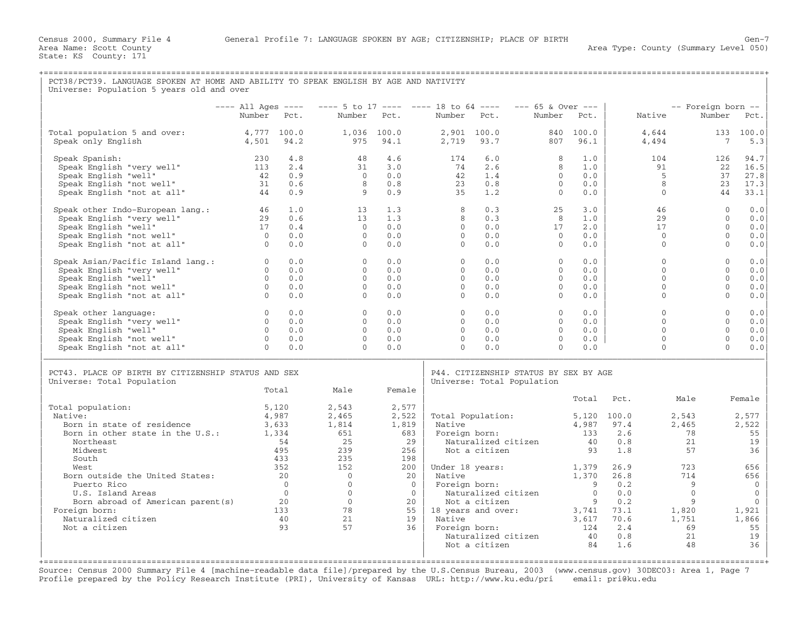| PCT38/PCT39. LANGUAGE SPOKEN AT HOME AND ABILITY TO SPEAK ENGLISH BY AGE AND NATIVITY<br>Universe: Population 5 years old and over                        |                                                                            |                                                    |                                                                                     |                                                    |                                                          |                                                                                                       |                                                          |                                                                      |                                                              |                                                                 |                                                              |                                                                            |
|-----------------------------------------------------------------------------------------------------------------------------------------------------------|----------------------------------------------------------------------------|----------------------------------------------------|-------------------------------------------------------------------------------------|----------------------------------------------------|----------------------------------------------------------|-------------------------------------------------------------------------------------------------------|----------------------------------------------------------|----------------------------------------------------------------------|--------------------------------------------------------------|-----------------------------------------------------------------|--------------------------------------------------------------|----------------------------------------------------------------------------|
|                                                                                                                                                           |                                                                            |                                                    |                                                                                     |                                                    |                                                          |                                                                                                       |                                                          |                                                                      |                                                              |                                                                 |                                                              |                                                                            |
|                                                                                                                                                           | $---$ All Ages $---$                                                       |                                                    | $--- 5$ to 17 ---- ---- 18 to 64 ----                                               |                                                    |                                                          |                                                                                                       | --- 65 & Over ---                                        |                                                                      |                                                              | -- Foreign born --                                              |                                                              |                                                                            |
|                                                                                                                                                           | Number Pct.                                                                |                                                    |                                                                                     | Number Pct.                                        | Number Pct.                                              |                                                                                                       | Number                                                   | Pct.                                                                 | Native                                                       |                                                                 | Number                                                       | Pct.                                                                       |
| Total population 5 and over:<br>Speak only English                                                                                                        | 4,777 100.0<br>4,501                                                       | 94.2                                               | 975                                                                                 | 1,036 100.0<br>94.1                                | 2,719                                                    | 2,901 100.0<br>93.7                                                                                   | 807                                                      | 840 100.0<br>96.1                                                    | 4,644<br>4,494                                               |                                                                 | 133 100.0<br>7                                               | 5.3                                                                        |
| Speak Spanish:<br>Speak English "very well"<br>Speak English "well"<br>Speak English "not well"<br>Speak English "not at all"                             | 230<br>113<br>42<br>31<br>44                                               | 4.8<br>2.4<br>0.9<br>0.6<br>0.9                    | 48<br>31<br>$\Omega$<br>8<br>9                                                      | 4.6<br>3.0<br>0.0<br>0.8<br>0.9                    | 174<br>74<br>42<br>23<br>35                              | 6.0<br>2.6<br>1.4<br>0.8<br>1.2                                                                       | 8<br>8<br>$\circ$<br>$\Omega$<br>$\Omega$                | 1.0<br>1.0<br>0.0<br>0.0<br>0.0                                      | 104<br>91<br>5<br>8<br>$\Omega$                              |                                                                 | 126<br>22<br>37<br>23<br>44                                  | 94.7<br>16.5<br>27.8<br>17.3<br>33.1                                       |
| Speak other Indo-European lang.:<br>Speak English "very well"<br>Speak English "well"<br>Speak English "not well"<br>Speak English "not at all"           | 46<br>29<br>17<br>$\overline{0}$<br>$\overline{0}$                         | 1.0<br>0.6<br>0.4<br>0.0<br>0.0                    | 13<br>13<br>$\Omega$<br>$\Omega$<br>$\Omega$                                        | 1.3<br>1.3<br>0.0<br>0.0<br>0.0                    | 8<br>8<br>$\Omega$<br>$\Omega$<br>$\Omega$               | 0.3<br>0.3<br>0.0<br>0.0<br>0.0                                                                       | 25<br>8<br>17<br>$\Omega$<br>$\overline{0}$              | 3.0<br>1.0<br>2.0<br>0.0<br>0.0                                      | 46<br>29<br>17<br>$\Omega$<br>$\Omega$                       |                                                                 | $\Omega$<br>$\Omega$<br>$\Omega$<br>$\Omega$<br>$\mathbf{0}$ | 0.0<br>0.0<br>0.0<br>0.0<br>0.0                                            |
| Speak Asian/Pacific Island lang.:<br>Speak English "very well"<br>Speak English "well"<br>Speak English "not well"<br>Speak English "not at all"          | $\overline{0}$<br>$\Omega$<br>$\overline{0}$<br>$\overline{0}$<br>$\Omega$ | 0.0<br>0.0<br>0.0<br>0.0<br>0.0                    | $\Omega$<br>$\Omega$<br>$\Omega$<br>$\Omega$<br>$\Omega$                            | 0.0<br>0.0<br>0.0<br>0.0<br>0.0                    | $\Omega$<br>$\Omega$<br>$\Omega$<br>$\Omega$<br>$\Omega$ | 0.0<br>0.0<br>0.0<br>0.0<br>0.0                                                                       | $\Omega$<br>$\Omega$<br>$\Omega$<br>$\Omega$<br>$\Omega$ | 0.0<br>0.0<br>0.0<br>0.0<br>0.0                                      | $\Omega$<br>$\Omega$<br>$\Omega$<br>$\mathbf{0}$<br>$\Omega$ |                                                                 | $\Omega$<br>$\Omega$<br>$\Omega$<br>$\Omega$<br>$\Omega$     | 0.0<br>0.0<br>0.0<br>0.0<br>0.0                                            |
| Speak other language:<br>Speak English "very well"<br>Speak English "well"<br>Speak English "not well"<br>Speak English "not at all"                      | $\circ$<br>$\Omega$<br>$\Omega$<br>$\overline{0}$<br>$\Omega$              | 0.0<br>0.0<br>0.0<br>0.0<br>0.0                    | $\circ$<br>$\Omega$<br>$\Omega$<br>$\Omega$<br>$\Omega$                             | 0.0<br>0.0<br>0.0<br>0.0<br>0.0                    | $\circ$<br>$\Omega$<br>$\Omega$<br>$\Omega$<br>$\Omega$  | 0.0<br>0.0<br>0.0<br>0.0<br>0.0                                                                       | $\circ$<br>$\Omega$<br>$\Omega$<br>$\circ$<br>$\Omega$   | 0.0<br>0.0<br>0.0<br>0.0<br>0.0                                      | $\mathbf{0}$<br>$\Omega$<br>$\Omega$<br>$\Omega$<br>$\Omega$ |                                                                 | $\mathbf{0}$<br>$\Omega$<br>$\Omega$<br>$\Omega$<br>$\Omega$ | 0.0<br>0.0<br>0.0<br>0.0<br>0.0                                            |
| PCT43. PLACE OF BIRTH BY CITIZENSHIP STATUS AND SEX<br>Universe: Total Population                                                                         |                                                                            | Total                                              | Male                                                                                | Female                                             |                                                          | P44. CITIZENSHIP STATUS BY SEX BY AGE<br>Universe: Total Population                                   |                                                          |                                                                      |                                                              |                                                                 |                                                              |                                                                            |
|                                                                                                                                                           |                                                                            |                                                    |                                                                                     |                                                    |                                                          |                                                                                                       |                                                          | Total                                                                | Pct.                                                         | Male                                                            |                                                              | Female                                                                     |
| Total population:<br>Native:<br>Born in state of residence<br>Born in other state in the U.S.:<br>Northeast<br>Midwest<br>South                           | 3,633<br>1,334                                                             | 5,120<br>4,987<br>54<br>495<br>433                 | 2,543<br>2,465<br>1,814<br>651<br>25<br>239<br>235                                  | 2,577<br>2,522<br>1,819<br>683<br>29<br>256<br>198 | Native                                                   | Total Population:<br>Foreign born:<br>Naturalized citizen<br>Not a citizen                            |                                                          | $5,120$ 100.0<br>133<br>40<br>93                                     | 4,987 97.4<br>2.6<br>0.8<br>1.8                              | 2,543<br>2,465<br>78<br>21<br>57                                |                                                              | 2,577<br>2,522<br>55<br>19<br>36                                           |
| West<br>Born outside the United States:<br>Puerto Rico<br>U.S. Island Areas<br>Born abroad of American parent (s)<br>Foreign born:<br>Naturalized citizen | 20                                                                         | 352<br>20<br>$\bigcirc$<br>$\bigcirc$<br>133<br>40 | 152<br>$\overline{0}$<br>$\overline{0}$<br>$\overline{0}$<br>$\bigcirc$<br>78<br>21 | 200<br>20<br>$\bigcirc$<br>$\bigcirc$<br>20<br>19  | Native<br>Native                                         | Under 18 years:<br>Foreign born:<br>Naturalized citizen<br>Not a citizen<br>$55$   18 years and over: |                                                          | 1,379<br>1,370<br>$\overline{9}$<br>$\Omega$<br>-9<br>3,741<br>3,617 | 26.9<br>26.8<br>0.2<br>0.0<br>0.2<br>73.1<br>70.6            | 723<br>714<br>$\overline{9}$<br>$\Omega$<br>9<br>1,820<br>1,751 |                                                              | 656<br>656<br>$\overline{0}$<br>$\mathbf{0}$<br>$\Omega$<br>1,921<br>1,866 |
| Not a citizen                                                                                                                                             |                                                                            | 93                                                 | 57                                                                                  | 36                                                 |                                                          | Foreign born:<br>Naturalized citizen<br>Not a citizen                                                 |                                                          | 124<br>40<br>84                                                      | 2.4<br>0.8<br>1.6                                            | 69<br>21<br>48                                                  |                                                              | 55<br>19<br>36                                                             |

Source: Census 2000 Summary File 4 [machine−readable data file]/prepared by the U.S.Census Bureau, 2003 (www.census.gov) 30DEC03: Area 1, Page 7 Profile prepared by the Policy Research Institute (PRI), University of Kansas URL: http://www.ku.edu/pri email: pri@ku.edu

| | | +===================================================================================================================================================+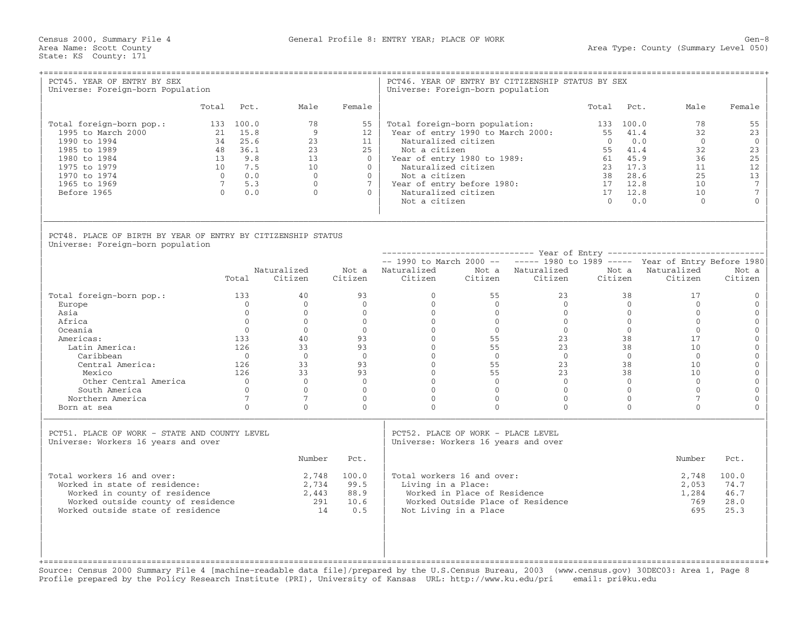Census 2000, Summary File 4 General Profile 8: ENTRY YEAR; PLACE OF WORK Gen−8

| PCT45. YEAR OF ENTRY BY SEX<br>Universe: Foreign-born Population                                                                                                                                                       |                 |                                                                                                                                                               | --------------------------------------                                                                                                                          |                                                                                                                                                        | Universe: Foreign-born population                                                                                                                                                                                   |                                                                                                                                                          | PCT46. YEAR OF ENTRY BY CITIZENSHIP STATUS BY SEX                                                                                                |                                                                                        |                                                                                                                                                     |                                                                                                                                                 |                                                                                                                                                                                                                                             |
|------------------------------------------------------------------------------------------------------------------------------------------------------------------------------------------------------------------------|-----------------|---------------------------------------------------------------------------------------------------------------------------------------------------------------|-----------------------------------------------------------------------------------------------------------------------------------------------------------------|--------------------------------------------------------------------------------------------------------------------------------------------------------|---------------------------------------------------------------------------------------------------------------------------------------------------------------------------------------------------------------------|----------------------------------------------------------------------------------------------------------------------------------------------------------|--------------------------------------------------------------------------------------------------------------------------------------------------|----------------------------------------------------------------------------------------|-----------------------------------------------------------------------------------------------------------------------------------------------------|-------------------------------------------------------------------------------------------------------------------------------------------------|---------------------------------------------------------------------------------------------------------------------------------------------------------------------------------------------------------------------------------------------|
|                                                                                                                                                                                                                        |                 | Total Pct.                                                                                                                                                    | Male                                                                                                                                                            | Female                                                                                                                                                 |                                                                                                                                                                                                                     |                                                                                                                                                          |                                                                                                                                                  | Total                                                                                  | Pct.                                                                                                                                                | Male                                                                                                                                            | Female                                                                                                                                                                                                                                      |
| Total foreign-born pop.:<br>1995 to March 2000<br>1990 to 1994<br>1985 to 1989<br>1980 to 1984<br>1975 to 1979<br>1970 to 1974<br>1965 to 1969<br>Before 1965                                                          | $7\overline{ }$ | 133 100.0<br>21 15.8<br>34 25.6<br>48 36.1<br>13 9.8<br>10 7.5<br>0.0<br>5.3<br>$0 \t 0.0$                                                                    | 78<br>$\overline{9}$<br>23<br>23<br>13<br>10<br>$\overline{0}$<br>$\Omega$<br>$\Omega$                                                                          | 55<br>12<br>11<br>25<br>$\Omega$<br>$\Omega$<br>$\Omega$<br>$7^{\circ}$<br>$\Omega$                                                                    | Total foreign-born population:<br>Naturalized citizen<br>Not a citizen<br>Year of entry 1980 to 1989:<br>Naturalized citizen<br>Not a citizen<br>Year of entry before 1980:<br>Naturalized citizen<br>Not a citizen |                                                                                                                                                          | Year of entry 1990 to March 2000:                                                                                                                | 133 100.0<br>55<br>$\bigcap$<br>55<br>61<br>23<br>38<br>17 12.8<br>17 12.8<br>$\Omega$ | 41.4<br>0.0<br>41.4<br>45.9<br>17.3<br>28.6<br>0.0                                                                                                  | 78<br>32<br>$\bigcap$<br>32<br>36<br>11<br>2.5<br>10<br>10<br>$\Omega$                                                                          | 55<br>23<br>$\Omega$<br>23<br>25<br>12<br>13<br>$7\phantom{.0}$<br>$7\overline{ }$<br>$\overline{0}$                                                                                                                                        |
| PCT48. PLACE OF BIRTH BY YEAR OF ENTRY BY CITIZENSHIP STATUS<br>Universe: Foreign-born population                                                                                                                      |                 | Total                                                                                                                                                         | Naturalized<br>Citizen                                                                                                                                          | Citizen                                                                                                                                                | -- 1990 to March 2000 -- ----- 1980 to 1989 ----- Year of Entry Before 1980<br>Not a Naturalized Mot a Naturalized<br>Citizen                                                                                       |                                                                                                                                                          | Citizen Citizen                                                                                                                                  | Citizen                                                                                |                                                                                                                                                     | Not a Naturalized<br>Citizen                                                                                                                    | Not a<br>Citizen                                                                                                                                                                                                                            |
| Total foreign-born pop.:<br>Europe<br>Asia<br>Africa<br>Oceania<br>Americas:<br>Latin America:<br>Caribbean<br>Central America:<br>Mexico<br>Other Central America<br>South America<br>Northern America<br>Born at sea |                 | 133<br>$\overline{0}$<br>$\Omega$<br>$\Omega$<br>$\bigcap$<br>133<br>126<br>$\bigcirc$<br>126<br>126<br>$\bigcirc$<br>$\Omega$<br>$7\overline{ }$<br>$\Omega$ | 40<br>$\Omega$<br>$\overline{0}$<br>$\Omega$<br>$\Omega$<br>40<br>33<br>$\overline{0}$<br>33<br>33<br>$\overline{0}$<br>$\Omega$<br>$7\phantom{.0}$<br>$\Omega$ | 93<br>$\Omega$<br>$\overline{0}$<br>$\Omega$<br>$\bigcap$<br>93<br>93<br>$\Omega$<br>93<br>93<br>$\overline{0}$<br>$\Omega$<br>$\mathbf 0$<br>$\Omega$ | $\overline{0}$<br>$\Omega$<br>$\begin{matrix} 0 \\ 0 \end{matrix}$<br>$\Omega$<br>$\overline{0}$<br>$\overline{0}$<br>$\Omega$<br>$\Omega$<br>$\Omega$<br>$\Omega$<br>$\Omega$<br>$\mathbf{0}$<br>$\Omega$          | 55<br>$\overline{0}$<br>$\overline{0}$<br>$\Omega$<br>$\bigcap$<br>55<br>55<br>$\Omega$<br>55<br>55<br>$\Omega$<br>$\bigcap$<br>$\mathbf{0}$<br>$\Omega$ | 23<br>$\bigcap$<br>$\Omega$<br>$\bigcirc$<br>$\Omega$<br>23<br>23<br>$\bigcirc$<br>23<br>23<br>$\bigcap$<br>$\Omega$<br>$\mathbf{0}$<br>$\Omega$ |                                                                                        | 38<br>$\Omega$<br>$\overline{0}$<br>$\Omega$<br>$\bigcap$<br>38<br>38<br>$\Omega$<br>38<br>38<br>$\Omega$<br>$\Omega$<br>$\overline{0}$<br>$\Omega$ | 17<br>$\Omega$<br>$\Omega$<br>$\Omega$<br>$\Omega$<br>17<br>10<br>$\bigcirc$<br>10<br>10<br>$\Omega$<br>$\Omega$<br>$7\overline{ }$<br>$\Omega$ | $\overline{0}$<br>$\mathbf{0}$<br>$\mathbf{0}$<br>$\mathbb O$<br>$\overline{0}$<br>$\mathbf{0}$<br>$\mathsf{O}\xspace$<br>$\mathbf{0}$<br>$\mathbf{0}$<br>$\mathsf{O}\xspace$<br>$\overline{0}$<br>$\mathbf{0}$<br>$\mathbf{0}$<br>$\Omega$ |
| PCT51. PLACE OF WORK - STATE AND COUNTY LEVEL<br>Universe: Workers 16 years and over                                                                                                                                   |                 |                                                                                                                                                               |                                                                                                                                                                 |                                                                                                                                                        | PCT52. PLACE OF WORK - PLACE LEVEL<br>Universe: Workers 16 years and over                                                                                                                                           |                                                                                                                                                          |                                                                                                                                                  |                                                                                        |                                                                                                                                                     |                                                                                                                                                 |                                                                                                                                                                                                                                             |
| Total workers 16 and over:<br>Worked in state of residence:<br>Worked in county of residence<br>Worked outside county of residence<br>Worked outside state of residence                                                |                 |                                                                                                                                                               | Number<br>2,443<br>291<br>14                                                                                                                                    | Pct.<br>2,748 100.0<br>2,734 99.5<br>88.9<br>10.6<br>0.5                                                                                               | Total workers 16 and over:<br>Living in a Place:                                                                                                                                                                    | Worked in Place of Residence<br>Not Living in a Place                                                                                                    | Worked Outside Place of Residence                                                                                                                |                                                                                        |                                                                                                                                                     | Number<br>2,748<br>2,053<br>1,284<br>769<br>695                                                                                                 | Pct.<br>100.0<br>74.7<br>46.7<br>28.0<br>25.3                                                                                                                                                                                               |

Source: Census 2000 Summary File 4 [machine−readable data file]/prepared by the U.S.Census Bureau, 2003 (www.census.gov) 30DEC03: Area 1, Page 8 Profile prepared by the Policy Research Institute (PRI), University of Kansas URL: http://www.ku.edu/pri email: pri@ku.edu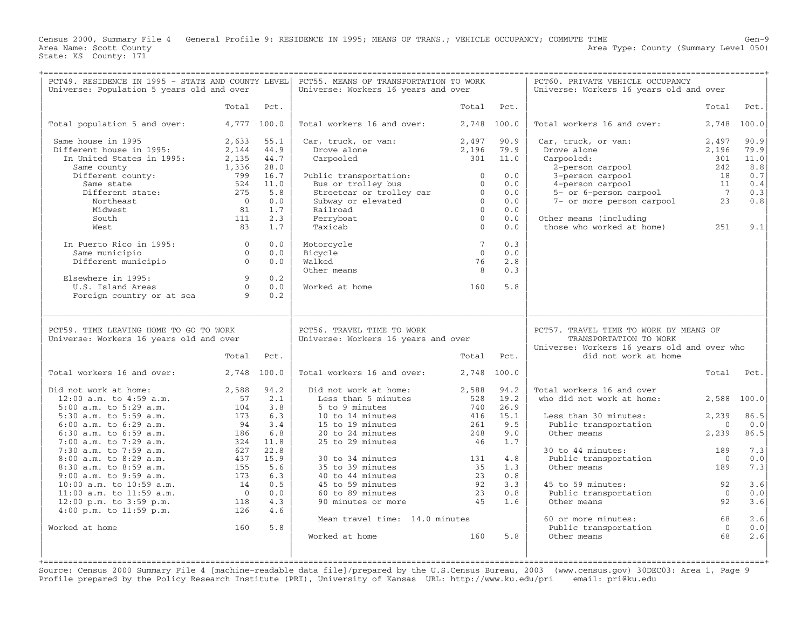Census 2000, Summary File 4 General Profile 9: RESIDENCE IN 1995; MEANS OF TRANS.; VEHICLE OCCUPANCY; COMMUTE TIME Gen−9 Area Type: County (Summary Level 050) Area Name: Scott County<br>State: KS County: 171

+===================================================================================================================================================+

| PCT49. RESIDENCE IN 1995 - STATE AND COUNTY LEVEL<br>Universe: Population 5 years old and over |                |              | PCT55. MEANS OF TRANSPORTATION TO WORK<br>Universe: Workers 16 years and over |                 |              | PCT60. PRIVATE VEHICLE OCCUPANCY<br>Universe: Workers 16 years old and over                                     |                   |              |
|------------------------------------------------------------------------------------------------|----------------|--------------|-------------------------------------------------------------------------------|-----------------|--------------|-----------------------------------------------------------------------------------------------------------------|-------------------|--------------|
|                                                                                                | Total          | Pct.         |                                                                               | Total           | Pct.         |                                                                                                                 | Total             | Pct.         |
| Total population 5 and over:                                                                   |                | 4,777 100.0  | Total workers 16 and over:                                                    |                 | 2,748 100.0  | Total workers 16 and over:                                                                                      | 2,748             | 100.0        |
| Same house in 1995<br>Different house in 1995:                                                 | 2,633<br>2,144 | 55.1<br>44.9 | Car, truck, or van:<br>Drove alone                                            | 2,497<br>2,196  | 90.9<br>79.9 | Car, truck, or van:<br>Drove alone                                                                              | 2,497<br>2,196    | 90.9<br>79.9 |
| In United States in 1995:                                                                      | 2,135          | 44.7         | Carpooled                                                                     | 301             | 11.0         | Carpooled:                                                                                                      | 301               | 11.0         |
| Same county                                                                                    | 1,336<br>799   | 28.0<br>16.7 |                                                                               | $\Omega$        | 0.0          | 2-person carpool<br>3-person carpool                                                                            | 242<br>18         | 8.8<br>0.7   |
| Different county:<br>Same state                                                                | 524            | 11.0         | Public transportation:<br>Bus or trolley bus                                  | $\mathbf{0}$    | 0.0          | 4-person carpool                                                                                                | 11                | 0.4          |
| Different state:                                                                               | 275            | 5.8          | Streetcar or trolley car                                                      | $\Omega$        | 0.0          | 5- or 6-person carpool                                                                                          | $\overline{7}$    | 0.3          |
| Northeast                                                                                      | $\bigcirc$     | 0.0          | Subway or elevated                                                            | $\Omega$        | 0.0          | 7- or more person carpool                                                                                       | 23                | 0.8          |
| Midwest                                                                                        | 81             | 1.7          | Railroad                                                                      | $\Omega$        | 0.0          |                                                                                                                 |                   |              |
| South                                                                                          | 111            | 2.3          | Ferryboat                                                                     | $\overline{0}$  | 0.0          | Other means (including                                                                                          |                   |              |
| West                                                                                           | 83             | 1.7          | Taxicab                                                                       | $\Omega$        | 0.0          | those who worked at home)                                                                                       | 251               | 9.1          |
| In Puerto Rico in 1995:                                                                        | $\circ$        | 0.0          | Motorcycle                                                                    | $7\phantom{.0}$ | 0.3          |                                                                                                                 |                   |              |
| Same municipio                                                                                 | $\overline{0}$ | 0.0          | Bicycle                                                                       | $\overline{0}$  | 0.0          |                                                                                                                 |                   |              |
| Different municipio                                                                            | $\Omega$       | 0.0          | Walked                                                                        | 76              | 2.8          |                                                                                                                 |                   |              |
| Elsewhere in 1995:                                                                             | $\circ$        | 0.2          | Other means                                                                   | 8               | 0.3          |                                                                                                                 |                   |              |
| U.S. Island Areas                                                                              | $\Omega$       | 0.0          | Worked at home                                                                | 160             | 5.8          |                                                                                                                 |                   |              |
| Foreign country or at sea                                                                      | 9              | 0.2          |                                                                               |                 |              |                                                                                                                 |                   |              |
|                                                                                                |                |              |                                                                               |                 |              |                                                                                                                 |                   |              |
| PCT59. TIME LEAVING HOME TO GO TO WORK<br>Universe: Workers 16 years old and over              |                |              | PCT56. TRAVEL TIME TO WORK<br>Universe: Workers 16 years and over             |                 |              | PCT57. TRAVEL TIME TO WORK BY MEANS OF<br>TRANSPORTATION TO WORK<br>Universe: Workers 16 years old and over who |                   |              |
|                                                                                                | Total          | Pct.         |                                                                               |                 | Total Pct.   | did not work at home                                                                                            |                   |              |
| Total workers 16 and over:                                                                     | 2,748 100.0    |              | Total workers 16 and over:                                                    |                 | 2,748 100.0  |                                                                                                                 | Total             | Pct.         |
| Did not work at home:                                                                          | 2,588          | 94.2         | Did not work at home:                                                         | 2,588           | 94.2         | Total workers 16 and over                                                                                       |                   |              |
| $12:00$ a.m. to $4:59$ a.m.                                                                    | 57             | 2.1          | Less than 5 minutes                                                           | 528             | 19.2         | who did not work at home:                                                                                       | 2,588             | 100.0        |
| $5:00$ a.m. to $5:29$ a.m.                                                                     | 104            | 3.8          | 5 to 9 minutes                                                                | 740             | 26.9         |                                                                                                                 |                   |              |
| 5:30 a.m. to 5:59 a.m.                                                                         | 173            | 6.3          | 10 to 14 minutes                                                              | 416             | 15.1         | Less than 30 minutes:                                                                                           | 2,239             | 86.5         |
| $6:00$ a.m. to $6:29$ a.m.<br>6:30 a.m. to 6:59 a.m.                                           | 94<br>186      | 3.4<br>6.8   | 15 to 19 minutes<br>20 to 24 minutes                                          | 261<br>248      | 9.5<br>9.0   | Public transportation<br>Other means                                                                            | $\Omega$<br>2,239 | 0.0<br>86.5  |
| 7:00 a.m. to 7:29 a.m.                                                                         | 324            | 11.8         | 25 to 29 minutes                                                              | 46              | 1.7          |                                                                                                                 |                   |              |
| 7:30 a.m. to 7:59 a.m.                                                                         | 627            | 22.8         |                                                                               |                 |              | 30 to 44 minutes:                                                                                               | 189               | 7.3          |
| 8:00 a.m. to 8:29 a.m.                                                                         | 437            | 15.9         | 30 to 34 minutes                                                              | 131             | 4.8          | Public transportation                                                                                           | $\overline{0}$    | 0.0          |
| 8:30 a.m. to 8:59 a.m.                                                                         | 155            | 5.6          | 35 to 39 minutes                                                              | 35              | 1.3          | Other means                                                                                                     | 189               | 7.3          |
| $9:00$ a.m. to $9:59$ a.m.                                                                     | 173            | 6.3          | 40 to 44 minutes                                                              | 23              | 0.8          |                                                                                                                 |                   |              |
| 10:00 a.m. to 10:59 a.m.                                                                       |                |              | 45 to 59 minutes                                                              | 92              | 3.3          | 45 to 59 minutes:                                                                                               | 92                | 3.6          |
|                                                                                                | 14             | 0.5          |                                                                               |                 |              |                                                                                                                 |                   |              |
| 11:00 a.m. to 11:59 a.m.                                                                       | $\bigcirc$     | 0.0          | 60 to 89 minutes                                                              | 23              | 0.8          | Public transportation                                                                                           | $\overline{0}$    | 0.0          |
| $12:00$ p.m. to $3:59$ p.m.                                                                    | 118            | 4.3          | 90 minutes or more                                                            | 45              | 1.6          | Other means                                                                                                     | 92                | 3.6          |
| $4:00$ p.m. to $11:59$ p.m.                                                                    | 126            | 4.6          |                                                                               |                 |              |                                                                                                                 |                   |              |
| Worked at home                                                                                 | 160            | 5.8          | Mean travel time: 14.0 minutes                                                |                 |              | 60 or more minutes:<br>Public transportation                                                                    | 68<br>$\Omega$    | 2.6<br>0.0   |
|                                                                                                |                |              | Worked at home                                                                | 160             | 5.8          | Other means                                                                                                     | 68                | 2.6          |
|                                                                                                |                |              |                                                                               |                 |              |                                                                                                                 |                   |              |

Source: Census 2000 Summary File 4 [machine−readable data file]/prepared by the U.S.Census Bureau, 2003 (www.census.gov) 30DEC03: Area 1, Page 9 Profile prepared by the Policy Research Institute (PRI), University of Kansas URL: http://www.ku.edu/pri email: pri@ku.edu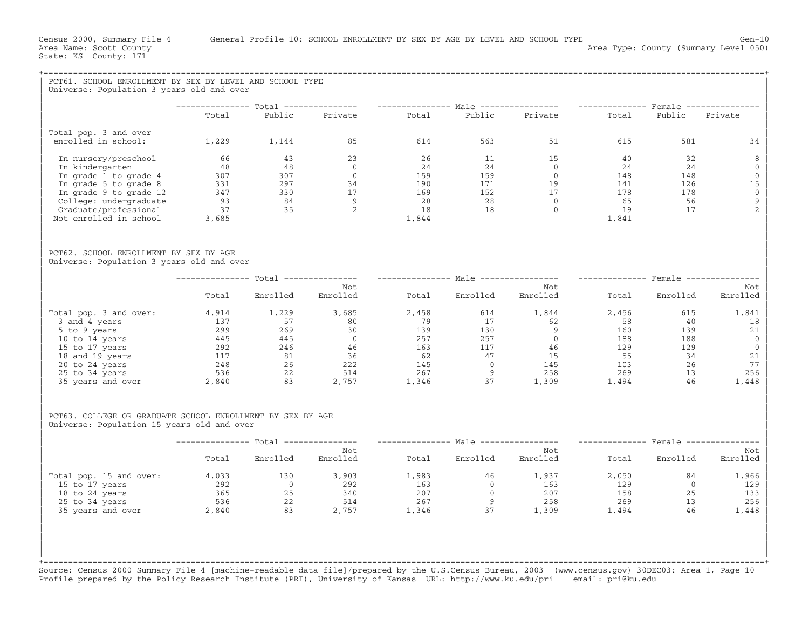| PCT61. SCHOOL ENROLLMENT BY SEX BY LEVEL AND SCHOOL TYPE                                                 |                                |                                                                                                                                                                 |                                                                                                                              |       |                         |                                                                                                                                                                                                                                                                                                       |                |                |                 |
|----------------------------------------------------------------------------------------------------------|--------------------------------|-----------------------------------------------------------------------------------------------------------------------------------------------------------------|------------------------------------------------------------------------------------------------------------------------------|-------|-------------------------|-------------------------------------------------------------------------------------------------------------------------------------------------------------------------------------------------------------------------------------------------------------------------------------------------------|----------------|----------------|-----------------|
| Universe: Population 3 years old and over                                                                |                                |                                                                                                                                                                 |                                                                                                                              |       |                         |                                                                                                                                                                                                                                                                                                       |                |                |                 |
|                                                                                                          | Total                          | Public                                                                                                                                                          | -------------- Total --------------- --------------- Male ---------------- --------------- Female ---------------<br>Private | Total |                         | Public Private                                                                                                                                                                                                                                                                                        | Total          | Public         | Private         |
|                                                                                                          |                                |                                                                                                                                                                 |                                                                                                                              |       |                         |                                                                                                                                                                                                                                                                                                       |                |                |                 |
| Total pop. 3 and over<br>enrolled in school:                                                             | 1,229 1,144                    |                                                                                                                                                                 | 85                                                                                                                           | 614   | 563                     | 51                                                                                                                                                                                                                                                                                                    | 615            | 581            | 34              |
| In nursery/preschool                                                                                     | 66                             | 43                                                                                                                                                              | 23                                                                                                                           | 26    | 11                      | 15                                                                                                                                                                                                                                                                                                    | 40             | 32             | 8               |
| In kindergarten                                                                                          | 48                             | 48                                                                                                                                                              | $\overline{0}$                                                                                                               |       |                         | $\begin{array}{cccc} 24 & & 14 & & 15 \\ 24 & & 24 & & 0 \\ 159 & & 159 & & 0 \\ 190 & & 171 & & 19 \\ 169 & & 152 & & 17 \\ 28 & & 28 & & 0 \\ 18 & & 18 & & 0 \\ \end{array}$                                                                                                                       | 24             | 24             | $\overline{0}$  |
| In grade 1 to grade 4                                                                                    | 307<br>$307$<br>$331$<br>$347$ | $\frac{307}{297}$<br>330<br>84                                                                                                                                  | $\overline{0}$                                                                                                               |       |                         |                                                                                                                                                                                                                                                                                                       | $148$<br>$141$ | 148            | $\mathbf 0$     |
| In grade 5 to grade 8                                                                                    |                                |                                                                                                                                                                 | 34<br>$\frac{1}{17}$                                                                                                         |       |                         |                                                                                                                                                                                                                                                                                                       |                | 126            | 15              |
| In grade 9 to grade 12                                                                                   |                                |                                                                                                                                                                 | $\overline{9}$                                                                                                               |       |                         |                                                                                                                                                                                                                                                                                                       | 178<br>65      | 178            | $\overline{0}$  |
| College: undergraduate<br>Graduate/professional                                                          |                                | $\frac{35}{35}$ 2                                                                                                                                               |                                                                                                                              |       |                         |                                                                                                                                                                                                                                                                                                       | 19             | 56<br>17       | 9<br>2          |
| Not enrolled in school                                                                                   | $37$<br>37<br>3.685            |                                                                                                                                                                 |                                                                                                                              | 1,844 |                         |                                                                                                                                                                                                                                                                                                       | 1,841          |                |                 |
|                                                                                                          |                                |                                                                                                                                                                 |                                                                                                                              |       |                         |                                                                                                                                                                                                                                                                                                       |                |                |                 |
| PCT62. SCHOOL ENROLLMENT BY SEX BY AGE<br>Universe: Population 3 years old and over                      |                                |                                                                                                                                                                 |                                                                                                                              |       |                         |                                                                                                                                                                                                                                                                                                       |                |                |                 |
|                                                                                                          |                                |                                                                                                                                                                 | --------------- Total --------------- --------------- Male ---------------- --------------- Female ---------------           |       |                         |                                                                                                                                                                                                                                                                                                       |                |                |                 |
|                                                                                                          | Total                          | Enrolled                                                                                                                                                        | Not<br>Enrolled                                                                                                              | Total |                         | Not<br>Enrolled Enrolled                                                                                                                                                                                                                                                                              | Total          | Enrolled       | Not<br>Enrolled |
| Total pop. 3 and over:                                                                                   | 4,914                          | 1,229                                                                                                                                                           | 3,685                                                                                                                        | 2,458 | 614                     | 1,844                                                                                                                                                                                                                                                                                                 | 2,456          | 615            | 1,841           |
| 3 and 4 years                                                                                            | 137                            | 57                                                                                                                                                              | 80                                                                                                                           | 79    | 17                      | 62                                                                                                                                                                                                                                                                                                    | 58             | 40             | 18              |
| 5 to 9 years                                                                                             | 299                            | 269                                                                                                                                                             | 30                                                                                                                           |       |                         |                                                                                                                                                                                                                                                                                                       |                |                | 21              |
| 10 to 14 years                                                                                           |                                |                                                                                                                                                                 | $\overline{0}$                                                                                                               |       |                         |                                                                                                                                                                                                                                                                                                       |                |                | $\overline{0}$  |
| 15 to 17 years                                                                                           |                                |                                                                                                                                                                 | $\begin{array}{r} 46 \\ 36 \\ 222 \end{array}$                                                                               |       |                         |                                                                                                                                                                                                                                                                                                       |                |                | $\overline{0}$  |
| 18 and 19 years                                                                                          |                                |                                                                                                                                                                 |                                                                                                                              |       |                         |                                                                                                                                                                                                                                                                                                       |                |                | 21              |
| 20 to 24 years                                                                                           |                                |                                                                                                                                                                 |                                                                                                                              |       |                         |                                                                                                                                                                                                                                                                                                       |                |                | 77              |
| 25 to 34 years                                                                                           |                                |                                                                                                                                                                 |                                                                                                                              |       |                         |                                                                                                                                                                                                                                                                                                       |                |                | 256             |
| 35 years and over                                                                                        |                                | $\begin{array}{cccc} 233 & 203 & 300 \\ 445 & 445 & 0 \\ 292 & 246 & 46 \\ 117 & 81 & 36 \\ 248 & 26 & 222 \\ 536 & 22 & 514 \\ 2,840 & 83 & 2,757 \end{array}$ | 2,757                                                                                                                        |       |                         | $\begin{array}{cccccc} 139 & & 130 & & 9 & & 160 & & 139 \\ 257 & & 257 & & 0 & & 188 & & 188 \\ 163 & & 117 & & 46 & & 129 & & 129 \\ 62 & & 47 & & 15 & & 55 & & 34 \\ 145 & & 0 & & 145 & & 103 & & 26 \\ 267 & & 9 & & 258 & & 269 & & 13 \\ 1,346 & & 37 & & 1,309 & & 1,494 & & 46 \end{array}$ |                |                | 1,448           |
| PCT63. COLLEGE OR GRADUATE SCHOOL ENROLLMENT BY SEX BY AGE<br>Universe: Population 15 years old and over |                                |                                                                                                                                                                 |                                                                                                                              |       |                         |                                                                                                                                                                                                                                                                                                       |                |                |                 |
|                                                                                                          |                                |                                                                                                                                                                 | --------------- Total --------------- --------------- Male ---------------- --------------- Female ---------------           |       |                         |                                                                                                                                                                                                                                                                                                       |                |                |                 |
|                                                                                                          |                                | Total Enrolled Enrolled                                                                                                                                         | Not                                                                                                                          |       | Total Enrolled Enrolled | Not                                                                                                                                                                                                                                                                                                   |                | Total Enrolled | Not<br>Enrolled |
| Total pop. 15 and over:                                                                                  | 4,033                          | 130                                                                                                                                                             | 3,903                                                                                                                        | 1,983 | 46                      | 1,937                                                                                                                                                                                                                                                                                                 | 2,050          | 84             | 1,966           |
| 15 to 17 years                                                                                           |                                | $292$<br>$365$<br>$536$<br>$22$<br>$2,840$<br>$83$                                                                                                              | 292                                                                                                                          | 163   |                         | $\begin{array}{ccc} 0 & 163 \\ 0 & 207 \\ 9 & 258 \\ 37 & 1,309 \end{array}$                                                                                                                                                                                                                          | 129            | $\overline{0}$ | 129             |
| 18 to 24 years                                                                                           |                                |                                                                                                                                                                 | 340                                                                                                                          | 207   |                         |                                                                                                                                                                                                                                                                                                       | 158            | 25             | 133             |
| 25 to 34 years                                                                                           |                                |                                                                                                                                                                 | $\frac{514}{2,757}$                                                                                                          | 267   |                         |                                                                                                                                                                                                                                                                                                       | 269            | 13             | 256             |
| 35 years and over                                                                                        | 2,840                          |                                                                                                                                                                 |                                                                                                                              | 1,346 |                         |                                                                                                                                                                                                                                                                                                       | 1,494          | 46             | 1,448           |
|                                                                                                          |                                |                                                                                                                                                                 |                                                                                                                              |       |                         |                                                                                                                                                                                                                                                                                                       |                |                |                 |

Source: Census 2000 Summary File 4 [machine−readable data file]/prepared by the U.S.Census Bureau, 2003 (www.census.gov) 30DEC03: Area 1, Page 10 Profile prepared by the Policy Research Institute (PRI), University of Kansas URL: http://www.ku.edu/pri email: pri@ku.edu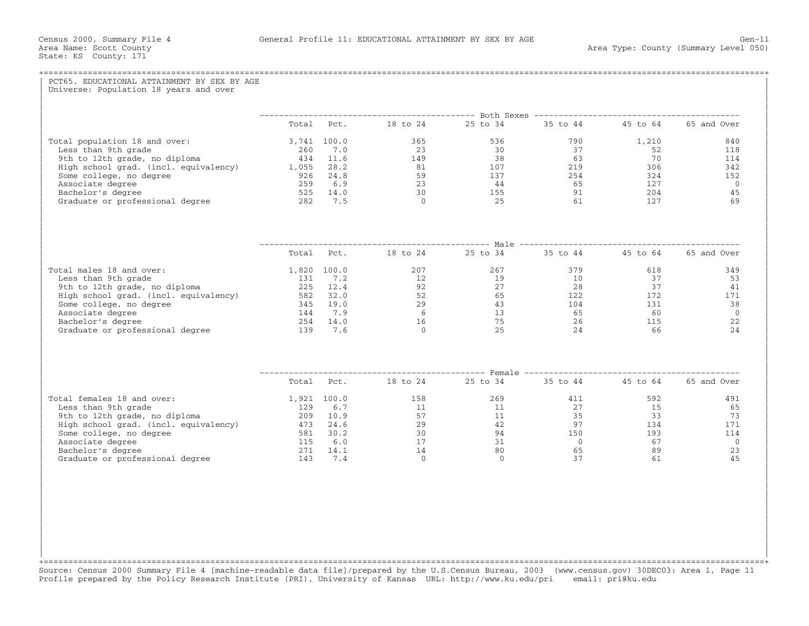| PCT65. EDUCATIONAL ATTAINMENT BY SEX BY AGE<br>Universe: Population 18 years and over |                                                            |  |                      |
|---------------------------------------------------------------------------------------|------------------------------------------------------------|--|----------------------|
|                                                                                       |                                                            |  |                      |
|                                                                                       | Total Pct. 18 to 24 25 to 34 35 to 44 45 to 64 65 and Over |  |                      |
|                                                                                       |                                                            |  | 840                  |
|                                                                                       |                                                            |  | 118                  |
|                                                                                       |                                                            |  | 114                  |
|                                                                                       |                                                            |  | 342                  |
|                                                                                       |                                                            |  | 152                  |
|                                                                                       |                                                            |  | $\bigcirc$<br>45     |
|                                                                                       |                                                            |  | 69                   |
|                                                                                       |                                                            |  |                      |
|                                                                                       |                                                            |  |                      |
|                                                                                       | Total Pct. 18 to 24 25 to 34 35 to 44 45 to 64 65 and Over |  |                      |
|                                                                                       |                                                            |  |                      |
|                                                                                       |                                                            |  |                      |
|                                                                                       |                                                            |  |                      |
|                                                                                       |                                                            |  |                      |
|                                                                                       |                                                            |  |                      |
|                                                                                       |                                                            |  |                      |
|                                                                                       |                                                            |  |                      |
|                                                                                       |                                                            |  |                      |
|                                                                                       |                                                            |  |                      |
|                                                                                       | Total Pct. 18 to 24 25 to 34 35 to 44 45 to 64 65 and Over |  |                      |
|                                                                                       |                                                            |  | 491                  |
|                                                                                       |                                                            |  | 65                   |
|                                                                                       |                                                            |  | 73                   |
|                                                                                       |                                                            |  | 171                  |
|                                                                                       |                                                            |  | 114                  |
|                                                                                       |                                                            |  | $\overline{0}$<br>23 |
|                                                                                       |                                                            |  | 45                   |
|                                                                                       |                                                            |  |                      |

+===================================================================================================================================================+Source: Census 2000 Summary File 4 [machine−readable data file]/prepared by the U.S.Census Bureau, 2003 (www.census.gov) 30DEC03: Area 1, Page 11 Profile prepared by the Policy Research Institute (PRI), University of Kansas URL: http://www.ku.edu/pri email: pri@ku.edu

| | | | | | | | | | | |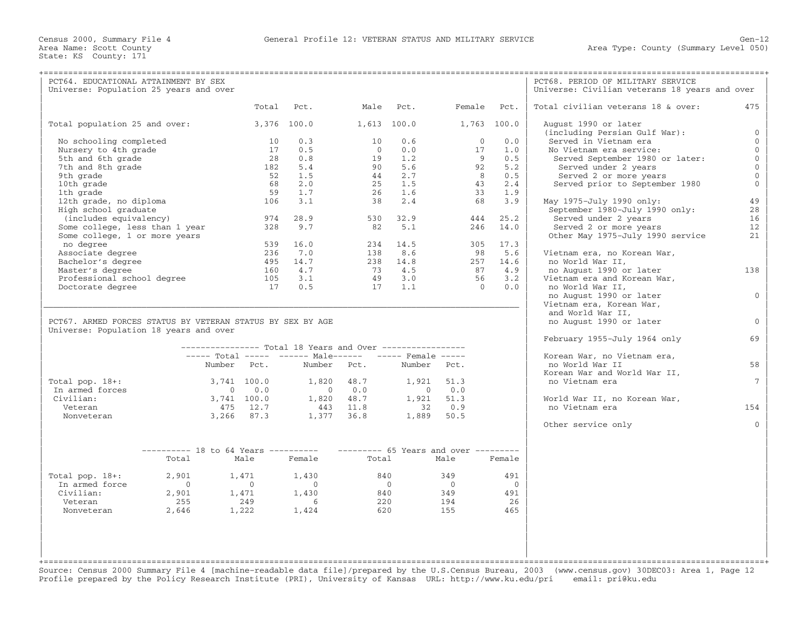| PCT64. EDUCATIONAL ATTAINMENT BY SEX                       |                                                                          |             |                |                                                           |                                                  |                     |                                                  |                    | PCT68. PERIOD OF MILITARY SERVICE               |                 |
|------------------------------------------------------------|--------------------------------------------------------------------------|-------------|----------------|-----------------------------------------------------------|--------------------------------------------------|---------------------|--------------------------------------------------|--------------------|-------------------------------------------------|-----------------|
| Universe: Population 25 years and over                     |                                                                          |             |                |                                                           |                                                  |                     |                                                  |                    | Universe: Civilian veterans 18 years and over   |                 |
|                                                            |                                                                          |             |                |                                                           |                                                  |                     |                                                  |                    |                                                 |                 |
|                                                            |                                                                          |             | Total          | Pct.                                                      | Male Pct.                                        |                     |                                                  | Female Pct.        | Total civilian veterans 18 & over:              | 475             |
| Total population 25 and over:                              |                                                                          |             |                | 3,376 100.0                                               |                                                  | 1,613 100.0         | 1,763 100.0                                      |                    | August 1990 or later                            |                 |
|                                                            |                                                                          |             |                |                                                           |                                                  |                     |                                                  |                    | (including Persian Gulf War):                   | $\mathbf{0}$    |
| No schooling completed                                     |                                                                          |             | 10             | 0.3                                                       | 10                                               | 0.6                 | $\Omega$                                         | 0.0                | Served in Vietnam era                           | $\Omega$        |
| Nursery to 4th grade                                       |                                                                          |             | 17             | 0.5                                                       | $\overline{0}$                                   | 0.0                 | 17                                               | 1.0                | No Vietnam era service:                         | $\Omega$        |
| 5th and 6th grade                                          |                                                                          |             | 28             | 0.8                                                       |                                                  | $19 \t 1.2$         | $\overline{9}$                                   | 0.5                | Served September 1980 or later:                 | $\mathbf{0}$    |
| 7th and 8th grade                                          |                                                                          |             | 182            | 5.4                                                       |                                                  | 90 5.6              | 92                                               | 5.2                | Served under 2 years                            | $\mathbf{0}$    |
| 9th grade                                                  |                                                                          |             | 52             | 1.5                                                       |                                                  | $44 \t 2.7$         | 8                                                | 0.5                | Served 2 or more years                          | $\Omega$        |
| 10th grade                                                 |                                                                          |             | 68             | 2.0                                                       | 25                                               | 1.5                 | 43                                               | 2.4                | Served prior to September 1980                  | $\mathbf 0$     |
| 1th grade                                                  |                                                                          |             | 59             | 1.7                                                       | 26                                               | 1.6                 | 33                                               | 1.9                |                                                 |                 |
| 12th grade, no diploma                                     |                                                                          |             | 106            | 3.1                                                       | 38                                               | 2.4                 | 68                                               | 3.9                | May 1975-July 1990 only:                        | 49              |
| High school graduate                                       |                                                                          |             |                | 28.9                                                      |                                                  |                     |                                                  |                    | September 1980-July 1990 only:                  | 28              |
| (includes equivalency)                                     |                                                                          |             | 974            | 9.7                                                       |                                                  | 530 32.9<br>82 5.1  | 444<br>246                                       | 25.2<br>14.0       | Served under 2 years                            | 16              |
| Some college, less than 1 year                             |                                                                          |             | 328            |                                                           |                                                  |                     |                                                  |                    | Served 2 or more years                          | 12              |
| Some college, 1 or more years                              |                                                                          |             |                | 539 16.0                                                  |                                                  | 234 14.5            |                                                  | 305 17.3           | Other May 1975-July 1990 service                | 21              |
| no degree                                                  |                                                                          |             |                |                                                           |                                                  |                     |                                                  |                    |                                                 |                 |
| Associate degree                                           |                                                                          |             | 236            | 7.0<br>14.7                                               |                                                  | 138 8.6<br>238 14.8 | 98                                               | 5.6                | Vietnam era, no Korean War,                     |                 |
| Bachelor's degree<br>Master's degree                       |                                                                          |             | 495<br>160     | 4.7                                                       |                                                  | 73 4.5              |                                                  | 257 14.6<br>87 4.9 | no World War II,<br>no August 1990 or later     | 138             |
| Professional school degree                                 |                                                                          |             | 105            | 3.1                                                       |                                                  | 49 3.0              | 56                                               | 3.2                |                                                 |                 |
|                                                            |                                                                          |             |                | 170.5                                                     |                                                  | $17 \quad 1.1$      | $\overline{0}$                                   | 0.0                | Vietnam era and Korean War,<br>no World War II, |                 |
| Doctorate degree                                           |                                                                          |             |                |                                                           |                                                  |                     |                                                  |                    | no August 1990 or later                         | $\Omega$        |
|                                                            |                                                                          |             |                |                                                           |                                                  |                     |                                                  |                    | Vietnam era, Korean War,                        |                 |
|                                                            |                                                                          |             |                |                                                           |                                                  |                     |                                                  |                    | and World War II,                               |                 |
| PCT67. ARMED FORCES STATUS BY VETERAN STATUS BY SEX BY AGE |                                                                          |             |                |                                                           |                                                  |                     |                                                  |                    | no August 1990 or later                         | $\Omega$        |
| Universe: Population 18 years and over                     |                                                                          |             |                |                                                           |                                                  |                     |                                                  |                    |                                                 |                 |
|                                                            |                                                                          |             |                |                                                           |                                                  |                     |                                                  |                    | February 1955-July 1964 only                    | 69              |
|                                                            |                                                                          |             |                | --------------- Total 18 Years and Over ----------------- |                                                  |                     |                                                  |                    |                                                 |                 |
|                                                            |                                                                          |             |                | ----- Total ----- ------ Male------ ----- Female -----    |                                                  |                     |                                                  |                    | Korean War, no Vietnam era,                     |                 |
|                                                            |                                                                          |             | Number Pct.    |                                                           | Number Pct.                                      | Number Pct.         |                                                  |                    | no World War II                                 | 58              |
|                                                            |                                                                          |             |                |                                                           |                                                  |                     |                                                  |                    | Korean War and World War II,                    |                 |
| Total pop. 18+:                                            |                                                                          | 3,741 100.0 |                | 1,820 48.7                                                |                                                  |                     | 1,921 51.3                                       |                    | no Vietnam era                                  | $7\overline{ }$ |
| In armed forces                                            |                                                                          |             | $0 \qquad 0.0$ |                                                           | $\begin{array}{ccc} & & 0 & & 0 & 0 \end{array}$ |                     | $\begin{array}{ccc} & & 0 & & 0 & 0 \end{array}$ |                    |                                                 |                 |
| Civilian:                                                  |                                                                          | 3,741 100.0 |                | 1,820 48.7                                                |                                                  | 1,921 51.3          |                                                  |                    | World War II, no Korean War,                    |                 |
| Veteran                                                    |                                                                          |             | 475 12.7       |                                                           | 443 11.8                                         | 32 0.9              |                                                  |                    | no Vietnam era                                  | 154             |
| Nonveteran                                                 |                                                                          | 3,266 87.3  |                | 1,377 36.8                                                |                                                  |                     | 1,889 50.5                                       |                    |                                                 |                 |
|                                                            |                                                                          |             |                |                                                           |                                                  |                     |                                                  |                    | Other service only                              | $\Omega$        |
|                                                            |                                                                          |             |                |                                                           |                                                  |                     |                                                  |                    |                                                 |                 |
|                                                            | --------- 18 to 64 Years ---------- --------- 65 Years and over -------- |             |                |                                                           |                                                  |                     |                                                  |                    |                                                 |                 |
|                                                            | Total                                                                    |             | Male           | Female                                                    | Total                                            |                     | Male                                             | Female             |                                                 |                 |
|                                                            |                                                                          |             |                |                                                           |                                                  |                     |                                                  |                    |                                                 |                 |
| Total pop. $18+:$                                          | 2,901                                                                    |             | 1,471          | 1,430                                                     | 840                                              |                     | 349                                              | 491                |                                                 |                 |
| In armed force                                             | $\overline{0}$                                                           |             | $\overline{0}$ | $\bigcap$                                                 | $\overline{0}$                                   |                     | $\overline{0}$                                   | $\bigcirc$         |                                                 |                 |
| Civilian:                                                  | 2,901                                                                    |             |                | $1,471$ $1,430$<br>$249$ 6                                | 840                                              |                     | 349                                              | 491                |                                                 |                 |
| Veteran                                                    | 255                                                                      |             |                |                                                           |                                                  | 220                 | 194                                              | 26                 |                                                 |                 |
| Nonveteran                                                 | 2,646                                                                    | 1,222       |                | 1,424                                                     | 620                                              |                     | 155                                              | 465                |                                                 |                 |
|                                                            |                                                                          |             |                |                                                           |                                                  |                     |                                                  |                    |                                                 |                 |
|                                                            |                                                                          |             |                |                                                           |                                                  |                     |                                                  |                    |                                                 |                 |
|                                                            |                                                                          |             |                |                                                           |                                                  |                     |                                                  |                    |                                                 |                 |
|                                                            |                                                                          |             |                |                                                           |                                                  |                     |                                                  |                    |                                                 |                 |
|                                                            |                                                                          |             |                |                                                           |                                                  |                     |                                                  |                    |                                                 |                 |

+===================================================================================================================================================+ Source: Census 2000 Summary File 4 [machine−readable data file]/prepared by the U.S.Census Bureau, 2003 (www.census.gov) 30DEC03: Area 1, Page 12 Profile prepared by the Policy Research Institute (PRI), University of Kansas URL: http://www.ku.edu/pri email: pri@ku.edu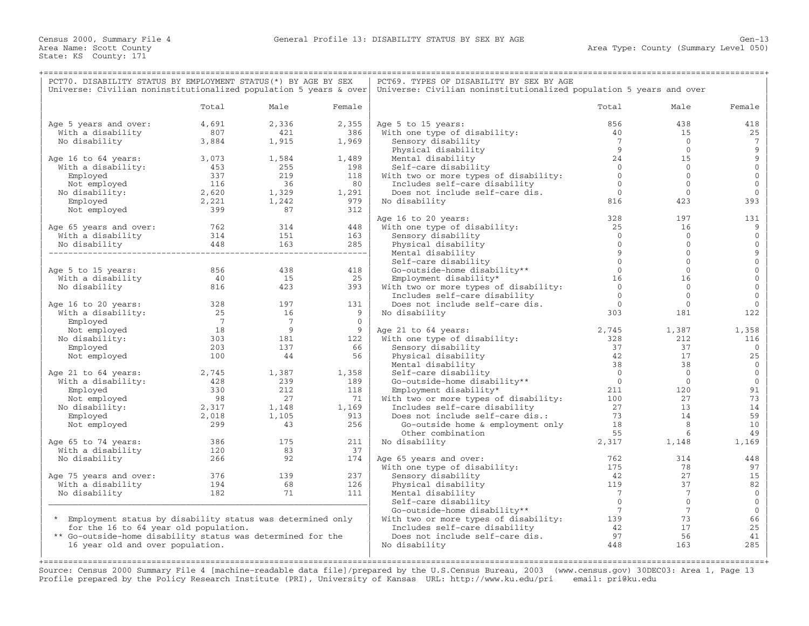| PCT70. DISABILITY STATUS BY EMPLOYMENT STATUS (*) BY AGE BY SEX          |                                                 |                                              | PCT69. TYPES OF DISABILITY BY SEX BY AGE |                                                                           |                                                                             |                 |              |  |
|--------------------------------------------------------------------------|-------------------------------------------------|----------------------------------------------|------------------------------------------|---------------------------------------------------------------------------|-----------------------------------------------------------------------------|-----------------|--------------|--|
| Universe: Civilian noninstitutionalized population 5 years & over        |                                                 |                                              |                                          | Universe: Civilian noninstitutionalized population 5 years and over       |                                                                             |                 |              |  |
|                                                                          | Total                                           | Male                                         | Female                                   |                                                                           | Total                                                                       | Male            | Female       |  |
| Age 5 years and over:                                                    | 4,691                                           | 2,336                                        | 2,355                                    | Age 5 to 15 years:                                                        | 856                                                                         | 438             | 418          |  |
| With a disability                                                        | 807                                             | 421                                          | 386                                      | With one type of disability:                                              | 40                                                                          | 15              | 25           |  |
| No disability                                                            | 3,884                                           | 1,915                                        | 1,969                                    | Sensory disability                                                        | $\overline{7}$                                                              | $\overline{0}$  | 7            |  |
|                                                                          |                                                 |                                              |                                          | Physical disability                                                       | 9                                                                           | $\overline{0}$  | 9            |  |
| Age 16 to 64 years:                                                      | 3,073<br>453<br>337<br>116                      | 1,584                                        | 1,489                                    | Mental disability                                                         | 24                                                                          | 15              | 9            |  |
| With a disability:                                                       |                                                 | 255                                          | 198                                      | Self-care disability                                                      | $\bigcirc$                                                                  | $\Omega$        | $\mathbf{0}$ |  |
| Employed                                                                 |                                                 | 219                                          | 118                                      | With two or more types of disability:                                     | $\bigcirc$                                                                  | $\mathbf 0$     | $\mathbf 0$  |  |
| Not employed                                                             | $\frac{1}{2}$ , 620<br>2, 221                   | 36                                           | 80                                       | Includes self-care disability                                             | $\overline{0}$                                                              | $\overline{0}$  | $\mathbf{0}$ |  |
| No disability:                                                           |                                                 | $1,329$<br>$1,242$                           | 1,291                                    | Does not include self-care dis.                                           | $\overline{0}$                                                              | $\overline{0}$  | $\mathbf{0}$ |  |
| Employed                                                                 |                                                 |                                              | 979                                      | No disability                                                             | 816                                                                         | 423             | 393          |  |
| Not employed                                                             | 2,221<br>399                                    | 87                                           | 312                                      |                                                                           |                                                                             |                 |              |  |
|                                                                          |                                                 |                                              |                                          | Age 16 to 20 years:                                                       | 328                                                                         | 197             | 131          |  |
|                                                                          |                                                 |                                              | 448                                      | With one type of disability:                                              | 25                                                                          | 16              | 9            |  |
| Age 65 years and over:<br>With a disability 314 151<br>With a disability |                                                 |                                              | 163                                      | Sensory disability                                                        | $\overline{0}$                                                              | $\mathbf 0$     | $\mathbf 0$  |  |
| No disability                                                            |                                                 |                                              |                                          | Physical disability                                                       | $\Omega$                                                                    | $\mathbf{0}$    | $\mathbf{0}$ |  |
| a disability<br>sability 448                                             |                                                 | 8 163 285<br>------------------------------- |                                          | Mental disability                                                         | $\overline{9}$                                                              | $\Omega$        | 9            |  |
|                                                                          |                                                 |                                              |                                          | Self-care disability                                                      | $\mathbf{0}$                                                                | $\mathbf{0}$    | $\mathbf{O}$ |  |
| Age 5 to 15 years:                                                       | 856                                             | 438                                          | 418                                      | Go-outside-home disability**                                              | $\overline{0}$                                                              | $\circ$         | $\mathbf 0$  |  |
| With a disability                                                        | 40                                              | 15                                           | 25                                       | Employment disability*                                                    | 16                                                                          | 16              | $\mathbf 0$  |  |
| No disability                                                            | 816                                             | 423                                          | 393                                      | With two or more types of disability:                                     | $\overline{0}$                                                              | $\Omega$        | $\mathbf{0}$ |  |
|                                                                          |                                                 |                                              |                                          |                                                                           | $\overline{0}$                                                              | $\mathbf{0}$    | $\mathbf{0}$ |  |
|                                                                          |                                                 |                                              | 131                                      | Includes self-care disability                                             | $\Omega$                                                                    | $\Omega$        | $\Omega$     |  |
| Age 16 to 20 years:                                                      | $\begin{array}{c} 328 \\ 25 \end{array}$        | 197                                          |                                          | Does not include self-care dis.                                           |                                                                             |                 |              |  |
| With a disability:                                                       |                                                 | 16<br>$\overline{7}$                         | $\overline{9}$<br>$\Omega$               | No disability                                                             | 303                                                                         | 181             | 122          |  |
| Employed                                                                 | $\begin{array}{c} 7 \\ 18 \end{array}$          | $\overline{9}$                               |                                          |                                                                           |                                                                             |                 |              |  |
| Not employed                                                             | 18                                              | $\begin{array}{c} 9 \\ 181 \end{array}$      | $\overline{9}$                           | Age 21 to 64 years:                                                       | 2,745                                                                       | 1,387           | 1,358        |  |
| No disability:                                                           | 303                                             |                                              | 122                                      | With one type of disability:                                              | 328                                                                         | 212             | 116          |  |
| Employed                                                                 | 203                                             | 137                                          | 66                                       | Sensory disability                                                        | 37                                                                          | 37              | $\mathbf{0}$ |  |
| Not employed                                                             | 100                                             | 44                                           | 56                                       | Physical disability                                                       | 42                                                                          | 17              | 25           |  |
|                                                                          |                                                 |                                              |                                          | Mental disability                                                         | 38                                                                          | 38              | $\Omega$     |  |
| Age 21 to 64 years:                                                      | 2,745                                           | 1,387                                        | 1,358                                    | Self-care disability<br>Go-outside-home disability**<br>Internationality* | $\bigcirc$                                                                  | $\overline{0}$  | $\mathbf{0}$ |  |
| With a disability:                                                       | $\begin{array}{r} 428 \\ 330 \\ 98 \end{array}$ | 239                                          | 189                                      |                                                                           | $\overline{0}$                                                              | $\overline{0}$  | $\mathbf 0$  |  |
| Employed                                                                 |                                                 | 212                                          | 118                                      |                                                                           | 211                                                                         | 120             | 91           |  |
| Not employed                                                             |                                                 |                                              | 71                                       | With two or more types of disability: 100                                 |                                                                             | 27              | 73           |  |
| No disability:                                                           | $\frac{98}{2,317}$                              | $\frac{27}{27}$<br>1,148<br>1,105            | 1,169                                    | Includes self-care disability                                             | 27                                                                          | 13              | 14           |  |
| Employed                                                                 | 2,018                                           |                                              | 913                                      | Does not include self-care dis.:                                          | 73<br>$\frac{73}{18}$                                                       | 14              | 59           |  |
| Not employed                                                             | $\overline{\phantom{0}}$ 299                    | 43                                           | 256                                      | Go-outside home & employment only                                         |                                                                             | 8 <sup>8</sup>  | 10           |  |
|                                                                          |                                                 |                                              |                                          | Other combination                                                         | 55                                                                          | 6               | 49           |  |
| Age 65 to 74 years:                                                      | 386<br>120                                      | 175                                          | 211                                      | No disability                                                             | 2,317                                                                       | 1,148           | 1,169        |  |
| With a disability                                                        |                                                 | 83                                           | 37                                       |                                                                           |                                                                             |                 |              |  |
| No disability                                                            | 266                                             | 92                                           | 174                                      | Age 65 years and over:                                                    | 762                                                                         | 314             | 448          |  |
|                                                                          |                                                 |                                              |                                          | With one type of disability:                                              | 175                                                                         | 78              | 97           |  |
| Age 75 years and over:                                                   | 376<br>194                                      | 139                                          | 237                                      | Sensory disability                                                        | 42                                                                          | 27              | 15           |  |
| With a disability                                                        |                                                 | 68                                           | 126                                      | Physical disability                                                       | 119                                                                         | 37              | 82           |  |
| No disability                                                            | 182                                             | 71                                           | 111                                      | Mental disability                                                         | $\overline{7}$                                                              | $7\phantom{.0}$ | $\mathbf{0}$ |  |
|                                                                          |                                                 |                                              |                                          | Self-care disability                                                      | $\overline{0}$                                                              | $\circ$         | $\mathbf 0$  |  |
|                                                                          |                                                 |                                              |                                          | Go-outside-home disability**                                              | $\overline{7}$                                                              | $7\phantom{.0}$ | $\mathbf 0$  |  |
| * Employment status by disability status was determined only             |                                                 |                                              |                                          | With two or more types of disability: 139                                 |                                                                             | 73              | 66           |  |
| for the 16 to 64 year old population.                                    |                                                 |                                              |                                          | Includes self-care disability                                             |                                                                             | 17              | 25           |  |
| ** Go-outside-home disability status was determined for the              |                                                 |                                              |                                          | Does not include self-care dis.                                           |                                                                             | 56              | 41           |  |
| 16 year old and over population.                                         |                                                 |                                              |                                          | No disability                                                             | $\begin{array}{c}\n \stackrel{\text{4.1}}{0.0} \\  97 \\  448\n\end{array}$ | 163             | 285          |  |
|                                                                          |                                                 |                                              |                                          |                                                                           |                                                                             |                 |              |  |
|                                                                          |                                                 |                                              |                                          |                                                                           |                                                                             |                 |              |  |

Source: Census 2000 Summary File 4 [machine−readable data file]/prepared by the U.S.Census Bureau, 2003 (www.census.gov) 30DEC03: Area 1, Page 13 Profile prepared by the Policy Research Institute (PRI), University of Kansas URL: http://www.ku.edu/pri email: pri@ku.edu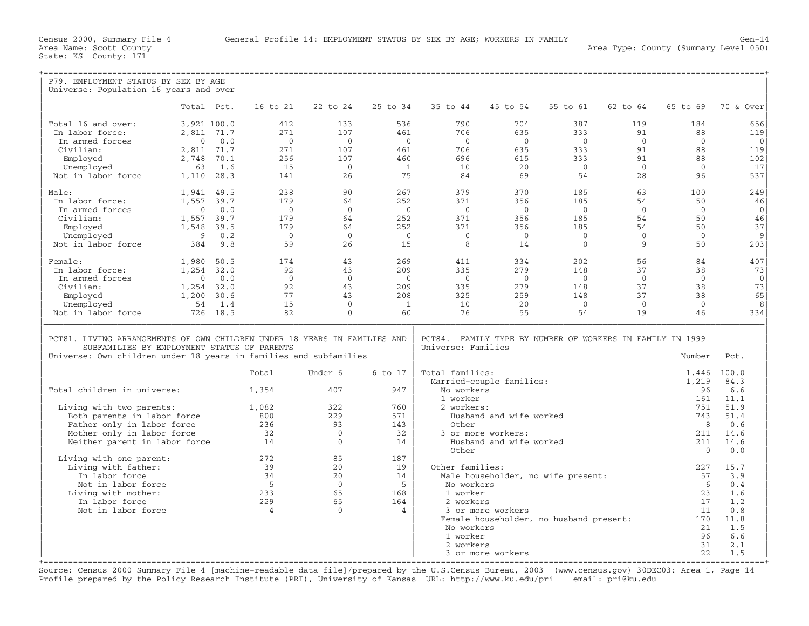| P79. EMPLOYMENT STATUS BY SEX BY AGE                                      |                |          |                |                |                |                    |                          |                                                           |                |              |              |
|---------------------------------------------------------------------------|----------------|----------|----------------|----------------|----------------|--------------------|--------------------------|-----------------------------------------------------------|----------------|--------------|--------------|
| Universe: Population 16 years and over                                    |                |          |                |                |                |                    |                          |                                                           |                |              |              |
|                                                                           |                |          |                |                |                |                    |                          |                                                           |                |              |              |
|                                                                           | Total Pct.     |          | 16 to 21       | 22 to 24       | 25 to 34       | 35 to 44           | 45 to 54                 | 55 to 61                                                  | 62 to 64       | 65 to 69     | 70 & Over    |
|                                                                           |                |          |                |                |                |                    |                          |                                                           |                |              |              |
| Total 16 and over:                                                        | 3,921 100.0    |          | 412            | 133            | 536            | 790                | 704                      | 387                                                       | 119            | 184          | 656          |
| In labor force:                                                           | 2,811 71.7     |          | 2.71           | 107            | 461            | 706                | 635                      | 333                                                       | 91             | 88           | 119          |
| In armed forces                                                           | $\Omega$       | 0.0      | $\Omega$       | $\bigcap$      | $\bigcap$      | $\bigcap$          | $\bigcap$                | $\bigcirc$                                                | $\Omega$       | $\Omega$     | $\Omega$     |
| Civilian:                                                                 | 2,811 71.7     |          | 271            | 107            | 461            | 706                | 635                      | 333                                                       | 91             | 88           | 119          |
| Employed                                                                  | 2,748          | 70.1     | 256            | 107            | 460            | 696                | 615                      | 333                                                       | 91             | 88           | 102          |
| Unemployed                                                                | 63             | 1.6      | 15             | $\overline{0}$ | $\overline{1}$ | 10                 | 20                       | $\bigcirc$                                                | $\Omega$       | $\Omega$     | 17           |
| Not in labor force                                                        | 1,110 28.3     |          | 141            | 26             | 75             | 84                 | 69                       | 54                                                        | 28             | 96           | 537          |
|                                                                           |                |          |                |                |                |                    |                          |                                                           |                |              |              |
| Male:                                                                     | 1,941          | 49.5     | 238            | 90             | 267            | 379                | 370                      | 185                                                       | 63             | 100          | 249          |
| In labor force:                                                           | 1,557          | 39.7     | 179            | 64             | 252            | 371                | 356                      | 185                                                       | 54             | 50           | 46           |
| In armed forces                                                           | $\overline{0}$ | 0.0      | $\bigcirc$     | $\Omega$       | $\bigcap$      | $\bigcap$          | $\bigcap$                | $\bigcap$                                                 | $\Omega$       | $\Omega$     | $\Omega$     |
| Civilian:                                                                 | 1,557 39.7     |          | 179            | 64             | 2.52           | 371                | 356                      | 185                                                       | 54             | 50           | 46           |
| Employed                                                                  | 1,548          | 39.5     | 179            | 64             | 252            | 371                | 356                      | 185                                                       | 54             | 50           | 37           |
| Unemployed                                                                | 9              | 0.2      | $\Omega$       | $\overline{0}$ | $\overline{0}$ | $\Omega$           | $\overline{0}$           | $\Omega$                                                  | $\Omega$       | $\Omega$     | 9            |
|                                                                           |                | 9.8      | 59             | 26             | 15             | 8                  |                          | $\Omega$                                                  | 9              |              |              |
| Not in labor force                                                        | 384            |          |                |                |                |                    | 14                       |                                                           |                | 50           | 203          |
| Female:                                                                   |                |          |                | 43             | 269            |                    |                          | 2.02                                                      | 56             |              | 407          |
|                                                                           | 1,980          | 50.5     | 174            |                |                | 411                | 334                      |                                                           |                | 84           |              |
| In labor force:                                                           | 1,254          | 32.0     | 92             | 43             | 209            | 335                | 279                      | 148                                                       | 37             | 38           | 73           |
| In armed forces                                                           | $\Omega$       | 0.0      | $\Omega$       | $\Omega$       | $\overline{0}$ | $\overline{0}$     | $\bigcirc$               | $\overline{0}$                                            | $\overline{0}$ | $\Omega$     | $\mathbf{0}$ |
| Civilian:                                                                 | 1,254          | 32.0     | 92             | 43             | 209            | 335                | 279                      | 148                                                       | 37             | 38           | 73           |
| Employed                                                                  | 1,200          | 30.6     | 77             | 43             | 208            | 325                | 259                      | 148                                                       | 37             | 38           | 65           |
| Unemployed                                                                | 54             | 1.4      | 15             | $\Omega$       | 1              | 10                 | 20                       | $\Omega$                                                  | $\mathbf{0}$   | $\Omega$     | 8            |
| Not in labor force                                                        |                | 726 18.5 | 82             | $\bigcap$      | 60             | 76                 | 55                       | 54                                                        | 19             | 46           | 334          |
|                                                                           |                |          |                |                |                |                    |                          |                                                           |                |              |              |
|                                                                           |                |          |                |                |                |                    |                          |                                                           |                |              |              |
| PCT81. LIVING ARRANGEMENTS OF OWN CHILDREN UNDER 18 YEARS IN FAMILIES AND |                |          |                |                |                |                    |                          | PCT84. FAMILY TYPE BY NUMBER OF WORKERS IN FAMILY IN 1999 |                |              |              |
| SUBFAMILIES BY EMPLOYMENT STATUS OF PARENTS                               |                |          |                |                |                | Universe: Families |                          |                                                           |                |              |              |
| Universe: Own children under 18 years in families and subfamilies         |                |          |                |                |                |                    |                          |                                                           |                | Number       | Pct.         |
|                                                                           |                |          |                |                |                |                    |                          |                                                           |                |              |              |
|                                                                           |                |          | Total          | Under 6        | 6 to 17        | Total families:    |                          |                                                           |                | 1,446        | 100.0        |
|                                                                           |                |          |                |                |                |                    | Married-couple families: |                                                           |                | 1,219        | 84.3         |
| Total children in universe:                                               |                |          | 1,354          | 407            | 947            | No workers         |                          |                                                           |                | 96           | 6.6          |
|                                                                           |                |          |                |                |                | 1 worker           |                          |                                                           |                | 161          | 11.1         |
| Living with two parents:                                                  |                |          | 1,082          | 322            | 760            | 2 workers:         |                          |                                                           |                | 751          | 51.9         |
| Both parents in labor force                                               |                |          | 800            | 229            | 571            |                    | Husband and wife worked  |                                                           |                | 743          | 51.4         |
| Father only in labor force                                                |                |          | 236            | 93             | 143            | Other              |                          |                                                           |                | 8            | 0.6          |
| Mother only in labor force                                                |                |          | 32             | $\Omega$       | 32             |                    | 3 or more workers:       |                                                           |                | 211          | 14.6         |
| Neither parent in labor force                                             |                |          | 14             | $\overline{0}$ | 14             |                    | Husband and wife worked  |                                                           |                | 211          | 14.6         |
|                                                                           |                |          |                |                |                | Other              |                          |                                                           |                | $\mathbf{0}$ | 0.0          |
| Living with one parent:                                                   |                |          | 2.72           | 85             | 187            |                    |                          |                                                           |                |              |              |
| Living with father:                                                       |                |          | 39             | 20             | 19             | Other families:    |                          |                                                           |                | 227          | 15.7         |
| In labor force                                                            |                |          | 34             | 20             | 14             |                    |                          | Male householder, no wife present:                        |                | 57           | 3.9          |
| Not in labor force                                                        |                |          | $-5$           | $\Omega$       | $5^{\circ}$    | No workers         |                          |                                                           |                | - 6          | 0.4          |
| Living with mother:                                                       |                |          | 233            | 65             | 168            | 1 worker           |                          |                                                           |                | 23           | 1.6          |
| In labor force                                                            |                |          | 229            | 65             | 164            | 2 workers          |                          |                                                           |                | 17           | 1.2          |
| Not in labor force                                                        |                |          | $\overline{4}$ | $\Omega$       | $\overline{4}$ |                    | 3 or more workers        |                                                           |                | 11           | 0.8          |
|                                                                           |                |          |                |                |                |                    |                          | Female householder, no husband present:                   |                | 170          | 11.8         |
|                                                                           |                |          |                |                |                | No workers         |                          |                                                           |                | 21           | 1.5          |
|                                                                           |                |          |                |                |                | 1 worker           |                          |                                                           |                | 96           | 6.6          |
|                                                                           |                |          |                |                |                |                    |                          |                                                           |                |              |              |
|                                                                           |                |          |                |                |                |                    |                          |                                                           |                |              |              |
|                                                                           |                |          |                |                |                | 2 workers          | 3 or more workers        |                                                           |                | 31<br>2.2.   | 2.1<br>1.5   |

+===================================================================================================================================================+ Source: Census 2000 Summary File 4 [machine−readable data file]/prepared by the U.S.Census Bureau, 2003 (www.census.gov) 30DEC03: Area 1, Page 14 Profile prepared by the Policy Research Institute (PRI), University of Kansas URL: http://www.ku.edu/pri email: pri@ku.edu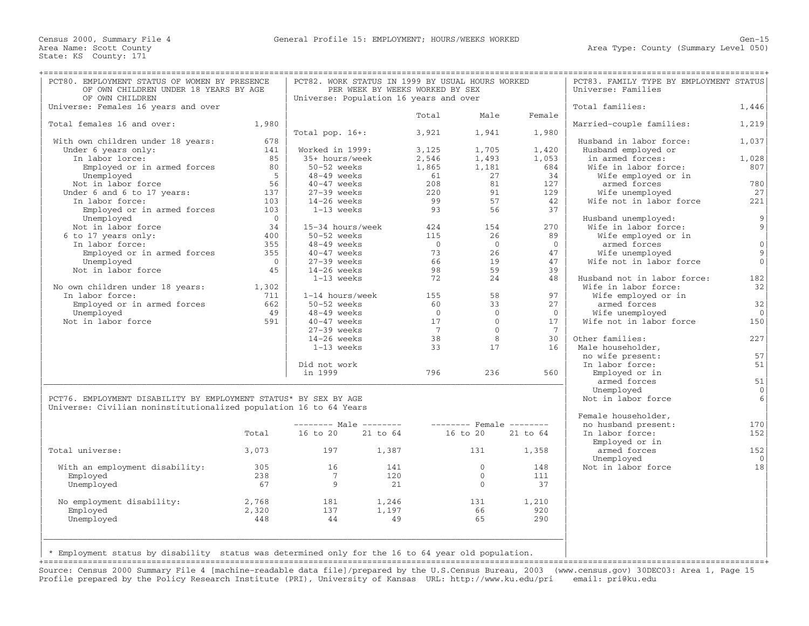| OF OWN CHILDREN UNDER 18 YEARS BY AGE<br>PER WEEK BY WEEKS WORKED BY SEX<br>Universe: Families<br>OF OWN CHILDREN<br>Universe: Population 16 years and over<br>Total families:<br>Universe: Females 16 years and over<br>Male<br>Total<br>Female<br>Married-couple families:<br>Total females 16 and over:<br>1,980<br>Total pop. $16+:$<br>3,921<br>1,941<br>1,980<br>678<br>With own children under 18 years:<br>Husband in labor force:<br>Under 6 years only:<br>141<br>Worked in 1999:<br>1,705<br>1,420<br>Husband employed or<br>3,125<br>In labor lorce:<br>85<br>35+ hours/week<br>2,546<br>1,493<br>1,053<br>in armed forces:<br>Employed or in armed forces<br>80<br>50-52 weeks<br>1,865<br>1,181<br>684<br>Wife in labor force:<br>$5 \vert$<br>$48-49$ weeks<br>61<br>27<br>34<br>Wife employed or in<br>Unemployed<br>56<br>81<br>Not in labor force<br>40-47 weeks<br>208<br>127<br>armed forces<br>137<br>Under 6 and 6 to 17 years:<br>27-39 weeks<br>220<br>91<br>129<br>Wife unemployed<br>99<br>57<br>Wife not in labor force<br>In labor force:<br>103<br>14-26 weeks<br>42<br>Employed or in armed forces<br>93<br>56<br>37<br>103<br>1-13 weeks<br>Unemployed<br>$\overline{0}$<br>Husband unemployed:<br>34<br>15-34 hours/week<br>Wife in labor force:<br>Not in labor force<br>424<br>154<br>270<br>6 to 17 years only:<br>400<br>50-52 weeks<br>115<br>26<br>89<br>Wife employed or in<br>In labor force:<br>355<br>48-49 weeks<br>$\overline{0}$<br>$\overline{0}$<br>$\overline{0}$<br>armed forces<br>73<br>Employed or in armed forces<br>355<br>40-47 weeks<br>26<br>47<br>Wife unemployed<br>19<br>Wife not in labor force<br>$\overline{0}$<br>$27-39$ weeks<br>66<br>47<br>Unemployed<br>Not in labor force<br>98<br>59<br>45<br>$14-26$ weeks<br>39<br>72<br>24<br>Husband not in labor force:<br>1-13 weeks<br>48<br>No own children under 18 years: 1,302<br>Wife in labor force:<br>In labor force:<br>1-14 hours/week<br>155<br>58<br>97<br>Wife employed or in<br>711<br>Employed or in armed forces<br>662<br>$50-52$ weeks<br>60<br>33<br>27<br>armed forces<br>Unemployed<br>48-49 weeks<br>$\overline{0}$<br>$\overline{0}$<br>Wife unemployed<br>49<br>$\overline{0}$<br>Not in labor force<br>$\bigcirc$<br>Wife not in labor force<br>591<br>$40-47$ weeks<br>17<br>17<br>$7\overline{ }$<br>$\overline{0}$<br>$27-39$ weeks<br>7<br>38<br>8<br>$14-26$ weeks<br>30<br>Other families:<br>1-13 weeks<br>33<br>17<br>Male householder,<br>16<br>no wife present:<br>In labor force:<br>Did not work<br>796<br>236<br>in 1999<br>560<br>Employed or in<br>armed forces<br>Unemployed<br>PCT76. EMPLOYMENT DISABILITY BY EMPLOYMENT STATUS* BY SEX BY AGE<br>Not in labor force<br>Universe: Civilian noninstitutionalized population 16 to 64 Years<br>Female householder,<br>no husband present:<br>16 to 20 21 to 64<br>16 to 20 21 to 64<br>Total<br>In labor force:<br>Employed or in<br>Total universe:<br>3,073<br>197 1,387<br>131<br>1,358<br>armed forces<br>Unemployed<br>$\overline{0}$<br>With an employment disability:<br>305<br>16<br>141<br>148<br>Not in labor force<br>Employed<br>238<br>$\overline{7}$<br>120<br>$\Omega$<br>111<br>Unemployed<br>67<br>9<br>21<br>$\overline{0}$<br>37 | PCT83. FAMILY TYPE BY EMPLOYMENT STATUS |
|------------------------------------------------------------------------------------------------------------------------------------------------------------------------------------------------------------------------------------------------------------------------------------------------------------------------------------------------------------------------------------------------------------------------------------------------------------------------------------------------------------------------------------------------------------------------------------------------------------------------------------------------------------------------------------------------------------------------------------------------------------------------------------------------------------------------------------------------------------------------------------------------------------------------------------------------------------------------------------------------------------------------------------------------------------------------------------------------------------------------------------------------------------------------------------------------------------------------------------------------------------------------------------------------------------------------------------------------------------------------------------------------------------------------------------------------------------------------------------------------------------------------------------------------------------------------------------------------------------------------------------------------------------------------------------------------------------------------------------------------------------------------------------------------------------------------------------------------------------------------------------------------------------------------------------------------------------------------------------------------------------------------------------------------------------------------------------------------------------------------------------------------------------------------------------------------------------------------------------------------------------------------------------------------------------------------------------------------------------------------------------------------------------------------------------------------------------------------------------------------------------------------------------------------------------------------------------------------------------------------------------------------------------------------------------------------------------------------------------------------------------------------------------------------------------------------------------------------------------------------------------------------------------------------------------------------------------------------------------------------------------------------------------------------------------------------------------------------------------------------------------------------------------------------------------------------------------------------------------------------------------|-----------------------------------------|
|                                                                                                                                                                                                                                                                                                                                                                                                                                                                                                                                                                                                                                                                                                                                                                                                                                                                                                                                                                                                                                                                                                                                                                                                                                                                                                                                                                                                                                                                                                                                                                                                                                                                                                                                                                                                                                                                                                                                                                                                                                                                                                                                                                                                                                                                                                                                                                                                                                                                                                                                                                                                                                                                                                                                                                                                                                                                                                                                                                                                                                                                                                                                                                                                                                                            |                                         |
|                                                                                                                                                                                                                                                                                                                                                                                                                                                                                                                                                                                                                                                                                                                                                                                                                                                                                                                                                                                                                                                                                                                                                                                                                                                                                                                                                                                                                                                                                                                                                                                                                                                                                                                                                                                                                                                                                                                                                                                                                                                                                                                                                                                                                                                                                                                                                                                                                                                                                                                                                                                                                                                                                                                                                                                                                                                                                                                                                                                                                                                                                                                                                                                                                                                            | 1,446                                   |
|                                                                                                                                                                                                                                                                                                                                                                                                                                                                                                                                                                                                                                                                                                                                                                                                                                                                                                                                                                                                                                                                                                                                                                                                                                                                                                                                                                                                                                                                                                                                                                                                                                                                                                                                                                                                                                                                                                                                                                                                                                                                                                                                                                                                                                                                                                                                                                                                                                                                                                                                                                                                                                                                                                                                                                                                                                                                                                                                                                                                                                                                                                                                                                                                                                                            |                                         |
|                                                                                                                                                                                                                                                                                                                                                                                                                                                                                                                                                                                                                                                                                                                                                                                                                                                                                                                                                                                                                                                                                                                                                                                                                                                                                                                                                                                                                                                                                                                                                                                                                                                                                                                                                                                                                                                                                                                                                                                                                                                                                                                                                                                                                                                                                                                                                                                                                                                                                                                                                                                                                                                                                                                                                                                                                                                                                                                                                                                                                                                                                                                                                                                                                                                            | 1,219                                   |
|                                                                                                                                                                                                                                                                                                                                                                                                                                                                                                                                                                                                                                                                                                                                                                                                                                                                                                                                                                                                                                                                                                                                                                                                                                                                                                                                                                                                                                                                                                                                                                                                                                                                                                                                                                                                                                                                                                                                                                                                                                                                                                                                                                                                                                                                                                                                                                                                                                                                                                                                                                                                                                                                                                                                                                                                                                                                                                                                                                                                                                                                                                                                                                                                                                                            |                                         |
|                                                                                                                                                                                                                                                                                                                                                                                                                                                                                                                                                                                                                                                                                                                                                                                                                                                                                                                                                                                                                                                                                                                                                                                                                                                                                                                                                                                                                                                                                                                                                                                                                                                                                                                                                                                                                                                                                                                                                                                                                                                                                                                                                                                                                                                                                                                                                                                                                                                                                                                                                                                                                                                                                                                                                                                                                                                                                                                                                                                                                                                                                                                                                                                                                                                            | 1,037                                   |
|                                                                                                                                                                                                                                                                                                                                                                                                                                                                                                                                                                                                                                                                                                                                                                                                                                                                                                                                                                                                                                                                                                                                                                                                                                                                                                                                                                                                                                                                                                                                                                                                                                                                                                                                                                                                                                                                                                                                                                                                                                                                                                                                                                                                                                                                                                                                                                                                                                                                                                                                                                                                                                                                                                                                                                                                                                                                                                                                                                                                                                                                                                                                                                                                                                                            |                                         |
|                                                                                                                                                                                                                                                                                                                                                                                                                                                                                                                                                                                                                                                                                                                                                                                                                                                                                                                                                                                                                                                                                                                                                                                                                                                                                                                                                                                                                                                                                                                                                                                                                                                                                                                                                                                                                                                                                                                                                                                                                                                                                                                                                                                                                                                                                                                                                                                                                                                                                                                                                                                                                                                                                                                                                                                                                                                                                                                                                                                                                                                                                                                                                                                                                                                            | 1,028                                   |
|                                                                                                                                                                                                                                                                                                                                                                                                                                                                                                                                                                                                                                                                                                                                                                                                                                                                                                                                                                                                                                                                                                                                                                                                                                                                                                                                                                                                                                                                                                                                                                                                                                                                                                                                                                                                                                                                                                                                                                                                                                                                                                                                                                                                                                                                                                                                                                                                                                                                                                                                                                                                                                                                                                                                                                                                                                                                                                                                                                                                                                                                                                                                                                                                                                                            | 807                                     |
|                                                                                                                                                                                                                                                                                                                                                                                                                                                                                                                                                                                                                                                                                                                                                                                                                                                                                                                                                                                                                                                                                                                                                                                                                                                                                                                                                                                                                                                                                                                                                                                                                                                                                                                                                                                                                                                                                                                                                                                                                                                                                                                                                                                                                                                                                                                                                                                                                                                                                                                                                                                                                                                                                                                                                                                                                                                                                                                                                                                                                                                                                                                                                                                                                                                            |                                         |
|                                                                                                                                                                                                                                                                                                                                                                                                                                                                                                                                                                                                                                                                                                                                                                                                                                                                                                                                                                                                                                                                                                                                                                                                                                                                                                                                                                                                                                                                                                                                                                                                                                                                                                                                                                                                                                                                                                                                                                                                                                                                                                                                                                                                                                                                                                                                                                                                                                                                                                                                                                                                                                                                                                                                                                                                                                                                                                                                                                                                                                                                                                                                                                                                                                                            | 780                                     |
|                                                                                                                                                                                                                                                                                                                                                                                                                                                                                                                                                                                                                                                                                                                                                                                                                                                                                                                                                                                                                                                                                                                                                                                                                                                                                                                                                                                                                                                                                                                                                                                                                                                                                                                                                                                                                                                                                                                                                                                                                                                                                                                                                                                                                                                                                                                                                                                                                                                                                                                                                                                                                                                                                                                                                                                                                                                                                                                                                                                                                                                                                                                                                                                                                                                            | 27                                      |
|                                                                                                                                                                                                                                                                                                                                                                                                                                                                                                                                                                                                                                                                                                                                                                                                                                                                                                                                                                                                                                                                                                                                                                                                                                                                                                                                                                                                                                                                                                                                                                                                                                                                                                                                                                                                                                                                                                                                                                                                                                                                                                                                                                                                                                                                                                                                                                                                                                                                                                                                                                                                                                                                                                                                                                                                                                                                                                                                                                                                                                                                                                                                                                                                                                                            | 221                                     |
|                                                                                                                                                                                                                                                                                                                                                                                                                                                                                                                                                                                                                                                                                                                                                                                                                                                                                                                                                                                                                                                                                                                                                                                                                                                                                                                                                                                                                                                                                                                                                                                                                                                                                                                                                                                                                                                                                                                                                                                                                                                                                                                                                                                                                                                                                                                                                                                                                                                                                                                                                                                                                                                                                                                                                                                                                                                                                                                                                                                                                                                                                                                                                                                                                                                            |                                         |
|                                                                                                                                                                                                                                                                                                                                                                                                                                                                                                                                                                                                                                                                                                                                                                                                                                                                                                                                                                                                                                                                                                                                                                                                                                                                                                                                                                                                                                                                                                                                                                                                                                                                                                                                                                                                                                                                                                                                                                                                                                                                                                                                                                                                                                                                                                                                                                                                                                                                                                                                                                                                                                                                                                                                                                                                                                                                                                                                                                                                                                                                                                                                                                                                                                                            | $\overline{9}$                          |
|                                                                                                                                                                                                                                                                                                                                                                                                                                                                                                                                                                                                                                                                                                                                                                                                                                                                                                                                                                                                                                                                                                                                                                                                                                                                                                                                                                                                                                                                                                                                                                                                                                                                                                                                                                                                                                                                                                                                                                                                                                                                                                                                                                                                                                                                                                                                                                                                                                                                                                                                                                                                                                                                                                                                                                                                                                                                                                                                                                                                                                                                                                                                                                                                                                                            | $\overline{9}$                          |
|                                                                                                                                                                                                                                                                                                                                                                                                                                                                                                                                                                                                                                                                                                                                                                                                                                                                                                                                                                                                                                                                                                                                                                                                                                                                                                                                                                                                                                                                                                                                                                                                                                                                                                                                                                                                                                                                                                                                                                                                                                                                                                                                                                                                                                                                                                                                                                                                                                                                                                                                                                                                                                                                                                                                                                                                                                                                                                                                                                                                                                                                                                                                                                                                                                                            |                                         |
|                                                                                                                                                                                                                                                                                                                                                                                                                                                                                                                                                                                                                                                                                                                                                                                                                                                                                                                                                                                                                                                                                                                                                                                                                                                                                                                                                                                                                                                                                                                                                                                                                                                                                                                                                                                                                                                                                                                                                                                                                                                                                                                                                                                                                                                                                                                                                                                                                                                                                                                                                                                                                                                                                                                                                                                                                                                                                                                                                                                                                                                                                                                                                                                                                                                            | 0                                       |
|                                                                                                                                                                                                                                                                                                                                                                                                                                                                                                                                                                                                                                                                                                                                                                                                                                                                                                                                                                                                                                                                                                                                                                                                                                                                                                                                                                                                                                                                                                                                                                                                                                                                                                                                                                                                                                                                                                                                                                                                                                                                                                                                                                                                                                                                                                                                                                                                                                                                                                                                                                                                                                                                                                                                                                                                                                                                                                                                                                                                                                                                                                                                                                                                                                                            | $\overline{9}$                          |
|                                                                                                                                                                                                                                                                                                                                                                                                                                                                                                                                                                                                                                                                                                                                                                                                                                                                                                                                                                                                                                                                                                                                                                                                                                                                                                                                                                                                                                                                                                                                                                                                                                                                                                                                                                                                                                                                                                                                                                                                                                                                                                                                                                                                                                                                                                                                                                                                                                                                                                                                                                                                                                                                                                                                                                                                                                                                                                                                                                                                                                                                                                                                                                                                                                                            | $\overline{0}$                          |
|                                                                                                                                                                                                                                                                                                                                                                                                                                                                                                                                                                                                                                                                                                                                                                                                                                                                                                                                                                                                                                                                                                                                                                                                                                                                                                                                                                                                                                                                                                                                                                                                                                                                                                                                                                                                                                                                                                                                                                                                                                                                                                                                                                                                                                                                                                                                                                                                                                                                                                                                                                                                                                                                                                                                                                                                                                                                                                                                                                                                                                                                                                                                                                                                                                                            |                                         |
|                                                                                                                                                                                                                                                                                                                                                                                                                                                                                                                                                                                                                                                                                                                                                                                                                                                                                                                                                                                                                                                                                                                                                                                                                                                                                                                                                                                                                                                                                                                                                                                                                                                                                                                                                                                                                                                                                                                                                                                                                                                                                                                                                                                                                                                                                                                                                                                                                                                                                                                                                                                                                                                                                                                                                                                                                                                                                                                                                                                                                                                                                                                                                                                                                                                            | 182                                     |
|                                                                                                                                                                                                                                                                                                                                                                                                                                                                                                                                                                                                                                                                                                                                                                                                                                                                                                                                                                                                                                                                                                                                                                                                                                                                                                                                                                                                                                                                                                                                                                                                                                                                                                                                                                                                                                                                                                                                                                                                                                                                                                                                                                                                                                                                                                                                                                                                                                                                                                                                                                                                                                                                                                                                                                                                                                                                                                                                                                                                                                                                                                                                                                                                                                                            | 32                                      |
|                                                                                                                                                                                                                                                                                                                                                                                                                                                                                                                                                                                                                                                                                                                                                                                                                                                                                                                                                                                                                                                                                                                                                                                                                                                                                                                                                                                                                                                                                                                                                                                                                                                                                                                                                                                                                                                                                                                                                                                                                                                                                                                                                                                                                                                                                                                                                                                                                                                                                                                                                                                                                                                                                                                                                                                                                                                                                                                                                                                                                                                                                                                                                                                                                                                            |                                         |
|                                                                                                                                                                                                                                                                                                                                                                                                                                                                                                                                                                                                                                                                                                                                                                                                                                                                                                                                                                                                                                                                                                                                                                                                                                                                                                                                                                                                                                                                                                                                                                                                                                                                                                                                                                                                                                                                                                                                                                                                                                                                                                                                                                                                                                                                                                                                                                                                                                                                                                                                                                                                                                                                                                                                                                                                                                                                                                                                                                                                                                                                                                                                                                                                                                                            | 32                                      |
|                                                                                                                                                                                                                                                                                                                                                                                                                                                                                                                                                                                                                                                                                                                                                                                                                                                                                                                                                                                                                                                                                                                                                                                                                                                                                                                                                                                                                                                                                                                                                                                                                                                                                                                                                                                                                                                                                                                                                                                                                                                                                                                                                                                                                                                                                                                                                                                                                                                                                                                                                                                                                                                                                                                                                                                                                                                                                                                                                                                                                                                                                                                                                                                                                                                            | $\bigcirc$                              |
|                                                                                                                                                                                                                                                                                                                                                                                                                                                                                                                                                                                                                                                                                                                                                                                                                                                                                                                                                                                                                                                                                                                                                                                                                                                                                                                                                                                                                                                                                                                                                                                                                                                                                                                                                                                                                                                                                                                                                                                                                                                                                                                                                                                                                                                                                                                                                                                                                                                                                                                                                                                                                                                                                                                                                                                                                                                                                                                                                                                                                                                                                                                                                                                                                                                            | 150                                     |
|                                                                                                                                                                                                                                                                                                                                                                                                                                                                                                                                                                                                                                                                                                                                                                                                                                                                                                                                                                                                                                                                                                                                                                                                                                                                                                                                                                                                                                                                                                                                                                                                                                                                                                                                                                                                                                                                                                                                                                                                                                                                                                                                                                                                                                                                                                                                                                                                                                                                                                                                                                                                                                                                                                                                                                                                                                                                                                                                                                                                                                                                                                                                                                                                                                                            |                                         |
|                                                                                                                                                                                                                                                                                                                                                                                                                                                                                                                                                                                                                                                                                                                                                                                                                                                                                                                                                                                                                                                                                                                                                                                                                                                                                                                                                                                                                                                                                                                                                                                                                                                                                                                                                                                                                                                                                                                                                                                                                                                                                                                                                                                                                                                                                                                                                                                                                                                                                                                                                                                                                                                                                                                                                                                                                                                                                                                                                                                                                                                                                                                                                                                                                                                            | 227                                     |
|                                                                                                                                                                                                                                                                                                                                                                                                                                                                                                                                                                                                                                                                                                                                                                                                                                                                                                                                                                                                                                                                                                                                                                                                                                                                                                                                                                                                                                                                                                                                                                                                                                                                                                                                                                                                                                                                                                                                                                                                                                                                                                                                                                                                                                                                                                                                                                                                                                                                                                                                                                                                                                                                                                                                                                                                                                                                                                                                                                                                                                                                                                                                                                                                                                                            |                                         |
|                                                                                                                                                                                                                                                                                                                                                                                                                                                                                                                                                                                                                                                                                                                                                                                                                                                                                                                                                                                                                                                                                                                                                                                                                                                                                                                                                                                                                                                                                                                                                                                                                                                                                                                                                                                                                                                                                                                                                                                                                                                                                                                                                                                                                                                                                                                                                                                                                                                                                                                                                                                                                                                                                                                                                                                                                                                                                                                                                                                                                                                                                                                                                                                                                                                            | 57                                      |
|                                                                                                                                                                                                                                                                                                                                                                                                                                                                                                                                                                                                                                                                                                                                                                                                                                                                                                                                                                                                                                                                                                                                                                                                                                                                                                                                                                                                                                                                                                                                                                                                                                                                                                                                                                                                                                                                                                                                                                                                                                                                                                                                                                                                                                                                                                                                                                                                                                                                                                                                                                                                                                                                                                                                                                                                                                                                                                                                                                                                                                                                                                                                                                                                                                                            |                                         |
|                                                                                                                                                                                                                                                                                                                                                                                                                                                                                                                                                                                                                                                                                                                                                                                                                                                                                                                                                                                                                                                                                                                                                                                                                                                                                                                                                                                                                                                                                                                                                                                                                                                                                                                                                                                                                                                                                                                                                                                                                                                                                                                                                                                                                                                                                                                                                                                                                                                                                                                                                                                                                                                                                                                                                                                                                                                                                                                                                                                                                                                                                                                                                                                                                                                            | 51                                      |
|                                                                                                                                                                                                                                                                                                                                                                                                                                                                                                                                                                                                                                                                                                                                                                                                                                                                                                                                                                                                                                                                                                                                                                                                                                                                                                                                                                                                                                                                                                                                                                                                                                                                                                                                                                                                                                                                                                                                                                                                                                                                                                                                                                                                                                                                                                                                                                                                                                                                                                                                                                                                                                                                                                                                                                                                                                                                                                                                                                                                                                                                                                                                                                                                                                                            |                                         |
|                                                                                                                                                                                                                                                                                                                                                                                                                                                                                                                                                                                                                                                                                                                                                                                                                                                                                                                                                                                                                                                                                                                                                                                                                                                                                                                                                                                                                                                                                                                                                                                                                                                                                                                                                                                                                                                                                                                                                                                                                                                                                                                                                                                                                                                                                                                                                                                                                                                                                                                                                                                                                                                                                                                                                                                                                                                                                                                                                                                                                                                                                                                                                                                                                                                            | 51                                      |
|                                                                                                                                                                                                                                                                                                                                                                                                                                                                                                                                                                                                                                                                                                                                                                                                                                                                                                                                                                                                                                                                                                                                                                                                                                                                                                                                                                                                                                                                                                                                                                                                                                                                                                                                                                                                                                                                                                                                                                                                                                                                                                                                                                                                                                                                                                                                                                                                                                                                                                                                                                                                                                                                                                                                                                                                                                                                                                                                                                                                                                                                                                                                                                                                                                                            | $\overline{0}$                          |
|                                                                                                                                                                                                                                                                                                                                                                                                                                                                                                                                                                                                                                                                                                                                                                                                                                                                                                                                                                                                                                                                                                                                                                                                                                                                                                                                                                                                                                                                                                                                                                                                                                                                                                                                                                                                                                                                                                                                                                                                                                                                                                                                                                                                                                                                                                                                                                                                                                                                                                                                                                                                                                                                                                                                                                                                                                                                                                                                                                                                                                                                                                                                                                                                                                                            | 6                                       |
|                                                                                                                                                                                                                                                                                                                                                                                                                                                                                                                                                                                                                                                                                                                                                                                                                                                                                                                                                                                                                                                                                                                                                                                                                                                                                                                                                                                                                                                                                                                                                                                                                                                                                                                                                                                                                                                                                                                                                                                                                                                                                                                                                                                                                                                                                                                                                                                                                                                                                                                                                                                                                                                                                                                                                                                                                                                                                                                                                                                                                                                                                                                                                                                                                                                            |                                         |
|                                                                                                                                                                                                                                                                                                                                                                                                                                                                                                                                                                                                                                                                                                                                                                                                                                                                                                                                                                                                                                                                                                                                                                                                                                                                                                                                                                                                                                                                                                                                                                                                                                                                                                                                                                                                                                                                                                                                                                                                                                                                                                                                                                                                                                                                                                                                                                                                                                                                                                                                                                                                                                                                                                                                                                                                                                                                                                                                                                                                                                                                                                                                                                                                                                                            | 170                                     |
|                                                                                                                                                                                                                                                                                                                                                                                                                                                                                                                                                                                                                                                                                                                                                                                                                                                                                                                                                                                                                                                                                                                                                                                                                                                                                                                                                                                                                                                                                                                                                                                                                                                                                                                                                                                                                                                                                                                                                                                                                                                                                                                                                                                                                                                                                                                                                                                                                                                                                                                                                                                                                                                                                                                                                                                                                                                                                                                                                                                                                                                                                                                                                                                                                                                            | 152                                     |
|                                                                                                                                                                                                                                                                                                                                                                                                                                                                                                                                                                                                                                                                                                                                                                                                                                                                                                                                                                                                                                                                                                                                                                                                                                                                                                                                                                                                                                                                                                                                                                                                                                                                                                                                                                                                                                                                                                                                                                                                                                                                                                                                                                                                                                                                                                                                                                                                                                                                                                                                                                                                                                                                                                                                                                                                                                                                                                                                                                                                                                                                                                                                                                                                                                                            |                                         |
|                                                                                                                                                                                                                                                                                                                                                                                                                                                                                                                                                                                                                                                                                                                                                                                                                                                                                                                                                                                                                                                                                                                                                                                                                                                                                                                                                                                                                                                                                                                                                                                                                                                                                                                                                                                                                                                                                                                                                                                                                                                                                                                                                                                                                                                                                                                                                                                                                                                                                                                                                                                                                                                                                                                                                                                                                                                                                                                                                                                                                                                                                                                                                                                                                                                            | 152                                     |
|                                                                                                                                                                                                                                                                                                                                                                                                                                                                                                                                                                                                                                                                                                                                                                                                                                                                                                                                                                                                                                                                                                                                                                                                                                                                                                                                                                                                                                                                                                                                                                                                                                                                                                                                                                                                                                                                                                                                                                                                                                                                                                                                                                                                                                                                                                                                                                                                                                                                                                                                                                                                                                                                                                                                                                                                                                                                                                                                                                                                                                                                                                                                                                                                                                                            | $\Omega$                                |
|                                                                                                                                                                                                                                                                                                                                                                                                                                                                                                                                                                                                                                                                                                                                                                                                                                                                                                                                                                                                                                                                                                                                                                                                                                                                                                                                                                                                                                                                                                                                                                                                                                                                                                                                                                                                                                                                                                                                                                                                                                                                                                                                                                                                                                                                                                                                                                                                                                                                                                                                                                                                                                                                                                                                                                                                                                                                                                                                                                                                                                                                                                                                                                                                                                                            |                                         |
|                                                                                                                                                                                                                                                                                                                                                                                                                                                                                                                                                                                                                                                                                                                                                                                                                                                                                                                                                                                                                                                                                                                                                                                                                                                                                                                                                                                                                                                                                                                                                                                                                                                                                                                                                                                                                                                                                                                                                                                                                                                                                                                                                                                                                                                                                                                                                                                                                                                                                                                                                                                                                                                                                                                                                                                                                                                                                                                                                                                                                                                                                                                                                                                                                                                            | 18                                      |
|                                                                                                                                                                                                                                                                                                                                                                                                                                                                                                                                                                                                                                                                                                                                                                                                                                                                                                                                                                                                                                                                                                                                                                                                                                                                                                                                                                                                                                                                                                                                                                                                                                                                                                                                                                                                                                                                                                                                                                                                                                                                                                                                                                                                                                                                                                                                                                                                                                                                                                                                                                                                                                                                                                                                                                                                                                                                                                                                                                                                                                                                                                                                                                                                                                                            |                                         |
|                                                                                                                                                                                                                                                                                                                                                                                                                                                                                                                                                                                                                                                                                                                                                                                                                                                                                                                                                                                                                                                                                                                                                                                                                                                                                                                                                                                                                                                                                                                                                                                                                                                                                                                                                                                                                                                                                                                                                                                                                                                                                                                                                                                                                                                                                                                                                                                                                                                                                                                                                                                                                                                                                                                                                                                                                                                                                                                                                                                                                                                                                                                                                                                                                                                            |                                         |
|                                                                                                                                                                                                                                                                                                                                                                                                                                                                                                                                                                                                                                                                                                                                                                                                                                                                                                                                                                                                                                                                                                                                                                                                                                                                                                                                                                                                                                                                                                                                                                                                                                                                                                                                                                                                                                                                                                                                                                                                                                                                                                                                                                                                                                                                                                                                                                                                                                                                                                                                                                                                                                                                                                                                                                                                                                                                                                                                                                                                                                                                                                                                                                                                                                                            |                                         |
| 2,768<br>No employment disability:<br>181<br>1,246<br>131<br>1,210                                                                                                                                                                                                                                                                                                                                                                                                                                                                                                                                                                                                                                                                                                                                                                                                                                                                                                                                                                                                                                                                                                                                                                                                                                                                                                                                                                                                                                                                                                                                                                                                                                                                                                                                                                                                                                                                                                                                                                                                                                                                                                                                                                                                                                                                                                                                                                                                                                                                                                                                                                                                                                                                                                                                                                                                                                                                                                                                                                                                                                                                                                                                                                                         |                                         |
| Employed<br>2,320<br>137<br>1,197<br>66<br>920                                                                                                                                                                                                                                                                                                                                                                                                                                                                                                                                                                                                                                                                                                                                                                                                                                                                                                                                                                                                                                                                                                                                                                                                                                                                                                                                                                                                                                                                                                                                                                                                                                                                                                                                                                                                                                                                                                                                                                                                                                                                                                                                                                                                                                                                                                                                                                                                                                                                                                                                                                                                                                                                                                                                                                                                                                                                                                                                                                                                                                                                                                                                                                                                             |                                         |
| 448<br>49<br>65<br>290<br>Unemployed<br>44                                                                                                                                                                                                                                                                                                                                                                                                                                                                                                                                                                                                                                                                                                                                                                                                                                                                                                                                                                                                                                                                                                                                                                                                                                                                                                                                                                                                                                                                                                                                                                                                                                                                                                                                                                                                                                                                                                                                                                                                                                                                                                                                                                                                                                                                                                                                                                                                                                                                                                                                                                                                                                                                                                                                                                                                                                                                                                                                                                                                                                                                                                                                                                                                                 |                                         |
|                                                                                                                                                                                                                                                                                                                                                                                                                                                                                                                                                                                                                                                                                                                                                                                                                                                                                                                                                                                                                                                                                                                                                                                                                                                                                                                                                                                                                                                                                                                                                                                                                                                                                                                                                                                                                                                                                                                                                                                                                                                                                                                                                                                                                                                                                                                                                                                                                                                                                                                                                                                                                                                                                                                                                                                                                                                                                                                                                                                                                                                                                                                                                                                                                                                            |                                         |
|                                                                                                                                                                                                                                                                                                                                                                                                                                                                                                                                                                                                                                                                                                                                                                                                                                                                                                                                                                                                                                                                                                                                                                                                                                                                                                                                                                                                                                                                                                                                                                                                                                                                                                                                                                                                                                                                                                                                                                                                                                                                                                                                                                                                                                                                                                                                                                                                                                                                                                                                                                                                                                                                                                                                                                                                                                                                                                                                                                                                                                                                                                                                                                                                                                                            |                                         |
|                                                                                                                                                                                                                                                                                                                                                                                                                                                                                                                                                                                                                                                                                                                                                                                                                                                                                                                                                                                                                                                                                                                                                                                                                                                                                                                                                                                                                                                                                                                                                                                                                                                                                                                                                                                                                                                                                                                                                                                                                                                                                                                                                                                                                                                                                                                                                                                                                                                                                                                                                                                                                                                                                                                                                                                                                                                                                                                                                                                                                                                                                                                                                                                                                                                            |                                         |
| * Employment status by disability status was determined only for the 16 to 64 year old population.                                                                                                                                                                                                                                                                                                                                                                                                                                                                                                                                                                                                                                                                                                                                                                                                                                                                                                                                                                                                                                                                                                                                                                                                                                                                                                                                                                                                                                                                                                                                                                                                                                                                                                                                                                                                                                                                                                                                                                                                                                                                                                                                                                                                                                                                                                                                                                                                                                                                                                                                                                                                                                                                                                                                                                                                                                                                                                                                                                                                                                                                                                                                                         |                                         |

Source: Census 2000 Summary File 4 [machine−readable data file]/prepared by the U.S.Census Bureau, 2003 (www.census.gov) 30DEC03: Area 1, Page 15 Profile prepared by the Policy Research Institute (PRI), University of Kansas URL: http://www.ku.edu/pri email: pri@ku.edu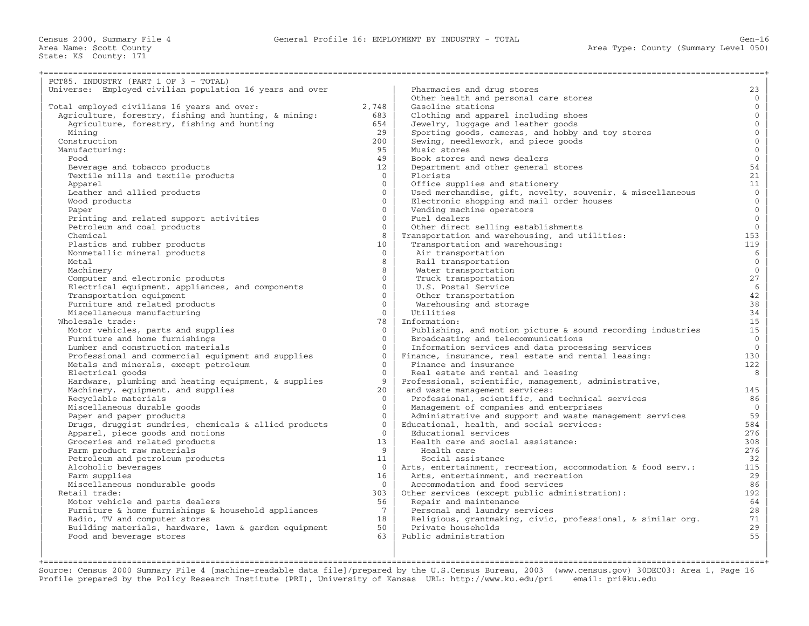| PCT85. INDUSTRY (PART 1 OF 3 - TOTAL)                    |                 |                                                              |                |
|----------------------------------------------------------|-----------------|--------------------------------------------------------------|----------------|
| Universe: Employed civilian population 16 years and over |                 | Pharmacies and drug stores                                   | 23             |
|                                                          |                 | Other health and personal care stores                        | $\mathbf{0}$   |
| Total employed civilians 16 years and over:              | 2,748           | Gasoline stations                                            | $\overline{0}$ |
| Agriculture, forestry, fishing and hunting, & mining:    | 683             | Clothing and apparel including shoes                         | $\mathbf{0}$   |
| Agriculture, forestry, fishing and hunting               | 654             | Jewelry, luggage and leather goods                           | $\mathbf{0}$   |
| Mining                                                   | 29              | Sporting goods, cameras, and hobby and toy stores            | $\mathbf{0}$   |
| Construction                                             | 200             | Sewing, needlework, and piece goods                          | $\overline{0}$ |
| Manufacturing:                                           | 95              | Music stores                                                 | $\overline{0}$ |
| Food                                                     | 49              | Book stores and news dealers                                 | $\mathbf{0}$   |
| Beverage and tobacco products                            | 12 <sup>°</sup> | Department and other general stores                          | 54             |
| Textile mills and textile products                       | $\Omega$        | Florists                                                     | 21             |
| Apparel                                                  | $\overline{0}$  | Office supplies and stationery                               | 11             |
| Leather and allied products                              | $\Omega$        | Used merchandise, gift, novelty, souvenir, & miscellaneous   | $\overline{0}$ |
| Wood products                                            | $\Omega$        | Electronic shopping and mail order houses                    | $\overline{0}$ |
| Paper                                                    | $\Omega$        | Vending machine operators                                    | $\overline{0}$ |
| Printing and related support activities                  | $\Omega$        | Fuel dealers                                                 | $\overline{0}$ |
| Petroleum and coal products                              | $\Omega$        | Other direct selling establishments                          | $\overline{0}$ |
| Chemical                                                 | 8               | Transportation and warehousing, and utilities:               | 153            |
| Plastics and rubber products                             | 10              | Transportation and warehousing:                              | 119            |
| Nonmetallic mineral products                             | $\overline{0}$  | Air transportation                                           | 6              |
| Metal                                                    | 8               | Rail transportation                                          | $\overline{0}$ |
| Machinery                                                | $\mathsf{R}$    | Water transportation                                         | $\Omega$       |
| Computer and electronic products                         | $\overline{0}$  | Truck transportation                                         | 27             |
| Electrical equipment, appliances, and components         | $\Omega$        | U.S. Postal Service                                          | $\epsilon$     |
| Transportation equipment                                 | $\Omega$        | Other transportation                                         | 42             |
| Furniture and related products                           | $\Omega$        | Warehousing and storage                                      | 38             |
| Miscellaneous manufacturing                              | $\Omega$        | Utilities                                                    | 34             |
| Wholesale trade:                                         | 78              | Information:                                                 | 15             |
| Motor vehicles, parts and supplies                       | $\Omega$        | Publishing, and motion picture & sound recording industries  | 15             |
| Furniture and home furnishings                           | $\Omega$        | Broadcasting and telecommunications                          | $\mathbf{0}$   |
| Lumber and construction materials                        | $\cap$          | Information services and data processing services            | $\mathbf{0}$   |
| Professional and commercial equipment and supplies       | $\Omega$        | Finance, insurance, real estate and rental leasing:          | 130            |
| Metals and minerals, except petroleum                    | $\Omega$        | Finance and insurance                                        | 122            |
| Electrical goods                                         | $\Omega$        | Real estate and rental and leasing                           | 8              |
| Hardware, plumbing and heating equipment, & supplies     | 9               | Professional, scientific, management, administrative,        |                |
| Machinery, equipment, and supplies                       | 20              | and waste management services:                               | 145            |
| Recyclable materials                                     | $\Omega$        | Professional, scientific, and technical services             | 86             |
| Miscellaneous durable goods                              | $\Omega$        | Management of companies and enterprises                      | $\overline{0}$ |
| Paper and paper products                                 | $\Omega$        | Administrative and support and waste management services     | 59             |
| Drugs, druggist sundries, chemicals & allied products    | $\mathbf{0}$    | Educational, health, and social services:                    | 584            |
| Apparel, piece goods and notions                         | $\Omega$        | Educational services                                         | 276            |
| Groceries and related products                           | 13              | Health care and social assistance:                           | 308            |
| Farm product raw materials                               | 9               | Health care                                                  | 276            |
| Petroleum and petroleum products                         | 11              | Social assistance                                            | 32             |
| Alcoholic beverages                                      | $\Omega$        | Arts, entertainment, recreation, accommodation & food serv.: | 115            |
| Farm supplies                                            | 16              | Arts, entertainment, and recreation                          | 29             |
| Miscellaneous nondurable goods                           | $\Omega$        | Accommodation and food services                              | 86             |
| Retail trade:                                            | 303             | Other services (except public administration):               | 192            |
| Motor vehicle and parts dealers                          | 56              | Repair and maintenance                                       | 64             |
| Furniture & home furnishings & household appliances      | 7               | Personal and laundry services                                | 28             |
| Radio, TV and computer stores                            | 18              | Religious, grantmaking, civic, professional, & similar org.  | 71             |
| Building materials, hardware, lawn & garden equipment    | 50              | Private households                                           | 29             |
| Food and beverage stores                                 | 63              | Public administration                                        | 55             |
|                                                          |                 |                                                              |                |
|                                                          |                 |                                                              |                |

+===================================================================================================================================================+ Source: Census 2000 Summary File 4 [machine−readable data file]/prepared by the U.S.Census Bureau, 2003 (www.census.gov) 30DEC03: Area 1, Page 16 Profile prepared by the Policy Research Institute (PRI), University of Kansas URL: http://www.ku.edu/pri email: pri@ku.edu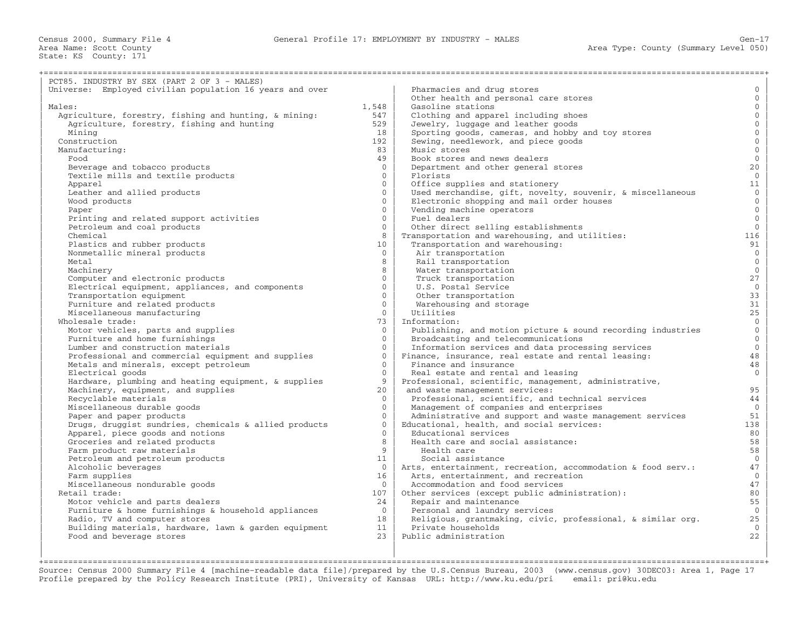| PCT85. INDUSTRY BY SEX (PART 2 OF 3 - MALES)                           |                      |                                                              |                      |
|------------------------------------------------------------------------|----------------------|--------------------------------------------------------------|----------------------|
| Universe: Employed civilian population 16 years and over               |                      | Pharmacies and drug stores                                   | $\mathbf{0}$         |
|                                                                        |                      | Other health and personal care stores                        | $\mathbf{0}$         |
| Males:                                                                 | 1,548                | Gasoline stations                                            | $\mathbf{0}$         |
| Agriculture, forestry, fishing and hunting, & mining:                  | 547                  | Clothing and apparel including shoes                         | $\mathbf 0$          |
| Agriculture, forestry, fishing and hunting                             | 529                  | Jewelry, luggage and leather goods                           | $\mathbf{0}$         |
| Minina                                                                 | 18                   | Sporting goods, cameras, and hobby and toy stores            | $\mathbf{0}$         |
| Construction                                                           | 192                  | Sewing, needlework, and piece goods                          | $\mathbf 0$          |
| Manufacturing:                                                         | 83                   | Music stores                                                 | $\mathbf{0}$         |
| Food                                                                   | 49                   | Book stores and news dealers                                 | $\mathbf{0}$         |
| Beverage and tobacco products                                          | $\Omega$             | Department and other general stores                          | 20                   |
| Textile mills and textile products                                     | $\Omega$             | Florists                                                     | $\overline{0}$       |
| Apparel                                                                | $\Omega$             | Office supplies and stationery                               | 11                   |
| Leather and allied products                                            | $\Omega$             | Used merchandise, gift, novelty, souvenir, & miscellaneous   | $\overline{0}$       |
| Wood products                                                          | $\Omega$             | Electronic shopping and mail order houses                    | $\overline{0}$       |
| Paper                                                                  | $\Omega$             | Vending machine operators                                    | $\mathbf{0}$         |
|                                                                        | $\Omega$             | Fuel dealers                                                 | $\mathbf{0}$         |
| Printing and related support activities<br>Petroleum and coal products | $\Omega$             | Other direct selling establishments                          | $\overline{0}$       |
| Chemical                                                               | 8                    | Transportation and warehousing, and utilities:               | 116                  |
|                                                                        | 10                   | Transportation and warehousing:                              | 91                   |
| Plastics and rubber products<br>Nonmetallic mineral products           | $\overline{0}$       | Air transportation                                           | $\overline{0}$       |
| Metal                                                                  | 8                    | Rail transportation                                          | $\mathbf{0}$         |
| Machinery                                                              | 8                    | Water transportation                                         | $\overline{0}$       |
|                                                                        | $\Omega$             | Truck transportation                                         | 27                   |
| Computer and electronic products                                       | $\Omega$             |                                                              |                      |
| Electrical equipment, appliances, and components                       | $\Omega$             | U.S. Postal Service                                          | $\mathbf 0$<br>33    |
| Transportation equipment                                               | $\Omega$             | Other transportation                                         |                      |
| Furniture and related products                                         | $\Omega$             | Warehousing and storage                                      | 31                   |
| Miscellaneous manufacturing                                            |                      | Utilities                                                    | 25<br>$\overline{0}$ |
| Wholesale trade:                                                       | 73<br>$\Omega$       | Information:                                                 |                      |
| Motor vehicles, parts and supplies                                     |                      | Publishing, and motion picture & sound recording industries  | $\overline{0}$       |
| Furniture and home furnishings                                         | $\Omega$             | Broadcasting and telecommunications                          | $\overline{0}$       |
| Lumber and construction materials                                      | $\Omega$             | Information services and data processing services            | $\overline{0}$       |
| Professional and commercial equipment and supplies                     | $\Omega$<br>$\Omega$ | Finance, insurance, real estate and rental leasing:          | 48                   |
| Metals and minerals, except petroleum                                  |                      | Finance and insurance                                        | 48                   |
| Electrical goods                                                       | $\Omega$             | Real estate and rental and leasing                           | $\Omega$             |
| Hardware, plumbing and heating equipment, & supplies                   | 9                    | Professional, scientific, management, administrative,        |                      |
| Machinery, equipment, and supplies                                     | 20 <sub>o</sub>      | and waste management services:                               | 95                   |
| Recyclable materials                                                   | $\Omega$             | Professional, scientific, and technical services             | 44                   |
| Miscellaneous durable goods                                            | $\Omega$             | Management of companies and enterprises                      | $\overline{0}$       |
| Paper and paper products                                               | $\Omega$             | Administrative and support and waste management services     | 51                   |
| Drugs, druggist sundries, chemicals & allied products                  | $\Omega$             | Educational, health, and social services:                    | 138                  |
| Apparel, piece goods and notions                                       | $\Omega$             | Educational services                                         | 80                   |
| Groceries and related products                                         | 8                    | Health care and social assistance:                           | 58                   |
| Farm product raw materials                                             | 9                    | Health care                                                  | 58                   |
| Petroleum and petroleum products                                       | 11                   | Social assistance                                            | $\overline{0}$       |
| Alcoholic beverages                                                    | $\overline{0}$       | Arts, entertainment, recreation, accommodation & food serv.: | 47                   |
| Farm supplies                                                          | 16                   | Arts, entertainment, and recreation                          | $\mathbf{0}$         |
| Miscellaneous nondurable goods                                         | $\Omega$             | Accommodation and food services                              | 47                   |
| Retail trade:                                                          | 107                  | Other services (except public administration):               | 80                   |
| Motor vehicle and parts dealers                                        | 24                   | Repair and maintenance                                       | 55                   |
| Furniture & home furnishings & household appliances                    | $\Omega$             | Personal and laundry services                                | $\mathbf{0}$         |
| Radio, TV and computer stores                                          | 18                   | Religious, grantmaking, civic, professional, & similar org.  | 25                   |
| Building materials, hardware, lawn & garden equipment                  | 11                   | Private households                                           | $\mathbf{0}$         |
| Food and beverage stores                                               | 23                   | Public administration                                        | 22                   |
|                                                                        |                      |                                                              |                      |

| | | +===================================================================================================================================================+ Source: Census 2000 Summary File 4 [machine−readable data file]/prepared by the U.S.Census Bureau, 2003 (www.census.gov) 30DEC03: Area 1, Page 17 Profile prepared by the Policy Research Institute (PRI), University of Kansas URL: http://www.ku.edu/pri email: pri@ku.edu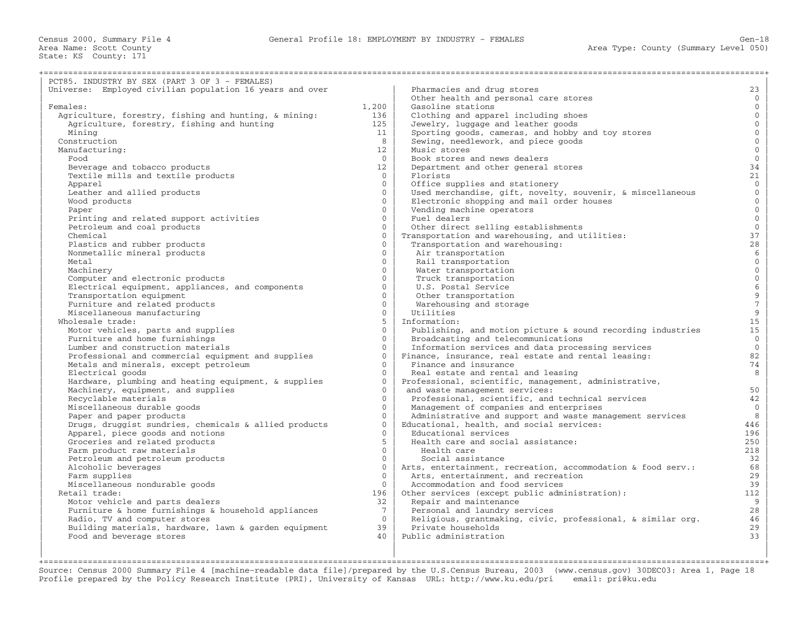| PCT85. INDUSTRY BY SEX (PART 3 OF 3 - FEMALES)                         |                      |                                                                              |                                            |
|------------------------------------------------------------------------|----------------------|------------------------------------------------------------------------------|--------------------------------------------|
| Universe: Employed civilian population 16 years and over               |                      | Pharmacies and drug stores                                                   | 23                                         |
|                                                                        |                      | Other health and personal care stores                                        | $\mathbf{0}$                               |
| Females:                                                               | 1,200                | Gasoline stations                                                            | $\overline{0}$                             |
| Agriculture, forestry, fishing and hunting, & mining:                  | 136                  | Clothing and apparel including shoes                                         | $\mathbf 0$                                |
| Agriculture, forestry, fishing and hunting                             | 125                  | Jewelry, luggage and leather goods                                           | $\mathbf{0}$                               |
| Minina                                                                 | 11                   | Sporting goods, cameras, and hobby and toy stores                            | $\mathbf{0}$                               |
| Construction                                                           | 8                    | Sewing, needlework, and piece goods                                          | $\mathbf 0$                                |
| Manufacturing:                                                         | 12 <sub>1</sub>      | Music stores                                                                 | $\mathbf{0}$                               |
| Food                                                                   | $\Omega$             | Book stores and news dealers                                                 | $\mathbf{0}$                               |
| Beverage and tobacco products                                          | 12                   | Department and other general stores                                          | 34                                         |
| Textile mills and textile products                                     | $\overline{0}$       | Florists                                                                     | 21                                         |
| Apparel                                                                | $\Omega$             | Office supplies and stationery                                               | $\overline{0}$                             |
| Leather and allied products                                            | $\Omega$             | Used merchandise, gift, novelty, souvenir, & miscellaneous                   | $\mathbf{0}$                               |
| Wood products                                                          | $\Omega$             | Electronic shopping and mail order houses                                    | $\mathbf{0}$                               |
| Paper                                                                  | $\Omega$             | Vending machine operators                                                    | $\overline{0}$                             |
|                                                                        | $\Omega$             | Fuel dealers                                                                 | $\mathbb O$                                |
| Printing and related support activities<br>Petroleum and coal products | $\Omega$             | Other direct selling establishments                                          | $\mathsf{O}\xspace$                        |
| Chemical                                                               | $\Omega$             | Transportation and warehousing, and utilities:                               | 37                                         |
|                                                                        | $\Omega$             | Transportation and warehousing:                                              | $2\,8$                                     |
| Plastics and rubber products<br>Nonmetallic mineral products           | $\Omega$             | Air transportation                                                           | $\sqrt{6}$                                 |
| Metal                                                                  | $\Omega$             | Rail transportation                                                          | $\mathbf{0}$                               |
| Machinery                                                              | $\Omega$             | Water transportation                                                         | $\mathbf{0}$                               |
|                                                                        | $\Omega$             | Truck transportation                                                         | $\overline{0}$                             |
| Computer and electronic products                                       | $\Omega$             |                                                                              |                                            |
| Electrical equipment, appliances, and components                       | $\Omega$             | U.S. Postal Service                                                          | $\begin{array}{c} 6 \\ 9 \\ 7 \end{array}$ |
| Transportation equipment                                               | $\Omega$             | Other transportation                                                         |                                            |
| Furniture and related products                                         | $\Omega$             | Warehousing and storage                                                      |                                            |
| Miscellaneous manufacturing<br>Wholesale trade:                        | 5                    | Utilities<br>Information:                                                    | $\mathsf 9$<br>15                          |
|                                                                        | $\Omega$             |                                                                              | 15                                         |
| Motor vehicles, parts and supplies<br>Furniture and home furnishings   | $\Omega$             | Publishing, and motion picture & sound recording industries                  | $\mathbf{0}$                               |
|                                                                        | $\Omega$             | Broadcasting and telecommunications                                          | $\mathbf{0}$                               |
| Lumber and construction materials                                      | $\Omega$             | Information services and data processing services                            | 82                                         |
| Professional and commercial equipment and supplies                     | $\Omega$             | Finance, insurance, real estate and rental leasing:<br>Finance and insurance | 74                                         |
| Metals and minerals, except petroleum                                  | $\Omega$             |                                                                              |                                            |
| Electrical goods                                                       | $\Omega$             | Real estate and rental and leasing                                           | 8                                          |
| Hardware, plumbing and heating equipment, & supplies                   | $\Omega$             | Professional, scientific, management, administrative,                        |                                            |
| Machinery, equipment, and supplies                                     | $\Omega$             | and waste management services:                                               | 50                                         |
| Recyclable materials                                                   | $\Omega$             | Professional, scientific, and technical services                             | 42<br>$\mathbf{0}$                         |
| Miscellaneous durable goods                                            |                      | Management of companies and enterprises                                      |                                            |
| Paper and paper products                                               | $\Omega$<br>$\Omega$ | Administrative and support and waste management services                     | 8                                          |
| Drugs, druggist sundries, chemicals & allied products                  | $\Omega$             | Educational, health, and social services:                                    | 446                                        |
| Apparel, piece goods and notions                                       |                      | Educational services                                                         | 196                                        |
| Groceries and related products                                         | 5<br>$\Omega$        | Health care and social assistance:                                           | 250                                        |
| Farm product raw materials                                             |                      | Health care                                                                  | 218                                        |
| Petroleum and petroleum products                                       | $\Omega$             | Social assistance                                                            | 32                                         |
| Alcoholic beverages                                                    | $\mathbf{0}$         | Arts, entertainment, recreation, accommodation & food serv.:                 | 68                                         |
| Farm supplies                                                          | $\Omega$             | Arts, entertainment, and recreation                                          | 29                                         |
| Miscellaneous nondurable goods                                         | $\Omega$             | Accommodation and food services                                              | 39                                         |
| Retail trade:                                                          | 196                  | Other services (except public administration):                               | 112                                        |
| Motor vehicle and parts dealers                                        | 32                   | Repair and maintenance                                                       | 9                                          |
| Furniture & home furnishings & household appliances                    | $7^{\circ}$          | Personal and laundry services                                                | 28                                         |
| Radio, TV and computer stores                                          | $\Omega$             | Religious, grantmaking, civic, professional, & similar org.                  | 46                                         |
| Building materials, hardware, lawn & garden equipment                  | 39<br>40             | Private households                                                           | 29<br>33                                   |
| Food and beverage stores                                               |                      | Public administration                                                        |                                            |
|                                                                        |                      |                                                                              |                                            |

| | | +===================================================================================================================================================+ Source: Census 2000 Summary File 4 [machine−readable data file]/prepared by the U.S.Census Bureau, 2003 (www.census.gov) 30DEC03: Area 1, Page 18 Profile prepared by the Policy Research Institute (PRI), University of Kansas URL: http://www.ku.edu/pri email: pri@ku.edu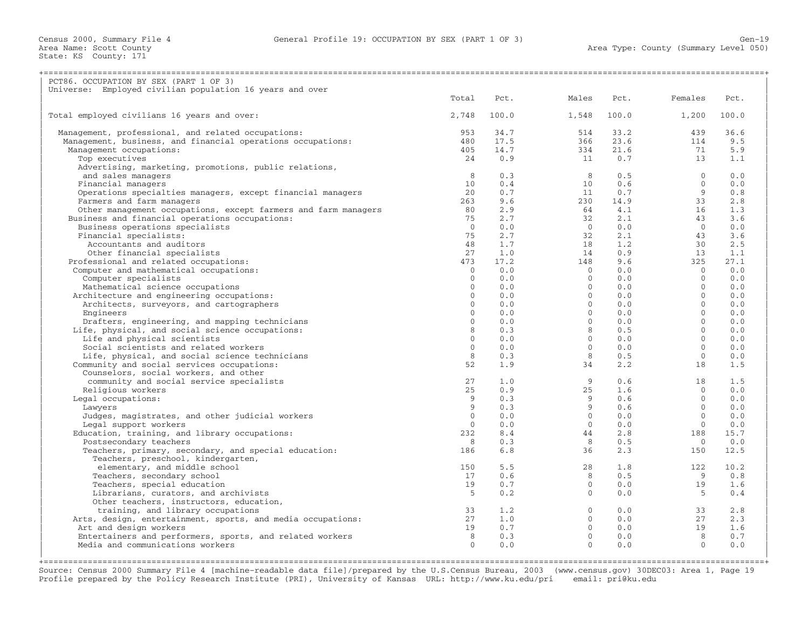Census 2000, Summary File 4 General Profile 19: OCCUPATION BY SEX (PART 1 OF 3) Gen−19

Area Name: Scott County<br>State: KS County: 171

| PCT86. OCCUPATION BY SEX (PART 1 OF 3)                                   |                |                                    |                                                                                                                                                |                                                                      |                                             |            |
|--------------------------------------------------------------------------|----------------|------------------------------------|------------------------------------------------------------------------------------------------------------------------------------------------|----------------------------------------------------------------------|---------------------------------------------|------------|
| Universe: Employed civilian population 16 years and over                 |                |                                    |                                                                                                                                                |                                                                      |                                             |            |
|                                                                          | Total          | Pct.                               | Males                                                                                                                                          | Pct.                                                                 | Females                                     | Pct.       |
| Total employed civilians 16 years and over:                              | 2,748          | 100.0                              | 1,548                                                                                                                                          | 100.0                                                                | 1,200                                       | 100.0      |
| Management, professional, and related occupations:                       | 953            | 34.7                               | 514                                                                                                                                            | 33.2                                                                 | 439                                         | 36.6       |
| Management, business, and financial operations occupations:              | 480            | 17.5                               | 366                                                                                                                                            | 23.6                                                                 | 114                                         | 9.5        |
| Management occupations:                                                  | 405            | 14.7                               | 334                                                                                                                                            | 21.6                                                                 | 71                                          | 5.9        |
| Top executives                                                           | 24             | 0.9                                | 11                                                                                                                                             | 0.7                                                                  | 13                                          | 1.1        |
| Advertising, marketing, promotions, public relations,                    |                |                                    |                                                                                                                                                |                                                                      |                                             |            |
| and sales managers                                                       | 8 <sup>8</sup> | 0.3                                | 8 <sup>1</sup>                                                                                                                                 | 0.5                                                                  | $\bigcap$                                   | 0.0        |
| Financial managers                                                       | 10             | 0.4                                |                                                                                                                                                |                                                                      | $\bigcirc$                                  | 0.0        |
| Operations specialties managers, except financial managers               | 20             | 0.7                                |                                                                                                                                                |                                                                      | $\frac{9}{33}$                              | 0.8        |
| Farmers and farm managers                                                | 263            | 9.6                                |                                                                                                                                                |                                                                      |                                             | 2.8        |
| Other management occupations, except farmers and farm managers           | 80             | 2.9                                |                                                                                                                                                |                                                                      | 16                                          | 1.3        |
| Business and financial operations occupations:                           | 75             | 2.7                                | $\begin{array}{cccc} 10 & 0.6 \\ 11 & 0.7 \\ 230 & 14.9 \\ 64 & 4.1 \\ 32 & 2.1 \\ 0 & 0.0 \\ 32 & 2.1 \\ 18 & 1.2 \\ 14 & 0.9 \\ \end{array}$ |                                                                      | 43                                          | 3.6        |
| Business operations specialists                                          | $\bigcirc$     | 0.0                                |                                                                                                                                                |                                                                      | $\overline{0}$                              | 0.0        |
| Financial specialists:                                                   | 75             | 2.7                                |                                                                                                                                                |                                                                      | 43                                          | 3.6        |
| Accountants and auditors                                                 | 48             | 1.7                                |                                                                                                                                                |                                                                      | 30                                          | 2.5        |
| Other financial specialists                                              | 27             | 1.0                                |                                                                                                                                                |                                                                      | 13                                          | 1.1        |
| Professional and related occupations:                                    | 473            |                                    | 148                                                                                                                                            |                                                                      | 325                                         | 27.1       |
| Computer and mathematical occupations:                                   | $\overline{0}$ | $17.2$<br>0.0<br>0.0<br>0.0<br>0.0 | $\begin{bmatrix} 0 \\ 0 \\ 0 \\ 0 \\ 0 \end{bmatrix}$                                                                                          |                                                                      | $\overline{0}$                              | 0.0        |
| Computer specialists                                                     | $\overline{0}$ |                                    |                                                                                                                                                |                                                                      | $\overline{0}$                              | 0.0        |
| Mathematical science occupations                                         | $\Omega$       |                                    |                                                                                                                                                |                                                                      | $\overline{0}$                              | 0.0        |
| Architecture and engineering occupations:                                | $\overline{0}$ |                                    |                                                                                                                                                |                                                                      | $\overline{0}$                              | 0.0        |
| Architects, surveyors, and cartographers                                 | $\overline{0}$ | 0.0                                |                                                                                                                                                |                                                                      | $\Omega$                                    | 0.0        |
| Engineers                                                                | $\Omega$       | 0.0                                |                                                                                                                                                | $9.6$<br>$0.0$<br>$0.0$<br>$0.0$<br>$0.0$<br>$0.0$<br>$0.0$<br>$0.0$ | $\Omega$                                    | 0.0        |
| Drafters, engineering, and mapping technicians                           | $\Omega$       | 0.0                                |                                                                                                                                                | 0.0                                                                  | $\bigcirc$                                  | 0.0        |
| Life, physical, and social science occupations:                          | 8              | 0.3                                |                                                                                                                                                | $0.5$<br>$0.0$                                                       | $\bigcirc$                                  | 0.0        |
| Life and physical scientists                                             | $\Omega$       | 0.0                                |                                                                                                                                                |                                                                      | $\Omega$                                    | 0.0        |
| Social scientists and related workers                                    | $\circ$        | 0.0                                |                                                                                                                                                | 0.0                                                                  | $\bigcirc$                                  | 0.0        |
| Life, physical, and social science technicians                           | 8              | 0.3                                | 8 <sup>1</sup>                                                                                                                                 | 0.5                                                                  | $\overline{0}$                              | 0.0        |
| Community and social services occupations:                               | 52             | 1.9                                | 34                                                                                                                                             | 2.2                                                                  | 18                                          | 1.5        |
| Counselors, social workers, and other                                    |                |                                    |                                                                                                                                                |                                                                      |                                             |            |
| community and social service specialists                                 | 27             | 1.0                                |                                                                                                                                                | 0.6                                                                  | $\sim$ 18                                   | 1.5        |
| Religious workers                                                        | 25<br>9        | $0.3$<br>0.3<br>0.3                |                                                                                                                                                | 1.6                                                                  | $\overline{0}$                              | 0.0        |
| Legal occupations:                                                       | 9              |                                    |                                                                                                                                                | 0.6<br>0.6                                                           | $\overline{0}$<br>$\overline{0}$            | 0.0<br>0.0 |
| Lawyers                                                                  | $\Omega$       |                                    |                                                                                                                                                | 0.0                                                                  | $\overline{0}$                              | 0.0        |
| Judges, magistrates, and other judicial workers<br>Legal support workers | $\Omega$       |                                    |                                                                                                                                                | 0.0                                                                  | $\bigcirc$                                  | 0.0        |
| Education, training, and library occupations:                            | 232            | 8.4                                |                                                                                                                                                | 2.8                                                                  | 188                                         | 15.7       |
| Postsecondary teachers                                                   | 8              | 0.3                                | $\begin{array}{c} 9 \\ 25 \\ 9 \\ 9 \\ 0 \\ 0 \\ 4 \\ 4 \\ \hline 8 \end{array}$<br>8 <sup>1</sup>                                             | 0.5                                                                  | $\overline{0}$                              | 0.0        |
| Teachers, primary, secondary, and special education:                     | 186            | 6.8                                | $\begin{array}{c} 8 \\ 36 \end{array}$                                                                                                         |                                                                      | 2.3<br>150                                  | 12.5       |
| Teachers, preschool, kindergarten,                                       |                |                                    |                                                                                                                                                |                                                                      |                                             |            |
| elementary, and middle school                                            | 150            | 5.5                                | 28                                                                                                                                             | 1.8                                                                  | 122                                         | 10.2       |
| Teachers, secondary school                                               | 17             | 0.6                                |                                                                                                                                                | 0.5                                                                  | $\overline{9}$                              | 0.8        |
| Teachers, special education                                              | 19             | 0.7                                | $\begin{matrix} 8 \\ 0 \end{matrix}$                                                                                                           | 0.0                                                                  | 19                                          | 1.6        |
| Librarians, curators, and archivists                                     | $5^{\circ}$    | 0.2                                | $\overline{0}$                                                                                                                                 | 0.0                                                                  | $5^{\circ}$                                 | 0.4        |
| Other teachers, instructors, education,                                  |                |                                    |                                                                                                                                                |                                                                      |                                             |            |
| training, and library occupations                                        | 33             | 1.2                                |                                                                                                                                                |                                                                      | $0.0$ 33                                    | 2.8        |
| Arts, design, entertainment, sports, and media occupations:              | 27             | 1.0                                |                                                                                                                                                | 0.0                                                                  | 27                                          | 2.3        |
| Art and design workers                                                   | 19             | 0.7                                |                                                                                                                                                |                                                                      | 19                                          | 1.6        |
| Entertainers and performers, sports, and related workers                 | 8 <sup>1</sup> | 0.3                                |                                                                                                                                                | $0.0$<br>0.0                                                         |                                             | 0.7        |
| Media and communications workers                                         | $\Omega$       | 0.0                                | $\begin{array}{c} 0 \\ 0 \\ 0 \\ 0 \\ 0 \end{array}$                                                                                           | 0.0                                                                  | $\begin{bmatrix} 8 \\ 8 \\ 0 \end{bmatrix}$ | 0.0        |
|                                                                          |                |                                    |                                                                                                                                                |                                                                      |                                             |            |
|                                                                          |                |                                    |                                                                                                                                                |                                                                      |                                             |            |

Source: Census 2000 Summary File 4 [machine−readable data file]/prepared by the U.S.Census Bureau, 2003 (www.census.gov) 30DEC03: Area 1, Page 19 Profile prepared by the Policy Research Institute (PRI), University of Kansas URL: http://www.ku.edu/pri email: pri@ku.edu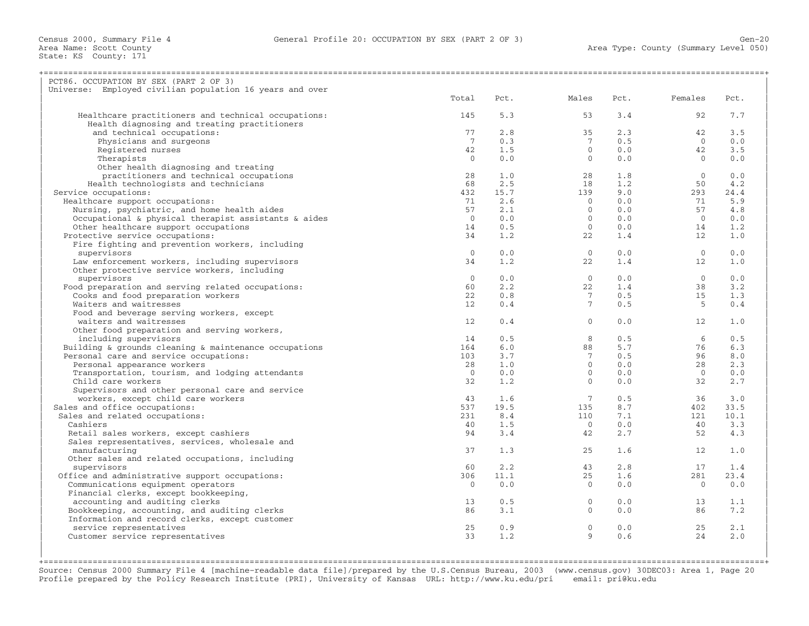| PCT86. OCCUPATION BY SEX (PART 2 OF 3)                   |                 |      |                 |      |                |      |
|----------------------------------------------------------|-----------------|------|-----------------|------|----------------|------|
| Universe: Employed civilian population 16 years and over |                 |      |                 |      |                |      |
|                                                          | Total           | Pct. | Males           | Pct. | Females        | Pct. |
| Healthcare practitioners and technical occupations:      | 145             | 5.3  | 53              | 3.4  | 92             | 7.7  |
| Health diagnosing and treating practitioners             |                 |      |                 |      |                |      |
| and technical occupations:                               | 77              | 2.8  | 35              | 2.3  | 42             | 3.5  |
| Physicians and surgeons                                  | $7\phantom{.0}$ | 0.3  | $7\phantom{.0}$ | 0.5  | $\Omega$       | 0.0  |
| Registered nurses                                        | 42              | 1.5  | $\mathbf{0}$    | 0.0  | 42             | 3.5  |
| Therapists                                               | $\Omega$        | 0.0  | $\Omega$        | 0.0  | $\Omega$       | 0.0  |
| Other health diagnosing and treating                     |                 |      |                 |      |                |      |
| practitioners and technical occupations                  | 28              | 1.0  | 28              | 1.8  | $\Omega$       | 0.0  |
| Health technologists and technicians                     | 68              | 2.5  | 18              | 1.2  | 50             | 4.2  |
| Service occupations:                                     | 432             | 15.7 | 139             | 9.0  | 293            | 24.4 |
| Healthcare support occupations:                          | 71              | 2.6  | $\circ$         | 0.0  | 71             | 5.9  |
| Nursing, psychiatric, and home health aides              | 57              | 2.1  | $\overline{0}$  | 0.0  | 57             | 4.8  |
| Occupational & physical therapist assistants & aides     | $\Omega$        | 0.0  | $\Omega$        | 0.0  | $\overline{0}$ | 0.0  |
| Other healthcare support occupations                     | 14              | 0.5  | $\circ$         | 0.0  | 14             | 1.2  |
|                                                          | 34              |      |                 | 1.4  | 12             |      |
| Protective service occupations:                          |                 | 1.2  | 22              |      |                | 1.0  |
| Fire fighting and prevention workers, including          |                 |      |                 |      |                |      |
| supervisors                                              | $\mathbf{0}$    | 0.0  | $\circ$         | 0.0  | $\overline{0}$ | 0.0  |
| Law enforcement workers, including supervisors           | 34              | 1.2  | 22              | 1.4  | 12             | 1.0  |
| Other protective service workers, including              |                 |      |                 |      |                |      |
| supervisors                                              | $\overline{0}$  | 0.0  | $\overline{0}$  | 0.0  | $\overline{0}$ | 0.0  |
| Food preparation and serving related occupations:        | 60              | 2.2  | 22              | 1.4  | 38             | 3.2  |
| Cooks and food preparation workers                       | 22              | 0.8  | $7^{\circ}$     | 0.5  | 15             | 1.3  |
| Waiters and waitresses                                   | 12              | 0.4  | $7^{\circ}$     | 0.5  | - 5            | 0.4  |
| Food and beverage serving workers, except                |                 |      |                 |      |                |      |
| waiters and waitresses                                   | 12              | 0.4  | $\mathbf{0}$    | 0.0  | 12             | 1.0  |
| Other food preparation and serving workers,              |                 |      |                 |      |                |      |
| including supervisors                                    | 14              | 0.5  | 8               | 0.5  | 6              | 0.5  |
| Building & grounds cleaning & maintenance occupations    | 164             | 6.0  | 88              | 5.7  | 76             | 6.3  |
| Personal care and service occupations:                   | 103             | 3.7  | $7\overline{ }$ | 0.5  | 96             | 8.0  |
| Personal appearance workers                              | 28              | 1.0  | $\circ$         | 0.0  | 28             | 2.3  |
| Transportation, tourism, and lodging attendants          | $\Omega$        | 0.0  | $\Omega$        | 0.0  | $\overline{0}$ | 0.0  |
| Child care workers                                       | 32              | 1.2  | $\Omega$        | 0.0  | 32             | 2.7  |
| Supervisors and other personal care and service          |                 |      |                 |      |                |      |
| workers, except child care workers                       | 43              | 1.6  | $7\phantom{.0}$ | 0.5  | 36             | 3.0  |
| Sales and office occupations:                            | 537             | 19.5 | 135             | 8.7  | 402            | 33.5 |
| Sales and related occupations:                           | 231             | 8.4  | 110             | 7.1  | 121            | 10.1 |
| Cashiers                                                 | 40              | 1.5  | $\mathbf 0$     | 0.0  | 40             | 3.3  |
|                                                          |                 |      | 42              | 2.7  | 52             |      |
| Retail sales workers, except cashiers                    | 94              | 3.4  |                 |      |                | 4.3  |
| Sales representatives, services, wholesale and           |                 |      |                 |      |                |      |
| manufacturing                                            | 37              | 1.3  | 25              | 1.6  | 12             | 1.0  |
| Other sales and related occupations, including           |                 |      |                 |      |                |      |
| supervisors                                              | 60              | 2.2  | 43              | 2.8  | 17             | 1.4  |
| Office and administrative support occupations:           | 306             | 11.1 | 25              | 1.6  | 281            | 23.4 |
| Communications equipment operators                       | $\Omega$        | 0.0  | $\Omega$        | 0.0  | $\Omega$       | 0.0  |
| Financial clerks, except bookkeeping,                    |                 |      |                 |      |                |      |
| accounting and auditing clerks                           | 13              | 0.5  | $\mathbf 0$     | 0.0  | 13             | 1.1  |
| Bookkeeping, accounting, and auditing clerks             | 86              | 3.1  | $\Omega$        | 0.0  | 86             | 7.2  |
| Information and record clerks, except customer           |                 |      |                 |      |                |      |
| service representatives                                  | 25              | 0.9  | $\mathbf 0$     | 0.0  | 25             | 2.1  |
| Customer service representatives                         | 33              | 1.2  | $\mathsf{Q}$    | 0.6  | 24             | 2.0  |
|                                                          |                 |      |                 |      |                |      |
|                                                          |                 |      |                 |      |                |      |

+===================================================================================================================================================+ Source: Census 2000 Summary File 4 [machine−readable data file]/prepared by the U.S.Census Bureau, 2003 (www.census.gov) 30DEC03: Area 1, Page 20 Profile prepared by the Policy Research Institute (PRI), University of Kansas URL: http://www.ku.edu/pri email: pri@ku.edu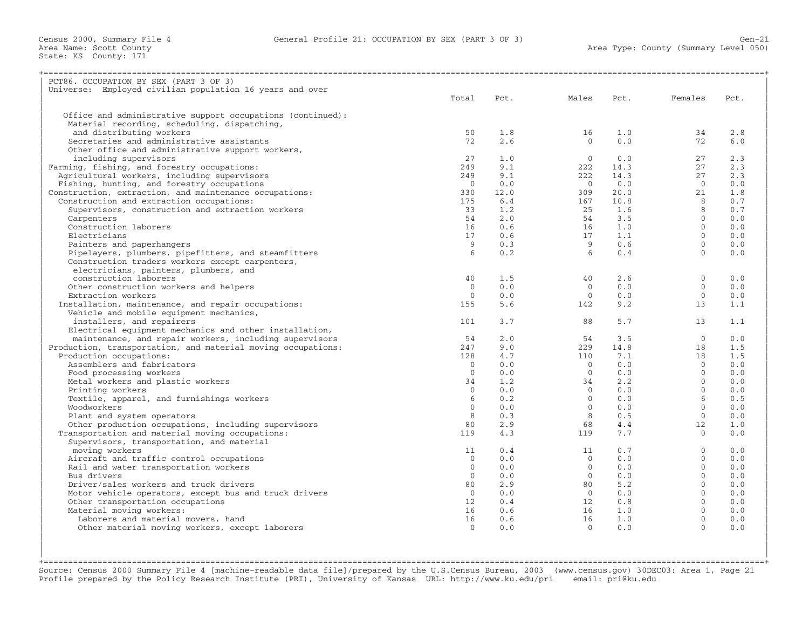| PCT86. OCCUPATION BY SEX (PART 3 OF 3)                       |                          |            |                            |      |                      |            |
|--------------------------------------------------------------|--------------------------|------------|----------------------------|------|----------------------|------------|
| Universe: Employed civilian population 16 years and over     |                          |            |                            |      |                      |            |
|                                                              | Total                    | Pct.       | Males                      | Pct. | Females              | Pct.       |
|                                                              |                          |            |                            |      |                      |            |
| Office and administrative support occupations (continued):   |                          |            |                            |      |                      |            |
| Material recording, scheduling, dispatching,                 |                          |            |                            |      |                      |            |
| and distributing workers                                     | 50                       | 1.8        | 16                         | 1.0  | 34                   | 2.8        |
| Secretaries and administrative assistants                    | 72                       | 2.6        | $\Omega$                   | 0.0  | 72                   | 6.0        |
| Other office and administrative support workers,             |                          |            |                            |      |                      |            |
| including supervisors                                        | 27                       | 1.0        | $\Omega$                   | 0.0  | 27                   | 2.3        |
| Farming, fishing, and forestry occupations:                  | 249                      | 9.1        | 222                        | 14.3 | 27                   | 2.3        |
| Agricultural workers, including supervisors                  | 249                      | 9.1        | 222                        | 14.3 | 27                   | 2.3        |
| Fishing, hunting, and forestry occupations                   | $\bigcirc$               | 0.0        | $\bigcirc$                 | 0.0  | $\bigcirc$           | 0.0        |
| Construction, extraction, and maintenance occupations:       | 330                      | 12.0       | 309                        | 20.0 | 21                   | 1.8        |
| Construction and extraction occupations:                     | 175                      | 6.4        | 167                        | 10.8 | 8                    | 0.7        |
| Supervisors, construction and extraction workers             | 33                       | 1.2        | 25                         | 1.6  | 8                    | 0.7        |
| Carpenters                                                   | 54                       | 2.0        | 54                         | 3.5  | $\Omega$             | 0.0        |
| Construction laborers                                        | 16                       | 0.6        | 16                         | 1.0  | $\Omega$             | 0.0        |
| Electricians                                                 | 17                       | 0.6        | 17                         | 1.1  | $\Omega$             | 0.0        |
| Painters and paperhangers                                    | 9                        | 0.3        | 9                          | 0.6  | $\mathbf{0}$         | 0.0        |
| Pipelayers, plumbers, pipefitters, and steamfitters          | $6^{\circ}$              | 0.2        | $6^{\circ}$                | 0.4  | $\Omega$             | 0.0        |
| Construction traders workers except carpenters,              |                          |            |                            |      |                      |            |
| electricians, painters, plumbers, and                        |                          |            |                            |      |                      |            |
| construction laborers                                        | 40                       | 1.5        | 40                         | 2.6  | $\mathbf{0}$         | 0.0        |
| Other construction workers and helpers                       | $\mathbf{0}$             | 0.0        | $\overline{0}$             | 0.0  | $\Omega$             | 0.0        |
| Extraction workers                                           | $\mathbf{0}$             | 0.0        | $\mathbf{0}$               | 0.0  | $\Omega$             | 0.0        |
| Installation, maintenance, and repair occupations:           | 155                      | 5.6        | 142                        | 9.2  | 13                   | 1.1        |
| Vehicle and mobile equipment mechanics,                      |                          |            |                            |      |                      |            |
| installers, and repairers                                    | 101                      | 3.7        | 88                         | 5.7  | 13                   | 1.1        |
| Electrical equipment mechanics and other installation,       |                          |            |                            |      |                      |            |
| maintenance, and repair workers, including supervisors       | 54                       | 2.0        | 54                         | 3.5  | $\Omega$             | 0.0        |
| Production, transportation, and material moving occupations: | 247                      | 9.0        | 229                        | 14.8 | 18                   | 1.5        |
| Production occupations:                                      | 128                      | 4.7        | 110                        | 7.1  | 18                   | 1.5        |
| Assemblers and fabricators                                   | $\Omega$                 | 0.0        | $\Omega$                   | 0.0  | $\Omega$             | 0.0        |
| Food processing workers                                      | $\mathbf{0}$             | 0.0        | $\circ$                    | 0.0  | $\Omega$             | 0.0        |
| Metal workers and plastic workers                            | 34                       | 1.2        | 34                         | 2.2  | $\Omega$             | 0.0        |
| Printing workers                                             | $\Omega$                 | 0.0        | $\Omega$                   | 0.0  | $\Omega$             | 0.0        |
| Textile, apparel, and furnishings workers                    | 6                        | 0.2        | $\Omega$                   | 0.0  | 6                    | 0.5        |
| Woodworkers                                                  | $\Omega$                 | 0.0        | $\Omega$                   | 0.0  | $\Omega$             | 0.0        |
|                                                              | 8                        | 0.3        | 8                          | 0.5  | $\Omega$             | 0.0        |
| Plant and system operators                                   | 80                       | 2.9        | 68                         | 4.4  | 12                   | 1.0        |
| Other production occupations, including supervisors          |                          |            |                            |      | $\Omega$             |            |
| Transportation and material moving occupations:              | 119                      | 4.3        | 119                        | 7.7  |                      | 0.0        |
| Supervisors, transportation, and material                    | 11                       | 0.4        | 11                         | 0.7  | $\mathbf{0}$         | 0.0        |
| moving workers                                               |                          |            |                            |      | $\Omega$             |            |
| Aircraft and traffic control occupations                     | $\mathbf{0}$<br>$\Omega$ | 0.0        | $\overline{0}$<br>$\Omega$ | 0.0  | $\Omega$             | 0.0        |
| Rail and water transportation workers                        |                          | 0.0        |                            | 0.0  |                      | 0.0        |
| Bus drivers                                                  | $\Omega$                 | 0.0<br>2.9 | $\Omega$                   | 0.0  | $\Omega$<br>$\Omega$ | 0.0<br>0.0 |
| Driver/sales workers and truck drivers                       | 80<br>$\Omega$           |            | 80                         | 5.2  | $\Omega$             |            |
| Motor vehicle operators, except bus and truck drivers        |                          | 0.0        | $\overline{0}$             | 0.0  | $\Omega$             | 0.0        |
| Other transportation occupations                             | 12                       | 0.4        | 12                         | 0.8  |                      | 0.0        |
| Material moving workers:                                     | 16                       | 0.6        | 16                         | 1.0  | $\Omega$             | 0.0        |
| Laborers and material movers, hand                           | 16                       | 0.6        | 16                         | 1.0  | $\mathbf{0}$         | 0.0        |
| Other material moving workers, except laborers               | $\Omega$                 | 0.0        | $\Omega$                   | 0.0  | $\Omega$             | 0.0        |
|                                                              |                          |            |                            |      |                      |            |
|                                                              |                          |            |                            |      |                      |            |

+===================================================================================================================================================+Source: Census 2000 Summary File 4 [machine−readable data file]/prepared by the U.S.Census Bureau, 2003 (www.census.gov) 30DEC03: Area 1, Page 21 Profile prepared by the Policy Research Institute (PRI), University of Kansas URL: http://www.ku.edu/pri email: pri@ku.edu

| |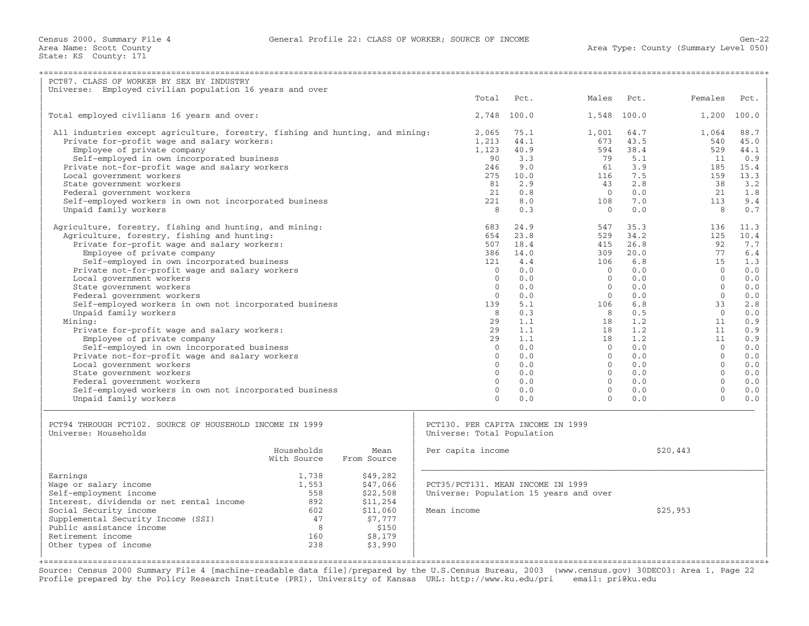| PCT87. CLASS OF WORKER BY SEX BY INDUSTRY                                     |             |             |                                        |             |                |       |          |       |
|-------------------------------------------------------------------------------|-------------|-------------|----------------------------------------|-------------|----------------|-------|----------|-------|
| Universe: Employed civilian population 16 years and over                      |             |             |                                        |             |                |       |          |       |
|                                                                               |             |             | Total                                  | Pct.        | Males          | Pct.  | Females  | Pct.  |
|                                                                               |             |             |                                        |             |                |       |          |       |
| Total employed civilians 16 years and over:                                   |             |             |                                        | 2,748 100.0 | 1,548          | 100.0 | 1,200    | 100.0 |
| All industries except agriculture, forestry, fishing and hunting, and mining: |             |             | 2,065                                  | 75.1        | 1,001          | 64.7  | 1,064    | 88.7  |
| Private for-profit wage and salary workers:                                   |             |             | 1,213                                  | 44.1        | 673            | 43.5  | 540      | 45.0  |
| Employee of private company                                                   |             |             | 1,123                                  | 40.9        | 594            | 38.4  | 529      | 44.1  |
| Self-employed in own incorporated business                                    |             |             | 90                                     | 3.3         | 79             | 5.1   | 11       | 0.9   |
| Private not-for-profit wage and salary workers                                |             |             | 246                                    | 9.0         | 61             | 3.9   | 185      | 15.4  |
| Local government workers                                                      |             |             | 275                                    | 10.0        | 116            | 7.5   | 159      | 13.3  |
| State government workers                                                      |             |             | 81                                     | 2.9         | 43             | 2.8   | 38       | 3.2   |
| Federal government workers                                                    |             |             | 2.1                                    | 0.8         | $\bigcap$      | 0.0   | 2.1      | 1.8   |
| Self-employed workers in own not incorporated business                        |             |             | 2.2.1                                  | 8.0         | 108            | 7.0   | 113      | 9.4   |
| Unpaid family workers                                                         |             |             | 8                                      | 0.3         | $\overline{0}$ | 0.0   | 8        | 0.7   |
| Agriculture, forestry, fishing and hunting, and mining:                       |             |             | 683                                    | 24.9        | 547            | 35.3  | 136      | 11.3  |
| Agriculture, forestry, fishing and hunting:                                   |             |             | 654                                    | 23.8        | 529            | 34.2  | 125      | 10.4  |
| Private for-profit wage and salary workers:                                   |             |             | 507                                    | 18.4        | 415            | 26.8  | 92       | 7.7   |
| Employee of private company                                                   |             |             | 386                                    | 14.0        | 309            | 20.0  | 77       | 6.4   |
| Self-employed in own incorporated business                                    |             |             | 121                                    | 4.4         | 106            | 6.8   | 15       | 1.3   |
| Private not-for-profit wage and salary workers                                |             |             | $\Omega$                               | 0.0         | $\circ$        | 0.0   | $\Omega$ | 0.0   |
| Local government workers                                                      |             |             | $\Omega$                               | 0.0         | $\Omega$       | 0.0   | $\Omega$ | 0.0   |
| State government workers                                                      |             |             | $\Omega$                               | 0.0         | $\Omega$       | 0.0   | $\Omega$ | 0.0   |
| Federal government workers                                                    |             |             | $\Omega$                               | 0.0         | $\Omega$       | 0.0   | $\Omega$ | 0.0   |
| Self-employed workers in own not incorporated business                        |             |             | 139                                    | 5.1         | 106            | 6.8   | 33       | 2.8   |
| Unpaid family workers                                                         |             |             | 8                                      | 0.3         | 8              | 0.5   | $\Omega$ | 0.0   |
| Mining:                                                                       |             |             | 29                                     | 1.1         | 18             | 1.2   | 11       | 0.9   |
| Private for-profit wage and salary workers:                                   |             |             | 2.9                                    | 1.1         | 18             | 1.2   | 11       | 0.9   |
| Employee of private company                                                   |             |             | 29                                     | 1.1         | 18             | 1.2   | 11       | 0.9   |
| Self-employed in own incorporated business                                    |             |             | $\Omega$                               | 0.0         | $\Omega$       | 0.0   | $\Omega$ | 0.0   |
| Private not-for-profit wage and salary workers                                |             |             | $\Omega$                               | 0.0         | $\Omega$       | 0.0   | $\Omega$ | 0.0   |
| Local government workers                                                      |             |             | $\Omega$                               | 0.0         | $\Omega$       | 0.0   | $\Omega$ | 0.0   |
| State government workers                                                      |             |             | $\Omega$                               | 0.0         | $\Omega$       | 0.0   | $\Omega$ | 0.0   |
| Federal government workers                                                    |             |             | $\Omega$                               | 0.0         | $\Omega$       | 0.0   | $\Omega$ | 0.0   |
| Self-employed workers in own not incorporated business                        |             |             | $\Omega$                               | 0.0         | $\Omega$       | 0.0   | $\Omega$ | 0.0   |
| Unpaid family workers                                                         |             |             | $\Omega$                               | 0.0         | $\Omega$       | 0.0   | $\Omega$ | 0.0   |
|                                                                               |             |             |                                        |             |                |       |          |       |
| PCT94 THROUGH PCT102. SOURCE OF HOUSEHOLD INCOME IN 1999                      |             |             | PCT130. PER CAPITA INCOME IN 1999      |             |                |       |          |       |
| Universe: Households                                                          |             |             | Universe: Total Population             |             |                |       |          |       |
|                                                                               | Households  | Mean        | Per capita income                      |             |                |       | \$20,443 |       |
|                                                                               | With Source | From Source |                                        |             |                |       |          |       |
| Earnings                                                                      | 1,738       | \$49,282    |                                        |             |                |       |          |       |
| Wage or salary income                                                         | 1,553       | \$47,066    | PCT35/PCT131. MEAN INCOME IN 1999      |             |                |       |          |       |
| Self-employment income                                                        | 558         | \$22,508    | Universe: Population 15 years and over |             |                |       |          |       |
| Interest, dividends or net rental income                                      | 892         | \$11,254    |                                        |             |                |       |          |       |
| Social Security income                                                        | 602         | \$11,060    | Mean income                            |             |                |       | \$25,953 |       |
| Supplemental Security Income (SSI)                                            | 47          | \$7,777     |                                        |             |                |       |          |       |
| Public assistance income                                                      | 8           | \$150       |                                        |             |                |       |          |       |
| Retirement income                                                             | 160         | \$8,179     |                                        |             |                |       |          |       |
| Other types of income                                                         | 238         | \$3,990     |                                        |             |                |       |          |       |
|                                                                               |             |             |                                        |             |                |       |          |       |
|                                                                               |             |             |                                        |             |                |       |          |       |

Source: Census 2000 Summary File 4 [machine−readable data file]/prepared by the U.S.Census Bureau, 2003 (www.census.gov) 30DEC03: Area 1, Page 22 Profile prepared by the Policy Research Institute (PRI), University of Kansas URL: http://www.ku.edu/pri email: pri@ku.edu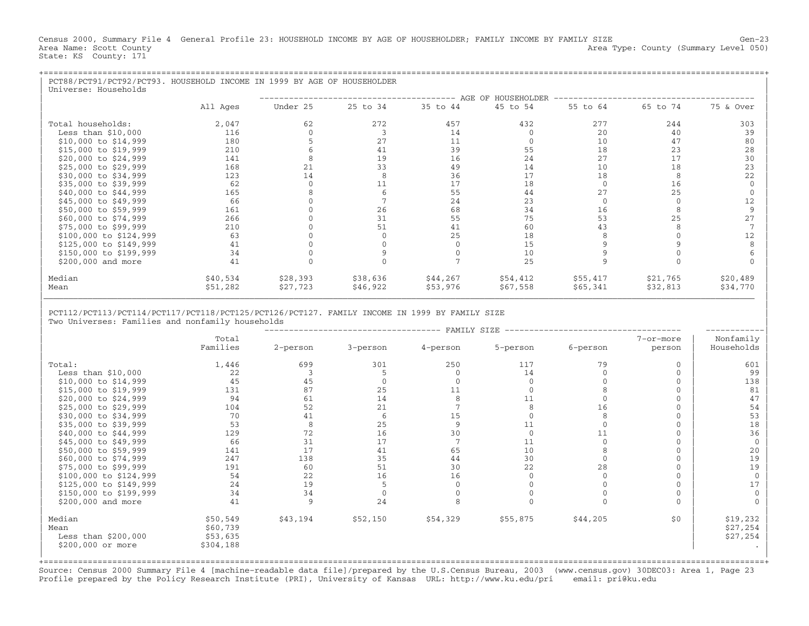Census 2000, Summary File 4 General Profile 23: HOUSEHOLD INCOME BY AGE OF HOUSEHOLDER; FAMILY INCOME BY FAMILY SIZE Gen−23 Area Name: Scott County 1999 and County Area Type: County (Summary Level 050) State: KS County: 171

| PCT88/PCT91/PCT92/PCT93. HOUSEHOLD INCOME IN 1999 BY AGE OF HOUSEHOLDER<br>Universe: Households |          |          |          |          |                    |          |          |           |
|-------------------------------------------------------------------------------------------------|----------|----------|----------|----------|--------------------|----------|----------|-----------|
|                                                                                                 |          |          |          |          | AGE OF HOUSEHOLDER |          |          |           |
|                                                                                                 | All Ages | Under 25 | 25 to 34 | 35 to 44 | 45 to 54           | 55 to 64 | 65 to 74 | 75 & Over |
| Total households:                                                                               | 2,047    | 62       | 272      | 457      | 432                | 277      | 244      | 303       |
| Less than $$10,000$                                                                             | 116      |          |          | 14       |                    | 20       | 40       | 39        |
| \$10,000 to \$14,999                                                                            | 180      |          | 27       | 11       |                    | 10       | 47       | 80        |
| \$15,000 to \$19,999                                                                            | 210      |          | 41       | 39       | 55                 | 18       | 23       | 28        |
| \$20,000 to \$24,999                                                                            | 141      |          | 19       | 16       | 24                 | 27       | 17       | 30        |
| \$25,000 to \$29,999                                                                            | 168      | 21       | 33       | 49       | 14                 | 10       | 18       | 23        |
| \$30,000 to \$34,999                                                                            | 123      | 14       |          | 36       | 17                 | 18       |          | 22        |
| \$35,000 to \$39,999                                                                            | 62       |          | 11       | 17       | 18                 |          | 16       |           |
| \$40,000 to \$44,999                                                                            | 165      |          |          | 55       | 44                 | 27       | 25       |           |
| \$45,000 to \$49,999                                                                            | 66       |          |          | 24       | 23                 |          |          | 12        |
| \$50,000 to \$59,999                                                                            | 161      |          | 26       | 68       | 34                 | 16       |          |           |
| \$60,000 to \$74,999                                                                            | 266      |          | 31       | 55       | 75                 | 53       | 25       | 27        |
| \$75,000 to \$99,999                                                                            | 210      |          | 51       | 41       | 60                 | 43       |          |           |
| \$100,000 to \$124,999                                                                          | 63       |          |          | 25       | 18                 |          |          | 12        |
| \$125,000 to \$149,999                                                                          | 41       |          |          |          | 15                 |          |          |           |
| \$150,000 to \$199,999                                                                          | 34       |          |          |          | 10                 |          |          |           |
| \$200,000 and more                                                                              | 41       |          |          |          | 25                 |          |          |           |
| Median                                                                                          | \$40,534 | \$28,393 | \$38,636 | \$44,267 | \$54,412           | \$55,417 | \$21,765 | \$20,489  |
| Mean                                                                                            | \$51,282 | \$27,723 | \$46,922 | \$53,976 | \$67,558           | \$65,341 | \$32,813 | \$34,770  |

| |

## | PCT112/PCT113/PCT114/PCT117/PCT118/PCT125/PCT126/PCT127. FAMILY INCOME IN 1999 BY FAMILY SIZE | Two Universes: Families and nonfamily households

|                                        |                                  |              |          | FAMILY SIZE |          |          |              |                                  |
|----------------------------------------|----------------------------------|--------------|----------|-------------|----------|----------|--------------|----------------------------------|
|                                        | Total                            |              |          |             |          |          | 7-or-more    | Nonfamily                        |
|                                        | Families                         | 2-person     | 3-person | 4-person    | 5-person | 6-person | person       | Households                       |
| Total:                                 | 1,446                            | 699          | 301      | 250         | 117      | 79       | $\Omega$     | 601                              |
| Less than $$10,000$                    | 22                               |              |          |             | 14       |          | $\Omega$     | 99                               |
| $$10,000$ to $$14,999$                 | 45                               | 45           |          |             |          |          |              | 138                              |
| \$15,000 to \$19,999                   | 131                              | 87           | 25       | 11          |          |          |              | 81                               |
| \$20,000 to \$24,999                   | 94                               | 61           | 14       |             |          |          | $\Omega$     | 47                               |
| \$25,000 to \$29,999                   | 104                              | 52           | 21       |             |          | 16       | $\Omega$     | 54                               |
| \$30,000 to \$34,999                   | 70                               | 41           |          | 15          |          | 8        | $\mathbf{0}$ | 53                               |
| \$35,000 to \$39,999                   | 53                               | 8            | 25       |             | 11       |          | $\Omega$     | 18                               |
| \$40,000 to \$44,999                   | 129                              | 72           | 16       | 30          |          | 11       | $\Omega$     | 36                               |
| \$45,000 to \$49,999                   | 66                               | 31           | 17       |             | 11       | $\Omega$ | $\Omega$     | $\Omega$                         |
| \$50,000 to \$59,999                   | 141                              | 17           | 41       | 65          | 10       |          | $\Omega$     | 20                               |
| \$60,000 to \$74,999                   | 247                              | 138          | 35       | 44          | 30       |          | $\Omega$     | 19                               |
| \$75,000 to \$99,999                   | 191                              | 60           | 51       | 30          | 22       | 28       | $\Omega$     | 19                               |
| \$100,000 to \$124,999                 | 54                               | 22           | 16       | 16          |          |          | $\Omega$     | $\Omega$                         |
| \$125,000 to \$149,999                 | 24                               | 19           |          |             |          |          |              | 17                               |
| \$150,000 to \$199,999                 | 34                               | 34           |          |             |          |          | $\Omega$     |                                  |
| \$200,000 and more                     | 41                               | $\mathsf{Q}$ | 24       |             |          |          | $\Omega$     |                                  |
| Median<br>Mean<br>Less than $$200,000$ | \$50,549<br>\$60,739<br>\$53,635 | \$43,194     | \$52,150 | \$54,329    | \$55,875 | \$44,205 | \$0          | \$19,232<br>\$27,254<br>\$27,254 |
| \$200,000 or more                      | \$304,188                        |              |          |             |          |          |              |                                  |

+===================================================================================================================================================+Source: Census 2000 Summary File 4 [machine−readable data file]/prepared by the U.S.Census Bureau, 2003 (www.census.gov) 30DEC03: Area 1, Page 23 Profile prepared by the Policy Research Institute (PRI), University of Kansas URL: http://www.ku.edu/pri email: pri@ku.edu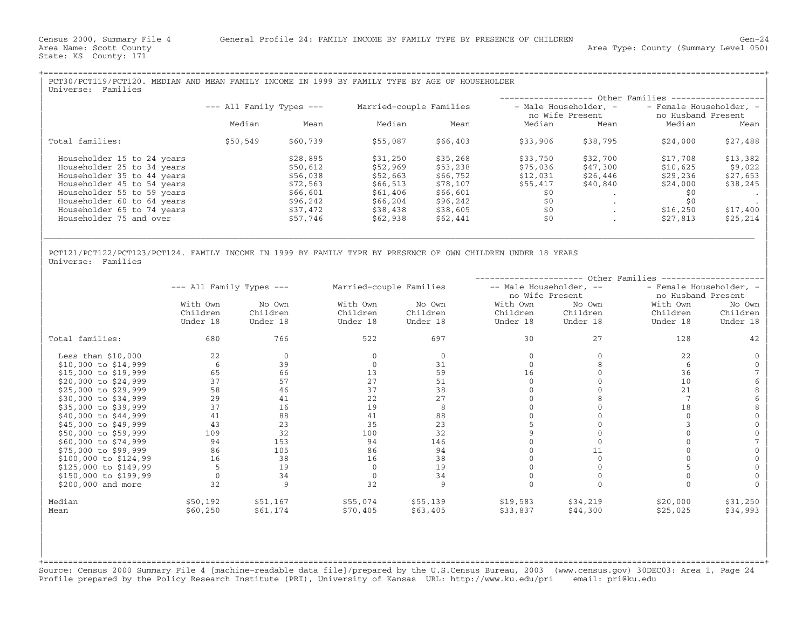State: KS County: 171

| PCT30/PCT119/PCT120. MEDIAN AND MEAN FAMILY INCOME IN 1999 BY FAMILY TYPE BY AGE OF HOUSEHOLDER<br>Families<br>Universe: |                              |          |                         |          |                                          |          |                                               |          |
|--------------------------------------------------------------------------------------------------------------------------|------------------------------|----------|-------------------------|----------|------------------------------------------|----------|-----------------------------------------------|----------|
|                                                                                                                          |                              |          |                         |          |                                          |          | ------------------ Other Families ----------  |          |
|                                                                                                                          | $---$ All Family Types $---$ |          | Married-couple Families |          | - Male Householder, -<br>no Wife Present |          | - Female Householder, -<br>no Husband Present |          |
|                                                                                                                          | Median                       | Mean     | Median                  | Mean     | Median                                   | Mean     | Median                                        | Mean     |
| Total families:                                                                                                          | \$50,549                     | \$60,739 | \$55,087                | \$66,403 | \$33,906                                 | \$38,795 | \$24,000                                      | \$27,488 |
| Householder 15 to 24 years                                                                                               |                              | \$28,895 | \$31,250                | \$35,268 | \$33,750                                 | \$32,700 | \$17,708                                      | \$13,382 |
| Householder 25 to 34 years                                                                                               |                              | \$50,612 | \$52,969                | \$53,238 | \$75,036                                 | \$47,300 | \$10,625                                      | \$9,022  |
| Householder 35 to 44 years                                                                                               |                              | \$56,038 | \$52,663                | \$66,752 | \$12,031                                 | \$26,446 | \$29,236                                      | \$27,653 |
| Householder 45 to 54 years                                                                                               |                              | \$72,563 | \$66,513                | \$78,107 | \$55,417                                 | \$40,840 | \$24,000                                      | \$38,245 |
| Householder 55 to 59 years                                                                                               |                              | \$66,601 | \$61,406                | \$66,601 | \$0                                      |          | SO.                                           |          |
| Householder 60 to 64 years                                                                                               |                              | \$96,242 | \$66,204                | \$96,242 | \$0                                      |          | \$0                                           |          |
| Householder 65 to 74 years                                                                                               |                              | \$37,472 | \$38,438                | \$38,605 | \$0                                      | $\cdot$  | \$16,250                                      | \$17,400 |
| Householder 75 and over                                                                                                  |                              | \$57,746 | \$62,938                | \$62,441 | \$0                                      |          | \$27,813                                      | \$25,214 |
|                                                                                                                          |                              |          |                         |          |                                          |          |                                               |          |

| |

| |

PCT121/PCT122/PCT123/PCT124. FAMILY INCOME IN 1999 BY FAMILY TYPE BY PRESENCE OF OWN CHILDREN UNDER 18 YEARS<br>Universe: Families | Universe: Families | November 1988 | November 1988 | November 1988 | November 1988 | November 1988 | November 19

|                       | Other Families               |          |                         |          |                         |          |                         |          |  |
|-----------------------|------------------------------|----------|-------------------------|----------|-------------------------|----------|-------------------------|----------|--|
|                       | $---$ All Family Types $---$ |          | Married-couple Families |          | -- Male Householder, -- |          | - Female Householder, - |          |  |
|                       |                              |          |                         |          | no Wife Present         |          | no Husband Present      |          |  |
|                       | With Own                     | No Own   | With Own                | No Own   | With Own                | No Own   | With Own                | No Own   |  |
|                       | Children                     | Children | Children                | Children | Children                | Children | Children                | Children |  |
|                       | Under 18                     | Under 18 | Under 18                | Under 18 | Under 18                | Under 18 | Under 18                | Under 18 |  |
| Total families:       | 680                          | 766      | 522                     | 697      | 30                      | 27       | 128                     | 42       |  |
| Less than $$10,000$   | 22                           | $\Omega$ |                         |          |                         |          | 22                      |          |  |
| \$10,000 to \$14,999  | 6                            | 39       |                         | 31       |                         |          | -6                      |          |  |
| \$15,000 to \$19,999  | 65                           | 66       | 13                      | 59       | 16                      |          | 36                      |          |  |
| \$20,000 to \$24,999  | 37                           | 57       | 27                      | 51       |                         |          | 10                      |          |  |
| \$25,000 to \$29,999  | 58                           | 46       | 37                      | 38       |                         |          | 21                      |          |  |
| \$30,000 to \$34,999  | 29                           | 41       | 22                      | 27       |                         |          |                         |          |  |
| \$35,000 to \$39,999  | 37                           | 16       | 19                      |          |                         |          | 18                      |          |  |
| \$40,000 to \$44,999  | 41                           | 88       | 41                      | 88       |                         |          |                         |          |  |
| \$45,000 to \$49,999  | 43                           | 23       | 35                      | 23       |                         |          |                         |          |  |
| \$50,000 to \$59,999  | 109                          | 32       | 100                     | 32       |                         |          |                         |          |  |
| \$60,000 to \$74,999  | 94                           | 153      | 94                      | 146      |                         |          |                         |          |  |
| \$75,000 to \$99,999  | 86                           | 105      | 86                      | 94       |                         |          |                         |          |  |
| \$100,000 to \$124,99 | 16                           | 38       | 16                      | 38       |                         |          |                         |          |  |
| \$125,000 to \$149,99 | 5                            | 19       | $\mathbf{0}$            | 19       |                         |          |                         |          |  |
| \$150,000 to \$199,99 |                              | 34       | $\mathbf{0}$            | 34       |                         |          |                         |          |  |
| \$200,000 and more    | 32                           | 9        | 32                      | 9        |                         |          |                         |          |  |
| Median                | \$50,192                     | \$51,167 | \$55,074                | \$55,139 | \$19,583                | \$34,219 | \$20,000                | \$31,250 |  |
| Mean                  | \$60,250                     | \$61,174 | \$70,405                | \$63,405 | \$33,837                | \$44,300 | \$25,025                | \$34,993 |  |

+===================================================================================================================================================+Source: Census 2000 Summary File 4 [machine−readable data file]/prepared by the U.S.Census Bureau, 2003 (www.census.gov) 30DEC03: Area 1, Page 24 Profile prepared by the Policy Research Institute (PRI), University of Kansas URL: http://www.ku.edu/pri email: pri@ku.edu

| | | | | | | |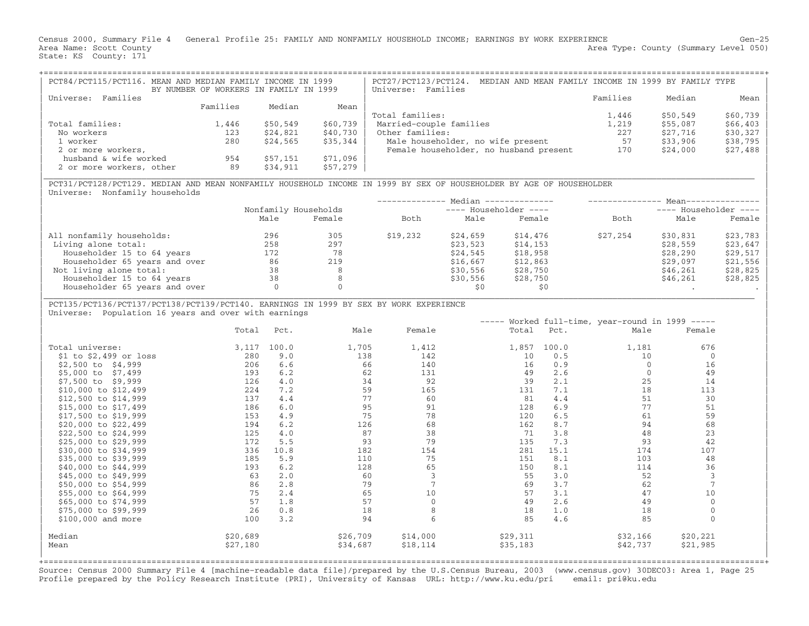Census 2000, Summary File 4 General Profile 25: FAMILY AND NONFAMILY HOUSEHOLD INCOME; EARNINGS BY WORK EXPERIENCE Gen−25 Area Name: Scott County 1999 and the Scott County Area Type: County (Summary Level 050) State: KS County: 171

| PCT84/PCT115/PCT116. MEAN AND MEDIAN FAMILY INCOME IN 1999 |                                        |          |          | PCT27/PCT123/PCT124.<br>MEDIAN AND MEAN FAMILY INCOME IN 1999 BY FAMILY TYPE |          |          |            |
|------------------------------------------------------------|----------------------------------------|----------|----------|------------------------------------------------------------------------------|----------|----------|------------|
|                                                            | BY NUMBER OF WORKERS IN FAMILY IN 1999 |          |          | Universe: Families                                                           |          |          |            |
| Families<br>Universe:                                      |                                        |          |          |                                                                              | Families | Median   | Mean       |
|                                                            | Families                               | Median   | Mean     |                                                                              |          |          |            |
|                                                            |                                        |          |          | Total families:                                                              | 1,446    | \$50,549 | $$60,739$  |
| Total families:                                            | 1,446                                  | \$50,549 | \$60,739 | Married-couple families                                                      | 1,219    | \$55,087 | $$66, 403$ |
| No workers                                                 | 123                                    | \$24,821 | \$40,730 | Other families:                                                              | 227      | \$27,716 | \$30,327   |
| 1 worker                                                   | 280                                    | \$24,565 | \$35,344 | Male householder, no wife present                                            | 57       | \$33,906 | $$38,795$  |
| 2 or more workers,                                         |                                        |          |          | Female householder, no husband present                                       | 170      | \$24,000 | $$27,488$  |
| husband & wife worked                                      | 954                                    | \$57,151 | \$71,096 |                                                                              |          |          |            |
| 2 or more workers, other                                   | 89                                     | \$34,911 | \$57,279 |                                                                              |          |          |            |

|\_\_\_\_\_\_\_\_\_\_\_\_\_\_\_\_\_\_\_\_\_\_\_\_\_\_\_\_\_\_\_\_\_\_\_\_\_\_\_\_\_\_\_\_\_\_\_\_\_\_\_\_\_\_\_\_\_\_\_\_\_\_\_\_\_\_\_\_\_\_\_\_\_\_\_\_\_\_\_\_\_\_\_\_\_\_\_\_\_\_\_\_\_\_\_\_\_\_\_\_\_\_\_\_\_\_\_\_\_\_\_\_\_\_\_\_\_\_\_\_\_\_\_\_\_\_\_\_\_\_\_\_\_\_\_\_\_\_\_\_\_\_\_\_\_ |

| PCT31/PCT128/PCT129. MEDIAN AND MEAN NONFAMILY HOUSEHOLD INCOME IN 1999 BY SEX OF HOUSEHOLDER BY AGE OF HOUSEHOLDER | Universe: Nonfamily households

|      | $Mean--$ |                      |          |          |                                                  |                       |          |  |
|------|----------|----------------------|----------|----------|--------------------------------------------------|-----------------------|----------|--|
|      |          |                      |          |          |                                                  | ---- Householder ---- |          |  |
| Male | Female   | Both                 | Male     | Female   | Both                                             | Male                  | Female   |  |
| 296  | 305      | \$19,232             | \$24,659 | \$14,476 | \$27,254                                         | \$30,831              | \$23,783 |  |
| 258  | 297      |                      | \$23,523 | \$14,153 |                                                  | \$28,559              | \$23,647 |  |
| 172  | 78       |                      | \$24,545 | \$18,958 |                                                  | \$28,290              | \$29,517 |  |
| 86   | 219      |                      | \$16,667 | \$12,863 |                                                  | \$29,097              | \$21,556 |  |
| 38   |          |                      | \$30,556 | \$28,750 |                                                  | \$46,261              | \$28,825 |  |
| 38   |          |                      | \$30,556 | \$28,750 |                                                  | \$46,261              | \$28,825 |  |
|      |          |                      | \$0      | \$0      |                                                  |                       |          |  |
|      |          | Nonfamily Households |          |          | Median --------------<br>$---$ Householder $---$ |                       |          |  |

## | PCT135/PCT136/PCT137/PCT138/PCT139/PCT140. EARNINGS IN 1999 BY SEX BY WORK EXPERIENCE |

Universe: Population 16 years and over with earnings

|                          |          |       |          |          |          |       | ----- Worked full-time, year-round in 1999 ----- |             |  |
|--------------------------|----------|-------|----------|----------|----------|-------|--------------------------------------------------|-------------|--|
|                          | Total    | Pct.  | Male     | Female   | Total    | Pct.  | Male                                             | Female      |  |
| Total universe:          | 3,117    | 100.0 | 1,705    | 1,412    | 1,857    | 100.0 | 1,181                                            | 676         |  |
| $$1$ to $$2,499$ or loss | 280      | 9.0   | 138      | 142      | 10       | 0.5   | 10                                               | 0           |  |
| \$2,500 to \$4,999       | 206      | 6.6   | 66       | 140      | 16       | 0.9   |                                                  | 16          |  |
| \$5,000 to \$7,499       | 193      | 6.2   | 62       | 131      | 49       | 2.6   |                                                  | 49          |  |
| \$7,500 to \$9,999       | 126      | 4.0   | 34       | 92       | 39       | 2.1   | 25                                               | 14          |  |
| \$10,000 to \$12,499     | 224      | 7.2   | 59       | 165      | 131      | 7.1   | 18                                               | 113         |  |
| \$12,500 to \$14,999     | 137      | 4.4   | 77       | 60       | 81       | 4.4   | 51                                               | 30          |  |
| \$15,000 to \$17,499     | 186      | 6.0   | 95       | 91       | 128      | 6.9   | 77                                               | 51          |  |
| \$17,500 to \$19,999     | 153      | 4.9   | 75       | 78       | 120      | 6.5   | 61                                               | 59          |  |
| \$20,000 to \$22,499     | 194      | 6.2   | 126      | 68       | 162      | 8.7   | 94                                               | 68          |  |
| \$22,500 to \$24,999     | 125      | 4.0   | 87       | 38       | 71       | 3.8   | 48                                               | 23          |  |
| \$25,000 to \$29,999     | 172      | 5.5   | 93       | 79       | 135      | 7.3   | 93                                               | 42          |  |
| \$30,000 to \$34,999     | 336      | 10.8  | 182      | 154      | 281      | 15.1  | 174                                              | 107         |  |
| \$35,000 to \$39,999     | 185      | 5.9   | 110      | 75       | 151      | 8.1   | 103                                              | 48          |  |
| \$40,000 to \$44,999     | 193      | 6.2   | 128      | 65       | 150      | 8.1   | 114                                              | 36          |  |
| \$45,000 to \$49,999     | 63       | 2.0   | 60       |          | 55       | 3.0   | 52                                               | 3           |  |
| \$50,000 to \$54,999     | 86       | 2.8   | 79       |          | 69       | 3.7   | 62                                               |             |  |
| \$55,000 to \$64,999     | 75       | 2.4   | 65       | 10       | 57       | 3.1   | 47                                               | 10          |  |
| \$65,000 to \$74,999     | 57       | 1.8   | 57       |          | 49       | 2.6   | 49                                               | $\mathbf 0$ |  |
| \$75,000 to \$99,999     | 26       | 0.8   | 18       |          | 18       | 1.0   | 18                                               | 0           |  |
| $$100,000$ and more      | 100      | 3.2   | 94       | 6        | 85       | 4.6   | 85                                               | $\Omega$    |  |
| Median                   | \$20,689 |       | \$26,709 | \$14,000 | \$29,311 |       | \$32,166                                         | \$20,221    |  |
| Mean                     | \$27,180 |       | \$34,687 | \$18,114 | \$35,183 |       | \$42,737                                         | \$21,985    |  |
|                          |          |       |          |          |          |       |                                                  |             |  |

+===================================================================================================================================================+Source: Census 2000 Summary File 4 [machine−readable data file]/prepared by the U.S.Census Bureau, 2003 (www.census.gov) 30DEC03: Area 1, Page 25 Profile prepared by the Policy Research Institute (PRI), University of Kansas URL: http://www.ku.edu/pri email: pri@ku.edu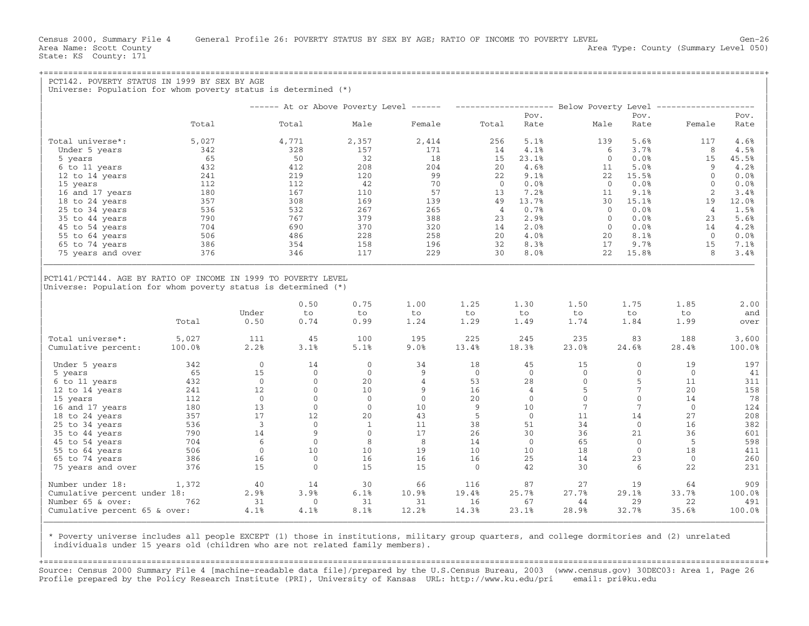State: KS County: 171

| PCT142. POVERTY STATUS IN 1999 BY SEX BY AGE<br>Universe: Population for whom poverty status is determined $(*)$ |        |                         |              |            |                 |            |                        |                 |                        |                                                                                                |              |
|------------------------------------------------------------------------------------------------------------------|--------|-------------------------|--------------|------------|-----------------|------------|------------------------|-----------------|------------------------|------------------------------------------------------------------------------------------------|--------------|
|                                                                                                                  |        |                         |              |            |                 |            |                        |                 |                        |                                                                                                |              |
|                                                                                                                  |        |                         |              |            |                 |            |                        |                 |                        | ------ At or Above Poverty Level ------ -------------------- Below Poverty Level ------------- |              |
|                                                                                                                  | Total  |                         | Total        | Male       | Female          | Total      | Pov.<br>Rate           | Male            | Pov.<br>Rate           | Female                                                                                         | Pov.<br>Rate |
| Total universe*:                                                                                                 | 5,027  |                         | 4,771        | 2,357      | 2,414           | 256        | 5.1%                   | 139             | 5.6%                   | 117                                                                                            | 4.6%         |
| Under 5 years                                                                                                    | 342    |                         | 328          | 157        | 171             | 14         | 4.1%                   |                 | 6<br>3.7%              | 8                                                                                              | 4.5%         |
| 5 years                                                                                                          | 65     |                         | 50           | 32         | 18              | 15         | 23.1%                  |                 | 0.0%<br>$\mathbf{0}$   | 15                                                                                             | 45.5%        |
| 6 to 11 years                                                                                                    | 432    |                         | 412          | 208        | 204             | 20         | 4.6%                   | 11              | 5.0%                   | 9                                                                                              | 4.2%         |
| 12 to 14 years                                                                                                   | 241    |                         | 219          | 120        | 99              | 22         | 9.1%                   |                 | 15.5%<br>22            | $\Omega$                                                                                       | 0.0%         |
| 15 years                                                                                                         | 112    |                         | 112          | 42         | 70              | $\Omega$   | 0.0%                   |                 | 0.0%<br>$\overline{0}$ | $\Omega$                                                                                       | 0.0%         |
| 16 and 17 years                                                                                                  | 180    |                         | 167          | 110        | 57              | 13         | 7.2%                   | 11              | 9.1%                   | 2                                                                                              | 3.4%         |
| 18 to 24 years                                                                                                   | 357    |                         | 308          | 169        | 139             | 49         | 13.7%                  |                 | 15.1%<br>30            | 19                                                                                             | 12.0%        |
| 25 to 34 years                                                                                                   | 536    |                         | 532          | 267        | 265             |            | $\overline{4}$<br>0.7% |                 | 0.0%<br>$\Omega$       | $\overline{4}$                                                                                 | 1.5%         |
| 35 to 44 years                                                                                                   | 790    |                         | 767          | 379        | 388             | 23         | 2.9%                   |                 | 0.0%<br>$\circ$        | 23                                                                                             | 5.6%         |
| 45 to 54 years                                                                                                   | 704    |                         | 690          | 370        | 320             | 14         | 2.0%                   |                 | 0.0%<br>$\overline{0}$ | 14                                                                                             | 4.2%         |
| 55 to 64 years                                                                                                   | 506    |                         | 486          | 228        | 258             | 20         | 4.0%                   | 20              | 8.1%                   | $\overline{0}$                                                                                 | 0.0%         |
| 65 to 74 years                                                                                                   | 386    |                         | 354          | 158        | 196             | 32         | 8.3%                   | 17              | 9.7%                   | 15                                                                                             | 7.1%         |
| 75 years and over                                                                                                | 376    |                         | 346          | 117        | 229             | 30         | 8.0%                   |                 | 22<br>15.8%            | 8                                                                                              | 3.4%         |
| Universe: Population for whom poverty status is determined $(*)$                                                 |        |                         | 0.50         | 0.75       | 1.00            | 1.25       | 1.30                   | 1.50            | 1.75                   | 1.85                                                                                           | 2.00         |
|                                                                                                                  | Total  | Under<br>0.50           | to<br>0.74   | to<br>0.99 | to<br>1.24      | to<br>1.29 | to<br>1.49             | to<br>1.74      | to<br>1.84             | to<br>1.99                                                                                     | and<br>over  |
| Total universe*:                                                                                                 | 5,027  | 111                     | 45           | 100        | 195             | 225        | 245                    | 235             | 83                     | 188                                                                                            | 3,600        |
| Cumulative percent:                                                                                              | 100.0% | 2.2%                    | 3.1%         | 5.1%       | 9.0%            | 13.4%      | 18.3%                  | 23.0%           | 24.6%                  | 28.4%                                                                                          | 100.0%       |
| Under 5 years                                                                                                    | 342    | $\Omega$                | 14           | $\Omega$   | 34              | 18         | 45                     | 15              | $\mathbf{0}$           | 19                                                                                             | 197          |
| 5 years                                                                                                          | 65     | 15                      | $\Omega$     | $\Omega$   | 9               | $\Omega$   | $\Omega$               | $\Omega$        | $\mathbf{0}$           | $\Omega$                                                                                       | 41           |
| 6 to 11 years                                                                                                    | 432    | $\overline{0}$          | $\mathbf{0}$ | 20         | $\overline{4}$  | 53         | 28                     | $\mathbf{0}$    | 5                      | 11                                                                                             | 311          |
| 12 to 14 years                                                                                                   | 241    | 12                      | $\circ$      | 10         | 9               | 16         | $\overline{4}$         | 5               | $\overline{7}$         | 20                                                                                             | 158          |
| 15 years                                                                                                         | 112    | $\overline{0}$          | $\Omega$     | $\Omega$   | $\Omega$        | 20         | $\Omega$               | $\Omega$        | $\Omega$               | 14                                                                                             | 78           |
| 16 and 17 years                                                                                                  | 180    | 13                      | $\mathbf{0}$ | $\Omega$   | 10 <sup>°</sup> | 9          | 10                     | $7\phantom{.0}$ | $7\phantom{.0}$        | $\Omega$                                                                                       | 124          |
| 18 to 24 years                                                                                                   | 357    | 17                      | 12           | 20         | 43              | -5         | $\overline{0}$         | 11              | 14                     | 27                                                                                             | 208          |
| 25 to 34 years                                                                                                   | 536    | $\overline{\mathbf{3}}$ | $\circ$      | 1          | 11              | 38         | 51                     | 34              | $\overline{0}$         | 16                                                                                             | 382          |
| 35 to 44 years                                                                                                   | 790    | 14                      | 9            | $\Omega$   | 17              | 26         | 30                     | 36              | 21                     | 36                                                                                             | 601          |
| 45 to 54 years                                                                                                   | 704    | 6                       | $\Omega$     | 8          | 8               | 14         | $\Omega$               | 65              | $\Omega$               | $-5$                                                                                           | 598          |
| 55 to 64 years                                                                                                   | 506    | $\circ$                 | 10           | 10         | 19              | 10         | 10                     | 18              | $\circ$                | 18                                                                                             | 411          |
| 65 to 74 years                                                                                                   | 386    | 16                      | $\Omega$     | 16         | 16              | 16         | 25                     | 14              | 23                     | $\Omega$                                                                                       | 260          |
| 75 years and over                                                                                                | 376    | 15                      | $\Omega$     | 15         | 15              | $\Omega$   | 42                     | 30              | 6                      | 22                                                                                             | 231          |
| Number under 18:                                                                                                 | 1,372  | 40                      | 14           | 30         | 66              | 116        | 87                     | 27              | 19                     | 64                                                                                             | 909          |
| Cumulative percent under 18:                                                                                     |        | 2.9%                    | 3.9%         | 6.1%       | 10.9%           | 19.4%      | 25.7%                  | 27.7%           | 29.1%                  | 33.7%                                                                                          | 100.0%       |
| Number 65 & over:                                                                                                | 762    | 31                      | $\mathbf{0}$ | 31         | 31              | 16         | 67                     | 44              | 29                     | 22                                                                                             | 491          |
| Cumulative percent 65 & over:                                                                                    |        | 4.1%                    | 4.1%         | 8.1%       | 12.2%           | 14.3%      | 23.1%                  | 28.9%           | 32.7%                  | 35.6%                                                                                          | 100.0%       |

| \* Poverty universe includes all people EXCEPT (1) those in institutions, military group quarters, and college dormitories and (2) unrelated | individuals under 15 years old (children who are not related family members).

+===================================================================================================================================================+Source: Census 2000 Summary File 4 [machine−readable data file]/prepared by the U.S.Census Bureau, 2003 (www.census.gov) 30DEC03: Area 1, Page 26 Profile prepared by the Policy Research Institute (PRI), University of Kansas URL: http://www.ku.edu/pri email: pri@ku.edu

|\_\_\_\_\_\_\_\_\_\_\_\_\_\_\_\_\_\_\_\_\_\_\_\_\_\_\_\_\_\_\_\_\_\_\_\_\_\_\_\_\_\_\_\_\_\_\_\_\_\_\_\_\_\_\_\_\_\_\_\_\_\_\_\_\_\_\_\_\_\_\_\_\_\_\_\_\_\_\_\_\_\_\_\_\_\_\_\_\_\_\_\_\_\_\_\_\_\_\_\_\_\_\_\_\_\_\_\_\_\_\_\_\_\_\_\_\_\_\_\_\_\_\_\_\_\_\_\_\_\_\_\_\_\_\_\_\_\_\_\_\_\_\_\_\_\_\_| | |

| |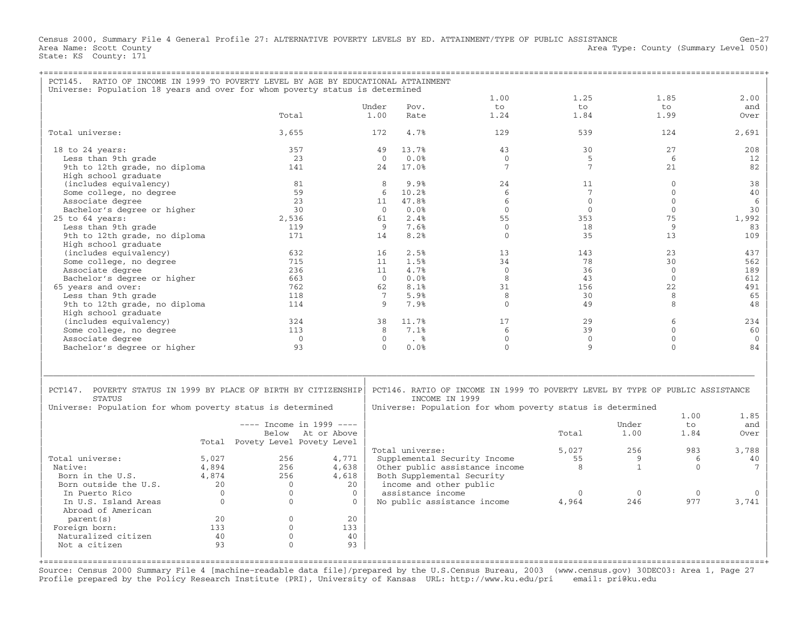Census 2000, Summary File 4 General Profile 27: ALTERNATIVE POVERTY LEVELS BY ED. ATTAINMENT/TYPE OF PUBLIC ASSISTANCE Gen−27 Area Name: Scott County 1999 and County Area Type: County (Summary Level 050) State: KS County: 171

| PCT145. RATIO OF INCOME IN 1999 TO POVERTY LEVEL BY AGE BY EDUCATIONAL ATTAINMENT |             |                                 |                   |                |                      |                                                                                                 |                 |              |              |              |
|-----------------------------------------------------------------------------------|-------------|---------------------------------|-------------------|----------------|----------------------|-------------------------------------------------------------------------------------------------|-----------------|--------------|--------------|--------------|
| Universe: Population 18 years and over for whom poverty status is determined      |             |                                 |                   |                |                      |                                                                                                 |                 |              |              |              |
|                                                                                   |             |                                 |                   |                |                      | 1.00                                                                                            | 1.25            |              | 1.85         | 2.00         |
|                                                                                   |             |                                 |                   | Under          | Pov.                 | to                                                                                              | to              |              | to           | and          |
|                                                                                   |             | Total                           |                   | 1.00           | Rate                 | 1.24                                                                                            | 1.84            |              | 1.99         | Over         |
| Total universe:                                                                   |             | 3,655                           |                   | 172            | 4.7%                 | 129                                                                                             | 539             |              | 124          | 2,691        |
| $18$ to $24$ years:                                                               |             | 357                             |                   | 49             | 13.7%                | 43                                                                                              | 30              |              | 2.7          | 208          |
| Less than 9th grade                                                               |             | 23                              |                   | $\Omega$       | 0.0%                 | $\Omega$                                                                                        | 5               |              | 6            | 12           |
| 9th to 12th grade, no diploma<br>High school graduate                             |             | 141                             |                   | 2.4            | 17.0%                | $7\phantom{.0}$                                                                                 | $7\phantom{.0}$ |              | 2.1          | 82           |
| (includes equivalency)                                                            |             | 81                              |                   | 8              | 9.9%                 | 24                                                                                              | 11              |              | $\mathbf{0}$ | 38           |
| Some college, no degree                                                           |             | 59                              |                   | 6              | 10.2%                | 6                                                                                               | $7\phantom{.0}$ |              | $\Omega$     | 40           |
| Associate degree                                                                  |             | 23                              |                   | 11             | 47.8%                | 6                                                                                               | $\Omega$        |              | $\Omega$     | 6            |
| Bachelor's degree or higher                                                       |             | 30                              |                   | $\overline{0}$ | 0.0%                 | $\Omega$                                                                                        | $\Omega$        |              | $\Omega$     | 30           |
|                                                                                   |             | 2,536                           |                   | 61             | 2.4%                 | 55                                                                                              | 353             |              | 75           | 1,992        |
| $25$ to $64$ years:                                                               |             |                                 |                   |                |                      |                                                                                                 |                 |              |              |              |
| Less than 9th grade                                                               |             | 119                             |                   | 9              | 7.6%                 | $\mathbf{0}$                                                                                    | 18              |              | 9            | 83           |
| 9th to 12th grade, no diploma                                                     |             | 171                             |                   | 14             | 8.2%                 | $\mathbf{0}$                                                                                    | 35              |              | 13           | 109          |
| High school graduate                                                              |             |                                 |                   |                |                      |                                                                                                 |                 |              |              |              |
| (includes equivalency)                                                            |             | 632                             |                   | 16             | 2.5%                 | 13                                                                                              | 143             |              | 2.3          | 437          |
| Some college, no degree                                                           |             | 715                             |                   | 11             | 1.5%                 | 34                                                                                              | 78              |              | 30           | 562          |
| Associate degree                                                                  |             | 236                             |                   | 11             | 4.7%                 | $\mathbf{0}$                                                                                    | 36              |              | $\Omega$     | 189          |
| Bachelor's degree or higher                                                       |             | 663                             |                   | $\Omega$       | 0.0%                 | $\mathsf{R}$                                                                                    | 43              |              | $\Omega$     | 612          |
| 65 years and over:                                                                |             | 762                             |                   | 62             | 8.1%                 | 31                                                                                              | 156             |              | 22           | 491          |
| Less than 9th grade                                                               |             | 118                             |                   | 7              | 5.9%                 | 8                                                                                               | 30              |              | 8            | 65           |
| 9th to 12th grade, no diploma                                                     |             | 114                             |                   | Q              | 7.9%                 | $\Omega$                                                                                        | 49              |              | $\mathsf{R}$ | 48           |
| High school graduate                                                              |             |                                 |                   |                |                      |                                                                                                 |                 |              |              |              |
| (includes equivalency)                                                            |             | 324                             |                   | 38             | 11.7%                | 17                                                                                              | 29              |              | 6            | 234          |
| Some college, no degree                                                           |             | 113                             |                   | 8              | 7.1%                 | 6                                                                                               | 39              |              | $\mathbf{0}$ | 60           |
| Associate degree                                                                  |             | $\bigcirc$                      |                   | $\Omega$       | $\ddot{\phantom{1}}$ | $\Omega$                                                                                        | $\Omega$        |              | $\Omega$     | $\mathbf{0}$ |
| Bachelor's degree or higher                                                       |             | 93                              |                   | $\Omega$       | 0.0%                 | $\Omega$                                                                                        | 9               |              | $\cap$       | 84           |
|                                                                                   |             |                                 |                   |                |                      |                                                                                                 |                 |              |              |              |
|                                                                                   |             |                                 |                   |                |                      |                                                                                                 |                 |              |              |              |
| PCT147. POVERTY STATUS IN 1999 BY PLACE OF BIRTH BY CITIZENSHIP<br><b>STATUS</b>  |             |                                 |                   |                |                      | PCT146. RATIO OF INCOME IN 1999 TO POVERTY LEVEL BY TYPE OF PUBLIC ASSISTANCE<br>INCOME IN 1999 |                 |              |              |              |
| Universe: Population for whom poverty status is determined                        |             |                                 |                   |                |                      | Universe: Population for whom poverty status is determined                                      |                 |              |              |              |
|                                                                                   |             | $---$ Income in 1999 $---$      |                   |                |                      |                                                                                                 |                 | Under        | 1.00<br>to   | 1.85<br>and  |
|                                                                                   |             |                                 |                   |                |                      |                                                                                                 |                 |              |              |              |
|                                                                                   |             |                                 | Below At or Above |                |                      |                                                                                                 | Total           | 1.00         | 1.84         | Over         |
|                                                                                   |             | Total Povety Level Povety Level |                   |                |                      |                                                                                                 |                 |              |              |              |
|                                                                                   |             |                                 |                   |                | Total universe:      |                                                                                                 | 5,027           | 256          | 983          | 3,788        |
| Total universe:                                                                   | 5,027       | 256                             | 4,771             |                |                      | Supplemental Security Income                                                                    | 55              | 9            | 6            | 40           |
| Native:                                                                           | 4,894       | 256                             | 4,638             |                |                      | Other public assistance income                                                                  | 8               | $\mathbf{1}$ | $\bigcap$    | 7            |
| Born in the U.S.                                                                  | 4,874       | 256                             | 4,618             |                |                      | Both Supplemental Security                                                                      |                 |              |              |              |
| Born outside the U.S.                                                             | 20          | $\Omega$                        | 20                |                |                      | income and other public                                                                         |                 |              |              |              |
| In Puerto Rico                                                                    | $\mathbf 0$ | $\mathbf{0}$                    | $\overline{0}$    |                | assistance income    |                                                                                                 | $\mathbf{0}$    | $\mathbf{0}$ | $\mathbf{0}$ |              |
| In U.S. Island Areas<br>Abroad of American                                        | $\Omega$    | $\Omega$                        | $\Omega$          |                |                      | No public assistance income                                                                     | 4,964           | 246          | 977          | 3,741        |
| parent (s)                                                                        | 20          | $\mathbf{0}$                    | 20                |                |                      |                                                                                                 |                 |              |              |              |
| Foreign born:                                                                     | 133         | $\Omega$                        | 133               |                |                      |                                                                                                 |                 |              |              |              |
| Naturalized citizen                                                               | 40          | $\Omega$                        | 40                |                |                      |                                                                                                 |                 |              |              |              |
| Not a citizen                                                                     | 93          | $\Omega$                        | 93                |                |                      |                                                                                                 |                 |              |              |              |
|                                                                                   |             |                                 |                   |                |                      |                                                                                                 |                 |              |              |              |
|                                                                                   |             |                                 |                   |                |                      |                                                                                                 |                 |              |              |              |

Source: Census 2000 Summary File 4 [machine−readable data file]/prepared by the U.S.Census Bureau, 2003 (www.census.gov) 30DEC03: Area 1, Page 27 Profile prepared by the Policy Research Institute (PRI), University of Kansas URL: http://www.ku.edu/pri email: pri@ku.edu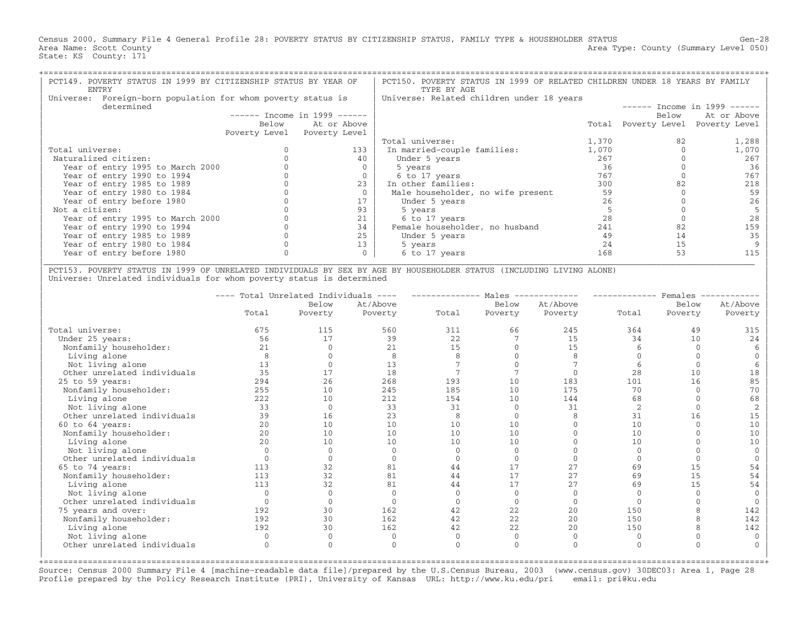Census 2000, Summary File 4 General Profile 28: POVERTY STATUS BY CITIZENSHIP STATUS, FAMILY TYPE & HOUSEHOLDER STATUS Gen−28 Area Name: Scott County 1999 (Summary Level 050) Area Type: County (Summary Level 050) State: KS County: 171

| PCT149. POVERTY STATUS IN 1999 BY CITIZENSHIP STATUS BY YEAR OF<br>ENTRY      |       |                               | PCT150. POVERTY STATUS IN 1999 OF RELATED CHILDREN UNDER 18 YEARS BY FAMILY<br>TYPE BY AGE |       |                     |               |  |  |  |
|-------------------------------------------------------------------------------|-------|-------------------------------|--------------------------------------------------------------------------------------------|-------|---------------------|---------------|--|--|--|
| Foreign-born population for whom poverty status is<br>Universe:<br>determined |       |                               | Universe: Related children under 18 years<br>$-----$ Income in 1999 ------                 |       |                     |               |  |  |  |
|                                                                               |       | $-----$ Income in 1999 $----$ |                                                                                            |       | Below               | At or Above   |  |  |  |
|                                                                               | Below | At or Above                   |                                                                                            |       | Total Poverty Level | Poverty Level |  |  |  |
|                                                                               |       | Poverty Level Poverty Level   |                                                                                            |       |                     |               |  |  |  |
|                                                                               |       |                               | Total universe:                                                                            | 1,370 | 82                  | 1,288         |  |  |  |
| Total universe:                                                               |       | 133                           | In married-couple families:                                                                | 1,070 |                     | 1,070         |  |  |  |
| Naturalized citizen:                                                          |       | 40                            | Under 5 years                                                                              | 267   |                     | 267           |  |  |  |
| Year of entry 1995 to March 2000                                              |       |                               | 5 years                                                                                    | 36    |                     | 36            |  |  |  |
| Year of entry 1990 to 1994                                                    |       |                               | 6 to 17 years                                                                              | 767   |                     | 767           |  |  |  |
| Year of entry 1985 to 1989                                                    |       | 23                            | In other families:                                                                         | 300   |                     | 218           |  |  |  |
| Year of entry 1980 to 1984                                                    |       |                               | Male householder, no wife present                                                          | 59    |                     | 59            |  |  |  |
| Year of entry before 1980                                                     |       |                               | Under 5 years                                                                              | 26    |                     | 26            |  |  |  |
| Not a citizen:                                                                |       | 93                            | 5 years                                                                                    |       |                     |               |  |  |  |
| Year of entry 1995 to March 2000                                              |       | 21                            | 6 to 17 years                                                                              | 28    |                     |               |  |  |  |
| Year of entry 1990 to 1994                                                    |       | 34                            | Female householder, no husband                                                             | 241   | 82                  | 159           |  |  |  |
| Year of entry 1985 to 1989                                                    |       | 25                            | Under 5 years                                                                              | 49    | 14                  | 35            |  |  |  |
| Year of entry 1980 to 1984                                                    |       | 13                            | 5 years                                                                                    | 24    | 15                  |               |  |  |  |
| Year of entry before 1980                                                     |       |                               | 6 to 17 years                                                                              | 168   | 53                  |               |  |  |  |
|                                                                               |       |                               |                                                                                            |       |                     |               |  |  |  |

| PCT153. POVERTY STATUS IN 1999 OF UNRELATED INDIVIDUALS BY SEX BY AGE BY HOUSEHOLDER STATUS (INCLUDING LIVING ALONE) | Universe: Unrelated individuals for whom poverty status is determined

|                             | $\qquad \qquad - - - -$ | Total Unrelated Individuals | $\qquad \qquad - \qquad -$ |       | Males    |          |                | Females |                |
|-----------------------------|-------------------------|-----------------------------|----------------------------|-------|----------|----------|----------------|---------|----------------|
|                             |                         | Below                       | At/Above                   |       | Below    | At/Above |                | Below   | At/Above       |
|                             | Total                   | Poverty                     | Poverty                    | Total | Poverty  | Poverty  | Total          | Poverty | Poverty        |
| Total universe:             | 675                     | 115                         | 560                        | 311   | 66       | 245      | 364            | 49      | 315            |
| Under 25 years:             | 56                      | 17                          | 39                         | 22    |          | 15       | 34             | 10      | 24             |
| Nonfamily householder:      | 21                      |                             | 21                         | 15    |          | 15       |                |         |                |
| Living alone                | 8                       |                             | 8                          |       |          |          |                |         |                |
| Not living alone            | 13                      |                             | 13                         |       |          |          |                |         |                |
| Other unrelated individuals | 35                      | 17                          | 18                         |       |          |          | 28             | 10      | 18             |
| $25$ to $59$ years:         | 294                     | 26                          | 268                        | 193   | 10       | 183      | 101            | 16      | 85             |
| Nonfamily householder:      | 255                     | 10                          | 245                        | 185   | 10       | 175      | 70             |         | 70             |
| Living alone                | 222                     | 10                          | 212                        | 154   | 10       | 144      | 68             |         | 68             |
| Not living alone            | 33                      | $\Omega$                    | 33                         | 31    |          | 31       | $\overline{2}$ |         |                |
| Other unrelated individuals | 39                      | 16                          | 23                         | 8     | $\Omega$ |          | 31             | 16      | 15             |
| 60 to 64 years:             | 20                      | 10                          | 10                         | 10    | 10       |          | 10             |         | 10             |
| Nonfamily householder:      | 20                      | 10                          | 10                         | 10    | 10       |          | 10             |         | 10             |
| Living alone                | 2.0                     | 10                          | 10                         | 10    | 10       |          | 10             |         | 1 <sub>0</sub> |
| Not living alone            |                         | $\Omega$                    |                            |       |          |          |                |         |                |
| Other unrelated individuals |                         |                             |                            |       |          |          |                |         |                |
| 65 to 74 years:             | 113                     | 32                          | 81                         | 44    | 17       | 27       | 69             | 15      | 54             |
| Nonfamily householder:      | 113                     | 32                          | 81                         | 44    | 17       | 2.7      | 69             | 1.5     | 54             |
| Living alone                | 113                     | 32                          | 81                         | 44    | 17       | 27       | 69             | 15      | 54             |
| Not living alone            |                         | $\Omega$                    |                            |       |          |          |                |         |                |
| Other unrelated individuals |                         | $\Omega$                    |                            |       | $\Omega$ | $\Omega$ |                |         |                |
| 75 years and over:          | 192                     | 30                          | 162                        | 42    | 22       | 20       | 150            |         | 142            |
| Nonfamily householder:      | 192                     | 30                          | 162                        | 42    | 22       | 20       | 150            |         | 142            |
| Living alone                | 192                     | 30                          | 162                        | 42    | 22       | 20       | 150            |         | 142            |
| Not living alone            | $\Omega$                | $\Omega$                    | <sup>0</sup>               |       | $\Omega$ |          | $\Omega$       |         | $\Omega$       |
| Other unrelated individuals | $\Omega$                | $\Omega$                    | $\Omega$                   |       |          |          | $\Omega$       |         | U              |
|                             |                         |                             |                            |       |          |          |                |         |                |

Source: Census 2000 Summary File 4 [machine−readable data file]/prepared by the U.S.Census Bureau, 2003 (www.census.gov) 30DEC03: Area 1, Page 28 Profile prepared by the Policy Research Institute (PRI), University of Kansas URL: http://www.ku.edu/pri email: pri@ku.edu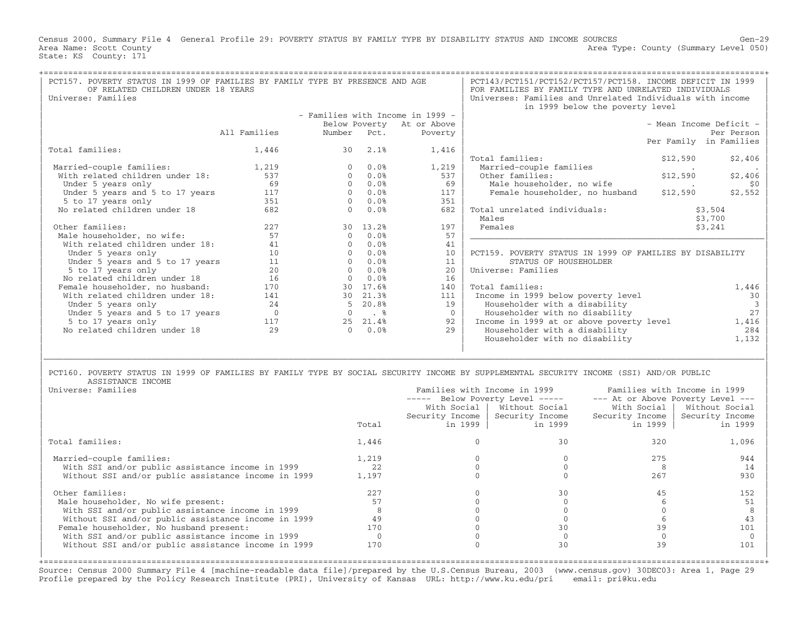Census 2000, Summary File 4 General Profile 29: POVERTY STATUS BY FAMILY TYPE BY DISABILITY STATUS AND INCOME SOURCES Gen−29 Area Name: Scott County 1999 (Summary Level 050) Area Type: County (Summary Level 050) State: KS County: 171

| PCT157. POVERTY STATUS IN 1999 OF FAMILIES BY FAMILY TYPE BY PRESENCE AND AGE<br>OF RELATED CHILDREN UNDER 18 YEARS |              |              | PCT143/PCT151/PCT152/PCT157/PCT158. INCOME DEFICIT IN 1999<br>FOR FAMILIES BY FAMILY TYPE AND UNRELATED INDIVIDUALS |                                  |                                                                                              |                         |               |  |  |  |
|---------------------------------------------------------------------------------------------------------------------|--------------|--------------|---------------------------------------------------------------------------------------------------------------------|----------------------------------|----------------------------------------------------------------------------------------------|-------------------------|---------------|--|--|--|
| Universe: Families                                                                                                  |              |              |                                                                                                                     |                                  | Universes: Families and Unrelated Individuals with income<br>in 1999 below the poverty level |                         |               |  |  |  |
|                                                                                                                     |              |              |                                                                                                                     | - Families with Income in 1999 - |                                                                                              |                         |               |  |  |  |
|                                                                                                                     |              |              |                                                                                                                     | Below Poverty At or Above        |                                                                                              | - Mean Income Deficit - |               |  |  |  |
|                                                                                                                     | All Families | Number       | Pct.                                                                                                                | Poverty                          |                                                                                              |                         | Per Person    |  |  |  |
|                                                                                                                     |              |              |                                                                                                                     |                                  |                                                                                              | Per Family in Families  |               |  |  |  |
| Total families:                                                                                                     | 1,446        | 30           | 2.1%                                                                                                                | 1,416                            |                                                                                              |                         |               |  |  |  |
|                                                                                                                     |              |              |                                                                                                                     |                                  | Total families:                                                                              | \$12,590                | \$2,406       |  |  |  |
| Married-couple families:                                                                                            | 1,219        | $\Omega$     | 0.0%                                                                                                                | 1,219                            | Married-couple families                                                                      |                         |               |  |  |  |
| With related children under 18:                                                                                     | 537          | $\Omega$     | 0.0%                                                                                                                | 537                              | Other families:                                                                              | \$12,590                | \$2,406       |  |  |  |
| Under 5 years only                                                                                                  | 69           | $\Omega$     | 0.0%                                                                                                                | 69                               | Male householder, no wife                                                                    |                         | \$0           |  |  |  |
| Under 5 years and 5 to 17 years                                                                                     | 117          | $\Omega$     | 0.0%                                                                                                                | 117                              | Female householder, no husband                                                               | \$12,590                | \$2,552       |  |  |  |
| 5 to 17 years only                                                                                                  | 351          | $\Omega$     | 0.0%                                                                                                                | 351                              |                                                                                              |                         |               |  |  |  |
| No related children under 18                                                                                        | 682          | $\Omega$     | 0.0%                                                                                                                | 682                              | Total unrelated individuals:                                                                 |                         | \$3,504       |  |  |  |
|                                                                                                                     |              |              |                                                                                                                     |                                  | Males                                                                                        |                         | \$3,700       |  |  |  |
| Other families:                                                                                                     | 227          | 30           | 13.2%                                                                                                               | 197                              | Females                                                                                      |                         | \$3,241       |  |  |  |
| Male householder, no wife:                                                                                          | 57           | $\cap$       | 0.0%                                                                                                                | 57                               |                                                                                              |                         |               |  |  |  |
| With related children under 18:                                                                                     | 41           |              | 0.0%                                                                                                                | 41                               |                                                                                              |                         |               |  |  |  |
| Under 5 years only                                                                                                  | 10           |              | 0.0%                                                                                                                | 10                               | PCT159. POVERTY STATUS IN 1999 OF FAMILIES BY DISABILITY                                     |                         |               |  |  |  |
| Under 5 years and 5 to 17 years                                                                                     | 11           | $\Omega$     | 0.0%                                                                                                                | 11                               | STATUS OF HOUSEHOLDER                                                                        |                         |               |  |  |  |
| 5 to 17 years only                                                                                                  | 20           | $\Omega$     | 0.0%                                                                                                                | 20                               | Universe: Families                                                                           |                         |               |  |  |  |
| No related children under 18                                                                                        | 16           | $\mathbf{0}$ | 0.0%                                                                                                                | 16                               |                                                                                              |                         |               |  |  |  |
| Female householder, no husband:                                                                                     | 170          | 30           | 17.6%                                                                                                               | 140                              | Total families:                                                                              |                         | 1,446         |  |  |  |
| With related children under 18:                                                                                     | 141          | 30           | 21.3%                                                                                                               | 111                              | Income in 1999 below poverty level                                                           |                         | 30            |  |  |  |
| Under 5 years only                                                                                                  | 24           |              | 20.8%                                                                                                               | 19                               | Householder with a disability                                                                |                         | $\mathcal{R}$ |  |  |  |
| Under 5 years and 5 to 17 years                                                                                     | $\Omega$     |              | . %                                                                                                                 | $\Omega$                         | Householder with no disability                                                               |                         | 27            |  |  |  |
| 5 to 17 years only                                                                                                  | 117          | 2.5          | 21.4%                                                                                                               | 92                               | Income in 1999 at or above poverty level                                                     |                         | 1,416         |  |  |  |
| No related children under 18                                                                                        | 29           | $\cap$       | 0.0%                                                                                                                | 2.9                              | Householder with a disability                                                                |                         | 284           |  |  |  |
|                                                                                                                     |              |              |                                                                                                                     |                                  | Householder with no disability                                                               |                         | 1,132         |  |  |  |
|                                                                                                                     |              |              |                                                                                                                     |                                  |                                                                                              |                         |               |  |  |  |
|                                                                                                                     |              |              |                                                                                                                     |                                  |                                                                                              |                         |               |  |  |  |

PCT160. POVERTY STATUS IN 1999 OF FAMILIES BY FAMILY TYPE BY SOCIAL SECURITY INCOME BY SUPPLEMENTAL SECURITY INCOME (SSI) AND/OR PUBLIC<br>ASSISTANCE INCOME | ASSISTANCE INCOME |

| Universe: Families                                  |       | Families with Income in 1999 |                                   | Families with Income in 1999 |                                   |  |  |
|-----------------------------------------------------|-------|------------------------------|-----------------------------------|------------------------------|-----------------------------------|--|--|
|                                                     |       |                              | ----- Below Poverty Level -----   |                              | --- At or Above Poverty Level --- |  |  |
|                                                     |       | With Social                  | Without Social                    | With Social                  | Without Social                    |  |  |
|                                                     |       |                              | Security Income   Security Income | Security Income              | Security Income                   |  |  |
|                                                     | Total | in 1999 l                    | in 1999                           | in 1999                      | in 1999                           |  |  |
| Total families:                                     | 1,446 |                              | 30                                | 320                          | 1,096                             |  |  |
| Married-couple families:                            | 1,219 |                              |                                   | 275                          | 944                               |  |  |
| With SSI and/or public assistance income in 1999    | 22    |                              |                                   |                              | 14                                |  |  |
| Without SSI and/or public assistance income in 1999 | 1,197 |                              |                                   | 267                          | 930                               |  |  |
| Other families:                                     | 227   |                              | 30                                |                              | 152                               |  |  |
| Male householder, No wife present:                  | 57    |                              |                                   |                              |                                   |  |  |
| With SSI and/or public assistance income in 1999    |       |                              |                                   |                              |                                   |  |  |
| Without SSI and/or public assistance income in 1999 | 49    |                              |                                   |                              |                                   |  |  |
| Female householder, No husband present:             | 170   |                              |                                   |                              | 101                               |  |  |
| With SSI and/or public assistance income in 1999    |       |                              |                                   |                              |                                   |  |  |
| Without SSI and/or public assistance income in 1999 | 170   |                              | 30                                | 39                           | 101                               |  |  |

+===================================================================================================================================================+Source: Census 2000 Summary File 4 [machine−readable data file]/prepared by the U.S.Census Bureau, 2003 (www.census.gov) 30DEC03: Area 1, Page 29 Profile prepared by the Policy Research Institute (PRI), University of Kansas URL: http://www.ku.edu/pri email: pri@ku.edu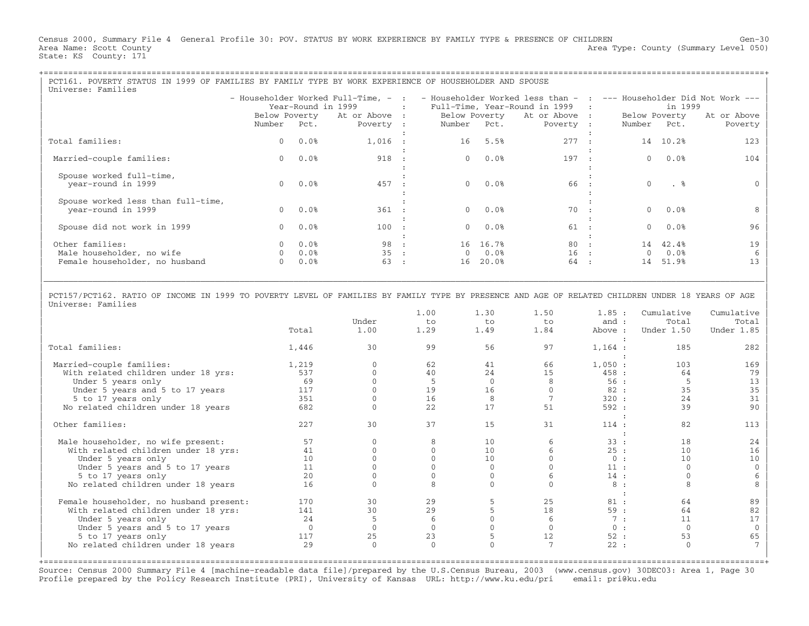Census 2000, Summary File 4 General Profile 30: POV. STATUS BY WORK EXPERIENCE BY FAMILY TYPE & PRESENCE OF CHILDREN Gen−30 Area Name: Scott County 1999 (Summary Level 050) Area Type: County (Summary Level 050) State: KS County: 171

| PCT161. POVERTY STATUS IN 1999 OF FAMILIES BY FAMILY TYPE BY WORK EXPERIENCE OF HOUSEHOLDER AND SPOUSE |             |                    |                                            |                                                                                                                                               |             |                 |                                                         |           |               |          |             |  |
|--------------------------------------------------------------------------------------------------------|-------------|--------------------|--------------------------------------------|-----------------------------------------------------------------------------------------------------------------------------------------------|-------------|-----------------|---------------------------------------------------------|-----------|---------------|----------|-------------|--|
| Universe: Families                                                                                     |             |                    |                                            |                                                                                                                                               |             |                 |                                                         |           |               |          |             |  |
|                                                                                                        |             |                    |                                            |                                                                                                                                               |             |                 |                                                         |           |               |          |             |  |
|                                                                                                        |             | Year-Round in 1999 | <b>Contract Contract Contract Contract</b> | - Householder Worked Full-Time, - :  - Householder Worked less than -  :  --- Householder Did Not Work ---<br>Full-Time, Year-Round in 1999 : |             |                 |                                                         |           | in 1999       |          |             |  |
|                                                                                                        |             |                    |                                            |                                                                                                                                               |             |                 |                                                         |           |               |          |             |  |
|                                                                                                        |             |                    |                                            |                                                                                                                                               |             |                 | Below Poverty At or Above : Below Poverty At or Above : |           | Below Poverty |          | At or Above |  |
|                                                                                                        | Number Pct. |                    | Poverty :                                  |                                                                                                                                               | Number Pct. |                 | Poverty :                                               |           | Number Pct.   |          | Poverty     |  |
|                                                                                                        |             |                    |                                            |                                                                                                                                               |             |                 |                                                         |           |               |          |             |  |
| Total families:                                                                                        |             | $0.0$ %            | $1,016$ :                                  |                                                                                                                                               |             | 16 5.5%         | 277 :                                                   |           |               | 14 10.2% | 123         |  |
|                                                                                                        |             |                    |                                            |                                                                                                                                               |             |                 |                                                         |           |               |          |             |  |
| Married-couple families:                                                                               | $\Omega$    | 0.0%               | 918                                        |                                                                                                                                               | $\Omega$    | $0.0\%$         | 197 :                                                   |           | $\Omega$      | 0.0%     | 104         |  |
|                                                                                                        |             |                    |                                            |                                                                                                                                               |             |                 |                                                         |           |               |          |             |  |
| Spouse worked full-time,                                                                               |             |                    |                                            |                                                                                                                                               |             |                 |                                                         |           |               |          |             |  |
| year-round in 1999                                                                                     |             | $0.0$ $0.0$ $8$    | 457 :                                      |                                                                                                                                               |             | $0.0$ $0.0$ $8$ | 66:                                                     |           | $\Omega$      | . %      |             |  |
|                                                                                                        |             |                    |                                            |                                                                                                                                               |             |                 |                                                         |           |               |          |             |  |
|                                                                                                        |             |                    |                                            |                                                                                                                                               |             |                 |                                                         |           |               |          |             |  |
| Spouse worked less than full-time,                                                                     |             |                    |                                            |                                                                                                                                               |             |                 |                                                         |           |               |          |             |  |
| year-round in 1999                                                                                     |             | $0.0$ $0.0$ %      | 361 :                                      |                                                                                                                                               |             | $0.0$ 0.0 %     | 70 :                                                    |           |               | $0.0$ %  |             |  |
|                                                                                                        |             |                    |                                            |                                                                                                                                               |             |                 |                                                         |           |               |          |             |  |
| Spouse did not work in 1999                                                                            |             | $0.0$ %            | 100                                        | $\sim$ 1.                                                                                                                                     |             | $0.0$ %         | 61 :                                                    |           | $\Omega$      | $0.0\%$  | 96          |  |
|                                                                                                        |             |                    |                                            |                                                                                                                                               |             |                 |                                                         |           |               |          |             |  |
| Other families:                                                                                        |             | $0.0\%$            | 98 :                                       |                                                                                                                                               |             | 16 16.7%        | 80 :                                                    |           |               | 14 42.4% | 19          |  |
| Male householder, no wife                                                                              |             | 0.0%               | 35                                         | $\sim$ 100                                                                                                                                    |             | $0 \qquad 0.08$ | $16$ :                                                  |           | $\Omega$      | $0.0\%$  |             |  |
|                                                                                                        |             | 0.0%               | 63                                         |                                                                                                                                               | 16          | 20.0%           | 64                                                      |           | 14            | 51.9%    |             |  |
| Female householder, no husband                                                                         |             |                    |                                            | $\mathbf{r}$                                                                                                                                  |             |                 |                                                         | $\sim$ 1. |               |          |             |  |
|                                                                                                        |             |                    |                                            |                                                                                                                                               |             |                 |                                                         |           |               |          |             |  |

| | | PCT157/PCT162. RATIO OF INCOME IN 1999 TO POVERTY LEVEL OF FAMILIES BY FAMILY TYPE BY PRESENCE AND AGE OF RELATED CHILDREN UNDER 18 YEARS OF AGE | | Universe: Families |

|\_\_\_\_\_\_\_\_\_\_\_\_\_\_\_\_\_\_\_\_\_\_\_\_\_\_\_\_\_\_\_\_\_\_\_\_\_\_\_\_\_\_\_\_\_\_\_\_\_\_\_\_\_\_\_\_\_\_\_\_\_\_\_\_\_\_\_\_\_\_\_\_\_\_\_\_\_\_\_\_\_\_\_\_\_\_\_\_\_\_\_\_\_\_\_\_\_\_\_\_\_\_\_\_\_\_\_\_\_\_\_\_\_\_\_\_\_\_\_\_\_\_\_\_\_\_\_\_\_\_\_\_\_\_\_\_\_\_\_\_\_\_\_\_\_\_\_|

|                                         |          |              | 1.00         | 1.30 | 1.50 | 1.85:   | Cumulative   | Cumulative |
|-----------------------------------------|----------|--------------|--------------|------|------|---------|--------------|------------|
|                                         |          | Under        | to           | to   | to   | and :   | Total        | Total      |
|                                         | Total    | 1.00         | 1.29         | 1.49 | 1.84 | Above : | Under 1.50   | Under 1.85 |
| Total families:                         | 1,446    | 30           | 99           | 56   | 97   | 1,164:  | 185          | 282        |
| Married-couple families:                | 1,219    |              | 62           | 41   | 66   | 1,050:  | 103          | 169        |
| With related children under 18 yrs:     | 537      |              | 40           | 24   | 15   | 458:    | 64           | 79         |
| Under 5 years only                      | 69       |              |              |      |      | 56:     |              | 13         |
| Under 5 years and 5 to 17 years         | 117      |              | 19           | 16   |      | 82:     | 35           | 35         |
| 5 to 17 years only                      | 351      |              | 16           | 8    |      | 320:    | 24           | 31         |
| No related children under 18 years      | 682      |              | 22           | 17   | 51   | 592:    | 39           | 90         |
|                                         |          |              |              |      |      |         |              |            |
| Other families:                         | 227      | 30           | 37           | 15   | 31   | 114:    | 82           | 113        |
|                                         |          |              |              |      |      |         |              |            |
| Male householder, no wife present:      | 57       |              |              | 10   |      | 33:     | 18           | 24         |
| With related children under 18 yrs:     | 41       |              |              | 10   |      | 25:     | 10           | 16         |
| Under 5 years only                      | 10       |              |              | 10   |      | 0:      | 10           | 10         |
| Under 5 years and 5 to 17 years         | 11       |              |              |      |      | 11:     |              |            |
| 5 to 17 years only                      | 20       |              |              |      |      | 14:     |              |            |
| No related children under 18 years      | 16       |              |              |      |      | 8:      | 8            |            |
|                                         |          |              |              |      |      |         |              |            |
| Female householder, no husband present: | 170      | 30           | 29           |      | 25   | 81:     | 64           | 89         |
| With related children under 18 yrs:     | 141      | 30           | 29           |      | 18   | 59:     | 64           | 82         |
| Under 5 years only                      | 24       |              |              |      |      | 7:      | 11           | 17         |
| Under 5 years and 5 to 17 years         | $\Omega$ |              |              |      |      | 0:      | $\Omega$     |            |
| 5 to 17 years only                      | 117      | 25           | 23           |      | 12   | 52:     | 53           | 65         |
| No related children under 18 years      | 29       | $\mathbf{0}$ | $\mathbf{0}$ |      |      | 22:     | $\mathbf{0}$ |            |
|                                         |          |              |              |      |      |         |              |            |

Source: Census 2000 Summary File 4 [machine−readable data file]/prepared by the U.S.Census Bureau, 2003 (www.census.gov) 30DEC03: Area 1, Page 30 Profile prepared by the Policy Research Institute (PRI), University of Kansas URL: http://www.ku.edu/pri email: pri@ku.edu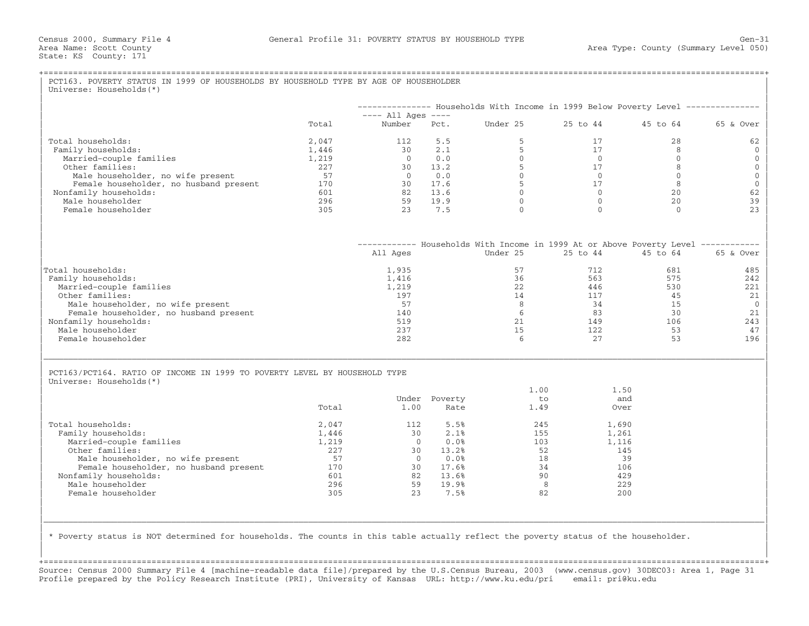|                                                                           |       |                              |                       | -------------- Households With Income in 1999 Below Poverty Level -------------- |             |              |           |
|---------------------------------------------------------------------------|-------|------------------------------|-----------------------|----------------------------------------------------------------------------------|-------------|--------------|-----------|
|                                                                           | Total | $--- All Aqes ---$<br>Number | Pct.                  | Under 25                                                                         | 25 to 44    | 45 to 64     | 65 & Over |
| Total households:                                                         | 2,047 | 112                          | 5.5                   | 5                                                                                | 17          | 28           | 62        |
| Family households:                                                        | 1,446 | 30                           | 2.1                   | 5                                                                                | 17          | $\mathsf{R}$ |           |
| Married-couple families                                                   | 1,219 | $\Omega$                     | 0.0                   | $\Omega$                                                                         | $\Omega$    | $\Omega$     |           |
| Other families:                                                           | 227   | 30                           | 13.2                  | 5                                                                                | 17          | 8            |           |
| Male householder, no wife present                                         | 57    | $\bigcap$                    | 0.0                   | $\Omega$                                                                         | $\Omega$    | $\Omega$     |           |
| Female householder, no husband present                                    | 170   | 30                           | 17.6                  | 5                                                                                | 17          | 8            |           |
| Nonfamily households:                                                     | 601   | 82                           | 13.6                  | $\mathbf{0}$                                                                     | $\Omega$    | 20           |           |
| Male householder                                                          | 296   | 59                           | 19.9                  | $\Omega$                                                                         | $\Omega$    | 20           |           |
| Female householder                                                        | 305   | 23                           | 7.5                   | $\Omega$                                                                         | $\Omega$    | $\Omega$     |           |
|                                                                           |       |                              |                       | ----------- Households With Income in 1999 At or Above Poverty Level ----------- |             |              |           |
|                                                                           |       | All Ages                     |                       | Under 25                                                                         | 25 to 44    | 45 to 64     | 65 & Over |
| Total households:                                                         |       | 1,935                        |                       | 57                                                                               | 712         | 681          | 485       |
| Family households:                                                        |       | 1,416                        |                       | 36                                                                               | 563         | 575          | 242       |
| Married-couple families                                                   |       | 1,219                        |                       | 22                                                                               | 446         | 530          | 221       |
| Other families:                                                           |       | 197                          |                       | 14                                                                               | 117         | 45           |           |
| Male householder, no wife present                                         |       | 57                           |                       | 8                                                                                | 34          | 15           |           |
| Female householder, no husband present                                    |       | 140                          |                       | 6                                                                                | 83          | 30           |           |
| Nonfamily households:                                                     |       | 519                          |                       | 21                                                                               | 149         | 106          | 243       |
| Male householder                                                          |       | 237                          |                       | 15                                                                               | 122         | 53           |           |
| Female householder                                                        |       | 282                          |                       | 6                                                                                | 27          | 53           | 196       |
| PCT163/PCT164. RATIO OF INCOME IN 1999 TO POVERTY LEVEL BY HOUSEHOLD TYPE |       |                              |                       |                                                                                  |             |              |           |
| Universe: Households (*)                                                  |       |                              |                       |                                                                                  |             |              |           |
|                                                                           |       |                              |                       | 1.00<br>$t \circ$                                                                | 1.50<br>and |              |           |
|                                                                           | Total | 1.00                         | Under Poverty<br>Rate | 1.49                                                                             | Over        |              |           |
|                                                                           |       |                              |                       |                                                                                  |             |              |           |
| Total households:                                                         | 2,047 | 112                          | 5.5%                  | 245                                                                              | 1,690       |              |           |
| Family households:                                                        | 1,446 | 30                           | 2.1%                  | 155                                                                              | 1,261       |              |           |
| Married-couple families                                                   | 1,219 | $\Omega$                     | 0.0%                  | 103                                                                              | 1,116       |              |           |
| Other families:                                                           | 227   | 30                           | 13.2%                 | 52                                                                               | 145         |              |           |
| Male householder, no wife present                                         | 57    | $\overline{0}$               | 0.0%                  | 18                                                                               | 39          |              |           |
| Female householder, no husband present                                    | 170   | 30                           | 17.6%                 | 34                                                                               | 106         |              |           |
| Nonfamily households:                                                     | 601   | 82                           | 13.6%                 | 90                                                                               | 429         |              |           |
| Male householder                                                          | 296   | 59                           | 19.9%                 | 8                                                                                | 229         |              |           |
| Female householder                                                        | 305   | 23                           | 7.5%                  | 82                                                                               | 200         |              |           |
|                                                                           |       |                              |                       |                                                                                  |             |              |           |

+===================================================================================================================================================+Source: Census 2000 Summary File 4 [machine−readable data file]/prepared by the U.S.Census Bureau, 2003 (www.census.gov) 30DEC03: Area 1, Page 31 Profile prepared by the Policy Research Institute (PRI), University of Kansas URL: http://www.ku.edu/pri email: pri@ku.edu

| |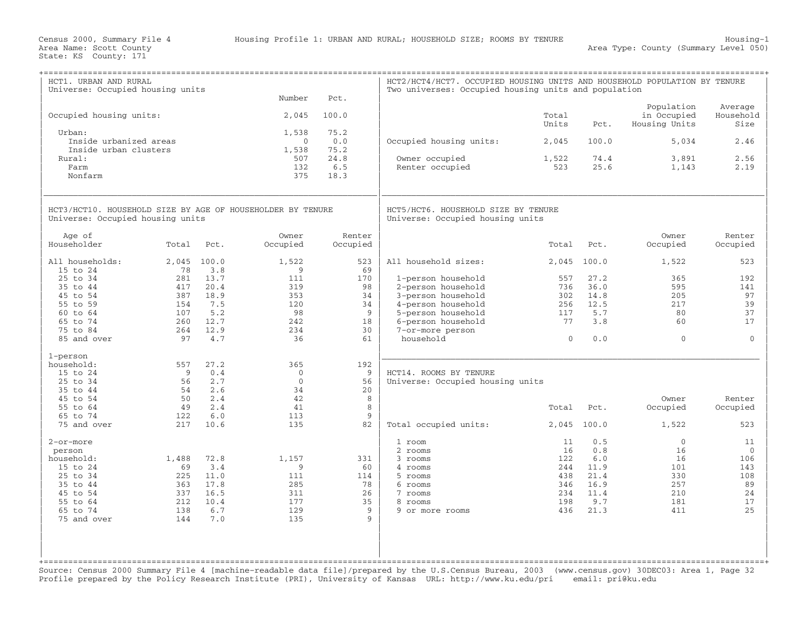| HCT1. URBAN AND RURAL<br>Universe: Occupied housing units                                      |             |              | Number                     | Pct.                        | HCT2/HCT4/HCT7. OCCUPIED HOUSING UNITS AND HOUSEHOLD POPULATION BY TENURE<br>Two universes: Occupied housing units and population |                |              |                                            |                              |
|------------------------------------------------------------------------------------------------|-------------|--------------|----------------------------|-----------------------------|-----------------------------------------------------------------------------------------------------------------------------------|----------------|--------------|--------------------------------------------|------------------------------|
| Occupied housing units:                                                                        |             |              | 2,045                      | 100.0                       |                                                                                                                                   | Total<br>Units | Pct.         | Population<br>in Occupied<br>Housing Units | Average<br>Household<br>Size |
| Urban:<br>Inside urbanized areas                                                               |             |              | 1,538<br>$\Omega$          | 75.2<br>0.0                 | Occupied housing units:                                                                                                           | 2,045          | 100.0        | 5,034                                      | 2.46                         |
| Inside urban clusters<br>Rural:<br>Farm<br>Nonfarm                                             |             |              | 1,538<br>507<br>132<br>375 | 75.2<br>24.8<br>6.5<br>18.3 | Owner occupied<br>Renter occupied                                                                                                 | 1,522<br>523   | 74.4<br>25.6 | 3,891<br>1,143                             | 2.56<br>2.19                 |
|                                                                                                |             |              |                            |                             |                                                                                                                                   |                |              |                                            |                              |
| HCT3/HCT10. HOUSEHOLD SIZE BY AGE OF HOUSEHOLDER BY TENURE<br>Universe: Occupied housing units |             |              |                            |                             | HCT5/HCT6. HOUSEHOLD SIZE BY TENURE<br>Universe: Occupied housing units                                                           |                |              |                                            |                              |
| Age of<br>Householder                                                                          | Total       | Pct.         | Owner<br>Occupied          | Renter<br>Occupied          |                                                                                                                                   | Total          | Pct.         | Owner<br>Occupied                          | Renter<br>Occupied           |
| All households:<br>15 to 24                                                                    | 2,045<br>78 | 100.0<br>3.8 | 1,522<br>9                 | 523<br>69                   | All household sizes:                                                                                                              | 2,045          | 100.0        | 1,522                                      | 523                          |
| 25 to 34                                                                                       | 281         | 13.7         | 111                        | 170                         | 1-person household                                                                                                                | 557            | 27.2         | 365                                        | 192                          |
| 35 to 44                                                                                       | 417         | 20.4         | 319                        | 98                          | 2-person household                                                                                                                | 736            | 36.0         | 595                                        | 141                          |
| 45 to 54                                                                                       | 387         | 18.9         | 353                        | 34                          | 3-person household                                                                                                                | 302            | 14.8         | 205                                        | 97                           |
| 55 to 59                                                                                       | 154         | 7.5          | 120                        | 34                          | 4-person household                                                                                                                | 256            | 12.5         | 217                                        | 39                           |
| 60 to 64                                                                                       | 107         | 5.2          | 98                         | 9                           | 5-person household                                                                                                                | 117            | 5.7          | 80                                         | 37                           |
| 65 to 74                                                                                       | 260         | 12.7         | 242                        | 18                          | 6-person household                                                                                                                | 77             | 3.8          | 60                                         | 17                           |
| 75 to 84<br>85 and over                                                                        | 264<br>97   | 12.9<br>4.7  | 234<br>36                  | 30<br>61                    | 7-or-more person<br>household                                                                                                     | $\Omega$       | 0.0          | $\Omega$                                   | $\Omega$                     |
|                                                                                                |             |              |                            |                             |                                                                                                                                   |                |              |                                            |                              |
| 1-person                                                                                       |             |              |                            |                             |                                                                                                                                   |                |              |                                            |                              |
| household:                                                                                     | 557         | 27.2         | 365                        | 192                         |                                                                                                                                   |                |              |                                            |                              |
| 15 to 24                                                                                       | 9           | 0.4          | $\Omega$                   | 9                           | HCT14. ROOMS BY TENURE                                                                                                            |                |              |                                            |                              |
| 25 to 34                                                                                       | 56          | 2.7<br>2.6   | $\Omega$<br>34             | 56                          | Universe: Occupied housing units                                                                                                  |                |              |                                            |                              |
| 35 to 44<br>45 to 54                                                                           | 54<br>50    | 2.4          | 42                         | 20<br>8                     |                                                                                                                                   |                |              | Owner                                      | Renter                       |
| 55 to 64                                                                                       | 49          | 2.4          | 41                         | 8                           |                                                                                                                                   | Total          | Pct.         | Occupied                                   | Occupied                     |
| 65 to 74                                                                                       | 122         | 6.0          | 113                        | 9                           |                                                                                                                                   |                |              |                                            |                              |
| 75 and over                                                                                    | 217         | 10.6         | 135                        | 82                          | Total occupied units:                                                                                                             | 2,045          | 100.0        | 1,522                                      | 523                          |
| 2-or-more                                                                                      |             |              |                            |                             | 1 room                                                                                                                            | 11             | 0.5          | $\Omega$                                   | 11                           |
| person                                                                                         |             |              |                            |                             | 2 rooms                                                                                                                           | 16             | 0.8          | 16                                         | $\mathbf{0}$                 |
| household:                                                                                     | 1,488       | 72.8         | 1,157                      | 331                         | 3 rooms                                                                                                                           | 122            | 6.0          | 16                                         | 106                          |
| 15 to 24                                                                                       | 69          | 3.4          | 9                          | 60                          | 4 rooms                                                                                                                           | 244            | 11.9         | 101                                        | 143                          |
| 25 to 34                                                                                       | 225         | 11.0         | 111                        | 114                         | 5 rooms                                                                                                                           | 438            | 21.4         | 330                                        | 108                          |
| 35 to 44                                                                                       | 363         | 17.8         | 285                        | 78                          | 6 rooms                                                                                                                           | 346            | 16.9         | 257                                        | 89                           |
| 45 to 54<br>55 to 64                                                                           | 337<br>212  | 16.5<br>10.4 | 311<br>177                 | 26<br>35                    | 7 rooms<br>8 rooms                                                                                                                | 234<br>198     | 11.4<br>9.7  | 210<br>181                                 | 24<br>17                     |
| 65 to 74                                                                                       | 138         | 6.7          | 129                        | 9                           | 9 or more rooms                                                                                                                   | 436            | 21.3         | 411                                        | 25                           |
| 75 and over                                                                                    | 144         | 7.0          | 135                        | 9                           |                                                                                                                                   |                |              |                                            |                              |
|                                                                                                |             |              |                            |                             |                                                                                                                                   |                |              |                                            |                              |
|                                                                                                |             |              |                            |                             |                                                                                                                                   |                |              |                                            |                              |
|                                                                                                |             |              |                            |                             |                                                                                                                                   |                |              |                                            |                              |

Source: Census 2000 Summary File 4 [machine−readable data file]/prepared by the U.S.Census Bureau, 2003 (www.census.gov) 30DEC03: Area 1, Page 32 Profile prepared by the Policy Research Institute (PRI), University of Kansas URL: http://www.ku.edu/pri email: pri@ku.edu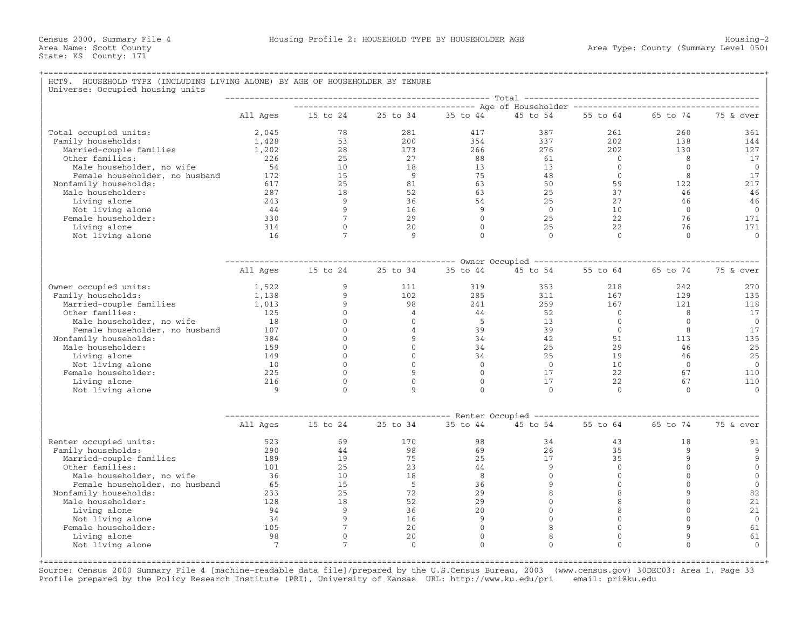## +===================================================================================================================================================+HCT9. HOUSEHOLD TYPE (INCLUDING LIVING ALONE) BY AGE OF HOUSEHOLDER BY TENURE Universe: Occupied housing units | −−−−−−−−−−−−−−−−−−−−−−−−−−−−−−−−−−−−−−−−−−−−−−−−−−−−−− Total −−−−−−−−−−−−−−−−−−−−−−−−−−−−−−−−−−−−−−−−−−−−−−−− | | −−−−−−−−−−−−−−−−−−−−−−−−−−−−−−−−−−−−− Age of Householder −−−−−−−−−−−−−−−−−−−−−−−−−−−−−−−−−−−−−− | | All Ages 15 to 24 25 to 34 35 to 44 45 to 54 55 to 64 65 to 74 75 & over | | | | Total occupied units: 2,045 78 281 417 387 261 260 361 | | Family households: 1,428 53 200 354 337 202 138 144 | | Married−couple families 1,202 28 173 266 276 202 130 127 | | Other families: 226 25 27 88 61 0 8 17 | | Male householder, no wife 54 10 18 13 13 0 0 0 | | Female householder, no husband 172 15 9 75 48 0 8 17 | | Nonfamily households: 617 25 81 63 50 59 122 217 | | Male householder: 287 18 52 63 25 37 46 46 | | Living alone 243 9 36 54 25 27 46 46 | | Not living alone 44 9 16 9 0 10 0 0 | | Female householder: 330 7 29 0 25 22 76 171 | | Living alone 314 0 20 0 25 22 76 171 |

| Not living alone               | 16       |                |          | $\cap$                     |                                                                                                                                                                                                                                                                                                                                                                                              | $\cap$   | $\cap$       |              |
|--------------------------------|----------|----------------|----------|----------------------------|----------------------------------------------------------------------------------------------------------------------------------------------------------------------------------------------------------------------------------------------------------------------------------------------------------------------------------------------------------------------------------------------|----------|--------------|--------------|
|                                |          |                |          |                            |                                                                                                                                                                                                                                                                                                                                                                                              |          |              |              |
|                                | All Ages | 15 to 24       | 25 to 34 | Owner Occupied<br>35 to 44 | 45 to 54                                                                                                                                                                                                                                                                                                                                                                                     | 55 to 64 | 65 to 74     | 75 & over    |
| Owner occupied units:          | 1,522    | $\mathsf{Q}$   | 111      | 319                        | 353                                                                                                                                                                                                                                                                                                                                                                                          | 218      | 242          | 270          |
| Family households:             | 1,138    |                | 102      | 285                        | 311                                                                                                                                                                                                                                                                                                                                                                                          | 167      | 129          | 135          |
| Married-couple families        | 1,013    |                | 98       | 241                        | 259                                                                                                                                                                                                                                                                                                                                                                                          | 167      | 121          | 118          |
| Other families:                | 125      |                |          | 44                         | 52                                                                                                                                                                                                                                                                                                                                                                                           | $\Omega$ | 8            | 17           |
| Male householder, no wife      | 18       |                |          | 5                          | 13                                                                                                                                                                                                                                                                                                                                                                                           | $\Omega$ | $\Omega$     | $\Omega$     |
| Female householder, no husband | 107      |                |          | 39                         | 39                                                                                                                                                                                                                                                                                                                                                                                           | $\Omega$ | 8            | 17           |
| Nonfamily households:          | 384      |                |          | 34                         | 42                                                                                                                                                                                                                                                                                                                                                                                           | 51       | 113          | 135          |
| Male householder:              | 159      |                |          | 34                         | 25                                                                                                                                                                                                                                                                                                                                                                                           | 29       | 46           | 25           |
| Living alone                   | 149      |                |          | 34                         | 25                                                                                                                                                                                                                                                                                                                                                                                           | 19       | 46           | 25           |
| Not living alone               | 10       |                |          | $\Omega$                   | $\Omega$                                                                                                                                                                                                                                                                                                                                                                                     | 10       | $\Omega$     | $\Omega$     |
| Female householder:            | 225      |                |          | $\Omega$                   | 17                                                                                                                                                                                                                                                                                                                                                                                           | 22       | 67           | 110          |
| Living alone                   | 216      |                |          |                            | 17                                                                                                                                                                                                                                                                                                                                                                                           | 22       | 67           | 110          |
| Not living alone               | 9        | $\Omega$       | 9        | $\cap$                     | $\Omega$                                                                                                                                                                                                                                                                                                                                                                                     | $\Omega$ | $\Omega$     | $\cap$       |
|                                |          |                |          |                            |                                                                                                                                                                                                                                                                                                                                                                                              |          |              |              |
|                                |          |                |          | Renter Occupied            | $\frac{1}{2} \frac{1}{2} \frac{1}{2} \frac{1}{2} \frac{1}{2} \frac{1}{2} \frac{1}{2} \frac{1}{2} \frac{1}{2} \frac{1}{2} \frac{1}{2} \frac{1}{2} \frac{1}{2} \frac{1}{2} \frac{1}{2} \frac{1}{2} \frac{1}{2} \frac{1}{2} \frac{1}{2} \frac{1}{2} \frac{1}{2} \frac{1}{2} \frac{1}{2} \frac{1}{2} \frac{1}{2} \frac{1}{2} \frac{1}{2} \frac{1}{2} \frac{1}{2} \frac{1}{2} \frac{1}{2} \frac{$ |          |              |              |
|                                | All Ages | 15 to 24       | 25 to 34 | 35 to 44                   | 45 to 54                                                                                                                                                                                                                                                                                                                                                                                     | 55 to 64 | 65 to 74     | 75 & over    |
| Renter occupied units:         | 523      | 69             | 170      | 98                         | 34                                                                                                                                                                                                                                                                                                                                                                                           | 43       | 18           | 91           |
| Family households:             | 290      | 44             | 98       | 69                         | 26                                                                                                                                                                                                                                                                                                                                                                                           | 35       | $\mathsf{Q}$ | 9            |
| Married-couple families        | 189      | 19             | 75       | 2.5                        | 17                                                                                                                                                                                                                                                                                                                                                                                           | 35       |              | 9            |
| Other families:                | 101      | 25             | 23       | 44                         | $\mathsf{Q}$                                                                                                                                                                                                                                                                                                                                                                                 | $\Omega$ |              | $\Omega$     |
| Male householder, no wife      | 36       | 10             | 18       | 8                          |                                                                                                                                                                                                                                                                                                                                                                                              |          |              | $\Omega$     |
| Female householder, no husband | 65       | 15             | 5        | 36                         |                                                                                                                                                                                                                                                                                                                                                                                              |          |              | $\mathbf{0}$ |
| Nonfamily households:          | 233      | 25             | 72       | 29                         |                                                                                                                                                                                                                                                                                                                                                                                              |          |              | 82           |
| Male householder:              | 128      | 18             | 52       | 29                         |                                                                                                                                                                                                                                                                                                                                                                                              |          |              | 21           |
| Living alone                   | 94       | 9              | 36       | 20                         |                                                                                                                                                                                                                                                                                                                                                                                              |          |              | 21           |
| Not living alone               | 34       |                | 16       | 9                          |                                                                                                                                                                                                                                                                                                                                                                                              |          |              | $\Omega$     |
| Female householder:            | 105      |                | 20       |                            |                                                                                                                                                                                                                                                                                                                                                                                              |          |              | 61           |
| Living alone                   | 98       |                | 20       | $\Omega$                   |                                                                                                                                                                                                                                                                                                                                                                                              |          | $\mathsf{Q}$ | 61           |
| Not living alone               |          | $\overline{7}$ | $\Omega$ | $\cap$                     | $\cap$                                                                                                                                                                                                                                                                                                                                                                                       | $\cap$   | $\cap$       |              |
|                                |          |                |          |                            |                                                                                                                                                                                                                                                                                                                                                                                              |          |              |              |
|                                |          |                |          |                            |                                                                                                                                                                                                                                                                                                                                                                                              |          |              |              |

Source: Census 2000 Summary File 4 [machine−readable data file]/prepared by the U.S.Census Bureau, 2003 (www.census.gov) 30DEC03: Area 1, Page 33 Profile prepared by the Policy Research Institute (PRI), University of Kansas URL: http://www.ku.edu/pri email: pri@ku.edu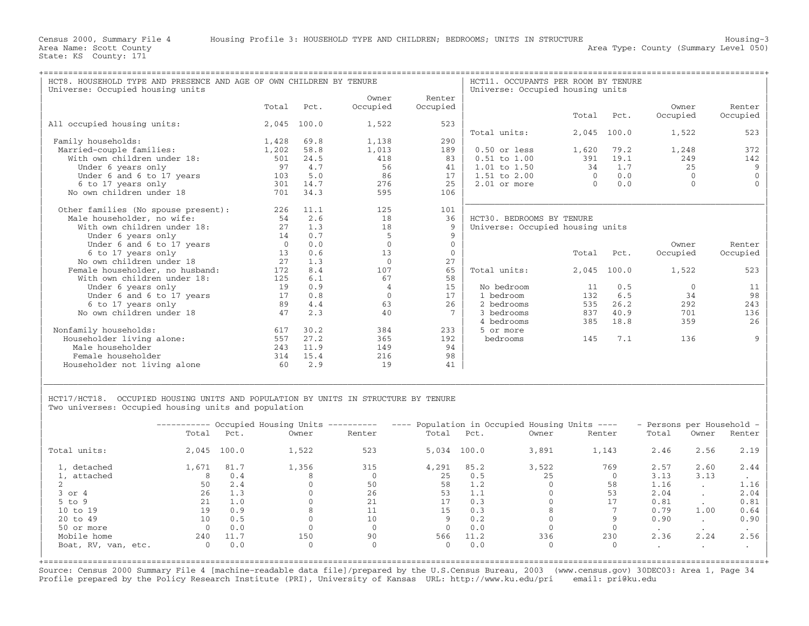| HCT8. HOUSEHOLD TYPE AND PRESENCE AND AGE OF OWN CHILDREN BY TENURE |          |       |          |              | HCT11. OCCUPANTS PER ROOM BY TENURE |          |               |          |          |
|---------------------------------------------------------------------|----------|-------|----------|--------------|-------------------------------------|----------|---------------|----------|----------|
| Universe: Occupied housing units                                    |          |       |          |              | Universe: Occupied housing units    |          |               |          |          |
|                                                                     |          |       | Owner    | Renter       |                                     |          |               |          |          |
|                                                                     | Total    | Pct.  | Occupied | Occupied     |                                     |          |               | Owner    | Renter   |
|                                                                     |          |       |          |              |                                     | Total    | Pct.          | Occupied | Occupied |
| All occupied housing units:                                         | 2,045    | 100.0 | 1,522    | 523          |                                     |          |               |          |          |
|                                                                     |          |       |          |              | Total units:                        | 2,045    | 100.0         | 1,522    | 523      |
| Family households:                                                  | 1,428    | 69.8  | 1,138    | 290          |                                     |          |               |          |          |
| Married-couple families:                                            | 1,202    | 58.8  | 1,013    | 189          | $0.50$ or less                      | 1,620    | 79.2          | 1,248    | 372      |
| With own children under 18:                                         | 501      | 24.5  | 418      | 83           | $0.51$ to $1.00$                    | 391      | 19.1          | 249      | 142      |
| Under 6 years only                                                  | 97       | 4.7   | 56       | 41           | $1.01$ to $1.50$                    | 34       | 1.7           | 25       | 9        |
| Under 6 and 6 to 17 years                                           | 103      | 5.0   | 86       | 17           | $1.51$ to $2.00$                    | $\Omega$ | 0.0           | $\Omega$ |          |
| 6 to 17 years only                                                  | 301      | 14.7  | 276      | 2.5          | $2.01$ or more                      |          | 0.0           | $\Omega$ |          |
| No own children under 18                                            | 701      | 34.3  | 595      | 106          |                                     |          |               |          |          |
|                                                                     |          |       |          |              |                                     |          |               |          |          |
| Other families (No spouse present):                                 | 226      | 11.1  | 125      | 101          |                                     |          |               |          |          |
| Male householder, no wife:                                          | 54       | 2.6   | 18       | 36           | HCT30. BEDROOMS BY TENURE           |          |               |          |          |
| With own children under 18:                                         | 27       | 1.3   | 18       | 9            | Universe: Occupied housing units    |          |               |          |          |
| Under 6 years only                                                  | 14       | 0.7   | 5        | 9            |                                     |          |               |          |          |
| Under 6 and 6 to 17 years                                           | $\Omega$ | 0.0   | $\Omega$ | $\mathbf{0}$ |                                     |          |               | Owner    | Renter   |
| 6 to 17 years only                                                  | 13       | 0.6   | 13       | $\mathbf{0}$ |                                     | Total    | Pct.          | Occupied | Occupied |
| No own children under 18                                            | 2.7      | 1.3   | $\Omega$ | 27           |                                     |          |               |          |          |
| Female householder, no husband:                                     | 172      | 8.4   | 107      | 65           | Total units:                        |          | $2,045$ 100.0 | 1,522    | 523      |
| With own children under 18:                                         | 125      | 6.1   | 67       | 58           |                                     |          |               |          |          |
| Under 6 years only                                                  | 19       | 0.9   | 4        | 15           | No bedroom                          | 11       | 0.5           | $\Omega$ | 11       |
| Under 6 and 6 to 17 years                                           | 17       | 0.8   | $\Omega$ | 17           | 1 bedroom                           | 132      | 6.5           | 34       | 98       |
| 6 to 17 years only                                                  | 89       | 4.4   | 63       | 26           | 2 bedrooms                          | 535      | 26.2          | 292      | 243      |
| No own children under 18                                            | 47       | 2.3   | 40       |              | 3 bedrooms                          | 837      | 40.9          | 701      | 136      |
|                                                                     |          |       |          |              | 4 bedrooms                          | 385      | 18.8          | 359      | 26       |
| Nonfamily households:                                               | 617      | 30.2  | 384      | 233          | 5 or more                           |          |               |          |          |
| Householder living alone:                                           | 557      | 27.2  | 365      | 192          | bedrooms                            | 145      | 7.1           | 136      |          |
| Male householder                                                    | 243      | 11.9  | 149      | 94           |                                     |          |               |          |          |
| Female householder                                                  | 314      | 15.4  | 216      | 98           |                                     |          |               |          |          |
| Householder not living alone                                        | 60       | 2.9   | 19       | 41           |                                     |          |               |          |          |
|                                                                     |          |       |          |              |                                     |          |               |          |          |

HCT17/HCT18. OCCUPIED HOUSING UNITS AND POPULATION BY UNITS IN STRUCTURE BY TENURE Two universes: Occupied housing units and population

|                     |          |             | ---------- Occupied Housing Units ---------- |              | ---- Population in Occupied Housing Units ---- |             | - Persons per Household - |        |           |                      |        |
|---------------------|----------|-------------|----------------------------------------------|--------------|------------------------------------------------|-------------|---------------------------|--------|-----------|----------------------|--------|
|                     | Total    | Pct.        | Owner                                        | Renter       | Total                                          | Pct.        | Owner                     | Renter | Total     | Owner                | Renter |
| Total units:        |          | 2,045 100.0 | 1,522                                        | 523          |                                                | 5,034 100.0 | 3,891                     | 1,143  | 2.46      | 2.56                 | 2.19   |
| 1, detached         | 1,671    | 81.7        | 1,356                                        | 315          | 4,291                                          | 85.2        | 3,522                     | 769    | 2.57      | 2.60                 | 2.44   |
| 1, attached         | 8        | 0.4         |                                              |              | 25                                             | 0.5         | 25                        |        | 3.13      | 3.13                 |        |
|                     | 50       | 2.4         |                                              | 50           | 58                                             | 1.2         |                           | 58     | 1.16      | $\cdot$              | 1.16   |
| $3$ or $4$          | 26       | 1.3         |                                              | 26           | 53                                             | 1.1         |                           | 53     | 2.04      | $\ddot{\phantom{0}}$ | 2.04   |
| $5$ to $9$          | 21       | 1.0         |                                              | 21           | 17                                             | 0.3         |                           | 17     | 0.81      |                      | 0.81   |
| 10 to 19            | 19       | 0.9         |                                              | 11           | 15                                             | 0.3         |                           |        | 0.79      | 1.00                 | 0.64   |
| 20 to 49            | 10       | 0.5         |                                              | 10           |                                                | 0.2         |                           |        | 0.90      | $\cdot$              | 0.90   |
| 50 or more          |          | 0.0         |                                              |              |                                                | 0.0         |                           |        | $\bullet$ |                      |        |
| Mobile home         | 240      | 11.7        | 150                                          | 90           | 566                                            | 11.2        | 336                       | 230    | 2.36      | 2.24                 | 2.56   |
| Boat, RV, van, etc. | $\Omega$ | 0.0         | $\Omega$                                     | $\mathbf{0}$ | $\Omega$                                       | 0.0         | $\Omega$                  |        | $\cdot$   | $\bullet$            |        |

|\_\_\_\_\_\_\_\_\_\_\_\_\_\_\_\_\_\_\_\_\_\_\_\_\_\_\_\_\_\_\_\_\_\_\_\_\_\_\_\_\_\_\_\_\_\_\_\_\_\_\_\_\_\_\_\_\_\_\_\_\_\_\_\_\_\_\_\_\_\_\_\_\_\_\_\_\_\_\_\_\_\_\_\_\_\_\_\_\_\_\_\_\_\_\_\_\_\_\_\_\_\_\_\_\_\_\_\_\_\_\_\_\_\_\_\_\_\_\_\_\_\_\_\_\_\_\_\_\_\_\_\_\_\_\_\_\_\_\_\_\_\_\_\_\_\_\_| | |

+===================================================================================================================================================+Source: Census 2000 Summary File 4 [machine−readable data file]/prepared by the U.S.Census Bureau, 2003 (www.census.gov) 30DEC03: Area 1, Page 34 Profile prepared by the Policy Research Institute (PRI), University of Kansas URL: http://www.ku.edu/pri email: pri@ku.edu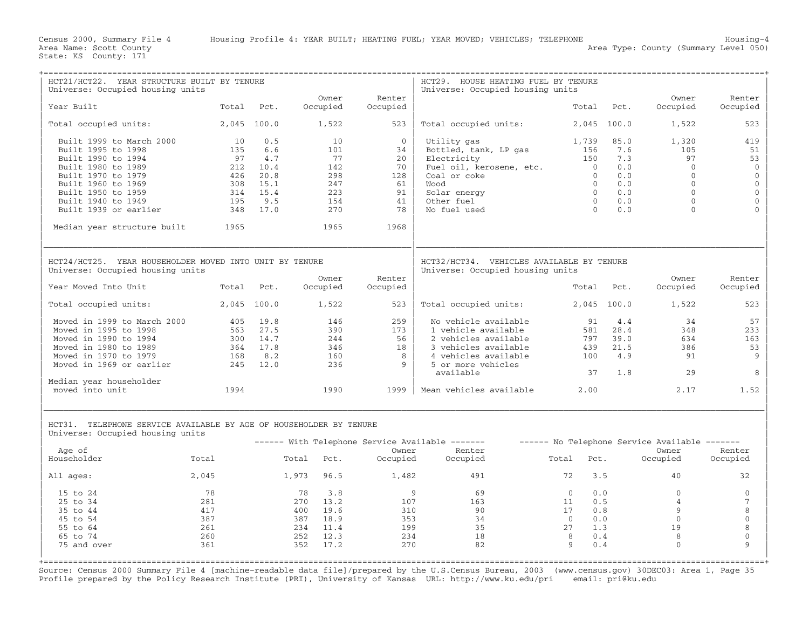| HCT21/HCT22. YEAR STRUCTURE BUILT BY TENURE                                                            |             |          |               |          | HCT29. HOUSE HEATING FUEL BY TENURE                                           |                |             |                                               |                |
|--------------------------------------------------------------------------------------------------------|-------------|----------|---------------|----------|-------------------------------------------------------------------------------|----------------|-------------|-----------------------------------------------|----------------|
| Universe: Occupied housing units                                                                       |             |          | Owner         | Renter   | Universe: Occupied housing units                                              |                |             | Owner                                         | Renter         |
| Year Built                                                                                             | Total Pct.  |          | Occupied      | Occupied |                                                                               | Total          | Pct.        | Occupied                                      | Occupied       |
| Total occupied units:                                                                                  | 2,045 100.0 |          | 1,522         | 523      | Total occupied units:                                                         |                | 2,045 100.0 | 1,522                                         | 523            |
| Built 1999 to March 2000                                                                               | 10          | 0.5      | 10            | $\Omega$ | Utility gas                                                                   | 1,739          | 85.0        | 1,320                                         | 419            |
| Built 1995 to 1998                                                                                     | 135         | 6.6      | 101           | 34       | Bottled, tank, LP gas                                                         | 156            | 7.6         | 105                                           | 51             |
| Built 1990 to 1994                                                                                     | 97          | 4.7      | 77            | 20       | Electricity                                                                   | 150            | 7.3         | 97                                            | 53             |
| Built 1980 to 1989                                                                                     | 212         | 10.4     | 142           | 70       | Fuel oil, kerosene, etc.                                                      | $\overline{0}$ | 0.0         | $\Omega$                                      | $\mathbf 0$    |
| Built 1970 to 1979                                                                                     | 426         | 20.8     | 298           | 128      | Coal or coke                                                                  | $\overline{0}$ | 0.0         | $\mathbf{0}$                                  | $\mathbf 0$    |
| Built 1960 to 1969                                                                                     | 308         | 15.1     | 247           | 61       | Wood                                                                          | $\overline{0}$ | 0.0         | $\overline{0}$                                | $\mathbb O$    |
| Built 1950 to 1959                                                                                     |             | 314 15.4 | 223           | 91       | Solar energy                                                                  | $\overline{0}$ | 0.0         | $\mathbf{0}$                                  | $\mathbb O$    |
| Built 1940 to 1949                                                                                     | 195         | 9.5      | 154           | 41       | Other fuel                                                                    | $\bigcirc$     | 0.0         | $\Omega$                                      | $\mathbf{0}$   |
| Built 1939 or earlier                                                                                  | 348         | 17.0     | 270           | 78       | No fuel used                                                                  | $\bigcap$      | 0.0         | $\Omega$                                      |                |
| Median year structure built                                                                            | 1965        |          | 1965          | 1968     |                                                                               |                |             |                                               |                |
| HCT24/HCT25. YEAR HOUSEHOLDER MOVED INTO UNIT BY TENURE<br>Universe: Occupied housing units            |             |          |               |          | HCT32/HCT34. VEHICLES AVAILABLE BY TENURE<br>Universe: Occupied housing units |                |             |                                               |                |
|                                                                                                        |             |          | Owner         | Renter   |                                                                               |                |             | Owner                                         | Renter         |
| Year Moved Into Unit                                                                                   | Total Pct.  |          | Occupied      | Occupied |                                                                               |                | Total Pct.  | Occupied                                      | Occupied       |
| Total occupied units:                                                                                  | 2,045 100.0 |          | 1,522         | 523      | Total occupied units:                                                         |                | 2,045 100.0 | 1,522                                         | 523            |
| Moved in 1999 to March 2000                                                                            | 405         | 19.8     | 146           | 259      | No vehicle available                                                          | 91             | 4.4         | 34                                            | 57             |
| Moved in 1995 to 1998                                                                                  | 563         | 27.5     | 390           | 173      | 1 vehicle available                                                           | 581            | 28.4        | 348                                           | 233            |
| Moved in 1990 to 1994                                                                                  |             | 300 14.7 | 244           | 56       | 2 vehicles available                                                          | 797            | 39.0        | 634                                           | 163            |
| Moved in 1980 to 1989                                                                                  |             | 364 17.8 | 346           | 18       | 3 vehicles available                                                          | 439            | 21.5        | 386                                           | 53             |
| Moved in 1970 to 1979                                                                                  | 168         | 8.2      | 160           | 8        | 4 vehicles available                                                          | 100            | 4.9         | 91                                            | 9              |
| Moved in 1969 or earlier                                                                               | 245         | 12.0     | 236           | 9        | 5 or more vehicles                                                            |                |             |                                               |                |
| Median year householder                                                                                |             |          |               |          | available                                                                     | 37             | 1.8         | 29                                            | 8              |
| moved into unit                                                                                        | 1994        |          | 1990          | 1999     | Mean vehicles available                                                       | 2.00           |             | 2.17                                          | 1.52           |
| HCT31. TELEPHONE SERVICE AVAILABLE BY AGE OF HOUSEHOLDER BY TENURE<br>Universe: Occupied housing units |             |          |               |          |                                                                               |                |             |                                               |                |
|                                                                                                        |             |          |               |          | ------ With Telephone Service Available -------                               |                |             | ------ No Telephone Service Available ------- |                |
| Age of                                                                                                 |             |          |               | Owner    | Renter                                                                        |                |             | Owner                                         | Renter         |
| Householder                                                                                            | Total       |          | Total<br>Pct. | Occupied | Occupied                                                                      | Total          | Pct.        | Occupied                                      | Occupied       |
| All ages:                                                                                              | 2,045       |          | 1,973 96.5    | 1,482    | 491                                                                           | 72             | 3.5         | 40                                            | 32             |
| 15 to 24                                                                                               | 78          |          | 78<br>3.8     | 9        | 69                                                                            | $\overline{0}$ | 0.0         | $\mathbf{0}$                                  | $\mathbf{0}$   |
| 25 to 34                                                                                               | 281         |          | 270 13.2      | 107      | 163                                                                           | 11             | 0.5         | $\overline{4}$                                | $\overline{7}$ |
| 35 to 44                                                                                               | 417         |          | 400 19.6      | 310      | 90                                                                            | 17             | 0.8         | 9                                             | 8              |
| 45 to 54                                                                                               | 387         |          | 387<br>18.9   | 353      | 34                                                                            | $\bigcirc$     | 0.0         | $\mathbf{0}$                                  | $\mathbb O$    |
| 55 to 64                                                                                               | 261         |          | 234<br>11.4   | 199      | 35                                                                            | 27             | 1.3         | 19                                            | 8              |
| 65 to 74                                                                                               | 260         |          | 252<br>12.3   | 234      | 18                                                                            | 8              | 0.4         | 8                                             | $\mathbb O$    |
| 75 and over                                                                                            | 361         |          | 352<br>17.2   | 270      | 82                                                                            | 9              | 0.4         | $\Omega$                                      | $\mathsf{Q}$   |
|                                                                                                        |             |          |               |          |                                                                               |                |             |                                               |                |

Source: Census 2000 Summary File 4 [machine−readable data file]/prepared by the U.S.Census Bureau, 2003 (www.census.gov) 30DEC03: Area 1, Page 35 Profile prepared by the Policy Research Institute (PRI), University of Kansas URL: http://www.ku.edu/pri email: pri@ku.edu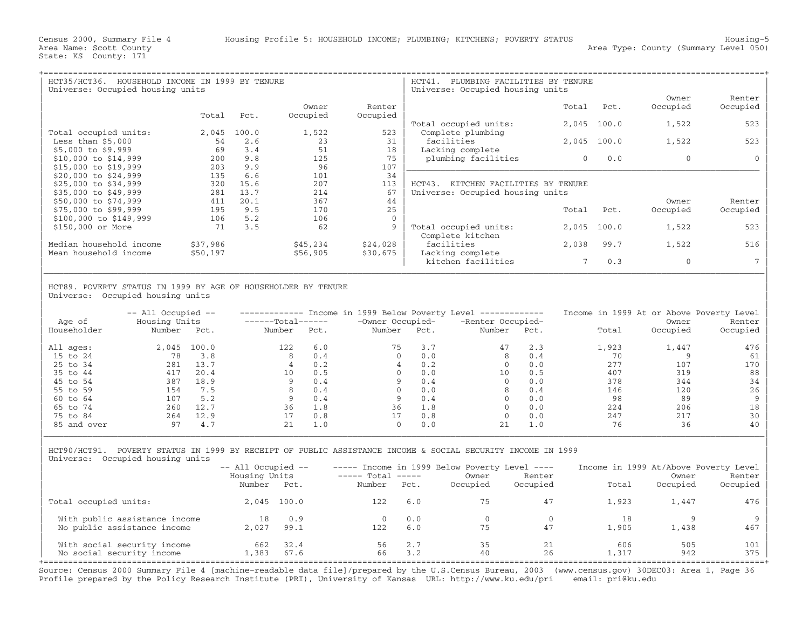| $HCT35/HCT36$ .<br>HOUSEHOLD INCOME IN 1999 BY TENURE<br>Universe: Occupied housing units |          |       |          |             | HCT41.<br>PLUMBING FACILITIES BY TENURE<br>Universe: Occupied housing units |       |       |          |          |
|-------------------------------------------------------------------------------------------|----------|-------|----------|-------------|-----------------------------------------------------------------------------|-------|-------|----------|----------|
|                                                                                           |          |       |          |             |                                                                             |       |       | Owner    | Renter   |
|                                                                                           |          |       | Owner    | Renter      |                                                                             | Total | Pct.  | Occupied | Occupied |
|                                                                                           | Total    | Pct.  | Occupied | Occupied    |                                                                             |       |       |          |          |
|                                                                                           |          |       |          |             | Total occupied units:                                                       | 2,045 | 100.0 | 1,522    | 523      |
| Total occupied units:                                                                     | 2,045    | 100.0 | 1,522    | 523         | Complete plumbing                                                           |       |       |          |          |
| Less than $$5,000$                                                                        | 54       | 2.6   | 23       | 31          | facilities                                                                  | 2,045 | 100.0 | 1,522    | 523      |
| $$5,000$ to $$9,999$                                                                      | 69       | 3.4   | 51       | 18          | Lacking complete                                                            |       |       |          |          |
| \$10,000 to \$14,999                                                                      | 200      | 9.8   | 125      | 75          | plumbing facilities                                                         | 0     | 0.0   | $\Omega$ |          |
| \$15,000 to \$19,999                                                                      | 203      | 9.9   | 96       | 107         |                                                                             |       |       |          |          |
| \$20,000 to \$24,999                                                                      | 135      | 6.6   | 101      | 34          |                                                                             |       |       |          |          |
| \$25,000 to \$34,999                                                                      | 320      | 15.6  | 207      | 113         | HCT43.<br>KITCHEN FACILITIES BY TENURE                                      |       |       |          |          |
| \$35,000 to \$49,999                                                                      | 281      | 13.7  | 214      | 67          | Universe: Occupied housing units                                            |       |       |          |          |
| \$50,000 to \$74,999                                                                      | 411      | 20.1  | 367      | 44          |                                                                             |       |       | Owner    | Renter   |
| \$75,000 to \$99,999                                                                      | 195      | 9.5   | 170      | 25          |                                                                             | Total | Pct.  | Occupied | Occupied |
| \$100,000 to \$149,999                                                                    | 106      | 5.2   | 106      | $\mathbf 0$ |                                                                             |       |       |          |          |
| \$150,000 or More                                                                         | 71       | 3.5   | 62       | 9           | Total occupied units:                                                       | 2,045 | 100.0 | 1,522    | 523      |
|                                                                                           |          |       |          |             | Complete kitchen                                                            |       |       |          |          |
| Median household income                                                                   | \$37,986 |       | \$45,234 | \$24,028    | facilities                                                                  | 2,038 | 99.7  | 1,522    | 516      |
| Mean household income                                                                     | \$50,197 |       | \$56,905 | \$30,675    | Lacking complete                                                            |       |       |          |          |
|                                                                                           |          |       |          |             | kitchen facilities                                                          |       | 0.3   | $\Omega$ |          |

## | | HCT89. POVERTY STATUS IN 1999 BY AGE OF HOUSEHOLDER BY TENURE Universe: Occupied housing units

| Age of      | $--$ All Occupied $--$<br>Housing Units |       | $---Total---$ |      | Income in 1999 Below Poverty Level<br>-Owner Occupied- |      | ______________<br>-Renter Occupied- |      | Income in 1999 At or Above Poverty Level | Owner    | Renter   |
|-------------|-----------------------------------------|-------|---------------|------|--------------------------------------------------------|------|-------------------------------------|------|------------------------------------------|----------|----------|
| Householder | Number                                  | Pct.  | Number        | Pct. | Number                                                 | Pct. | Number                              | Pct. | Total                                    | Occupied | Occupied |
| All ages:   | 2,045                                   | 100.0 | 122           | 6.0  | 75                                                     | 3.7  | 47                                  | 2.3  | 1,923                                    | 1,447    | 476      |
| 15 to 24    | 78                                      | 3.8   | 8             | 0.4  | $\Omega$                                               | 0.0  | 8                                   | 0.4  | 70                                       |          | 61       |
| 25 to 34    | 281                                     | 13.7  |               | 0.2  |                                                        | 0.2  |                                     | 0.0  | 2.77                                     | 107      | 170      |
| 35 to 44    | 417                                     | 20.4  | 10            | 0.5  |                                                        | 0.0  | 10                                  | 0.5  | 407                                      | 319      | 88       |
| 45 to 54    | 387                                     | 18.9  |               | 0.4  |                                                        | 0.4  |                                     | 0.0  | 378                                      | 344      | 34       |
| 55 to 59    | 154                                     | 7.5   |               | 0.4  |                                                        | 0.0  | 8                                   | 0.4  | 146                                      | 120      | 26       |
| 60 to 64    | 107                                     | 5.2   |               | 0.4  |                                                        | 0.4  |                                     | 0.0  | 98                                       | 89       | 9        |
| 65 to 74    | 260                                     | 12.7  | 36            | 1.8  | 36                                                     | 1.8  |                                     | 0.0  | 224                                      | 206      | 18       |
| 75 to 84    | 264                                     | 12.9  |               | 0.8  | 17                                                     | 0.8  |                                     | 0.0  | 247                                      | 217      | 30       |
| 85 and over | 97                                      | 4.7   | 21            | 1.0  | $\Omega$                                               | 0.0  | 21                                  | 1.0  | 76                                       | 36       | 40       |

| | | HCT90/HCT91. POVERTY STATUS IN 1999 BY RECEIPT OF PUBLIC ASSISTANCE INCOME & SOCIAL SECURITY INCOME IN 1999 | Universe: Occupied housing units

|                                                          | $--$ All Occupied $--$  |              |                             |            | $---$ Income in 1999 Below Poverty Level $---$ |                    | Income in 1999 At/Above Poverty Level |                   |                    |
|----------------------------------------------------------|-------------------------|--------------|-----------------------------|------------|------------------------------------------------|--------------------|---------------------------------------|-------------------|--------------------|
|                                                          | Housing Units<br>Number | Pct.         | $---$ Total $---$<br>Number | Pct.       | Owner<br>Occupied                              | Renter<br>Occupied | Total                                 | Owner<br>Occupied | Renter<br>Occupied |
| Total occupied units:                                    |                         | 2,045 100.0  | 122                         | 6.0        | 75                                             | 47                 | 1,923                                 | 1,447             | 476                |
| With public assistance income                            | 18                      | 0.9          |                             | 0.0        |                                                |                    | 18                                    |                   |                    |
| No public assistance income                              | 2,027                   | 99.1         | 12.2.                       | 6.0        | 75                                             | 47                 | 1,905                                 | 1,438             | 467                |
| With social security income<br>No social security income | 662<br>L,383            | 32.4<br>67.6 | 56<br>66                    | 2.7<br>3.2 | 35<br>40                                       | 21<br>26           | 606<br>1,317                          | 505<br>942        | 101<br>375         |

Source: Census 2000 Summary File 4 [machine−readable data file]/prepared by the U.S.Census Bureau, 2003 (www.census.gov) 30DEC03: Area 1, Page 36 Profile prepared by the Policy Research Institute (PRI), University of Kansas URL: http://www.ku.edu/pri email: pri@ku.edu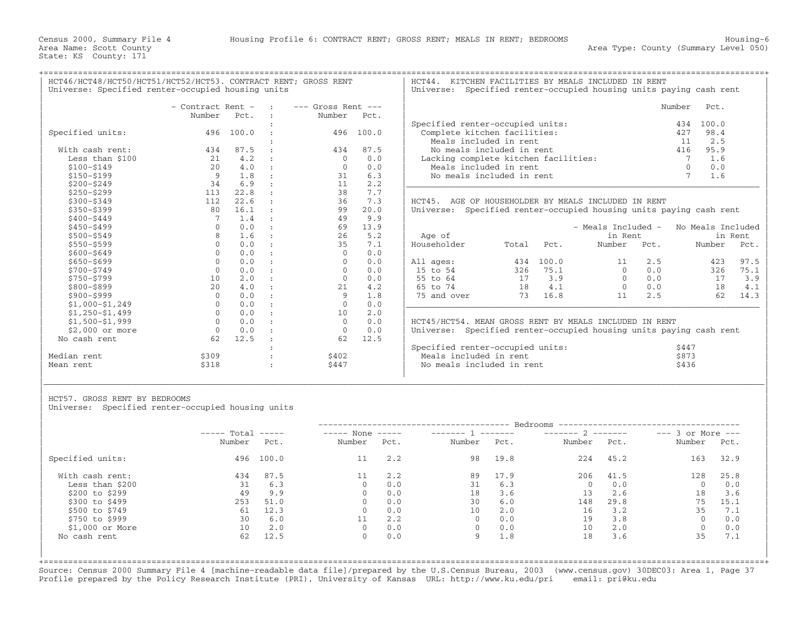+===================================================================================================================================================+

HCT46/HCT48/HCT50/HCT51/HCT52/HCT53. CONTRACT RENT; GROSS RENT | HCT44. KITCHEN FACILITIES BY MEALS INCLUDED IN RENT<br>| Universe: Specified renter-occupied housing units | Universe: Specified renter-occupied housing units p

Universe: Specified renter−occupied housing units paying cash rent

|                   | - Contract Rent - |           | $---$ Gross Rent $---$ |       |                                                                    |       |       |                    |      | Number            | Pct.    |      |
|-------------------|-------------------|-----------|------------------------|-------|--------------------------------------------------------------------|-------|-------|--------------------|------|-------------------|---------|------|
|                   | Number            | Pct.      | Number                 | Pct.  |                                                                    |       |       |                    |      |                   |         |      |
|                   |                   |           |                        |       | Specified renter-occupied units:                                   |       |       |                    |      | 434               | 100.0   |      |
| Specified units:  |                   | 496 100.0 | 496                    | 100.0 | Complete kitchen facilities:                                       |       |       |                    |      | 427               | 98.4    |      |
|                   |                   |           |                        |       | Meals included in rent                                             |       |       |                    |      | 11                | 2.5     |      |
| With cash rent:   | 434               | 87.5      | 434                    | 87.5  | No meals included in rent                                          |       |       |                    |      | 416               | 95.9    |      |
| Less than \$100   | 21                | 4.2       | $\Omega$               | 0.0   | Lacking complete kitchen facilities:                               |       |       |                    |      |                   | 1.6     |      |
| $$100 - $149$     | 2.0               | 4.0       | $\Omega$               | 0.0   | Meals included in rent                                             |       |       |                    |      | $\Omega$          | 0.0     |      |
| $$150 - $199$     | 9                 | 1.8       | 31                     | 6.3   | No meals included in rent                                          |       |       |                    |      | 7                 | 1.6     |      |
| $$200 - $249$     | 34                | 6.9       | 11                     | 2.2   |                                                                    |       |       |                    |      |                   |         |      |
| $$250 - $299$     | 113               | 22.8      | 38                     | 7.7   |                                                                    |       |       |                    |      |                   |         |      |
| $$300 - $349$     | 112               | 22.6      | 36                     | 7.3   | HCT45. AGE OF HOUSEHOLDER BY MEALS INCLUDED IN RENT                |       |       |                    |      |                   |         |      |
| $$350 - $399$     | 80                | 16.1      | 99                     | 20.0  | Universe: Specified renter-occupied housing units paying cash rent |       |       |                    |      |                   |         |      |
| $$400 - $449$     |                   | 1.4       | 49                     | 9.9   |                                                                    |       |       |                    |      |                   |         |      |
| $$450 - $499$     | $\Omega$          | 0.0       | 69                     | 13.9  |                                                                    |       |       | - Meals Included - |      | No Meals Included |         |      |
| $$500 - $549$     | $\mathsf{R}$      | 1.6       | 26                     | 5.2   | Age of                                                             |       |       | in Rent            |      |                   | in Rent |      |
| \$550-\$599       |                   | 0.0       | 35                     | 7.1   | Householder                                                        | Total | Pct.  | Number             | Pct. |                   | Number  | Pct. |
| $$600 - $649$     | $\Omega$          | 0.0       | $\Omega$               | 0.0   |                                                                    |       |       |                    |      |                   |         |      |
| $$650 - $699$     | $\Omega$          | 0.0       | $\Omega$               | 0.0   | All ages:                                                          | 434   | 100.0 | 11                 | 2.5  |                   | 423     | 97.5 |
| \$700-\$749       | $\mathbf{0}$      | 0.0       | $\Omega$               | 0.0   | 15 to 54                                                           | 326   | 75.1  | $\Omega$           | 0.0  |                   | 326     | 75.1 |
| \$750-\$799       | 10                | 2.0       | $\Omega$               | 0.0   | 55 to 64                                                           | 17    | 3.9   | $\Omega$           | 0.0  |                   | 17      | 3.9  |
| \$800-\$899       | 20                | 4.0       | 21                     | 4.2   | 65 to 74                                                           | 18    | 4.1   | $\Omega$           | 0.0  |                   | 18      | 4.1  |
| \$900-\$999       | $\Omega$          | 0.0       | 9                      | 1.8   | 75 and over                                                        | 73    | 16.8  | 11                 | 2.5  |                   | 62      | 14.3 |
| $$1,000-S1,249$   | $\Omega$          | 0.0       | $\Omega$               | 0.0   |                                                                    |       |       |                    |      |                   |         |      |
| $$1,250-51,499$   | $\Omega$          | 0.0       | 10                     | 2.0   |                                                                    |       |       |                    |      |                   |         |      |
| $$1,500 - $1,999$ | $\Omega$          | 0.0       | $\Omega$               | 0.0   | HCT45/HCT54. MEAN GROSS RENT BY MEALS INCLUDED IN RENT             |       |       |                    |      |                   |         |      |
| \$2,000 or more   | $\Omega$          | 0.0       | $\Omega$               | 0.0   | Universe: Specified renter-occupied housing units paying cash rent |       |       |                    |      |                   |         |      |
| No cash rent      | 62                | 12.5      | 62                     | 12.5  |                                                                    |       |       |                    |      |                   |         |      |
|                   |                   |           |                        |       | Specified renter-occupied units:                                   |       |       |                    |      | \$447             |         |      |
| Median rent       | \$309             |           | \$402                  |       | Meals included in rent                                             |       |       |                    |      | \$873             |         |      |
| Mean rent         | \$318             |           | \$447                  |       | No meals included in rent                                          |       |       |                    |      | \$436             |         |      |
|                   |                   |           |                        |       |                                                                    |       |       |                    |      |                   |         |      |

|                      | - Contract Rent -   |               | <b>Contract Contract</b> | $---$ Gross Rent $---$ |               |                                      | Number | Pct.  |
|----------------------|---------------------|---------------|--------------------------|------------------------|---------------|--------------------------------------|--------|-------|
|                      | Number              | Pct.          |                          | Number                 | Pct.          |                                      |        |       |
|                      |                     |               |                          |                        |               | Specified renter-occupied units:     | 434    | 100.0 |
| Specified units:     |                     | 496 100.0     |                          |                        | 496 100.0     | Complete kitchen facilities:         | 427    | 98.4  |
|                      |                     |               |                          |                        |               | Meals included in rent               |        | 2.5   |
| With cash rent:      | 434                 | 87.5          |                          | 434                    | 87.5          | No meals included in rent            | 416    | 95.9  |
| Less than \$100      |                     | 4.2           |                          |                        | 0.0           | Lacking complete kitchen facilities: |        | 1.6   |
| \$100-\$149          | 2.0                 | 4.0           | $\sim$ $\sim$            |                        | 0.0           | Meals included in rent               |        | 0.0   |
| \$150-\$199          |                     |               |                          |                        | 6.3           | No meals included in rent            |        | 1.6   |
| $A \cap \cap \cap A$ | $\bigcap$ $\bigcap$ | $\sim$ $\sim$ |                          |                        | $\cap$ $\cap$ |                                      |        |       |

DER BY MEALS INCLUDED IN RENT enter-occupied housing units paying cash rent

| Age of          |                 |       | - Meals Included -<br>in Rent |      | No Meals Included<br>in Rent |      |  |
|-----------------|-----------------|-------|-------------------------------|------|------------------------------|------|--|
| Householder     | Total           | Pct.  | Number                        | Pct. | Number                       | Pct. |  |
| All ages:       | 434             | 100.0 | 11                            | 2.5  | 423                          | 97.5 |  |
| 15 to 54        | 326             | 75.1  | 0                             | 0.0  | 326                          | 75.1 |  |
| 55 to 64        | 17              | 3.9   | $\Omega$                      | 0.0  | 17                           | 3.9  |  |
| 65 to 74        | 18              | 4.1   | 0                             | 0.0  | 18                           | 4.1  |  |
| 75 and over     | 73              | 16.8  | 11                            | 2.5  | 62                           | 14.3 |  |
| $HCT45/HCT54$ . | MEAN GROSS RENT | ВY    | MEALS<br>INCLUDED IN RENT     |      |                              |      |  |

| pecified renter-occupied units: | \$447 |
|---------------------------------|-------|
| Meals included in rent          | \$873 |
| No meals included in rent       | \$436 |

HCT57. GROSS RENT BY BEDROOMS

Universe: Specified renter-occupied housing units

|                  | $---$ Total |           | $---$ None<br>_______ 1 ______<br>$\qquad \qquad - - - - -$ |      |        | $------ 2$ | $---$ 3 or More $---$ |      |              |      |
|------------------|-------------|-----------|-------------------------------------------------------------|------|--------|------------|-----------------------|------|--------------|------|
|                  | Number      | Pct.      | Number                                                      | Pct. | Number | Pct.       | Number                | Pct. | Number       | Pct. |
| Specified units: |             | 496 100.0 | 11                                                          | 2.2  | 98     | 19.8       | 224                   | 45.2 | 163          | 32.9 |
| With cash rent:  | 434         | 87.5      |                                                             | 2.2  | 89     | 17.9       | 206                   | 41.5 | 128          | 25.8 |
| Less than \$200  | 31          | 6.3       | $\Omega$                                                    | 0.0  | 31     | 6.3        | $\mathbf 0$           | 0.0  | $\Omega$     | 0.0  |
| \$200 to \$299   | 49          | 9.9       | $\Omega$                                                    | 0.0  | 18     | 3.6        | 13                    | 2.6  | 18           | 3.6  |
| \$300 to \$499   | 253         | 51.0      | $\Omega$                                                    | 0.0  | 30     | 6.0        | 148                   | 29.8 | 75           | 15.1 |
| \$500 to \$749   | 61          | 12.3      | $\Omega$                                                    | 0.0  | 10     | 2.0        | 16                    | 3.2  | 35           | 7.1  |
| \$750 to \$999   | 30          | 6.0       |                                                             | 2.2  |        | 0.0        | 19                    | 3.8  | $\Omega$     | 0.0  |
| $$1,000$ or More | 10          | 2.0       | $\Omega$                                                    | 0.0  |        | 0.0        | 10                    | 2.0  | $\mathbf{0}$ | 0.0  |
| No cash rent     | 62          | 12.5      | $\mathbf{0}$                                                | 0.0  | 9      | 1.8        | 18                    | 3.6  | 35           | 7.1  |

|\_\_\_\_\_\_\_\_\_\_\_\_\_\_\_\_\_\_\_\_\_\_\_\_\_\_\_\_\_\_\_\_\_\_\_\_\_\_\_\_\_\_\_\_\_\_\_\_\_\_\_\_\_\_\_\_\_\_\_\_\_\_\_\_\_\_\_\_\_\_\_\_\_\_\_\_\_\_\_\_\_\_\_\_\_\_\_\_\_\_\_\_\_\_\_\_\_\_\_\_\_\_\_\_\_\_\_\_\_\_\_\_\_\_\_\_\_\_\_\_\_\_\_\_\_\_\_\_\_\_\_\_\_\_\_\_\_\_\_\_\_\_\_\_\_\_\_| | |

+===================================================================================================================================================+Source: Census 2000 Summary File 4 [machine−readable data file]/prepared by the U.S.Census Bureau, 2003 (www.census.gov) 30DEC03: Area 1, Page 37 Profile prepared by the Policy Research Institute (PRI), University of Kansas URL: http://www.ku.edu/pri email: pri@ku.edu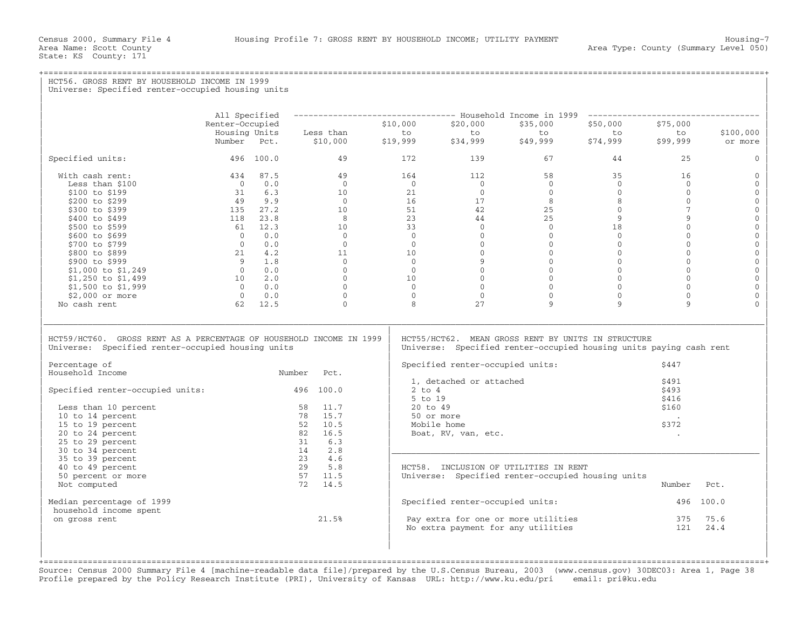State: KS County: 171

+===================================================================================================================================================+HCT56. GROSS RENT BY HOUSEHOLD INCOME IN 1999 Universe: Specified renter-occupied housing units | | | | | All Specified −−−−−−−−−−−−−−−−−−−−−−−−−−−−−−−−− Household Income in 1999 −−−−−−−−−−−−−−−−−−−−−−−−−−−−−−−−−−− | | Renter−Occupied \$10,000 \$20,000 \$35,000 \$50,000 \$75,000 | | Housing Units Less than to to to to to \$100,000 | | Number Pct. \$10,000 \$19,999 \$34,999 \$49,999 \$74,999 \$99,999 or more | | | | Specified units: 496 100.0 49 172 139 67 44 25 0 | | | | With cash rent: 434 87.5 49 164 112 58 35 16 0 | | Less than \$100 0 0.0 0 0 0 0 0 0 0 | | \$100 to \$199 31 6.3 10 21 0 0 0 0 0 | | \$200 to \$299 49 9.9 0 16 17 8 8 0 0 | | \$300 to \$399 135 27.2 10 51 42 25 0 7 0 | | \$400 to \$499 118 23.8 8 23 44 25 9 9 0 | | \$500 to \$599 61 12.3 10 33 0 0 18 0 0 | | \$600 to \$699 0 0.0 0 0 0 0 0 0 0 | | \$700 to \$799 0 0.0 0 0 0 0 0 0 0 | | \$800 to \$899 21 4.2 11 10 0 0 0 0 0 | | \$900 to \$999 9 1.8 0 0 9 0 0 0 0 | | \$1,000 to \$1,249 0 0.0 0 0 0 0 0 0 0 | | \$1,250 to \$1,499 10 2.0 0 10 0 0 0 0 0 | | \$1,500 to \$1,999 0 0.0 0 0 0 0 0 0 0 | | \$2,000 or more 0 0.0 0 0 0 0 0 0 0 | | No cash rent 62 12.5 0 8 27 9 9 9 0 | | | |\_\_\_\_\_\_\_\_\_\_\_\_\_\_\_\_\_\_\_\_\_\_\_\_\_\_\_\_\_\_\_\_\_\_\_\_\_\_\_\_\_\_\_\_\_\_\_\_\_\_\_\_\_\_\_\_\_\_\_\_\_\_\_\_\_\_\_\_\_\_\_\_\_\_\_\_\_\_\_\_\_\_\_\_\_\_\_\_\_\_\_\_\_\_\_\_\_\_\_\_\_\_\_\_\_\_\_\_\_\_\_\_\_\_\_\_\_\_\_\_\_\_\_\_\_\_\_\_\_\_\_\_\_\_\_\_\_\_\_\_\_\_\_\_\_\_\_| | | | HCT59/HCT60. GROSS RENT AS A PERCENTAGE OF HOUSEHOLD INCOME IN 1999 | HCT55/HCT62. MEAN GROSS RENT BY UNITS IN STRUCTURE<br>Universe: Specified renter-occupied housing units | Universe: Specified renter-occupied housing units Universe: Specified renter-occupied housing units paying cash rent | | | | Percentage of | Specified renter−occupied units: \$447 | Number Pct. | Specified fencer occupied units.<br>1. detached or attached \$491  $\vert$  1, detached or attached  $\vert$  391  $\vert$ | Specified renter−occupied units: 496 100.0 | 2 to 4 \$493 |  $\vert$  5 to 19  $\vert$  5 to 19  $\vert$  5 to 19  $\vert$  5 to 19  $\vert$  5 to 19  $\vert$  5 to 19  $\vert$  5 to 19  $\vert$  5 to 19  $\vert$  5 to 19  $\vert$  5 to 19  $\vert$  5 to 19  $\vert$  5 to 19  $\vert$  5 to 19  $\vert$  5 to 19  $\vert$  5 to 19  $\vert$  5 to 19  $\vert$  5 to 19 | Less than 10 percent 58 11.7 | 20 to 49 \$160 | | 10 to 14 percent 78 15.7 | 50 or more . | | 15 to 19 percent 52 10.5 | Mobile home \$372 | | 20 to 24 percent 82 16.5 | Boat, RV, van, etc. . | | 25 to 29 percent 31 6.3 | | | 30 to 34 percent 14 2.8 |\_\_\_\_\_\_\_\_\_\_\_\_\_\_\_\_\_\_\_\_\_\_\_\_\_\_\_\_\_\_\_\_\_\_\_\_\_\_\_\_\_\_\_\_\_\_\_\_\_\_\_\_\_\_\_\_\_\_\_\_\_\_\_\_\_\_\_\_\_\_\_\_\_\_\_ | | 35 to 39 percent 23 4.6 | | 40 to 49 percent 29 5.8 | HCT58. INCLUSION OF UTILITIES IN RENT | | 50 percent or more 57 11.5 | Universe: Specified renter−occupied housing units | | Not computed 72 14.5 | Number Pct. | | | | | Median percentage of 1999 | Specified renter−occupied units: 496 100.0 | household income spent<br>on gross rent  $21.5%$  $|$  on gross rent  $21.5$   $|$  Pay extra for one or more utilities  $375$   $75.6$   $|$  $\vert$  No extra payment for any utilities  $\vert$  121  $\vert$  24.4  $\vert$ | | | | | | | |

+===================================================================================================================================================+Source: Census 2000 Summary File 4 [machine−readable data file]/prepared by the U.S.Census Bureau, 2003 (www.census.gov) 30DEC03: Area 1, Page 38 Profile prepared by the Policy Research Institute (PRI), University of Kansas URL: http://www.ku.edu/pri email: pri@ku.edu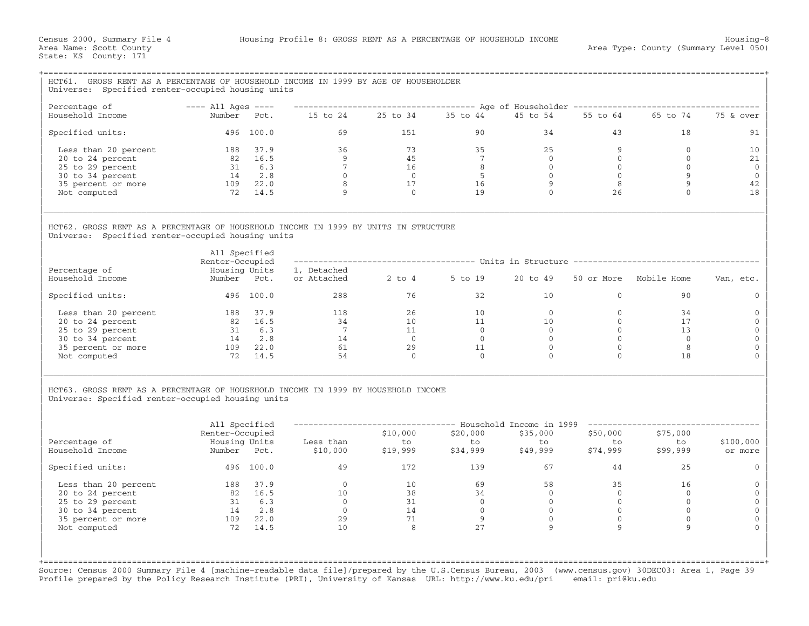| HCT61. GROSS RENT AS A PERCENTAGE OF HOUSEHOLD INCOME IN 1999 BY AGE OF HOUSEHOLDER                                                                                                                                                                                                                                                                                                                                                                                                                                                                    |                                  |                   |                                                                 |                                   |                                                                   |                |                |                                                                                          |                     |  |  |
|--------------------------------------------------------------------------------------------------------------------------------------------------------------------------------------------------------------------------------------------------------------------------------------------------------------------------------------------------------------------------------------------------------------------------------------------------------------------------------------------------------------------------------------------------------|----------------------------------|-------------------|-----------------------------------------------------------------|-----------------------------------|-------------------------------------------------------------------|----------------|----------------|------------------------------------------------------------------------------------------|---------------------|--|--|
| Universe: Specified renter-occupied housing units                                                                                                                                                                                                                                                                                                                                                                                                                                                                                                      |                                  |                   |                                                                 |                                   |                                                                   |                |                |                                                                                          |                     |  |  |
| Percentage of                                                                                                                                                                                                                                                                                                                                                                                                                                                                                                                                          | $---$ All Ages $---$             |                   |                                                                 |                                   |                                                                   |                |                | ------------------------------------ Age of Householder -------------------------------- |                     |  |  |
| Household Income                                                                                                                                                                                                                                                                                                                                                                                                                                                                                                                                       | Number Pct.                      |                   | 15 to 24   25 to 34   35 to 44                                  |                                   |                                                                   | 45 to 54       |                | 55 to 64 65 to 74                                                                        | 75 & over           |  |  |
| Specified units:                                                                                                                                                                                                                                                                                                                                                                                                                                                                                                                                       |                                  | 496 100.0         |                                                                 | 69 — 10<br>1.51                   | 90                                                                |                | 34             | 43 and $\sim$<br>18                                                                      | 91                  |  |  |
| Less than 20 percent                                                                                                                                                                                                                                                                                                                                                                                                                                                                                                                                   | 188 37.9                         |                   | 36                                                              | 73                                | 35                                                                | 25             | 9              | $\overline{0}$                                                                           | 10                  |  |  |
| 20 to 24 percent                                                                                                                                                                                                                                                                                                                                                                                                                                                                                                                                       | $82 \t 16.5$<br>31 6.3           |                   | $\overline{9}$                                                  | 45                                | $7\phantom{0}$                                                    | $\overline{0}$ | $\Omega$       | $\Omega$                                                                                 | 21                  |  |  |
| 25 to 29 percent                                                                                                                                                                                                                                                                                                                                                                                                                                                                                                                                       |                                  |                   | $\overline{7}$                                                  |                                   |                                                                   | $\overline{0}$ | $\overline{0}$ | $\overline{0}$                                                                           | $\mathbf{0}$        |  |  |
| 30 to 34 percent                                                                                                                                                                                                                                                                                                                                                                                                                                                                                                                                       |                                  | 14 2.8            |                                                                 |                                   |                                                                   | $\overline{0}$ | $\overline{0}$ | $\overline{9}$                                                                           | $\mathbf 0$         |  |  |
| 35 percent or more                                                                                                                                                                                                                                                                                                                                                                                                                                                                                                                                     | 109 22.0                         |                   | $\begin{array}{c} 0 \\ 8 \end{array}$                           |                                   | $\begin{array}{ccc} 16 & & 8 \\ 0 & & 5 \\ 17 & & 16 \end{array}$ | 9              | 8              | 9                                                                                        | 42                  |  |  |
| Not computed                                                                                                                                                                                                                                                                                                                                                                                                                                                                                                                                           |                                  | 72 14.5           | 9                                                               | $\overline{0}$                    | 19                                                                | $\Omega$       | 26             | $\Omega$                                                                                 | 18                  |  |  |
| HCT62. GROSS RENT AS A PERCENTAGE OF HOUSEHOLD INCOME IN 1999 BY UNITS IN STRUCTURE<br>Universe: Specified renter-occupied housing units                                                                                                                                                                                                                                                                                                                                                                                                               | All Specified<br>Renter-Occupied |                   |                                                                 |                                   |                                                                   |                |                | ------------------------------------ Units in Structure -------------------------------- |                     |  |  |
| Percentage of<br>Household Income                                                                                                                                                                                                                                                                                                                                                                                                                                                                                                                      | Housing Units<br>Number Pct.     |                   | 1, Detached<br>or Attached 2 to 4 5 to 19                       |                                   |                                                                   | 20 to 49       |                | 50 or More Mobile Home                                                                   | Van, etc.           |  |  |
| Specified units:                                                                                                                                                                                                                                                                                                                                                                                                                                                                                                                                       | 496 100.0                        |                   |                                                                 | 288 and $\sim$<br>76              | 32                                                                | 10             | $\mathbf{0}$   | 90                                                                                       | $\mathbf{0}$        |  |  |
| Less than 20 percent                                                                                                                                                                                                                                                                                                                                                                                                                                                                                                                                   | 188 37.9                         |                   | $\begin{array}{ccc} 118 & 26 \\ 34 & 10 \\ 7 & 11 \end{array}$  |                                   | $\begin{array}{c}\n10 \\ 11 \\ 0\n\end{array}$                    | $\Omega$       | $\Omega$       | 34                                                                                       | $\Omega$            |  |  |
| 20 to 24 percent                                                                                                                                                                                                                                                                                                                                                                                                                                                                                                                                       |                                  | 82 16.5<br>31 6.3 |                                                                 |                                   |                                                                   | 10             | $\circ$        | 17                                                                                       | $\mathbf{0}$        |  |  |
| 25 to 29 percent                                                                                                                                                                                                                                                                                                                                                                                                                                                                                                                                       |                                  |                   |                                                                 |                                   |                                                                   | $\overline{0}$ | $\Omega$       | 13                                                                                       | $\mathbf{0}$        |  |  |
| 30 to 34 percent                                                                                                                                                                                                                                                                                                                                                                                                                                                                                                                                       |                                  | 14 2.8            |                                                                 | $\overline{0}$                    | $\overline{0}$                                                    | $\overline{0}$ | $\mathbf{0}$   | $\overline{0}$                                                                           | $\mathbf{0}$        |  |  |
| 35 percent or more                                                                                                                                                                                                                                                                                                                                                                                                                                                                                                                                     | 109 22.0                         |                   |                                                                 | 29                                | 11                                                                | $\Omega$       | $\Omega$       | 8                                                                                        | $\Omega$            |  |  |
| Not computed                                                                                                                                                                                                                                                                                                                                                                                                                                                                                                                                           |                                  | 72 14.5           | $\begin{array}{c} 14 \\ 61 \\ 54 \end{array}$                   | $\overline{0}$                    | $\overline{0}$                                                    | $\Omega$       | $\Omega$       | 18                                                                                       |                     |  |  |
| HCT63. GROSS RENT AS A PERCENTAGE OF HOUSEHOLD INCOME IN 1999 BY HOUSEHOLD INCOME<br>Universe: Specified renter-occupied housing units<br>All Specified<br>-------------------------------- Household Income in 1999 -----------------------<br>Renter-Occupied<br>\$10,000<br>\$20,000<br>\$35,000<br>\$50,000<br>\$75,000<br>ې بار<br>to<br>\$74,999 \$<br>to<br>Percentage of<br>Housing Units Less than<br>Less than to to to<br>\$10,000 \$19,999 \$34,999<br>\$100,000<br>to to<br>to<br>Household Income<br>\$99,999<br>Number Pct.<br>\$49,999 |                                  |                   |                                                                 |                                   |                                                                   |                |                |                                                                                          |                     |  |  |
| Specified units:                                                                                                                                                                                                                                                                                                                                                                                                                                                                                                                                       | 496 100.0                        |                   | 49                                                              | 172                               | 139                                                               | 67             | 44             | 25                                                                                       | or more<br>$\Omega$ |  |  |
|                                                                                                                                                                                                                                                                                                                                                                                                                                                                                                                                                        |                                  |                   |                                                                 |                                   |                                                                   |                |                |                                                                                          |                     |  |  |
| Less than 20 percent                                                                                                                                                                                                                                                                                                                                                                                                                                                                                                                                   | 188 37.9                         |                   | $\overline{0}$<br>$\begin{array}{c}\n0 \\ 10 \\ 0\n\end{array}$ | 10                                | 69                                                                | 58             | 35             | 16                                                                                       | $\mathbf 0$         |  |  |
| 20 to 24 percent                                                                                                                                                                                                                                                                                                                                                                                                                                                                                                                                       |                                  | 82 16.5<br>31 6.3 |                                                                 |                                   | 34                                                                | $\overline{0}$ | $\bigcirc$     | $\Omega$                                                                                 | $\Omega$            |  |  |
| 25 to 29 percent                                                                                                                                                                                                                                                                                                                                                                                                                                                                                                                                       |                                  |                   |                                                                 |                                   | $\overline{0}$                                                    | $\bigcirc$     | $\overline{0}$ | $\Omega$                                                                                 | $\Omega$            |  |  |
| 30 to 34 percent                                                                                                                                                                                                                                                                                                                                                                                                                                                                                                                                       |                                  | 14 2.8            | $\overline{0}$                                                  | $\frac{1}{38}$<br>$\frac{31}{14}$ | $\overline{0}$                                                    | $\overline{0}$ | $\overline{0}$ | $\circ$                                                                                  | $\mathbf{0}$        |  |  |
| 35 percent or more                                                                                                                                                                                                                                                                                                                                                                                                                                                                                                                                     | 109 22.0                         |                   | $\begin{array}{c} 0 \\ 29 \\ 10 \end{array}$                    | 71                                | 9                                                                 | $\overline{0}$ | $\mathbf{0}$   | $\mathbf{0}$                                                                             | $\Omega$            |  |  |
| Not computed                                                                                                                                                                                                                                                                                                                                                                                                                                                                                                                                           |                                  | 72 14.5           |                                                                 | 8                                 | 2.7                                                               | 9              | 9              | 9                                                                                        |                     |  |  |
|                                                                                                                                                                                                                                                                                                                                                                                                                                                                                                                                                        |                                  |                   |                                                                 |                                   |                                                                   |                |                |                                                                                          |                     |  |  |

Source: Census 2000 Summary File 4 [machine−readable data file]/prepared by the U.S.Census Bureau, 2003 (www.census.gov) 30DEC03: Area 1, Page 39 Profile prepared by the Policy Research Institute (PRI), University of Kansas URL: http://www.ku.edu/pri email: pri@ku.edu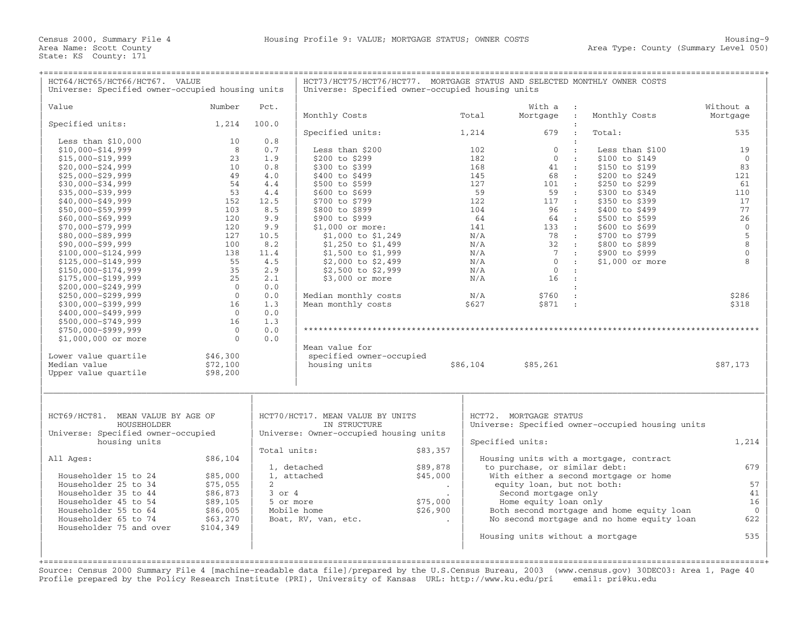| HCT64/HCT65/HCT66/HCT67. VALUE<br>Universe: Specified owner-occupied housing units | HCT73/HCT75/HCT76/HCT77. MORTGAGE STATUS AND SELECTED MONTHLY OWNER COSTS<br>Universe: Specified owner-occupied housing units |                |                                                  |                          |            |                                  |              |                                                  |                    |
|------------------------------------------------------------------------------------|-------------------------------------------------------------------------------------------------------------------------------|----------------|--------------------------------------------------|--------------------------|------------|----------------------------------|--------------|--------------------------------------------------|--------------------|
| Value                                                                              | Number                                                                                                                        | Pct.           |                                                  |                          |            | With a                           |              |                                                  | Without a          |
|                                                                                    |                                                                                                                               |                | Monthly Costs                                    |                          | Total      | Mortgage                         | $\sim$ :     | Monthly Costs                                    | Mortgage           |
| Specified units:                                                                   | 1,214                                                                                                                         | 100.0          |                                                  |                          |            |                                  |              |                                                  |                    |
|                                                                                    |                                                                                                                               |                | Specified units:                                 |                          | 1,214      | 679                              |              | Total:                                           | 535                |
| Less than $$10,000$                                                                | 10                                                                                                                            | 0.8            |                                                  |                          |            |                                  |              |                                                  |                    |
| $$10,000 - $14,999$                                                                | 8                                                                                                                             | 0.7            | Less than \$200                                  |                          | 102        | $\mathbf{0}$                     | $\cdot$ .    | Less than \$100                                  | 19                 |
| \$15,000-\$19,999                                                                  | 23                                                                                                                            | 1.9            | \$200 to \$299                                   |                          | 182        | $\mathbf{0}$                     | $\cdot$ :    | \$100 to \$149                                   | $\overline{0}$     |
| $$20,000 - $24,999$                                                                | 10                                                                                                                            | 0.8            | \$300 to \$399                                   |                          | 168        | 41                               | $\sim$ 1.    | \$150 to \$199                                   | 83                 |
| $$25,000 - $29,999$                                                                | 49                                                                                                                            | 4.0            | \$400 to \$499                                   |                          | 145        | 68                               | $\sim$ 100   | \$200 to \$249                                   | 121                |
| $$30,000 - $34,999$                                                                | 54                                                                                                                            | 4.4            | \$500 to \$599                                   |                          | 127        | $101$ :                          |              | \$250 to \$299                                   | 61                 |
| $$35,000 - $39,999$                                                                | 53                                                                                                                            | 4.4            | \$600 to \$699                                   |                          | 59         | 59 :                             |              | \$300 to \$349                                   | 110                |
| $$40,000 - $49,999$                                                                | 152                                                                                                                           | 12.5           | \$700 to \$799                                   |                          | 122        | 117                              | $\sim$ 100   | \$350 to \$399                                   | 17                 |
| \$50,000-\$59,999                                                                  | 103                                                                                                                           | 8.5            | \$800 to \$899                                   |                          | 104        | 96 :                             |              | \$400 to \$499                                   | 77                 |
| $$60,000 - $69,999$                                                                | 120                                                                                                                           | 9.9            | \$900 to \$999                                   |                          | 64         | 64 :                             |              | \$500 to \$599                                   | 26<br>$\mathbf{0}$ |
| $$70,000 - $79,999$                                                                | 120                                                                                                                           | 9.9            | $$1,000$ or more:                                |                          | 141        | 133 :<br>78 :                    |              | \$600 to \$699                                   | 5                  |
| \$80,000-\$89,999                                                                  | 127<br>100                                                                                                                    | 10.5<br>8.2    | $$1,000$ to $$1,249$                             |                          | N/A<br>N/A | 32                               | $\sim$ 100   | \$700 to \$799                                   | 8                  |
| $$90,000 - $99,999$<br>\$100,000-\$124,999                                         | 138                                                                                                                           | 11.4           | \$1,250 to \$1,499<br>\$1,500 to \$1,999         |                          | N/A        | $\overline{7}$                   | $\mathbf{r}$ | \$800 to \$899<br>\$900 to \$999                 | $\Omega$           |
| \$125,000-\$149,999                                                                | 55                                                                                                                            | 4.5            | \$2,000 to \$2,499                               |                          | N/A        | $\overline{0}$                   | $\sim$ 10    | $$1,000$ or more                                 | 8                  |
| \$150,000-\$174,999                                                                | 35                                                                                                                            | 2.9            | \$2,500 to \$2,999                               |                          | N/A        | $\overline{0}$                   | $\sim 20$    |                                                  |                    |
| \$175,000-\$199,999                                                                | 25                                                                                                                            | 2.1            | \$3,000 or more                                  |                          | N/A        | 16                               | $\mathbf{r}$ |                                                  |                    |
| $$200,000 - $249,999$                                                              | $\overline{0}$                                                                                                                | 0.0            |                                                  |                          |            |                                  |              |                                                  |                    |
| $$250,000 - $299,999$                                                              | $\overline{0}$                                                                                                                | 0.0            | Median monthly costs                             |                          | N/A        | \$760                            | $\cdot$      |                                                  | \$286              |
| \$300,000-\$399,999                                                                | 16                                                                                                                            | 1.3            | Mean monthly costs                               |                          | \$627      | \$871 :                          |              |                                                  | \$318              |
| \$400,000-\$499,999                                                                | $\Omega$                                                                                                                      | 0.0            |                                                  |                          |            |                                  |              |                                                  |                    |
| \$500,000-\$749,999                                                                | 16                                                                                                                            | 1.3            |                                                  |                          |            |                                  |              |                                                  |                    |
| $$750,000 - $999,999$                                                              | $\overline{0}$                                                                                                                | 0.0            |                                                  |                          |            |                                  |              |                                                  |                    |
| $$1,000,000$ or more                                                               | $\Omega$                                                                                                                      | 0.0            |                                                  |                          |            |                                  |              |                                                  |                    |
|                                                                                    |                                                                                                                               |                | Mean value for                                   |                          |            |                                  |              |                                                  |                    |
| Lower value quartile                                                               | \$46,300                                                                                                                      |                | specified owner-occupied                         |                          |            |                                  |              |                                                  |                    |
| Median value                                                                       | \$72,100                                                                                                                      |                | housing units                                    |                          | \$86,104   | \$85,261                         |              |                                                  | \$87,173           |
| Upper value quartile                                                               | \$98,200                                                                                                                      |                |                                                  |                          |            |                                  |              |                                                  |                    |
|                                                                                    |                                                                                                                               |                |                                                  |                          |            |                                  |              |                                                  |                    |
| HCT69/HCT81. MEAN VALUE BY AGE OF<br>HOUSEHOLDER                                   |                                                                                                                               |                | HCT70/HCT17. MEAN VALUE BY UNITS<br>IN STRUCTURE |                          |            | HCT72. MORTGAGE STATUS           |              | Universe: Specified owner-occupied housing units |                    |
| Universe: Specified owner-occupied<br>housing units                                |                                                                                                                               |                | Universe: Owner-occupied housing units           |                          |            | Specified units:                 |              |                                                  | 1,214              |
|                                                                                    |                                                                                                                               | Total units:   |                                                  | \$83,357                 |            |                                  |              |                                                  |                    |
| All Ages:                                                                          | \$86,104                                                                                                                      |                |                                                  |                          |            |                                  |              | Housing units with a mortgage, contract          |                    |
|                                                                                    |                                                                                                                               |                | 1, detached                                      | \$89,878                 |            | to purchase, or similar debt:    |              |                                                  | 679                |
| Householder 15 to 24                                                               | \$85,000                                                                                                                      |                | 1, attached                                      | \$45,000                 |            |                                  |              | With either a second mortgage or home            |                    |
| Householder 25 to 34                                                               | \$75,055                                                                                                                      | $\overline{2}$ |                                                  | $\overline{\phantom{a}}$ |            | equity loan, but not both:       |              |                                                  | 57                 |
| Householder 35 to 44                                                               | \$86,873                                                                                                                      | $3$ or $4$     |                                                  |                          |            | Second mortgage only             |              |                                                  | 41                 |
| Householder 45 to 54                                                               | \$89,105                                                                                                                      | 5 or more      |                                                  | \$75,000                 |            | Home equity loan only            |              |                                                  | 16                 |
| Householder 55 to 64<br>Householder 65 to 74                                       | \$86,005                                                                                                                      |                | Mobile home                                      | \$26,900                 |            |                                  |              | Both second mortgage and home equity loan        | $\mathbf{0}$       |
| Householder 75 and over                                                            | \$63,270<br>\$104,349                                                                                                         |                | Boat, RV, van, etc.                              |                          |            |                                  |              | No second mortgage and no home equity loan       | 622                |
|                                                                                    |                                                                                                                               |                |                                                  |                          |            | Housing units without a mortgage |              |                                                  | 535                |
|                                                                                    |                                                                                                                               |                |                                                  |                          |            |                                  |              |                                                  |                    |
|                                                                                    |                                                                                                                               |                |                                                  |                          |            |                                  |              |                                                  |                    |
|                                                                                    |                                                                                                                               |                |                                                  |                          |            |                                  |              |                                                  |                    |

Source: Census 2000 Summary File 4 [machine−readable data file]/prepared by the U.S.Census Bureau, 2003 (www.census.gov) 30DEC03: Area 1, Page 40 Profile prepared by the Policy Research Institute (PRI), University of Kansas URL: http://www.ku.edu/pri email: pri@ku.edu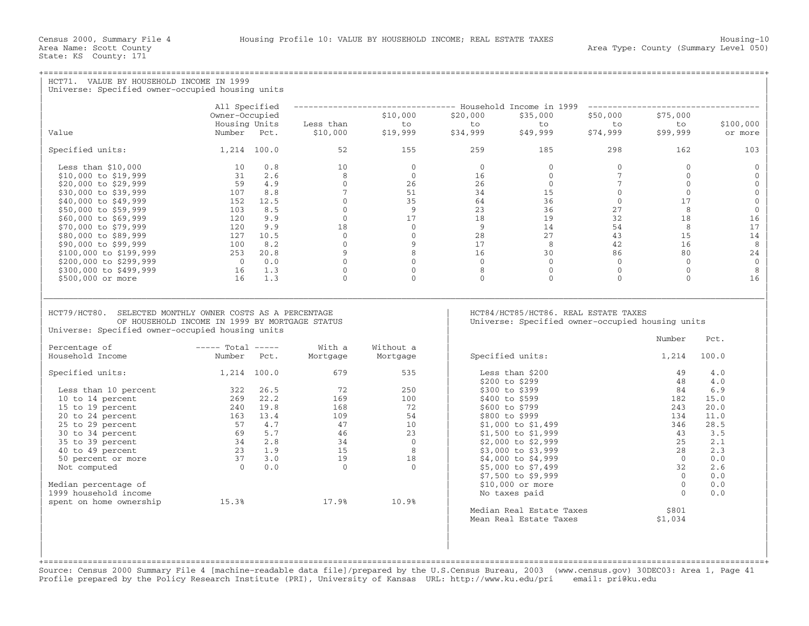| HCT71. VALUE BY HOUSEHOLD INCOME IN 1999<br>Universe: Specified owner-occupied housing units                  |                                                         |                                               |                                                                                               |                |                                                                                          |                 |                         |              |
|---------------------------------------------------------------------------------------------------------------|---------------------------------------------------------|-----------------------------------------------|-----------------------------------------------------------------------------------------------|----------------|------------------------------------------------------------------------------------------|-----------------|-------------------------|--------------|
|                                                                                                               |                                                         |                                               |                                                                                               |                |                                                                                          |                 |                         |              |
|                                                                                                               | All Specified<br>Owner-Occupied                         |                                               | -------------------------------- Household Income in 1999 -----------------------<br>\$10,000 | \$20,000       | \$35,000                                                                                 | \$50,000        | \$75,000                |              |
|                                                                                                               | Housing Units                                           | Less than                                     | to                                                                                            | to             | to                                                                                       | to              | to                      | \$100,000    |
| Value                                                                                                         | Number Pct.                                             | \$10,000                                      | \$19,999                                                                                      | \$34,999       | \$49,999                                                                                 | \$74,999        | \$99,999                | or more      |
| Specified units:                                                                                              | 1,214 100.0                                             | 52                                            | 155                                                                                           | 259            | 185                                                                                      | 298             | 162                     | 103          |
| Less than $$10,000$                                                                                           | 10<br>0.8                                               | 10                                            | $\Omega$                                                                                      | $\Omega$       | $\Omega$                                                                                 | $\Omega$        | $\Omega$                | $\Omega$     |
| \$10,000 to \$19,999                                                                                          | 31<br>2.6                                               | 8                                             | $\Omega$                                                                                      | 16             | $\Omega$                                                                                 | $7\phantom{.0}$ | $\Omega$                | $\Omega$     |
| \$20,000 to \$29,999                                                                                          | 59 4.9                                                  | $\Omega$                                      | 26                                                                                            | 26             | $\Omega$                                                                                 | $7\phantom{.0}$ | $\Omega$                | $\mathbf{0}$ |
| \$30,000 to \$39,999                                                                                          | 8.8<br>107                                              | $7^{\circ}$                                   | 51                                                                                            | 34             | 15                                                                                       | $\overline{0}$  | $\circ$                 | $\mathbf{0}$ |
| \$40,000 to \$49,999                                                                                          | 152 12.5                                                | $\Omega$                                      | 35                                                                                            | 64             | 36                                                                                       | $\overline{0}$  | 17                      | $\mathbf{0}$ |
| \$50,000 to \$59,999                                                                                          | 8.5<br>103                                              | $\circ$                                       | 9                                                                                             | 23             | 36                                                                                       | 27              | 8                       | $\mathbb O$  |
| \$60,000 to \$69,999                                                                                          | 9.9<br>120                                              | $\overline{0}$                                | 17                                                                                            | 18             | 19                                                                                       | 32              | 18                      | 16           |
| \$70,000 to \$79,999                                                                                          | 9.9<br>120                                              | 18                                            | $\Omega$                                                                                      | $\overline{9}$ | 14                                                                                       | 54              | 8                       | 17           |
| \$80,000 to \$89,999                                                                                          | 127 10.5                                                | $\circ$                                       | $\overline{0}$                                                                                | 28             | 27                                                                                       | 43              | 15                      | 14           |
| \$90,000 to \$99,999                                                                                          | $\begin{array}{cc} 100 & 8.2 \\ 253 & 20.8 \end{array}$ | $\circ$                                       | 9                                                                                             | 17             | 8                                                                                        | 42              | 16                      | 8            |
| \$100,000 to \$199,999                                                                                        |                                                         | 9                                             | 8                                                                                             | 16             | 30                                                                                       | 86              | 80                      | 24           |
| \$200,000 to \$299,999                                                                                        | $0 \qquad 0.0$                                          | $\overline{0}$                                | $\Omega$                                                                                      | $\Omega$       | $\overline{0}$                                                                           | $\overline{0}$  | $\overline{0}$          | $\mathbf{0}$ |
| \$300,000 to \$499,999                                                                                        | 16 1.3                                                  | $\overline{0}$                                | $\overline{0}$<br>$\Omega$                                                                    | 8<br>$\Omega$  | $\overline{0}$<br>$\Omega$                                                               | $\overline{0}$  | $\mathbf 0$<br>$\Omega$ | 8            |
| \$500,000 or more                                                                                             | 16<br>1.3                                               | $\Omega$                                      |                                                                                               |                |                                                                                          | $\Omega$        |                         | 16           |
| HCT79/HCT80. SELECTED MONTHLY OWNER COSTS AS A PERCENTAGE<br>Universe: Specified owner-occupied housing units | OF HOUSEHOLD INCOME IN 1999 BY MORTGAGE STATUS          |                                               |                                                                                               |                | HCT84/HCT85/HCT86. REAL ESTATE TAXES<br>Universe: Specified owner-occupied housing units |                 | Number                  | Pct.         |
| Percentage of<br>Household Income                                                                             | $---$ Total $---$<br>Number Pct.                        | With a<br>Mortgage                            | Without a<br>Mortgage                                                                         |                | Specified units:                                                                         |                 | 1,214                   | 100.0        |
|                                                                                                               |                                                         |                                               |                                                                                               |                |                                                                                          |                 |                         |              |
| Specified units:                                                                                              | $1,214$ 100.0                                           | 679                                           | 535                                                                                           |                | Less than \$200                                                                          |                 | 49<br>48                | 4.0          |
|                                                                                                               | 322 26.5                                                | 72                                            | 250                                                                                           |                | \$200 to \$299<br>\$300 to \$399                                                         |                 | 84                      | 4.0<br>6.9   |
| Less than 10 percent<br>10 to 14 percent                                                                      | 269 22.2                                                | 169                                           | 100                                                                                           |                | \$400 to \$599                                                                           |                 | 182                     | 15.0         |
| 15 to 19 percent                                                                                              | 240 19.8                                                | 168                                           | 72                                                                                            |                | \$600 to \$799                                                                           |                 | 243                     | 20.0         |
| 20 to 24 percent                                                                                              | 163 13.4                                                | 109                                           | 54                                                                                            |                | \$800 to \$999                                                                           |                 | 134                     | 11.0         |
| 25 to 29 percent                                                                                              | 57 4.7                                                  | 47                                            | 10 <sup>1</sup>                                                                               |                | $$1,000$ to $$1,499$                                                                     |                 | 346                     | 28.5         |
| 30 to 34 percent                                                                                              |                                                         | 46                                            | 23                                                                                            |                | \$1,500 to \$1,999                                                                       |                 | 43                      | 3.5          |
| 35 to 39 percent                                                                                              | $69$ 5.7<br>$34$ 2.8<br>$23$ 1.9<br>$37$ 3.0            | $\begin{array}{c} 12 \\ 34 \\ 15 \end{array}$ | $\overline{0}$                                                                                |                | $$2,000$ to $$2,999$                                                                     |                 | 25                      | 2.1          |
| 40 to 49 percent                                                                                              |                                                         |                                               | 8                                                                                             |                | \$3,000 to \$3,999                                                                       |                 | 28                      | 2.3          |
| 50 percent or more                                                                                            |                                                         | 19                                            | 18                                                                                            |                | \$4,000 to \$4,999                                                                       |                 | $\bigcirc$              | 0.0          |
| Not computed                                                                                                  | $0 \qquad 0.0$                                          | $\overline{0}$                                | $\Omega$                                                                                      |                | \$5,000 to \$7,499                                                                       |                 | 32                      | 2.6          |
|                                                                                                               |                                                         |                                               |                                                                                               |                | \$7,500 to \$9,999                                                                       |                 | $\Omega$                | 0.0          |
| Median percentage of                                                                                          |                                                         |                                               |                                                                                               |                | \$10,000 or more                                                                         |                 | $\overline{0}$          | 0.0          |
| 1999 household income                                                                                         |                                                         |                                               |                                                                                               |                | No taxes paid                                                                            |                 | $\Omega$                | 0.0          |
| spent on home ownership                                                                                       | 15.3%                                                   | 17.9%                                         | 10.9%                                                                                         |                |                                                                                          |                 |                         |              |
|                                                                                                               |                                                         |                                               |                                                                                               |                | Median Real Estate Taxes                                                                 |                 | \$801                   |              |
|                                                                                                               |                                                         |                                               |                                                                                               |                | Mean Real Estate Taxes                                                                   |                 | \$1,034                 |              |
|                                                                                                               |                                                         |                                               |                                                                                               |                |                                                                                          |                 |                         |              |
|                                                                                                               |                                                         |                                               |                                                                                               |                |                                                                                          |                 |                         |              |
|                                                                                                               |                                                         |                                               |                                                                                               |                |                                                                                          |                 |                         |              |

+===================================================================================================================================================+Source: Census 2000 Summary File 4 [machine−readable data file]/prepared by the U.S.Census Bureau, 2003 (www.census.gov) 30DEC03: Area 1, Page 41 Profile prepared by the Policy Research Institute (PRI), University of Kansas URL: http://www.ku.edu/pri email: pri@ku.edu

| |